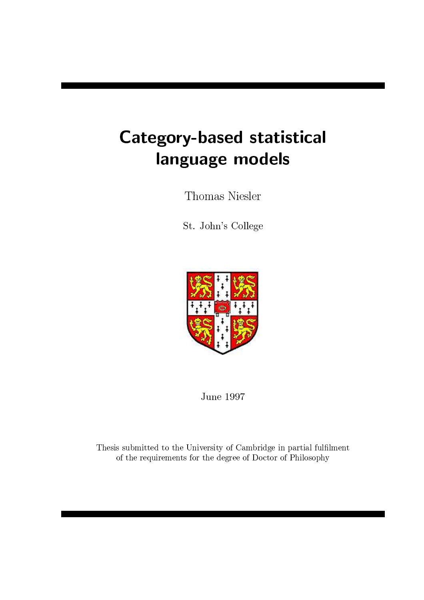# results the contract of the contract of the contract of the contract of the contract of the contract of the con language models

Thomas Niesler

St. John's College



June 1997

Thesis submitted to the University of Cambridge in partial fulfilment of the requirements for the degree of Doctor of Philosophy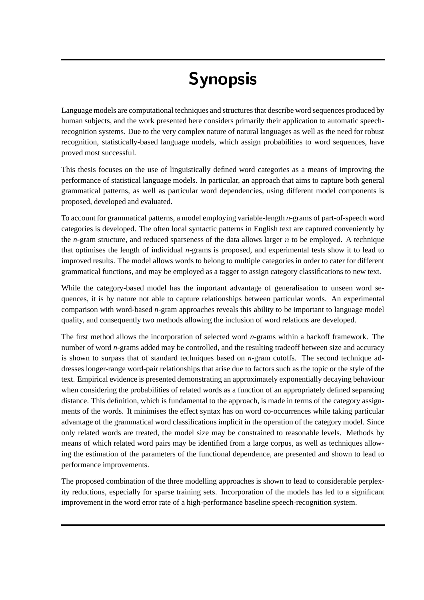# \$#'-

Language models are computational techniques and structures that describe word sequences produced by human subjects, and the work presented here considers primarily their application to automatic speechrecognition systems. Due to the very complex nature of natural languages as well as the need for robust recognition, statistically-based language models, which assign probabilities to word sequences, have proved most successful.

This thesis focuses on the use of linguistically defined word categories as a means of improving the performance of statistical language models. In particular, an approach that aims to capture both general grammatical patterns, as well as particular word dependencies, using different model components is proposed, developed and evaluated.

To account for grammatical patterns, a model employing variable-length *n*-grams of part-of-speech word categories is developed. The often local syntactic patterns in English text are captured conveniently by the *n*-gram structure, and reduced sparseness of the data allows larger  $n$  to be employed. A technique that optimises the length of individual *n*-grams is proposed, and experimental tests show it to lead to improved results. The model allows words to belong to multiple categories in order to cater for different grammatical functions, and may be employed as a tagger to assign category classifications to new text.

While the category-based model has the important advantage of generalisation to unseen word sequences, it is by nature not able to capture relationships between particular words. An experimental comparison with word-based *n*-gram approaches reveals this ability to be important to language model quality, and consequently two methods allowing the inclusion of word relations are developed.

The first method allows the incorporation of selected word *n*-grams within a backoff framework. The number of word *n*-grams added may be controlled, and the resulting tradeoff between size and accuracy is shown to surpass that of standard techniques based on *n*-gram cutoffs. The second technique addresses longer-range word-pair relationships that arise due to factors such as the topic or the style of the text. Empirical evidence is presented demonstrating an approximately exponentially decaying behaviour when considering the probabilities of related words as a function of an appropriately defined separating distance. This definition, which is fundamental to the approach, is made in terms of the category assignments of the words. It minimises the effect syntax has on word co-occurrences while taking particular advantage of the grammatical word classifications implicit in the operation of the category model. Since only related words are treated, the model size may be constrained to reasonable levels. Methods by means of which related word pairs may be identified from a large corpus, as well as techniques allowing the estimation of the parameters of the functional dependence, are presented and shown to lead to performance improvements.

The proposed combination of the three modelling approaches is shown to lead to considerable perplexity reductions, especially for sparse training sets. Incorporation of the models has led to a significant improvement in the word error rate of a high-performance baseline speech-recognition system.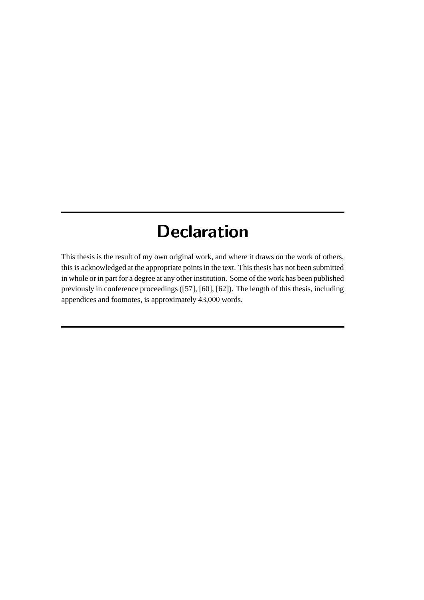## \$ " ]- #

This thesis is the result of my own original work, and where it draws on the work of others, this is acknowledged at the appropriate points in the text. This thesis has not been submitted in whole or in part for a degree at any other institution. Some of the work has been published previously in conference proceedings ([57], [60], [62]). The length of this thesis, including appendices and footnotes, is approximately 43,000 words.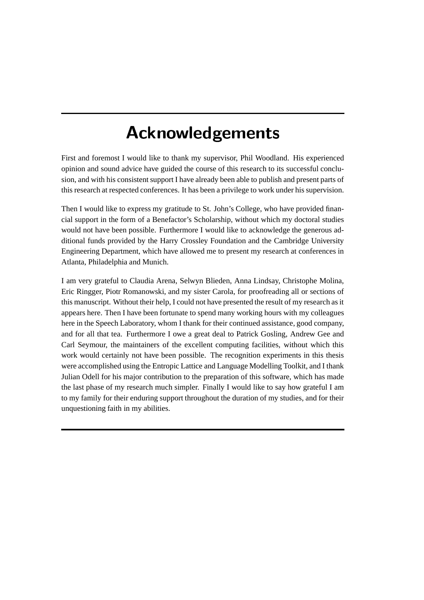## -\$# "\$ \*(\*#-

First and foremost I would like to thank my supervisor, Phil Woodland. His experienced opinion and sound advice have guided the course of this research to its successful conclusion, and with his consistent support I have already been able to publish and present parts of this research at respected conferences. It has been a privilege to work under his supervision.

Then I would like to express my gratitude to St. John's College, who have provided financial support in the form of a Benefactor's Scholarship, without which my doctoral studies would not have been possible. Furthermore I would like to acknowledge the generous additional funds provided by the Harry Crossley Foundation and the Cambridge University Engineering Department, which have allowed me to present my research at conferences in Atlanta, Philadelphia and Munich.

I am very grateful to Claudia Arena, Selwyn Blieden, Anna Lindsay, Christophe Molina, Eric Ringger, Piotr Romanowski, and my sister Carola, for proofreading all or sections of this manuscript. Without their help, I could not have presented the result of my research asit appears here. Then I have been fortunate to spend many working hours with my colleagues here in the Speech Laboratory, whom I thank for their continued assistance, good company, and for all that tea. Furthermore I owe a great deal to Patrick Gosling, Andrew Gee and Carl Seymour, the maintainers of the excellent computing facilities, without which this work would certainly not have been possible. The recognition experiments in this thesis were accomplished using the Entropic Lattice and Language Modelling Toolkit, and I thank Julian Odell for his major contribution to the preparation of this software, which has made the last phase of my research much simpler. Finally I would like to say how grateful I am to my family for their enduring support throughout the duration of my studies, and for their unquestioning faith in my abilities.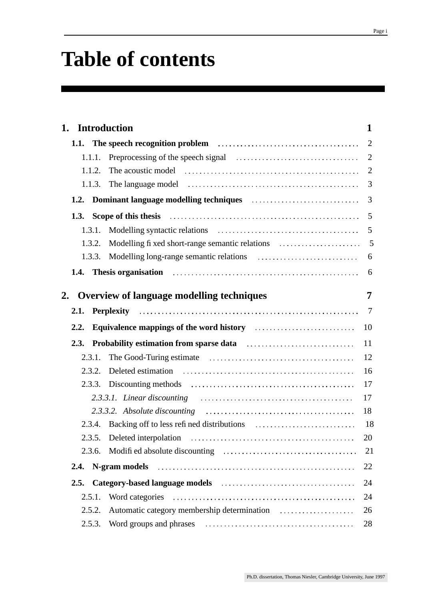# **Table of contents**

| 1. Introduction |                                                                                                                                                                                                                                               | $\mathbf{1}$   |
|-----------------|-----------------------------------------------------------------------------------------------------------------------------------------------------------------------------------------------------------------------------------------------|----------------|
|                 | <b>1.1.</b> The speech recognition problem <b>contained</b> in the speech recognition problem <b>contained</b> in the speech recognition of the speech recognition of the speech recognition of the speech recognition of the speech recognit | 2              |
| 1.1.1.          |                                                                                                                                                                                                                                               | $\overline{2}$ |
| 1.1.2.          |                                                                                                                                                                                                                                               | $\overline{2}$ |
| 1.1.3.          |                                                                                                                                                                                                                                               | 3              |
| 1.2.            | Dominant language modelling techniques entertainment and the modelling techniques                                                                                                                                                             | 3              |
| 1.3.            | Scope of this thesis electron contains and the state of this thesis electron contains and the state of the state of the state of the state of the state of the state of the state of the state of the state of the state of th                | 5              |
| 1.3.1.          |                                                                                                                                                                                                                                               | 5              |
| 1.3.2.          |                                                                                                                                                                                                                                               | 5              |
| 1.3.3.          | Modelling long-range semantic relations <i>manufacture and a manufacture manufacture manufacture manufacture manufacture</i>                                                                                                                  | 6              |
|                 | 1.4. Thesis organisation contained and the contained and the contact the contact of the contact of the contact of the contact of the contact of the contact of the contact of the contact of the contact of the contact of the                | 6              |
|                 |                                                                                                                                                                                                                                               | 7              |
|                 | 2. Overview of language modelling techniques                                                                                                                                                                                                  |                |
| 2.1.            |                                                                                                                                                                                                                                               | 7              |
| 2.2.            | Equivalence mappings of the word history <b>Equivalence</b> mappings of the word history                                                                                                                                                      | 10             |
|                 | 2.3. Probability estimation from sparse data <i>manufacture container</i>                                                                                                                                                                     | 11             |
| 2.3.1.          |                                                                                                                                                                                                                                               | 12             |
| 2.3.2.          |                                                                                                                                                                                                                                               | 16             |
| 2.3.3.          |                                                                                                                                                                                                                                               | 17             |
|                 | $2.3.3.1.$ Linear discounting $\ldots \ldots \ldots \ldots \ldots \ldots \ldots \ldots \ldots \ldots$                                                                                                                                         | 17             |
|                 |                                                                                                                                                                                                                                               | 18             |
|                 | 2.3.4. Backing off to less refined distributions                                                                                                                                                                                              | -18            |
|                 |                                                                                                                                                                                                                                               | 20             |
|                 |                                                                                                                                                                                                                                               | 21             |
| 2.4.            | N-gram models (and the contract of the contract of the contract of the contract of the contract of the contract of the contract of the contract of the contract of the contract of the contract of the contract of the contrac                | 22             |
| 2.5.            |                                                                                                                                                                                                                                               | 24             |
| 2.5.1.          |                                                                                                                                                                                                                                               | 24             |
| 2.5.2.          |                                                                                                                                                                                                                                               | 26             |
| 2.5.3.          |                                                                                                                                                                                                                                               | 28             |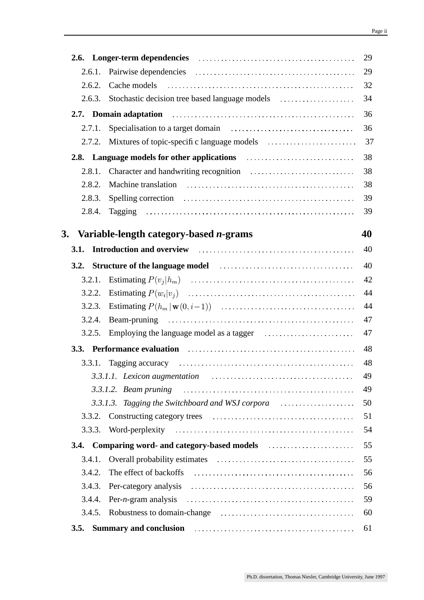|                                                                                                                                                                                                                                      | 29 |
|--------------------------------------------------------------------------------------------------------------------------------------------------------------------------------------------------------------------------------------|----|
| 2.6.1.                                                                                                                                                                                                                               | 29 |
| Cache models<br>2.6.2.                                                                                                                                                                                                               | 32 |
| 2.6.3.                                                                                                                                                                                                                               | 34 |
| 2.7. Domain adaptation contracts and a series and adaptation of the contract of the series of the contract of the contract of the contract of the contract of the contract of the contract of the contract of the contract of        | 36 |
| 2.7.1.                                                                                                                                                                                                                               | 36 |
| 2.7.2.                                                                                                                                                                                                                               | 37 |
| 2.8. Language models for other applications <b>container and the set of the set of the set of the set of the set of the set of the set of the set of the set of the set of the set of the set of the set of the set of the set o</b> | 38 |
| 2.8.1.                                                                                                                                                                                                                               | 38 |
| 2.8.2.                                                                                                                                                                                                                               | 38 |
| 2.8.3.                                                                                                                                                                                                                               | 39 |
| 2.8.4.                                                                                                                                                                                                                               | 39 |
|                                                                                                                                                                                                                                      |    |
| 3. Variable-length category-based <i>n</i> -grams                                                                                                                                                                                    | 40 |
| 3.1.                                                                                                                                                                                                                                 | 40 |
|                                                                                                                                                                                                                                      | 40 |
| 3.2.1.                                                                                                                                                                                                                               | 42 |
| 3.2.2.                                                                                                                                                                                                                               | 44 |
| 3.2.3.                                                                                                                                                                                                                               | 44 |
| 3.2.4.                                                                                                                                                                                                                               | 47 |
| 3.2.5.                                                                                                                                                                                                                               | 47 |
| 3.3. Performance evaluation manufactured contains a series of the series of the series of the series of the series of the series of the series of the series of the series of the series of the series of the series of the se       | 48 |
|                                                                                                                                                                                                                                      | 48 |
|                                                                                                                                                                                                                                      | 49 |
|                                                                                                                                                                                                                                      | 49 |
| 3.3.1.3. Tagging the Switchboard and WSJ corpora                                                                                                                                                                                     | 50 |
| 3.3.2.                                                                                                                                                                                                                               | 51 |
| 3.3.3.                                                                                                                                                                                                                               | 54 |
| Comparing word- and category-based models <b>comparison</b> word-<br>3.4.                                                                                                                                                            | 55 |
| 3.4.1.                                                                                                                                                                                                                               | 55 |
| 3.4.2.                                                                                                                                                                                                                               | 56 |
| 3.4.3.                                                                                                                                                                                                                               | 56 |
| 3.4.4.                                                                                                                                                                                                                               | 59 |
| Robustness to domain-change <i>manufacture contains a container and a container a container a</i><br>3.4.5.                                                                                                                          | 60 |
| Summary and conclusion <i>manufacture contained and conclusion manufacture contained and conclusion</i><br>3.5.                                                                                                                      | 61 |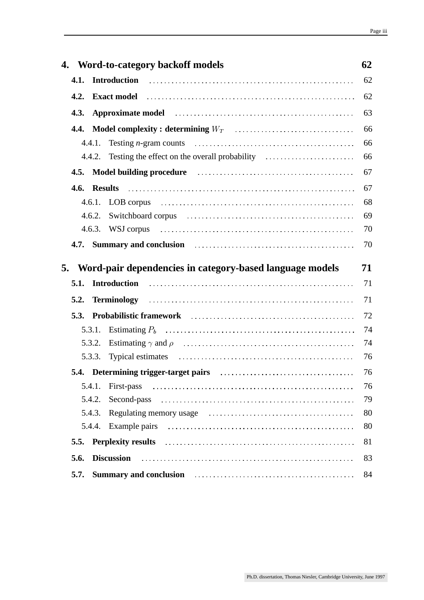|        | 4. Word-to-category backoff models                                                                                                                                                                                             | 62 |
|--------|--------------------------------------------------------------------------------------------------------------------------------------------------------------------------------------------------------------------------------|----|
|        |                                                                                                                                                                                                                                | 62 |
| 4.2.   | Exact model influence in the contract of the contract of the contract of the contract of the contract of the contract of the contract of the contract of the contract of the contract of the contract of the contract of the c | 62 |
| 4.3.   | Approximate model in the contract of the contract of the model of the contract of the contract of the contract of the contract of the contract of the contract of the contract of the contract of the contract of the contract | 63 |
| 4.4.   |                                                                                                                                                                                                                                | 66 |
| 4.4.1. |                                                                                                                                                                                                                                | 66 |
|        | 4.4.2. Testing the effect on the overall probability                                                                                                                                                                           | 66 |
| 4.5.   | Model building procedure <i>contained a contained a model</i> building procedure                                                                                                                                               | 67 |
|        |                                                                                                                                                                                                                                | 67 |
|        |                                                                                                                                                                                                                                | 68 |
| 4.6.2. | Switchboard corpus (and the context of the state of the state of the state of the state of the state of the state of the state of the state of the state of the state of the state of the state of the state of the state of t | 69 |
|        |                                                                                                                                                                                                                                | 70 |
|        | 4.7. Summary and conclusion <i>contract contract and conclusion contract contract and conclusion contract and conclusion contract and contract and conclusion contract and contract and contract and contract and contra</i>   | 70 |
|        |                                                                                                                                                                                                                                |    |
|        | 5. Word-pair dependencies in category-based language models                                                                                                                                                                    | 71 |
| 5.1.   |                                                                                                                                                                                                                                | 71 |
| 5.2.   |                                                                                                                                                                                                                                | 71 |
|        | 5.3. Probabilistic framework (and the continuum of the continuum of the continuum of the continuum of the continuum of the continuum of the continuum of the continuum of the continuum of the continuum of the continuum of t | 72 |
| 5.3.1. |                                                                                                                                                                                                                                | 74 |
| 5.3.2. |                                                                                                                                                                                                                                | 74 |
| 5.3.3. |                                                                                                                                                                                                                                | 76 |
|        |                                                                                                                                                                                                                                | 76 |
| 5.4.1. |                                                                                                                                                                                                                                | 76 |
| 5.4.2. |                                                                                                                                                                                                                                | 79 |
| 5.4.3. | Regulating memory usage contained and the contact of the set of the set of the set of the set of the set of the set of the set of the set of the set of the set of the set of the set of the set of the set of the set of the  | 80 |
| 5.4.4. |                                                                                                                                                                                                                                | 80 |
| 5.5.   | Perplexity results in the contract of the contract of the contract of the contract of the contract of the contract of the contract of the contract of the contract of the contract of the contract of the contract of the cont | 81 |
| 5.6.   | <b>Discussion</b>                                                                                                                                                                                                              | 83 |
| 5.7.   | Summary and conclusion <i>[1] main main main main main main main main main main main main main main main main main main main main main main main main main main main mai</i>                                                   | 84 |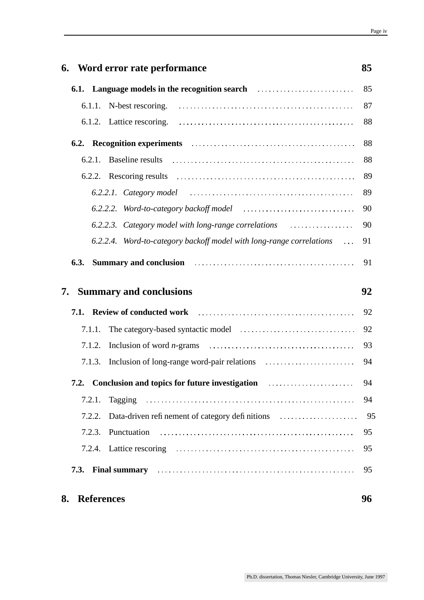|    |        | 6. Word error rate performance                                                                                                                                                                                                      | 85       |
|----|--------|-------------------------------------------------------------------------------------------------------------------------------------------------------------------------------------------------------------------------------------|----------|
|    |        | <b>6.1. Language models in the recognition search</b> contained and the manufacture of the manufacture of the manufacture of the manufacture of the manufacture of the manufacture of the manufacture of the manufacture of the man | 85       |
|    |        |                                                                                                                                                                                                                                     | 87       |
|    |        |                                                                                                                                                                                                                                     | 88       |
|    |        |                                                                                                                                                                                                                                     | 88       |
|    |        | 6.2.1. Baseline results                                                                                                                                                                                                             | 88       |
|    |        |                                                                                                                                                                                                                                     | 89       |
|    |        |                                                                                                                                                                                                                                     | 89       |
|    |        |                                                                                                                                                                                                                                     | 90       |
|    |        | 6.2.2.3. Category model with long-range correlations                                                                                                                                                                                | 90       |
|    |        | 6.2.2.4. Word-to-category backoff model with long-range correlations                                                                                                                                                                | 91       |
|    |        | 6.3. Summary and conclusion <i>contract contract of the summary and conclusion contract of the summary and conclusion</i>                                                                                                           | 91       |
|    |        |                                                                                                                                                                                                                                     |          |
| 7. |        | <b>Summary and conclusions</b>                                                                                                                                                                                                      | 92       |
|    |        | 7.1. Review of conducted work manufacturers of the Review of Conducted Work manufacturers and the Review of T                                                                                                                       | 92       |
|    | 7.1.1. |                                                                                                                                                                                                                                     | 92       |
|    | 7.1.2. |                                                                                                                                                                                                                                     | 93       |
|    | 7.1.3. |                                                                                                                                                                                                                                     | 94       |
|    |        | 7.2. Conclusion and topics for future investigation <i>manufacture investigation</i>                                                                                                                                                | 94       |
|    | 7.2.1. |                                                                                                                                                                                                                                     | 94       |
|    | 7.2.2. |                                                                                                                                                                                                                                     |          |
|    | 7.2.3. | Punctuation                                                                                                                                                                                                                         | 95       |
|    |        |                                                                                                                                                                                                                                     | 95       |
|    |        | 7.3. Final summary continuous continuous contract to the state of the state of the state of the state of the state of the state of the state of the state of the state of the state of the state of the state of the state of       | 95<br>95 |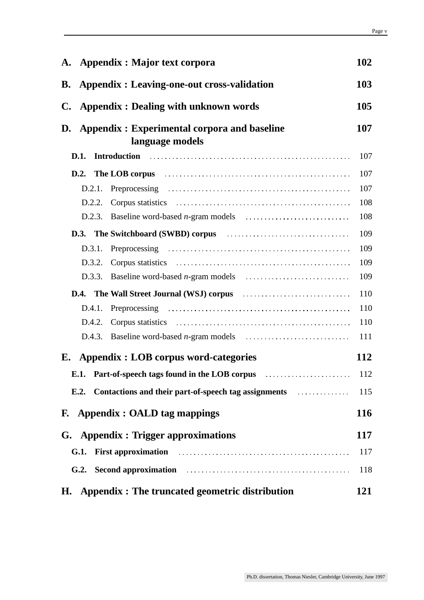| A. Appendix : Major text corpora                                                                                                         | 102        |
|------------------------------------------------------------------------------------------------------------------------------------------|------------|
| <b>B.</b> Appendix : Leaving-one-out cross-validation                                                                                    | 103        |
| $\mathbf{C}$ .<br><b>Appendix : Dealing with unknown words</b>                                                                           |            |
| D. Appendix : Experimental corpora and baseline                                                                                          | 107        |
| language models                                                                                                                          |            |
|                                                                                                                                          | 107        |
| D.2. The LOB corpus <i>manufacture contains a container container a container container a</i>                                            | 107        |
|                                                                                                                                          | 107        |
| D.2.2.                                                                                                                                   | 108        |
| D.2.3.                                                                                                                                   | 108        |
|                                                                                                                                          | 109        |
|                                                                                                                                          | 109        |
| D.3.2.                                                                                                                                   | 109        |
| D.3.3.                                                                                                                                   | 109        |
| <b>D.4.</b> The Wall Street Journal (WSJ) corpus <b>contained matter in the Wall Street Journal (WSJ)</b> corpus <b>contained matter</b> | 110        |
|                                                                                                                                          | 110        |
| D.4.2.                                                                                                                                   | 110        |
| D.4.3.                                                                                                                                   | 111        |
| E. Appendix : LOB corpus word-categories                                                                                                 | <b>112</b> |
| E.1. Part-of-speech tags found in the LOB corpus <i>manufacture container</i>                                                            | 112        |
|                                                                                                                                          |            |
| F. Appendix : OALD tag mappings                                                                                                          | <b>116</b> |
| G. Appendix : Trigger approximations                                                                                                     | 117        |
|                                                                                                                                          | 117        |
| G.2. Second approximation <i>contained a contained approximation contained as a contained a second approximation</i>                     | 118        |
| Appendix : The truncated geometric distribution<br>H.                                                                                    | 121        |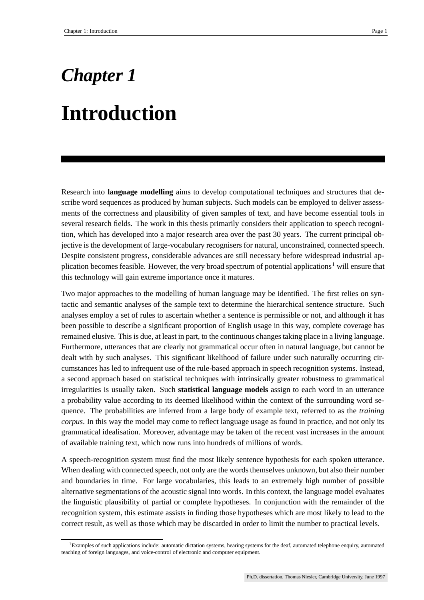# *Chapter 1* **Introduction**

Research into **language modelling** aims to develop computational techniques and structures that describe word sequences as produced by human subjects. Such models can be employed to deliver assessments of the correctness and plausibility of given samples of text, and have become essential tools in several research fields. The work in this thesis primarily considers their application to speech recognition, which has developed into a major research area over the past 30 years. The current principal objective is the development of large-vocabulary recognisers for natural, unconstrained, connected speech. Despite consistent progress, considerable advances are still necessary before widespread industrial application becomes feasible. However, the very broad spectrum of potential applications<sup>1</sup> will ensure that this technology will gain extreme importance once it matures.

Two major approaches to the modelling of human language may be identified. The first relies on syntactic and semantic analyses of the sample text to determine the hierarchical sentence structure. Such analyses employ a set of rules to ascertain whether a sentence is permissible or not, and although it has been possible to describe a significant proportion of English usage in this way, complete coverage has remained elusive. This is due, at least in part, to the continuous changestaking place in a living language. Furthermore, utterances that are clearly not grammatical occur often in natural language, but cannot be dealt with by such analyses. This significant likelihood of failure under such naturally occurring circumstances has led to infrequent use of the rule-based approach in speech recognition systems. Instead, a second approach based on statistical techniques with intrinsically greater robustness to grammatical irregularities is usually taken. Such **statistical language models** assign to each word in an utterance a probability value according to its deemed likelihood within the context of the surrounding word sequence. The probabilities are inferred from a large body of example text, referred to as the *training corpus*. In this way the model may come to reflect language usage as found in practice, and not only its grammatical idealisation. Moreover, advantage may be taken of the recent vast increases in the amount of available training text, which now runs into hundreds of millions of words.

A speech-recognition system must find the most likely sentence hypothesis for each spoken utterance. When dealing with connected speech, not only are the words themselves unknown, but also their number and boundaries in time. For large vocabularies, this leads to an extremely high number of possible alternative segmentations of the acoustic signal into words. In this context, the language model evaluates the linguistic plausibility of partial or complete hypotheses. In conjunction with the remainder of the recognition system, this estimate assists in finding those hypotheses which are most likely to lead to the correct result, as well as those which may be discarded in order to limit the number to practical levels.

<sup>&</sup>lt;sup>1</sup>Examples of such applications include: automatic dictation systems, hearing systems for the deaf, automated telephone enquiry, automated teaching of foreign languages, and voice-control of electronic and computer equipment.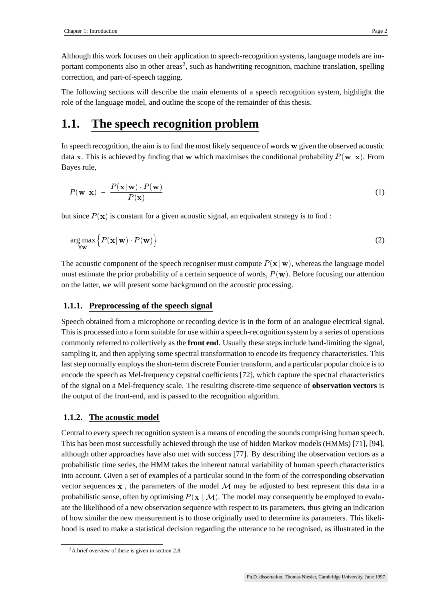Although this work focuses on their application to speech-recognition systems, language models are important components also in other areas<sup>2</sup>, such as handwriting recognition, machine translation, spelling correction, and part-of-speech tagging.

The following sections will describe the main elements of a speech recognition system, highlight the role of the language model, and outline the scope of the remainder of this thesis.

## **1.1. The speech recognition problem**

In speech recognition, the aim is to find the most likely sequence of words  $w$  given the observed acoustic data x. This is achieved by finding that w which maximises the conditional probability  $P(w|x)$ . From Bayes rule,

$$
P(\mathbf{w} \mid \mathbf{x}) = \frac{P(\mathbf{x} \mid \mathbf{w}) \cdot P(\mathbf{w})}{P(\mathbf{x})}
$$
(1)

but since  $P(x)$  is constant for a given acoustic signal, an equivalent strategy is to find:

$$
\underset{\forall \mathbf{w}}{\arg \max} \left\{ P(\mathbf{x} \,|\, \mathbf{w}) \cdot P(\mathbf{w}) \right\} \tag{2}
$$

The acoustic component of the speech recogniser must compute  $P(x | w)$ , whereas the language model must estimate the prior probability of a certain sequence of words,  $P(w)$ . Before focusing our attention on the latter, we will present some background on the acoustic processing.

## **1.1.1. Preprocessing of the speech signal**

Speech obtained from a microphone or recording device is in the form of an analogue electrical signal. Thisis processed into a form suitable for use within a speech-recognition system by a series of operations commonly referred to collectively as the **front end**. Usually these steps include band-limiting the signal, sampling it, and then applying some spectral transformation to encode its frequency characteristics. This last step normally employs the short-term discrete Fourier transform, and a particular popular choice is to encode the speech as Mel-frequency cepstral coefficients [72], which capture the spectral characteristics of the signal on a Mel-frequency scale. The resulting discrete-time sequence of **observation vectors** is the output of the front-end, and is passed to the recognition algorithm.

## **1.1.2. The acoustic model**

Central to every speech recognition system is a means of encoding the sounds comprising human speech. This has been most successfully achieved through the use of hidden Markov models (HMMs) [71], [94], although other approaches have also met with success [77]. By describing the observation vectors as a probabilistic time series, the HMM takes the inherent natural variability of human speech characteristics into account. Given a set of examples of a particular sound in the form of the corresponding observation vector sequences  $x$ , the parameters of the model  $M$  may be adjusted to best represent this data in a probabilistic sense, often by optimising  $P(x \mid M)$ . The model may consequently be employed to evaluate the likelihood of a new observation sequence with respect to its parameters, thus giving an indication of how similar the new measurement is to those originally used to determine its parameters. This likelihood is used to make a statistical decision regarding the utterance to be recognised, as illustrated in the

<sup>&</sup>lt;sup>2</sup>A brief overview of these is given in section 2.8.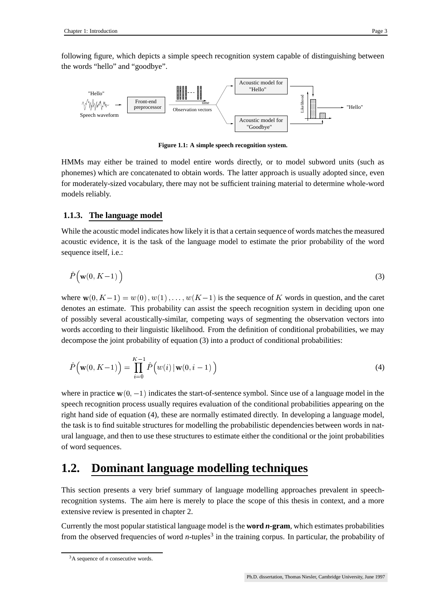following figure, which depicts a simple speech recognition system capable of distinguishing between the words "hello" and "goodbye".



**Figure 1.1: A simple speech recognition system.**

HMMs may either be trained to model entire words directly, or to model subword units (such as phonemes) which are concatenated to obtain words. The latter approach is usually adopted since, even for moderately-sized vocabulary, there may not be sufficient training material to determine whole-word models reliably.

## **1.1.3. The language model**

While the acoustic model indicates how likely it is that a certain sequence of words matches the measured acoustic evidence, it is the task of the language model to estimate the prior probability of the word sequence itself, i.e.:

$$
\hat{P}(\mathbf{w}(0,K-1))\tag{3}
$$

where  $w(0, K-1) = w(0), w(1), \ldots, w(K-1)$  is the sequence of K words in question, and the caret denotes an estimate. This probability can assist the speech recognition system in deciding upon one of possibly several acoustically-similar, competing ways of segmenting the observation vectors into words according to their linguistic likelihood. From the definition of conditional probabilities, we may decompose the joint probability of equation (3) into a product of conditional probabilities:

$$
\hat{P}\big(\mathbf{w}(0,K-1)\big) = \prod_{i=0}^{K-1} \hat{P}\big(w(i) \,|\, \mathbf{w}(0,i-1)\big)
$$
\n(4)

where in practice  $w(0, -1)$  indicates the start-of-sentence symbol. Since use of a language model in the speech recognition process usually requires evaluation of the conditional probabilities appearing on the right hand side of equation (4), these are normally estimated directly. In developing a language model, the task is to find suitable structures for modelling the probabilistic dependencies between words in natural language, and then to use these structures to estimate either the conditional or the joint probabilities of word sequences.

## **1.2. Dominant language modelling techniques**

This section presents a very brief summary of language modelling approaches prevalent in speechrecognition systems. The aim here is merely to place the scope of this thesis in context, and a more extensive review is presented in chapter 2.

Currently the most popular statistical language model is the **word** *n***-gram**, which estimates probabilities from the observed frequencies of word *n*-tuples<sup>3</sup> in the training corpus. In particular, the probability of

<sup>&</sup>lt;sup>3</sup>A sequence of *n* consecutive words.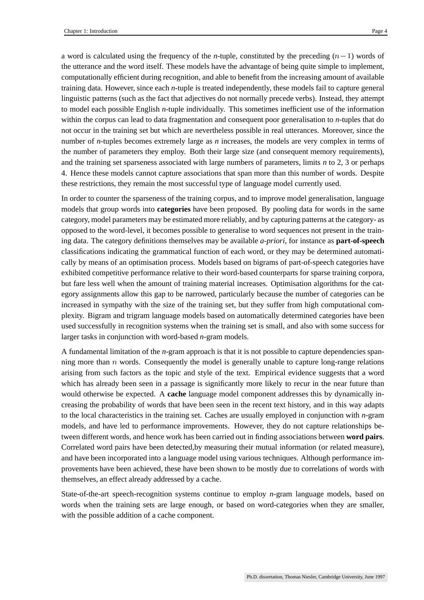a word is calculated using the frequency of the *n*-tuple, constituted by the preceding  $(n - 1)$  words of the utterance and the word itself. These models have the advantage of being quite simple to implement, computationally efficient during recognition, and able to benefit from the increasing amount of available training data. However, since each *n*-tuple is treated independently, these models fail to capture general linguistic patterns (such as the fact that adjectives do not normally precede verbs). Instead, they attempt to model each possible English *n*-tuple individually. This sometimes inefficient use of the information within the corpus can lead to data fragmentation and consequent poor generalisation to *n*-tuples that do not occur in the training set but which are nevertheless possible in real utterances. Moreover, since the number of *n*-tuples becomes extremely large as *n* increases, the models are very complex in terms of the number of parameters they employ. Both their large size (and consequent memory requirements), and the training set sparseness associated with large numbers of parameters, limits *n* to 2, 3 or perhaps 4. Hence these models cannot capture associations that span more than this number of words. Despite these restrictions, they remain the most successful type of language model currently used.

In order to counter the sparseness of the training corpus, and to improve model generalisation, language models that group words into **categories** have been proposed. By pooling data for words in the same category, model parameters may be estimated more reliably, and by capturing patterns at the category- as opposed to the word-level, it becomes possible to generalise to word sequences not present in the training data. The category definitions themselves may be available *a-priori*, for instance as **part-of-speech** classifications indicating the grammatical function of each word, or they may be determined automatically by means of an optimisation process. Models based on bigrams of part-of-speech categories have exhibited competitive performance relative to their word-based counterparts for sparse training corpora, but fare less well when the amount of training material increases. Optimisation algorithms for the category assignments allow this gap to be narrowed, particularly because the number of categories can be increased in sympathy with the size of the training set, but they suffer from high computational complexity. Bigram and trigram language models based on automatically determined categories have been used successfully in recognition systems when the training set is small, and also with some success for larger tasks in conjunction with word-based *n*-gram models.

A fundamental limitation of the *n*-gram approach is that it is not possible to capture dependencies spanning more than  $n$  words. Consequently the model is generally unable to capture long-range relations arising from such factors as the topic and style of the text. Empirical evidence suggests that a word which has already been seen in a passage is significantly more likely to recur in the near future than would otherwise be expected. A **cache** language model component addresses this by dynamically increasing the probability of words that have been seen in the recent text history, and in this way adapts to the local characteristics in the training set. Caches are usually employed in conjunction with *n*-gram models, and have led to performance improvements. However, they do not capture relationships between different words, and hence work has been carried out in finding associations between **word pairs**. Correlated word pairs have been detected,by measuring their mutual information (or related measure), and have been incorporated into a language model using various techniques. Although performance improvements have been achieved, these have been shown to be mostly due to correlations of words with themselves, an effect already addressed by a cache.

State-of-the-art speech-recognition systems continue to employ *n*-gram language models, based on words when the training sets are large enough, or based on word-categories when they are smaller, with the possible addition of a cache component.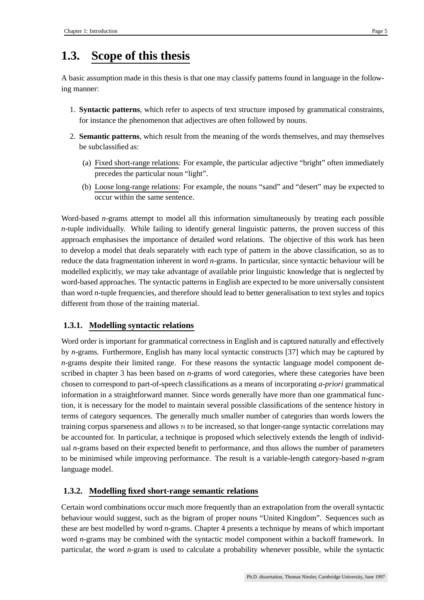## **1.3. Scope of this thesis**

A basic assumption made in this thesis is that one may classify patterns found in language in the following manner:

- 1. **Syntactic patterns**, which refer to aspects of text structure imposed by grammatical constraints, for instance the phenomenon that adjectives are often followed by nouns.
- 2. **Semantic patterns**, which result from the meaning of the words themselves, and may themselves be subclassified as:
	- (a) Fixed short-range relations: For example, the particular adjective "bright" often immediately precedes the particular noun "light".
	- (b) Loose long-range relations: For example, the nouns "sand" and "desert" may be expected to occur within the same sentence.

Word-based *n*-grams attempt to model all this information simultaneously by treating each possible *n*-tuple individually. While failing to identify general linguistic patterns, the proven success of this approach emphasises the importance of detailed word relations. The objective of this work has been to develop a model that deals separately with each type of pattern in the above classification, so as to reduce the data fragmentation inherent in word *n*-grams. In particular, since syntactic behaviour will be modelled explicitly, we may take advantage of available prior linguistic knowledge that is neglected by word-based approaches. The syntactic patterns in English are expected to be more universally consistent than word *n*-tuple frequencies, and therefore should lead to better generalisation to text styles and topics different from those of the training material.

## **1.3.1. Modelling syntactic relations**

Word order is important for grammatical correctness in English and is captured naturally and effectively by *n*-grams. Furthermore, English has many local syntactic constructs [37] which may be captured by *n*-grams despite their limited range. For these reasons the syntactic language model component described in chapter 3 has been based on *n*-grams of word categories, where these categories have been chosen to correspond to part-of-speech classifications as a means of incorporating *a-priori* grammatical information in a straightforward manner. Since words generally have more than one grammatical function, it is necessary for the model to maintain several possible classifications of the sentence history in terms of category sequences. The generally much smaller number of categories than words lowers the training corpus sparseness and allows  $n$  to be increased, so that longer-range syntactic correlations may be accounted for. In particular, a technique is proposed which selectively extends the length of individual *n*-grams based on their expected benefit to performance, and thus allows the number of parameters to be minimised while improving performance. The result is a variable-length category-based *n*-gram language model.

## **1.3.2. Modelling fixed short-range semantic relations**

Certain word combinations occur much more frequently than an extrapolation from the overall syntactic behaviour would suggest, such as the bigram of proper nouns "United Kingdom". Sequences such as these are best modelled by word *n*-grams. Chapter 4 presents a technique by means of which important word *n*-grams may be combined with the syntactic model component within a backoff framework. In particular, the word *n*-gram is used to calculate a probability whenever possible, while the syntactic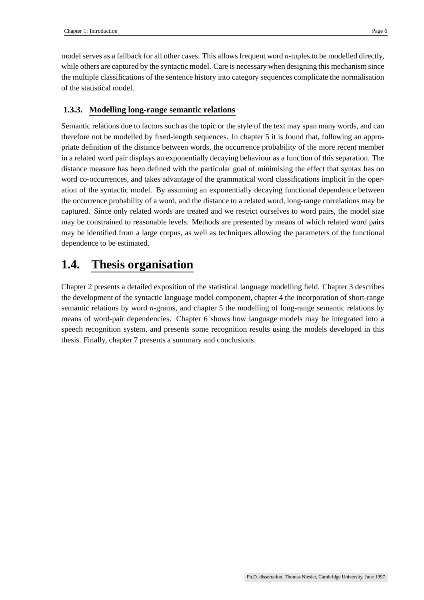model serves as a fallback for all other cases. This allows frequent word *n*-tuples to be modelled directly, while others are captured by the syntactic model. Care is necessary when designing this mechanism since the multiple classifications of the sentence history into category sequences complicate the normalisation of the statistical model.

### **1.3.3. Modelling long-range semantic relations**

Semantic relations due to factors such as the topic or the style of the text may span many words, and can therefore not be modelled by fixed-length sequences. In chapter 5 it is found that, following an appropriate definition of the distance between words, the occurrence probability of the more recent member in a related word pair displays an exponentially decaying behaviour as a function of this separation. The distance measure has been defined with the particular goal of minimising the effect that syntax has on word co-occurrences, and takes advantage of the grammatical word classifications implicit in the operation of the syntactic model. By assuming an exponentially decaying functional dependence between the occurrence probability of a word, and the distance to a related word, long-range correlations may be captured. Since only related words are treated and we restrict ourselves to word pairs, the model size may be constrained to reasonable levels. Methods are presented by means of which related word pairs may be identified from a large corpus, as well as techniques allowing the parameters of the functional dependence to be estimated.

## **1.4. Thesis organisation**

Chapter 2 presents a detailed exposition of the statistical language modelling field. Chapter 3 describes the development of the syntactic language model component, chapter 4 the incorporation of short-range semantic relations by word *n*-grams, and chapter 5 the modelling of long-range semantic relations by means of word-pair dependencies. Chapter 6 shows how language models may be integrated into a speech recognition system, and presents some recognition results using the models developed in this thesis. Finally, chapter 7 presents a summary and conclusions.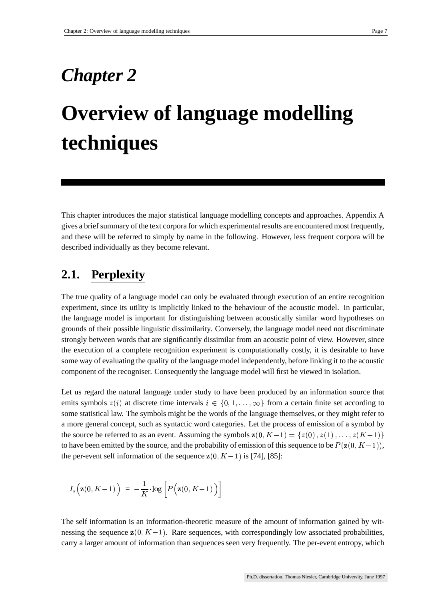## *Chapter 2*

# **Overview of language modelling techniques**

This chapter introduces the major statistical language modelling concepts and approaches. Appendix A gives a brief summary of the text corpora for which experimental results are encountered most frequently, and these will be referred to simply by name in the following. However, less frequent corpora will be described individually as they become relevant.

## **2.1. Perplexity**

The true quality of a language model can only be evaluated through execution of an entire recognition experiment, since its utility is implicitly linked to the behaviour of the acoustic model. In particular, the language model is important for distinguishing between acoustically similar word hypotheses on grounds of their possible linguistic dissimilarity. Conversely, the language model need not discriminate strongly between words that are significantly dissimilar from an acoustic point of view. However, since the execution of a complete recognition experiment is computationally costly, it is desirable to have some way of evaluating the quality of the language model independently, before linking it to the acoustic component of the recogniser. Consequently the language model will first be viewed in isolation.

Let us regard the natural language under study to have been produced by an information source that emits symbols  $z(i)$  at discrete time intervals  $i \in \{0, 1, \ldots, \infty\}$  from a certain finite set according to some statistical law. The symbols might be the words of the language themselves, or they might refer to a more general concept, such as syntactic word categories. Let the process of emission of a symbol by the source be referred to as an event. Assuming the symbols  $z(0, K-1) = \{z(0), z(1), \ldots, z(K-1)\}\$ to have been emitted by the source, and the probability of emission of this sequence to be  $P(z(0, K-1))$ , the per-event self information of the sequence  $z(0, K-1)$  is [74], [85]:

$$
I_s\Big(\mathbf{z}(0,K\!-\!1)\,\Big)\;=\;-\frac{1}{K}\!\cdot\!\log\left[P\Big(\mathbf{z}(0,K\!-\!1)\,\Big)\right]
$$

The self information is an information-theoretic measure of the amount of information gained by witnessing the sequence  $z(0, K-1)$ . Rare sequences, with correspondingly low associated probabilities, carry a larger amount of information than sequences seen very frequently. The per-event entropy, which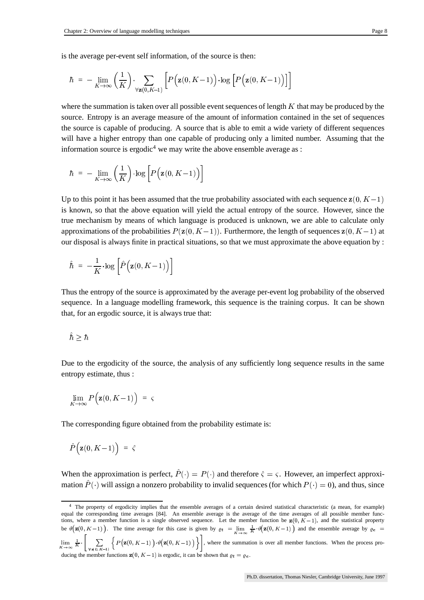is the average per-event self information, of the source is then:

$$
\hbar\;=\;-\lim_{K\to\infty}\left(\frac{1}{K}\right)\cdot\sum_{\forall \mathbf{z} (0,K-1)}\left[ P\Big(\mathbf{z} (0,K\!-\!1)\Big)\cdot\!\log\Big[P\Big(\mathbf{z} (0,K\!-\!1)\Big)\Big]\right]
$$

where the summation is taken over all possible event sequences of length  $K$  that may be produced by the source. Entropy is an average measure of the amount of information contained in the set of sequences the source is capable of producing. A source that is able to emit a wide variety of different sequences will have a higher entropy than one capable of producing only a limited number. Assuming that the information source is ergodic<sup>4</sup> we may write the above ensemble average as :

$$
\hbar\;=\;-\lim_{K\to\infty}\left(\frac{1}{K}\right)\cdot\log\left[P\Big(\mathbf{z}(0,K\!-\!1)\Big)\right]
$$

Up to this point it has been assumed that the true probability associated with each sequence  $z(0, K-1)$ is known, so that the above equation will yield the actual entropy of the source. However, since the true mechanism by means of which language is produced is unknown, we are able to calculate only approximations of the probabilities  $P(z(0, K-1))$ . Furthermore, the length of sequences  $z(0, K-1)$  at our disposal is always finite in practical situations, so that we must approximate the above equation by :

$$
\hat{\hbar}~=~-\frac{1}{K}\!\cdot\!\log \left[\hat{P}\Big(\mathbf{z} (0,K\!-\!1)\Big)\right]
$$

Thus the entropy of the source is approximated by the average per-event log probability of the observed sequence. In a language modelling framework, this sequence is the training corpus. It can be shown that, for an ergodic source, it is always true that:

$$
\hat{\hbar}\geq \hbar
$$

Due to the ergodicity of the source, the analysis of any sufficiently long sequence results in the same entropy estimate, thus :

$$
\lim_{K \to \infty} P\Big(\mathbf{z}(0,K-1)\Big) = \varsigma
$$

The corresponding figure obtained from the probability estimate is:

$$
\hat{P}\Big(\mathbf{z}(0,K\!-\!1)\Big) \; = \; \hat{\varsigma}
$$

When the approximation is perfect,  $\hat{P}(\cdot) = P(\cdot)$  and therefore  $\hat{\varsigma} = \varsigma$ . However, an imperfect approximation  $\hat{P}(\cdot)$  will assign a nonzero probability to invalid sequences (for which  $P(\cdot) = 0$ ), and thus, since

<sup>4</sup> The property of ergodicity implies that the ensemble averages of a certain desired statistical characteristic (a mean, for example) equal the corresponding time averages [84]. An ensemble average is the average of the time averages of all possible member functions, where a member function is a single observed sequence. Let the member function be  $z(0, K-1)$ , and the statistical property tions, where a member function is a single observed sequence. Let the member function be  $\mathbf{z}(0, K-1)$ , and the statistical property<br>be  $\vartheta(\mathbf{z}(0, K-1))$ . The time average for this case is given by  $\varrho_t = \lim_{K \to \infty} \frac{1}{K$  $\mathbf{A}^{\mathbf{a}}$ 'a dia any kaominina mpikambana amin'ny fivondronan-kaominin'i Europe de Castella  $\lim_{K \to \infty} \frac{1}{K} \cdot \left[ \sum_{\forall \mathbf{z}(0, K-1)} \left\{ P\left(\mathbf{z}(0, K-1)\right) \cdot \vartheta\big(\mathbf{z}(0, K-1)\big) \right\} \right],$  where the summation is over all member functions. When the process producing the member functions  $\mathbf{z}(0, K-1)$  is ergodic, it can be shown that  $\varrho_t = \varrho_e$ .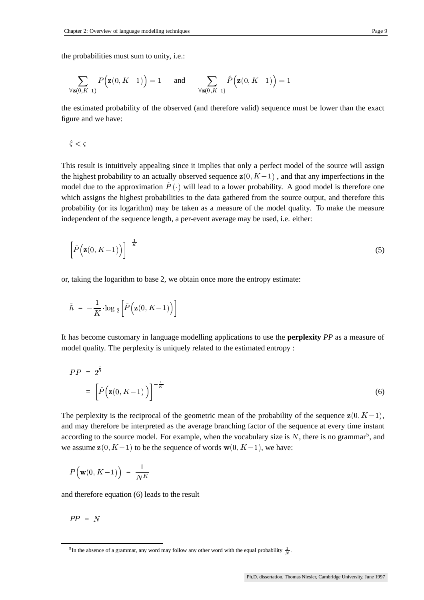the probabilities must sum to unity, i.e.:

$$
\sum_{\forall \mathbf{z}(\mathbf{0}, K-1)} P\Big(\mathbf{z}(\mathbf{0}, K-1)\Big) = 1 \quad \text{and} \quad \sum_{\forall \mathbf{z}(\mathbf{0}, K-1)} \hat{P}\Big(\mathbf{z}(\mathbf{0}, K-1)\Big) = 1
$$

the estimated probability of the observed (and therefore valid) sequence must be lower than the exact figure and we have:

 $\hat{\varsigma}<\varsigma$ 

This result is intuitively appealing since it implies that only a perfect model of the source will assign the highest probability to an actually observed sequence  $z(0, K-1)$ , and that any imperfections in the model due to the approximation  $P(\cdot)$  will lead to a lower probability. A good model is therefore one  $\blacksquare$  . The contract of the contract of the contract of the contract of the contract of the contract of the contract of the contract of the contract of the contract of the contract of the contract of the contract of the which assigns the highest probabilities to the data gathered from the source output, and therefore this probability (or its logarithm) may be taken as a measure of the model quality. To make the measure independent of the sequence length, a per-event average may be used, i.e. either:

$$
\left[\hat{P}\left(\mathbf{z}(0,K-1)\right)\right]^{-\frac{1}{K}}\tag{5}
$$

or, taking the logarithm to base 2, we obtain once more the entropy estimate:

$$
\hat{\hbar}~=~-\frac{1}{K}\cdot\log{}_2\left[\hat{P}\Big(\mathbf{z}(0,K\!-\!1)\Big)\right]
$$

It has become customary in language modelling applications to use the **perplexity** *PP* as a measure of model quality. The perplexity is uniquely related to the estimated entropy :

$$
PP = 2^{\hat{h}}
$$
  
= 
$$
\left[\hat{P}\left(\mathbf{z}(0,K-1)\right)\right]^{-\frac{1}{K}}
$$
 (6)

The perplexity is the reciprocal of the geometric mean of the probability of the sequence  $z(0, K-1)$ , and may therefore be interpreted as the average branching factor of the sequence at every time instant according to the source model. For example, when the vocabulary size is  $N$ , there is no grammar<sup>5</sup>, and we assume  $z(0, K-1)$  to be the sequence of words  $w(0, K-1)$ , we have:

$$
P\Big(\mathbf{w}(0,K\!-\!1)\Big)\;=\;\frac{1}{N^K}
$$

and therefore equation (6) leads to the result

$$
PP = N
$$

<sup>&</sup>lt;sup>5</sup>In the absence of a grammar, any word may follow any other word with the equal probability  $\frac{1}{N}$ .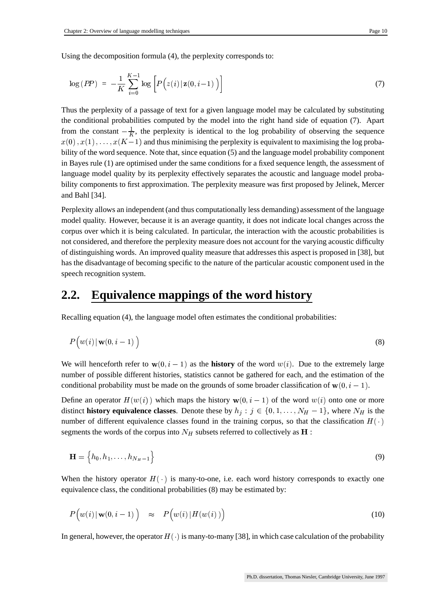Using the decomposition formula (4), the perplexity corresponds to:

$$
\log (PP) = -\frac{1}{K} \sum_{i=0}^{K-1} \log \left[ P(z(i) | \mathbf{z}(0, i-1)) \right]
$$
 (7)

Thus the perplexity of a passage of text for a given language model may be calculated by substituting the conditional probabilities computed by the model into the right hand side of equation (7). Apart from the constant  $-\frac{1}{K}$ , the perplexity is identical to the log probability of observing the sequence  $x(0), x(1), \ldots, x(K-1)$  and thus minimising the perplexity is equivalent to maximising the log probability of the word sequence. Note that, since equation (5) and the language model probability component in Bayes rule (1) are optimised under the same conditions for a fixed sequence length, the assessment of language model quality by its perplexity effectively separates the acoustic and language model probability components to first approximation. The perplexity measure was first proposed by Jelinek, Mercer and Bahl [34].

Perplexity allows an independent (and thus computationally less demanding) assessment of the language model quality. However, because it is an average quantity, it does not indicate local changes across the corpus over which it is being calculated. In particular, the interaction with the acoustic probabilities is not considered, and therefore the perplexity measure does not account for the varying acoustic difficulty of distinguishing words. An improved quality measure that addresses this aspect is proposed in [38], but has the disadvantage of becoming specific to the nature of the particular acoustic component used in the speech recognition system.

## **2.2. Equivalence mappings of the word history**

Recalling equation (4), the language model often estimates the conditional probabilities:

$$
P\Big(w(i) \,|\, \mathbf{w}(0,i-1)\,\Big) \tag{8}
$$

We will henceforth refer to  $w(0, i - 1)$  as the **history** of the word  $w(i)$ . Due to the extremely large number of possible different histories, statistics cannot be gathered for each, and the estimation of the conditional probability must be made on the grounds of some broader classification of  $w(0, i - 1)$ .

Define an operator  $H(w(i))$  which maps the history  $w(0, i - 1)$  of the word  $w(i)$  onto one or more distinct **history** equivalence classes. Denote these by  $h_j : j \in \{0, 1, ..., N_H - 1\}$ , where  $N_H$  is the number of different equivalence classes found in the training corpus, so that the classification  $H(\cdot)$ segments the words of the corpus into  $N_H$  subsets referred to collectively as  $\bf{H}$ : :

$$
\mathbf{H} = \left\{ h_0, h_1, \dots, h_{N_H - 1} \right\} \tag{9}
$$

When the history operator  $H(\cdot)$  is many-to-one, i.e. each word history corresponds to exactly one equivalence class, the conditional probabilities (8) may be estimated by:

$$
P\Big(w(i) \,|\, \mathbf{w}(0,i-1)\Big) \quad \approx \quad P\Big(w(i) \,|\, H(w(i))\Big) \tag{10}
$$

In general, however, the operator  $H(\cdot)$  is many-to-many [38], in which case calculation of the probability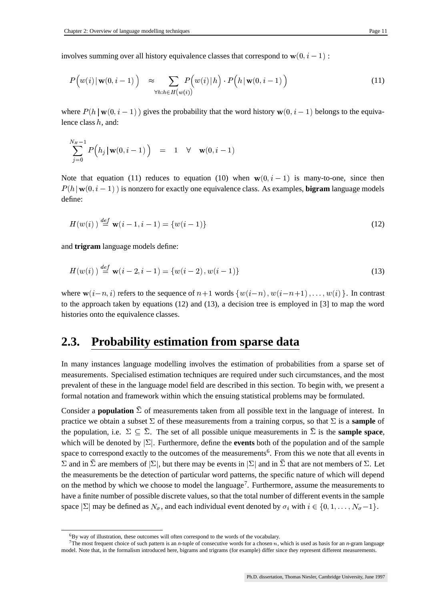involves summing over all history equivalence classes that correspond to  $w(0, i - 1)$  :

$$
P\Big(w(i) \mid \mathbf{w}(0, i-1)\Big) \approx \sum_{\forall h: h \in H\big(w(i)\big)} P\Big(w(i) \mid h\Big) \cdot P\Big(h \mid \mathbf{w}(0, i-1)\Big) \tag{11}
$$

where  $P(h | w(0, i - 1))$  gives the probability that the word history  $w(0, i - 1)$  belongs to the equivalence class  $h$ , and:

$$
\sum_{j=0}^{N_H-1} P\Big(h_j\,|\, {\bf w}(0,i-1)\,\Big) \quad = \quad 1 \quad \forall \quad {\bf w}(0,i-1)
$$

Note that equation (11) reduces to equation (10) when  $w(0, i - 1)$  is many-to-one, since then  $P(h | w(0, i - 1))$  is nonzero for exactly one equivalence class. As examples, **bigram** language models define:

$$
H(w(i)) \stackrel{def}{=} \mathbf{w}(i-1, i-1) = \{w(i-1)\}
$$
\n(12)

and **trigram** language models define:

$$
H(w(i)) \stackrel{def}{=} \mathbf{w}(i-2, i-1) = \{w(i-2), w(i-1)\}\
$$
\n(13)

where  $w(i-n, i)$  refers to the sequence of  $n+1$  words  $\{w(i-n), w(i-n+1), \ldots, w(i)\}$ . In contrast to the approach taken by equations (12) and (13), a decision tree is employed in [3] to map the word histories onto the equivalence classes.

## **2.3. Probability estimation from sparse data**

In many instances language modelling involves the estimation of probabilities from a sparse set of measurements. Specialised estimation techniques are required under such circumstances, and the most prevalent of these in the language model field are described in this section. To begin with, we present a formal notation and framework within which the ensuing statistical problems may be formulated.

Consider a **population**  $\bar{\Sigma}$  of measurements taken from all possible text in the language of interest. In practice we obtain a subset  $\Sigma$  of these measurements from a training corpus, so that  $\Sigma$  is a **sample** of the population, i.e.  $\Sigma \subseteq \overline{\Sigma}$ . The set of all possible unique measurements in  $\overline{\Sigma}$  is the **sample space**, which will be denoted by  $\Sigma$ . Furthermore, define the **events** both of the population and of the sample space to correspond exactly to the outcomes of the measurements<sup>6</sup>. From this we note that all events in  $\Sigma$  and in  $\bar{\Sigma}$  are members of  $|\Sigma|$ , but there may be events in  $|\Sigma|$  and in  $\bar{\Sigma}$  that are not members of  $\Sigma$ . Let the measurements be the detection of particular word patterns, the specific nature of which will depend on the method by which we choose to model the language<sup>7</sup>. Furthermore, assume the measurements to have a finite number of possible discrete values, so that the total number of different events in the sample space  $|\Sigma|$  may be defined as  $N_{\sigma}$ , and each individual event denoted by  $\sigma_i$  with  $i \in \{0, 1, \ldots, N_{\sigma} - 1\}$ .

 ${}^{6}$ By way of illustration, these outcomes will often correspond to the words of the vocabulary.

<sup>&</sup>lt;sup>7</sup>The most frequent choice of such pattern is an *n*-tuple of consecutive words for a chosen  $n$ , which is used as basis for an *n*-gram language model. Note that, in the formalism introduced here, bigrams and trigrams (for example) differ since they represent different measurements.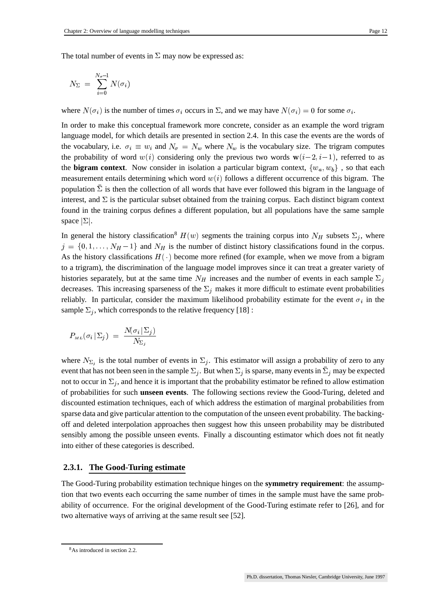The total number of events in  $\Sigma$  may now be expressed as:

$$
N_{\Sigma} \;=\; \sum_{i=0}^{N_{\sigma}-1}N(\sigma_i)
$$

where  $N(\sigma_i)$  is the number i) is the number of times  $\sigma_i$  occurs in  $\Sigma$ , and we may have  $N(\sigma_i) = 0$  for some the contract of the contract of the  $=0$  for some  $\sigma_i$ .

.In order to make this conceptual framework more concrete, consider as an example the word trigram language model, for which details are presented in section 2.4. In this case the events are the words of the vocabulary, i.e.  $\sigma_i \equiv w_i$  and  $N_{\sigma}$  = i and  $N_{\sigma} = N_w$  where  $N_w$  is the vocabulary size. The trigram computes the probability of word  $w(i)$  considering only the previous two words  $w(i-2, i-1)$ , referred to as the **bigram context**. Now consider in isolation a particular bigram context,  $\{w_a, w_b\}$ , so that each measurement entails determining which word  $w(i)$  follows a different occurrence of this bigram. The population  $\bar{\Sigma}$  is then the collection of all words that have ever followed this bigram in the language of interest, and  $\Sigma$  is the particular subset obtained from the training corpus. Each distinct bigram context found in the training corpus defines a different population, but all populations have the same sample space  $|\Sigma|$ .

In general the history classification<sup>8</sup>  $H(w)$  segments the training corpus into  $N_H$  subsets  $\Sigma_i$ , where  $a = \{0, 1, \ldots, N_H - 1\}$  and  $N_H$  is the number of distinct history classifications found in the corpus. As the history classifications  $H(\cdot)$  become more refined (for example, when we move from a bigram to a trigram), the discrimination of the language model improves since it can treat a greater variety of histories separately, but at the same time  $N_H$  increases and the number of events in each sample  $\Sigma_i$ decreases. This increasing sparseness of the  $\Sigma_i$  makes it more difficult to estimate event probabilities reliably. In particular, consider the maximum likelihood probability estimate for the event  $\sigma_i$  in the sample  $\Sigma_i$ , which corresponds to the relative frequency [18]:

$$
P_{_{ML}}(\sigma_i|\,\Sigma_j)~=~\frac{N\!(\sigma_i|\,\Sigma_j)}{N_{\Sigma_i}}
$$

where  $N_{\Sigma_i}$  is the total number of events in  $\Sigma_i$ . This estimator will assign a probability of zero to any event that has not been seen in the sample  $\Sigma_i$ . But when  $\Sigma_i$  is sparse, many events in  $\bar{\Sigma}_i$  may be expected not to occur in  $\Sigma_i$ , and hence it is important that the probability estimator be refined to allow estimation of probabilities for such **unseen events**. The following sections review the Good-Turing, deleted and discounted estimation techniques, each of which address the estimation of marginal probabilities from sparse data and give particular attention to the computation of the unseen event probability. The backingoff and deleted interpolation approaches then suggest how this unseen probability may be distributed sensibly among the possible unseen events. Finally a discounting estimator which does not fit neatly into either of these categories is described.

#### **2.3.1. The Good-Turing estimate**

The Good-Turing probability estimation technique hinges on the **symmetry requirement**: the assumption that two events each occurring the same number of times in the sample must have the same probability of occurrence. For the original development of the Good-Turing estimate refer to [26], and for two alternative ways of arriving at the same result see [52].

<sup>8</sup>As introduced in section 2.2.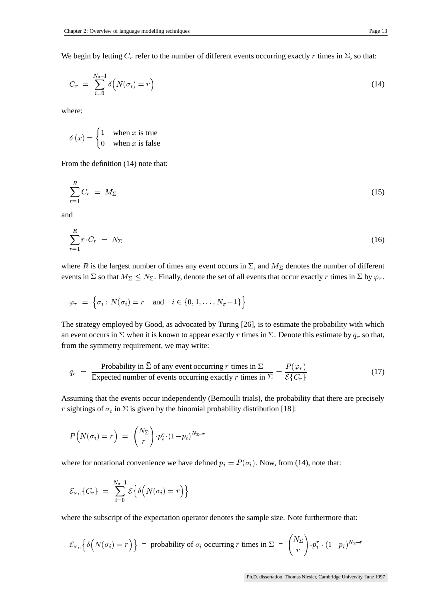We begin by letting  $C_r$  refer to the number of different events occurring exactly r times in  $\Sigma$ , so that:

$$
C_r = \sum_{i=0}^{N_{\sigma}-1} \delta\Big(N(\sigma_i) = r\Big) \tag{14}
$$

where:

$$
\delta(x) = \begin{cases} 1 & \text{when } x \text{ is true} \\ 0 & \text{when } x \text{ is false} \end{cases}
$$

From the definition (14) note that:

$$
\sum_{r=1}^{R} C_r = M_{\Sigma} \tag{15}
$$

and

$$
\sum_{r=1}^{R} r \cdot C_r = N_{\Sigma} \tag{16}
$$

where R is the largest number of times any event occurs in  $\Sigma$ , and  $M_{\Sigma}$  denotes the number of different events in  $\Sigma$  so that  $M_{\Sigma} \leq N_{\Sigma}$ . Finally, denote the set of all events that occur exactly r times in  $\Sigma$  by  $\varphi_r$ .

$$
\varphi_r = \left\{ \sigma_i : N(\sigma_i) = r \quad \text{and} \quad i \in \{0, 1, \dots, N_{\sigma} - 1\} \right\}
$$

The strategy employed by Good, as advocated by Turing [26], is to estimate the probability with which an event occurs in  $\Sigma$  when it is known to appear exactly r times in  $\Sigma$ . Denote this estimate by  $q_r$  so that, from the symmetry requirement, we may write:

$$
q_r = \frac{\text{Probability in } \bar{\Sigma} \text{ of any event occurring } r \text{ times in } \Sigma}{\text{Expected number of events occurring exactly } r \text{ times in } \Sigma} = \frac{P(\varphi_r)}{\mathcal{E}\{C_r\}} \tag{17}
$$

Assuming that the events occur independently (Bernoulli trials), the probability that there are precisely r sightings of  $\sigma_i$  in  $\Sigma$  is given by the binomial probability distribution [18]:

$$
P(N(\sigma_i) = r) = {N_{\Sigma} \choose r} \cdot p_i^r \cdot (1-p_i)^{N_{\Sigma} - r}
$$

where for notational convenience we have defined  $p_i = P(\sigma_i)$ . Now, fro  $(i)$ . Now, from (14), note that:

$$
\mathcal{E}_{N_{\Sigma}}\{C_{r}\} = \sum_{i=0}^{N_{\sigma}-1} \mathcal{E}\Big\{\delta\Big(N(\sigma_{i})=r\Big)\Big\}
$$

where the subscript of the expectation operator denotes the sample size. Note furthermore that:

$$
\mathcal{E}_{N_{\Sigma}}\left\{\delta\Big(N(\sigma_i)=r\Big)\right\} \ = \ \text{probability of } \sigma_i \text{ occurring } r \text{ times in } \Sigma \ = \ {N_{\Sigma} \choose r} \cdot p_i^r \cdot (1-p_i)^{N_{\Sigma}-r}
$$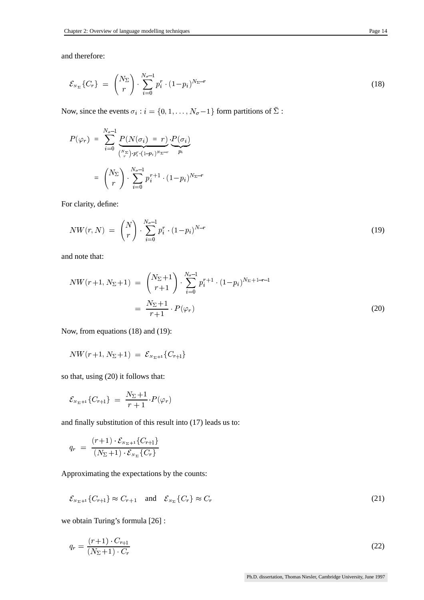and therefore:

$$
\mathcal{E}_{N_{\Sigma}}\left\{C_{r}\right\} = \binom{N_{\Sigma}}{r} \cdot \sum_{i=0}^{N_{\sigma}-1} p_{i}^{r} \cdot (1-p_{i})^{N_{\Sigma}-r} \tag{18}
$$

Now, since the events  $\sigma_i : i = \{0, 1, \dots, N_{\sigma} - 1\}$  form partitions of  $\bar{\Sigma}$  :

$$
P(\varphi_r) = \sum_{i=0}^{N_{\sigma}-1} \underbrace{P(N(\sigma_i) = r)}_{\binom{N_{\Sigma}}{r} \cdot p_i^r \cdot (1-p_i)^{N_{\Sigma}-r}} \cdot \underbrace{P(\sigma_i)}_{p_i}
$$

$$
= \binom{N_{\Sigma}}{r} \cdot \sum_{i=0}^{N_{\sigma}-1} p_i^{r+1} \cdot (1-p_i)^{N_{\Sigma}-r}
$$

For clarity, define:

$$
NW(r, N) = {N \choose r} \cdot \sum_{i=0}^{N_{\sigma}-1} p_i^r \cdot (1-p_i)^{N-r}
$$
 (19)

and note that:

$$
NW(r+1, N_{\Sigma}+1) = {N_{\Sigma}+1 \choose r+1} \cdot \sum_{i=0}^{N_{\sigma}-1} p_i^{r+1} \cdot (1-p_i)^{N_{\Sigma}+1-r-1}
$$
  

$$
= \frac{N_{\Sigma}+1}{r+1} \cdot P(\varphi_r)
$$
 (20)

Now, from equations (18) and (19):

$$
NW(r+1, N_{\Sigma}+1) = \mathcal{E}_{N_{\Sigma}+1}\{C_{r+1}\}\
$$

so that, using (20) it follows that:

$$
\mathcal{E}_{N_{\Sigma}+1}\{C_{r+1}\}\;=\;\frac{N_{\Sigma}+1}{r+1}\!\cdot\! P(\varphi_{r})
$$

and finally substitution of this result into (17) leads us to:

$$
q_r = \frac{(r+1) \cdot \mathcal{E}_{N_{\Sigma}+1} \{C_{r+1}\}}{(N_{\Sigma}+1) \cdot \mathcal{E}_{N_{\Sigma}} \{C_r\}}
$$

Approximating the expectations by the counts:

$$
\mathcal{E}_{N_{\Sigma}+1}\lbrace C_{r+1}\rbrace \approx C_{r+1} \quad \text{and} \quad \mathcal{E}_{N_{\Sigma}}\lbrace C_{r}\rbrace \approx C_{r}
$$
 (21)

we obtain Turing's formula [26] :

$$
q_r = \frac{(r+1) \cdot C_{r+1}}{(N_{\Sigma}+1) \cdot C_r} \tag{22}
$$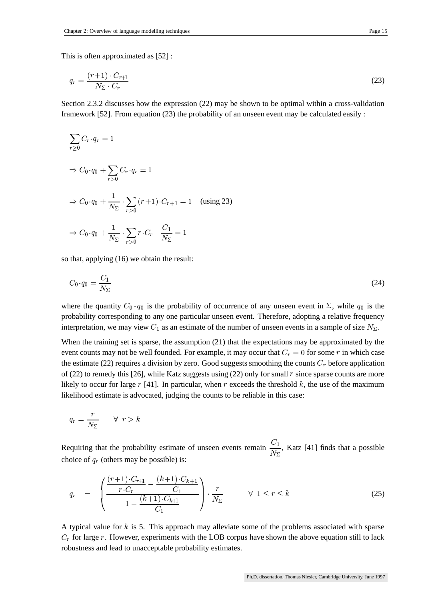This is often approximated as [52] :

$$
q_r = \frac{(r+1) \cdot C_{r+1}}{N_{\Sigma} \cdot C_r} \tag{23}
$$

Section 2.3.2 discusses how the expression (22) may be shown to be optimal within a cross-validation framework [52]. From equation (23) the probability of an unseen event may be calculated easily :

$$
\sum_{r\geq 0} C_r \cdot q_r = 1
$$
\n
$$
\Rightarrow C_0 \cdot q_0 + \sum_{r>0} C_r \cdot q_r = 1
$$
\n
$$
\Rightarrow C_0 \cdot q_0 + \frac{1}{N_{\Sigma}} \cdot \sum_{r>0} (r+1) \cdot C_{r+1} = 1 \quad \text{(using 23)}
$$
\n
$$
\Rightarrow C_0 \cdot q_0 + \frac{1}{N_{\Sigma}} \cdot \sum_{r>0} r \cdot C_r - \frac{C_1}{N_{\Sigma}} = 1
$$

so that, applying (16) we obtain the result:

$$
C_0 \cdot q_0 = \frac{C_1}{N_{\Sigma}} \tag{24}
$$

where the quantity  $C_0 \cdot q_0$  is the p  $\alpha_0$  is the probability of occurrence of any unseen event in  $\Sigma$ , while  $q_0$  is the probability corresponding to any one particular unseen event. Therefore, adopting a relative frequency interpretation, we may view  $C_1$  as an estimate of the number of unseen events in a sample of size  $N_{\Sigma}$ .

When the training set is sparse, the assumption (21) that the expectations may be approximated by the event counts may not be well founded. For example, it may occur that  $C_r = 0$  for some r in which case the estimate (22) requires a division by zero. Good suggests smoothing the counts  $C_r$  before application of (22) to remedy this [26], while Katz suggests using (22) only for small  $r$  since sparse counts are more likely to occur for large  $r$  [41]. In particular, when  $r$  exceeds the threshold  $k$ , the use of the maximum likelihood estimate is advocated, judging the counts to be reliable in this case:

$$
q_r = \frac{r}{N_{\Sigma}} \qquad \forall \ \ r > k
$$

Requiring that the probability estimate of unseen events remain  $\frac{C_1}{N_{\Sigma}}$ , Katz [41] finds that a possible choice of  $q_r$  (others may be possible) is:

$$
q_r = \left( \frac{\frac{(r+1) \cdot C_{r+1}}{r \cdot C_r} - \frac{(k+1) \cdot C_{k+1}}{C_1}}{1 - \frac{(k+1) \cdot C_{k+1}}{C_1}} \right) \cdot \frac{r}{N_{\Sigma}} \qquad \forall 1 \le r \le k \qquad (25)
$$

A typical value for  $k$  is 5. This approach may alleviate some of the problems associated with sparse  $C_r$  for large r. However, experiments with the LOB corpus have shown the above equation still to lack robustness and lead to unacceptable probability estimates.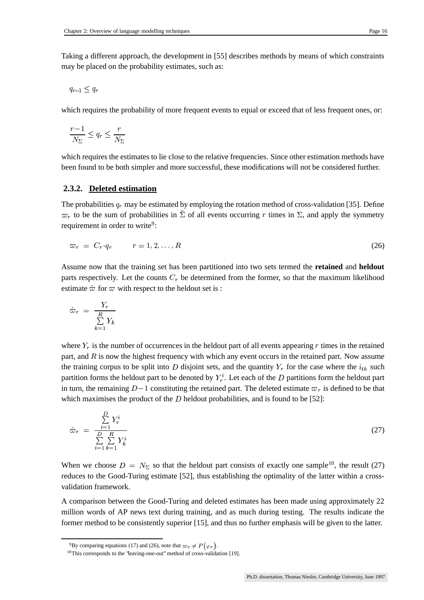Taking a different approach, the development in [55] describes methods by means of which constraints may be placed on the probability estimates, such as:

$$
q_{r-1}\leq q_r
$$

which requires the probability of more frequent events to equal or exceed that of less frequent ones, or:

$$
\frac{r-1}{N_{\Sigma}} \le q_r \le \frac{r}{N_{\Sigma}}
$$

which requires the estimates to lie close to the relative frequencies. Since other estimation methods have been found to be both simpler and more successful, these modifications will not be considered further.

#### **2.3.2. Deleted estimation**

The probabilities  $q_r$  may be estimated by employing the rotation method of cross-validation [35]. Define  $\varpi_r$  to be the sum of probabilities in  $\bar{\Sigma}$  of all events occurring r times in  $\Sigma$ , and apply the symmetry requirement in order to write<sup>9</sup>:

$$
\varpi_r = C_r \cdot q_r \qquad r = 1, 2, \dots, R \tag{26}
$$

Assume now that the training set has been partitioned into two sets termed the **retained** and **heldout** parts respectively. Let the counts  $C_r$  be determined from the former, so that the maximum likelihood estimate  $\hat{\varpi}$  for  $\varpi$  with respect to the heldout set is :

$$
\hat{\varpi}_r = \frac{Y_r}{\sum\limits_{k=1}^{R} Y_k}
$$

where  $Y_r$  is the number of occurrences in the heldout part of all events appearing  $r$  times in the retained part, and  $R$  is now the highest frequency with which any event occurs in the retained part. Now assume the training corpus to be split into D disjoint sets, and the quantity  $Y_r$  for the case where the  $i_{th}$  such partition forms the heldout part to be denoted by  $Y_r^i$ . Let each of the D partitions form the heldout part in turn, the remaining  $D-1$  constituting the retained part. The deleted estimate  $\varpi_r$  is defined to be that which maximises the product of the  $D$  heldout probabilities, and is found to be [52]:

$$
\hat{\varpi}_r = \frac{\sum\limits_{i=1}^D Y_r^i}{\sum\limits_{i=1}^D \sum\limits_{k=1}^N Y_k^i}
$$
\n(27)

When we choose  $D = N_{\Sigma}$  so that the heldout part consists of exactly one sample<sup>10</sup>, the result (27) reduces to the Good-Turing estimate [52], thus establishing the optimality of the latter within a crossvalidation framework.

A comparison between the Good-Turing and deleted estimates has been made using approximately 22 million words of AP news text during training, and as much during testing. The results indicate the former method to be consistently superior [15], and thus no further emphasis will be given to the latter.

<sup>&</sup>lt;sup>9</sup>By comparing equations (17) and (26), note that  $\varpi_r \neq P(\varphi_r)$ .

<sup>&</sup>lt;sup>10</sup>This corresponds to the 'leaving-one-out' method of cross-validation [19].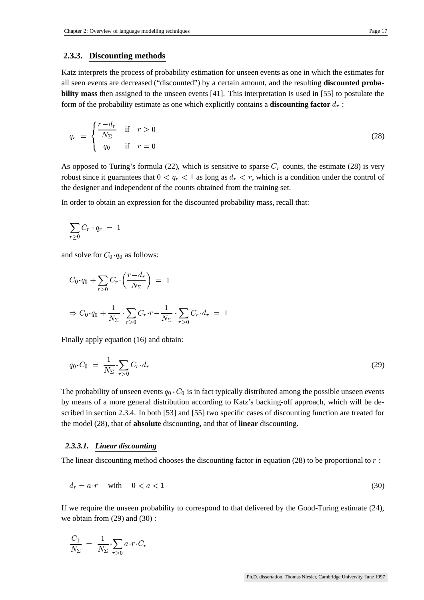#### **2.3.3. Discounting methods**

Katz interprets the process of probability estimation for unseen events as one in which the estimates for all seen events are decreased ("discounted") by a certain amount, and the resulting **discounted probability mass** then assigned to the unseen events [41]. This interpretation is used in [55] to postulate the form of the probability estimate as one which explicitly contains a **discounting factor** :

$$
q_r = \begin{cases} \frac{r - d_r}{N_{\Sigma}} & \text{if } r > 0\\ q_0 & \text{if } r = 0 \end{cases} \tag{28}
$$

As opposed to Turing's formula (22), which is sensitive to sparse  $C_r$  counts, the estimate (28) is very robust since it guarantees that  $0 < q_r < 1$  as long as  $d_r < r$ , which is a condition under the control of the designer and independent of the counts obtained from the training set.

In order to obtain an expression for the discounted probability mass, recall that:

$$
\sum_{r\geq 0} C_r \cdot q_r \,\,=\,\,1
$$

and solve for  $C_0 \cdot q_0$  as follow  $_0$  as follows:

$$
C_0 \cdot q_0 + \sum_{r>0} C_r \cdot \left(\frac{r - d_r}{N_{\Sigma}}\right) = 1
$$
  

$$
\Rightarrow C_0 \cdot q_0 + \frac{1}{N_{\Sigma}} \cdot \sum_{r>0} C_r \cdot r - \frac{1}{N_{\Sigma}} \cdot \sum_{r>0} C_r \cdot d_r = 1
$$

Finally apply equation (16) and obtain:

$$
q_0 \cdot C_0 = \frac{1}{N_{\Sigma}} \cdot \sum_{r > 0} C_r \cdot d_r \tag{29}
$$

The probability of unseen events  $q_0 \cdot C_0$  is in fact typically distributed among the possible unseen events by means of a more general distribution according to Katz's backing-off approach, which will be described in section 2.3.4. In both [53] and [55] two specific cases of discounting function are treated for the model (28), that of **absolute** discounting, and that of **linear** discounting.

#### *2.3.3.1. Linear discounting*

The linear discounting method chooses the discounting factor in equation (28) to be proportional to  $r$ :

$$
d_r = a \cdot r \quad \text{with} \quad 0 < a < 1 \tag{30}
$$

If we require the unseen probability to correspond to that delivered by the Good-Turing estimate (24), we obtain from (29) and (30) :

$$
\frac{C_1}{N_\Sigma} = \frac{1}{N_\Sigma} \cdot \sum_{r>0} a \cdot r \cdot C_r
$$

Ph.D. dissertation, Thomas Niesler, Cambridge University, June 1997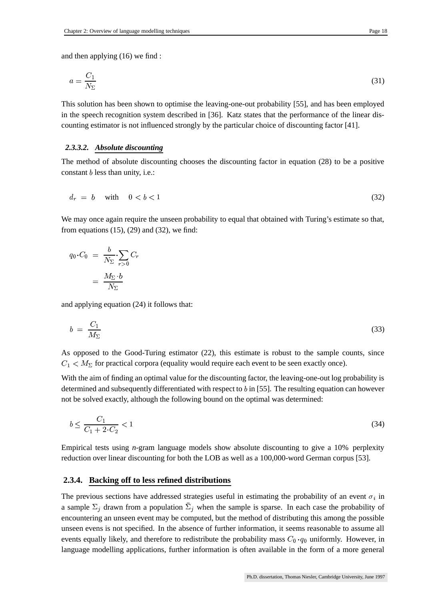and then applying (16) we find :

$$
a = \frac{C_1}{N_{\Sigma}}\tag{31}
$$

This solution has been shown to optimise the leaving-one-out probability [55], and has been employed in the speech recognition system described in [36]. Katz states that the performance of the linear discounting estimator is not influenced strongly by the particular choice of discounting factor [41].

#### *2.3.3.2. Absolute discounting*

The method of absolute discounting chooses the discounting factor in equation (28) to be a positive constant  $b$  less than unity, i.e.:

$$
d_r = b \quad \text{with} \quad 0 < b < 1 \tag{32}
$$

We may once again require the unseen probability to equal that obtained with Turing's estimate so that, from equations  $(15)$ ,  $(29)$  and  $(32)$ , we find:

$$
q_0 \cdot C_0 = \frac{b}{N_{\Sigma}} \cdot \sum_{r>0} C_r
$$

$$
= \frac{M_{\Sigma} \cdot b}{N_{\Sigma}}
$$

and applying equation (24) it follows that:

$$
b = \frac{C_1}{M_{\Sigma}} \tag{33}
$$

As opposed to the Good-Turing estimator (22), this estimate is robust to the sample counts, since  $C_1 < M_{\Sigma}$  for practical corpora (equality would require each event to be seen exactly once).

With the aim of finding an optimal value for the discounting factor, the leaving-one-out log probability is determined and subsequently differentiated with respect to  $b$  in [55]. The resulting equation can however not be solved exactly, although the following bound on the optimal was determined:

$$
b \le \frac{C_1}{C_1 + 2 \cdot C_2} < 1 \tag{34}
$$

Empirical tests using *n*-gram language models show absolute discounting to give a 10% perplexity reduction over linear discounting for both the LOB as well as a 100,000-word German corpus [53].

#### **2.3.4. Backing off to less refined distributions**

The previous sections have addressed strategies useful in estimating the probability of an event  $\sigma_i$  in a sample  $\Sigma_i$  drawn from a population  $\overline{\Sigma}_i$  when the sample is sparse. In each case the probability of encountering an unseen event may be computed, but the method of distributing this among the possible unseen evens is not specified. In the absence of further information, it seems reasonable to assume all events equally likely, and therefore to redistribute the probability mass  $C_0 \cdot q_0$  uniform <sub>0</sub> uniformly. However, in language modelling applications, further information is often available in the form of a more general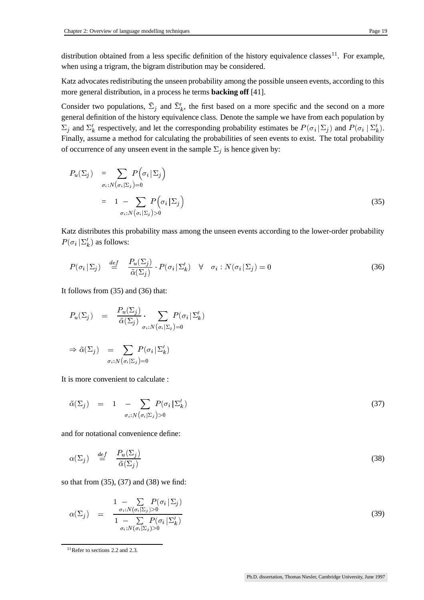distribution obtained from a less specific definition of the history equivalence classes<sup>11</sup>. For example,

when using a trigram, the bigram distribution may be considered.

Katz advocates redistributing the unseen probability among the possible unseen events, according to this more general distribution, in a process he terms **backing off** [41].

Consider two populations,  $\bar{\Sigma}_i$  and  $\bar{\Sigma}'_k$ , the first based on a more specific and the second on a more general definition of the history equivalence class. Denote the sample we have from each population by  $\Sigma_i$  and  $\Sigma'_k$  respectively, and let the corresponding probability estimates be  $P(\sigma_i | \Sigma_i)$  and I  $a_i | \Sigma_i$  and  $P(\sigma_i | \Sigma'_k)$ .  $i\mid \Sigma_k'.$ Finally, assume a method for calculating the probabilities of seen events to exist. The total probability of occurrence of any unseen event in the sample  $\Sigma_i$  is hence given by:

$$
P_u(\Sigma_j) = \sum_{\sigma_i : N(\sigma_i | \Sigma_j) = 0} P(\sigma_i | \Sigma_j)
$$
  
= 1 - 
$$
\sum_{\sigma_i : N(\sigma_i | \Sigma_j) > 0} P(\sigma_i | \Sigma_j)
$$
 (35)

Katz distributes this probability mass among the unseen events according to the lower-order probability  $P(\sigma_i|\Sigma'_k)$  as fol  $_{i}$   $|\Sigma_{k}'|$  as follows:

$$
P(\sigma_i \mid \Sigma_j) \quad \stackrel{def}{=} \quad \frac{P_u(\Sigma_j)}{\tilde{\alpha}(\Sigma_j)} \cdot P(\sigma_i \mid \Sigma'_k) \quad \forall \quad \sigma_i : N(\sigma_i \mid \Sigma_j) = 0 \tag{36}
$$

It follows from (35) and (36) that:

$$
P_u(\Sigma_j) = \frac{P_u(\Sigma_j)}{\tilde{\alpha}(\Sigma_j)} \cdot \sum_{\sigma_i : N(\sigma_i | \Sigma_j) = 0} P(\sigma_i | \Sigma'_k)
$$
  
\n
$$
\Rightarrow \tilde{\alpha}(\Sigma_j) = \sum_{\sigma_i : N(\sigma_i | \Sigma_j) = 0} P(\sigma_i | \Sigma'_k)
$$

It is more convenient to calculate :

$$
\tilde{\alpha}(\Sigma_j) = 1 - \sum_{\sigma_i : N(\sigma_i|\Sigma_j) > 0} P(\sigma_i|\Sigma'_k)
$$
\n(37)

and for notational convenience define:

$$
\alpha(\Sigma_j) \quad \stackrel{def}{=} \quad \frac{P_u(\Sigma_j)}{\tilde{\alpha}(\Sigma_j)}\tag{38}
$$

so that from (35), (37) and (38) we find:

$$
\alpha(\Sigma_j) = \frac{1 - \sum_{\sigma_i: N(\sigma_i|\Sigma_j) > 0} P(\sigma_i|\Sigma_j)}{1 - \sum_{\sigma_i: N(\sigma_i|\Sigma_j) > 0} P(\sigma_i|\Sigma'_k)}
$$
(39)

<sup>11</sup>Refer to sections 2.2 and 2.3.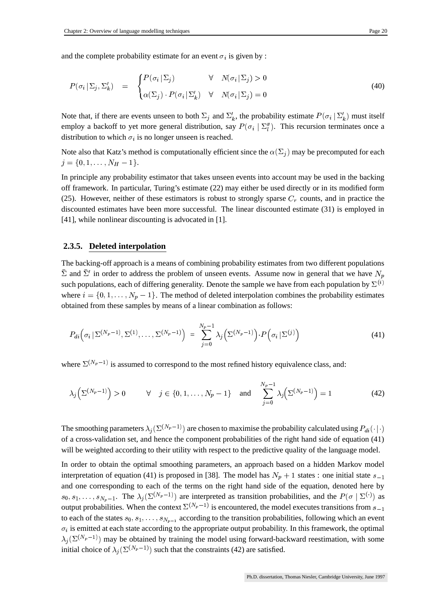and the complete probability estimate for an event  $\sigma_i$  is given by :

$$
P(\sigma_i | \Sigma_j, \Sigma'_k) = \begin{cases} P(\sigma_i | \Sigma_j) & \forall \quad N(\sigma_i | \Sigma_j) > 0 \\ \alpha(\Sigma_j) \cdot P(\sigma_i | \Sigma'_k) & \forall \quad N(\sigma_i | \Sigma_j) = 0 \end{cases} \tag{40}
$$

Note that, if there are events unseen to both  $\Sigma_j$  and  $\Sigma'_k$ , the probability estimate  $P(\sigma_i | \Sigma'_k)$  must  $\chi_i | \Sigma'_k)$  must itself employ a backoff to yet more general distribution, say  $P(\sigma_i | \Sigma_i'')$ . The  $\{x_i \mid \Sigma''_i\}$ . This recursion terminates once a distribution to which  $\sigma_i$  is no longer unseen is reached.

Note also that Katz's method is computationally efficient since the  $\alpha(\Sigma_i)$  may be precomputed for each  $= \{0, 1, \ldots, N_H - 1\}.$ 

In principle any probability estimator that takes unseen events into account may be used in the backing off framework. In particular, Turing's estimate (22) may either be used directly or in its modified form (25). However, neither of these estimators is robust to strongly sparse  $C_r$  counts, and in practice the discounted estimates have been more successful. The linear discounted estimate (31) is employed in [41], while nonlinear discounting is advocated in [1].

#### **2.3.5. Deleted interpolation**

The backing-off approach is a means of combining probability estimates from two different populations  $\bar{\Sigma}$  and  $\bar{\Sigma}'$  in order to address the problem of unseen events. Assume now in general that we have  $N_p$ such populations, each of differing generality. Denote the sample we have from each population by  $\Sigma^{(i)}$ where  $i = \{0, 1, \ldots, N_p - 1\}$ . The method of deleted interpolation combines the probability estimates obtained from these samples by means of a linear combination as follows:

$$
P_{di}\left(\sigma_i\,|\,\Sigma^{(N_p-1)},\Sigma^{(1)},\ldots,\Sigma^{(N_p-1)}\right) = \sum_{j=0}^{N_p-1} \lambda_j \left(\Sigma^{(N_p-1)}\right) \cdot P\left(\sigma_i\,|\,\Sigma^{(j)}\right) \tag{41}
$$

where  $\Sigma^{(N_p-1)}$  is assumed to correspond to the most refined history equivalence class, and:

$$
\lambda_j\left(\Sigma^{(N_p-1)}\right) > 0 \qquad \forall \quad j \in \{0, 1, \dots, N_p - 1\} \quad \text{and} \quad \sum_{j=0}^{N_p-1} \lambda_j\left(\Sigma^{(N_p-1)}\right) = 1 \tag{42}
$$

The smoothing parameters  $\lambda_j(\Sigma^{(N_p-1)})$  are chosen to maximise the probability calculated using  $P_{di}(\cdot|\cdot)$ of a cross-validation set, and hence the component probabilities of the right hand side of equation (41) will be weighted according to their utility with respect to the predictive quality of the language model.

In order to obtain the optimal smoothing parameters, an approach based on a hidden Markov model interpretation of equation (41) is proposed in [38]. The model has  $N_p + 1$  states : one initial state  $s_{-1}$ and one corresponding to each of the terms on the right hand side of the equation, denoted here by  $-1$  $_0, s_1, \ldots, s_{N_n-1}$ . The  $\lambda_i$  ( output probabilities. When the context  $\Sigma^{(N_p-1)}$  is encountered, the model executes transitions from  $s_{-1}$ 1. The  $\lambda_j(\Sigma^{(N_p-1)})$  are interpreted as transition probabilities, and the  $P(\sigma | \Sigma^{(\cdot)})$  as<br>lities. When the context  $\Sigma^{(N_p-1)}$  is encountered, the model executes transitions from s to each of the states  $s_0, s_1, \ldots, s_{N_{n-1}}$  according to the transition probabilities, following which an event  $\sim$  , is chinesed at cattle state at  $\sim$  $i<sub>i</sub>$  is emitted at each state according to the appropriate output probability. In this framework, the optimal  $\lambda_j(\Sigma^{(N_p-1)})$  may be obtained by training the model using forward-backward reestimation, with some initial choice of  $\lambda_j(\Sigma^{(N_p-1)})$  such that the constraints (42) are satisfied.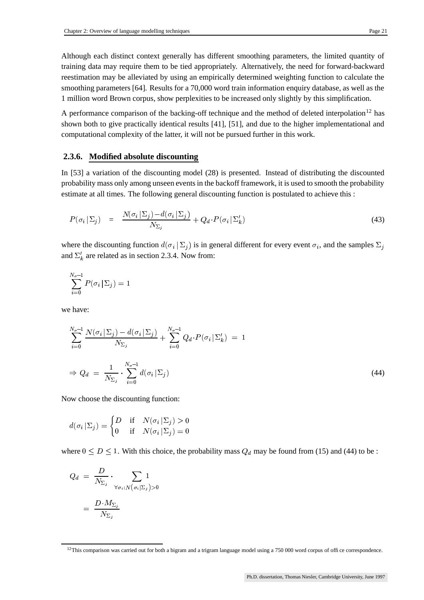Although each distinct context generally has different smoothing parameters, the limited quantity of training data may require them to be tied appropriately. Alternatively, the need for forward-backward

reestimation may be alleviated by using an empirically determined weighting function to calculate the smoothing parameters [64]. Results for a 70,000 word train information enquiry database, as well as the 1 million word Brown corpus, show perplexities to be increased only slightly by this simplification.

A performance comparison of the backing-off technique and the method of deleted interpolation<sup>12</sup> has shown both to give practically identical results [41], [51], and due to the higher implementational and computational complexity of the latter, it will not be pursued further in this work.

### **2.3.6. Modified absolute discounting**

In [53] a variation of the discounting model (28) is presented. Instead of distributing the discounted probability mass only among unseen eventsin the backoff framework, it is used to smooth the probability estimate at all times. The following general discounting function is postulated to achieve this :

$$
P(\sigma_i \mid \Sigma_j) = \frac{N(\sigma_i \mid \Sigma_j) - d(\sigma_i \mid \Sigma_j)}{N_{\Sigma_j}} + Q_d \cdot P(\sigma_i \mid \Sigma'_k)
$$
\n(43)

where the discounting function  $d(\sigma_i | \Sigma_i)$  is in  $\{i \mid \Sigma_i\}$  is in general different for every event  $\sigma_i$ , and the samples  $\Sigma_i$ and  $\Sigma'_{k}$  are related as in section 2.3.4. Now from:

$$
\sum_{i=0}^{N_{\sigma}-1}P(\sigma_i|\Sigma_j)=1
$$

we have:

$$
\sum_{i=0}^{N_{\sigma}-1} \frac{N(\sigma_i | \Sigma_j) - d(\sigma_i | \Sigma_j)}{N_{\Sigma_j}} + \sum_{i=0}^{N_{\sigma}-1} Q_d \cdot P(\sigma_i | \Sigma'_k) = 1
$$
  
\n
$$
\Rightarrow Q_d = \frac{1}{N_{\Sigma_j}} \cdot \sum_{i=0}^{N_{\sigma}-1} d(\sigma_i | \Sigma_j)
$$
\n(44)

Now choose the discounting function:

$$
d(\sigma_i | \Sigma_j) = \begin{cases} D & \text{if} \quad N(\sigma_i | \Sigma_j) > 0 \\ 0 & \text{if} \quad N(\sigma_i | \Sigma_j) = 0 \end{cases}
$$

where  $0 \le D \le 1$ . With this choice, the probability mass  $Q_d$  may be found from (15) and (44) to be :

$$
\begin{array}{lcl} Q_d & = & \frac{D}{N_{\Sigma_j}} \cdot \displaystyle\sum_{\forall \sigma_i: N\left(\sigma_i|\Sigma_j\right)>0} 1 \\ & = & \frac{D \cdot M_{\Sigma_j}}{N_{\Sigma_j}} \end{array}
$$

 $12$ This comparison was carried out for both a bigram and a trigram language model using a 750 000 word corpus of office correspondence.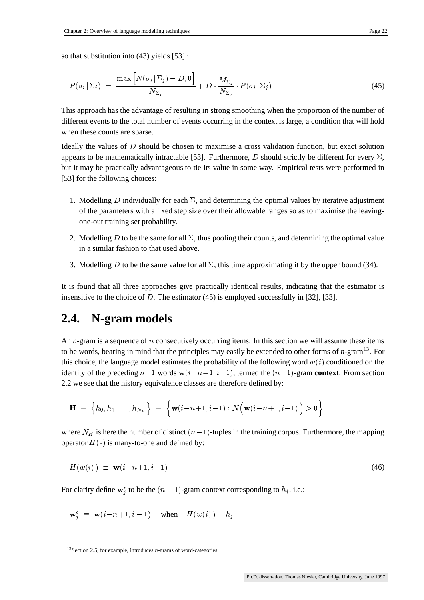so that substitution into (43) yields [53] :

$$
P(\sigma_i | \Sigma_j) = \frac{\max \left[ N(\sigma_i | \Sigma_j) - D, 0 \right]}{N_{\Sigma_j}} + D \cdot \frac{M_{\Sigma_j}}{N_{\Sigma_j}} \cdot P(\sigma_i | \Sigma_j)
$$
(45)

This approach has the advantage of resulting in strong smoothing when the proportion of the number of different events to the total number of events occurring in the context is large, a condition that will hold when these counts are sparse.

Ideally the values of  $D$  should be chosen to maximise a cross validation function, but exact solution appears to be mathematically intractable [53]. Furthermore, D should strictly be different for every  $\Sigma$ , but it may be practically advantageous to tie its value in some way. Empirical tests were performed in [53] for the following choices:

- 1. Modelling D individually for each  $\Sigma$ , and determining the optimal values by iterative adjustment of the parameters with a fixed step size over their allowable ranges so as to maximise the leavingone-out training set probability.
- 2. Modelling D to be the same for all  $\Sigma$ , thus pooling their counts, and determining the optimal value in a similar fashion to that used above.
- 3. Modelling D to be the same value for all  $\Sigma$ , this time approximating it by the upper bound (34).

It is found that all three approaches give practically identical results, indicating that the estimator is insensitive to the choice of D. The estimator (45) is employed successfully in [32], [33].

## **2.4. N-gram models**

An  $n$ -gram is a sequence of  $n$  consecutively occurring items. In this section we will assume these items to be words, bearing in mind that the principles may easily be extended to other forms of *n*-gram<sup>13</sup> . For this choice, the language model estimates the probability of the following word  $w(i)$  conditioned on the identity of the preceding  $n-1$  words  $\mathbf{w}(i-n+1, i-1)$ , termed the  $(n-1)$ -gram **context**. From section 2.2 we see that the history equivalence classes are therefore defined by:

$$
\mathbf{H} \; \equiv \; \Big\{h_0, h_1, \ldots, h_{N_H}\Big\} \; \equiv \; \Big\{ \mathbf{w}(i\!-\!n\!+\!1,i\!-\!1) : N\Big(\mathbf{w}(i\!-\!n\!+\!1,i\!-\!1)\Big) > 0 \Big\}
$$

where  $N_H$  is here the number of distinct  $(n-1)$ -tuples in the training corpus. Furthermore, the mapping operator  $H(\cdot)$  is many-to-one and defined by:

$$
H(w(i)) \equiv \mathbf{w}(i-n+1, i-1) \tag{46}
$$

For clarity define  $\mathbf{w}_i^c$  to be the  $(n-1)$ -gram context corresponding to  $h_i$ , i.e.:

$$
\mathbf{w}_i^c \equiv \mathbf{w}(i-n+1, i-1) \quad \text{when} \quad H(w(i)) = h_i
$$

<sup>13</sup>Section 2.5, for example, introduces *n*-grams of word-categories.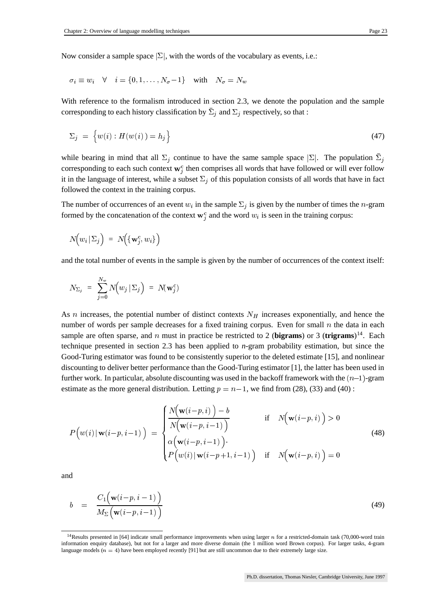Now consider a sample space  $|\Sigma|$ , with the words of the vocabulary as events, i.e.:

$$
\sigma_i \equiv w_i \quad \forall \quad i = \{0, 1, \dots, N_\sigma - 1\} \quad \text{with} \quad N_\sigma = N_w
$$

With reference to the formalism introduced in section 2.3, we denote the population and the sample corresponding to each history classification by  $\bar{\Sigma}_i$  and  $\Sigma_i$  respectively, so that :

$$
\Sigma_j = \left\{ w(i) : H(w(i)) = h_j \right\} \tag{47}
$$

while bearing in mind that all  $\Sigma_i$  continue to have the same sample space  $|\Sigma|$ . The population  $\overline{\Sigma}_i$ corresponding to each such context  $w_i^c$  then comprises all words that have followed or will ever follow it in the language of interest, while a subset  $\Sigma_i$  of this population consists of all words that have in fact followed the context in the training corpus.

The number of occurrences of an event  $w_i$  in the sample  $\Sigma_i$  is given by the number of times the *n*-gram formed by the concatenation of the context  $w_i^c$  and the word  $w_i$  is seen in the training corpus:

$$
N\!\Big(w_i\,|\,\Sigma_j\Big) \ = \ N\!\Big(\{\mathbf{w}^c_j,w_i\}\Big)
$$

and the total number of events in the sample is given by the number of occurrences of the context itself:

$$
N_{\Sigma_j} \;\; = \;\; \sum_{j=0}^{N_w} N \Big( w_j \, | \, \Sigma_j \Big) \;\; = \;\; N(\mathbf{w}_j^c)
$$

As *n* increases, the potential number of distinct contexts  $N_H$  increases exponentially, and hence the number of words per sample decreases for a fixed training corpus. Even for small  $n$  the data in each sample are often sparse, and  $n$  must in practice be restricted to 2 (**bigrams**) or 3 (**trigrams**)<sup>14</sup>. Each technique presented in section 2.3 has been applied to *n*-gram probability estimation, but since the Good-Turing estimator was found to be consistently superior to the deleted estimate [15], and nonlinear discounting to deliver better performance than the Good-Turing estimator [1], the latter has been used in further work. In particular, absolute discounting was used in the backoff framework with the  $(n-1)$ -gram estimate as the more general distribution. Letting  $p = n - 1$ , we find from (28), (33) and (40):

$$
P\left(w(i) | \mathbf{w}(i-p, i-1)\right) = \begin{cases} \frac{N\left(\mathbf{w}(i-p, i)\right) - b}{N\left(\mathbf{w}(i-p, i-1)\right)} & \text{if } N\left(\mathbf{w}(i-p, i)\right) > 0\\ \alpha\left(\mathbf{w}(i-p, i-1)\right) \\ P\left(w(i) | \mathbf{w}(i-p+1, i-1)\right) & \text{if } N\left(\mathbf{w}(i-p, i)\right) = 0 \end{cases}
$$
(48)

and

$$
b = \frac{C_1(\mathbf{w}(i-p, i-1))}{M_{\Sigma}(\mathbf{w}(i-p, i-1))}
$$
(49)

<sup>&</sup>lt;sup>14</sup>Results presented in [64] indicate small performance improvements when using larger  $n$  for a restricted-domain task (70,000-word train information enquiry database), but not for a larger and more diverse domain (the 1 million word Brown corpus). For larger tasks, 4-gram  $\frac{1}{2}$  have been employed recently [91] but are still uncommon due to their extremely large size.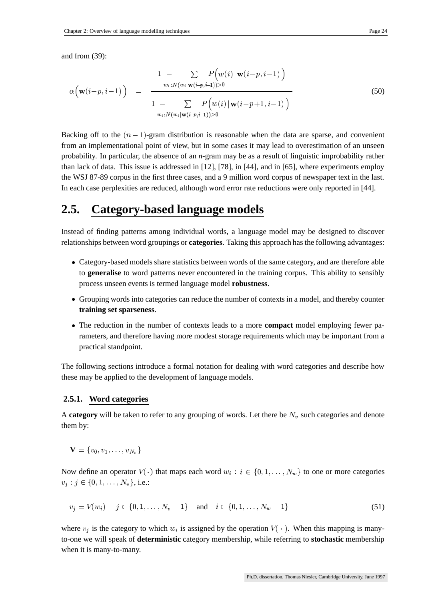and from (39):

$$
\alpha\Big(\mathbf{w}(i-p,i-1)\Big) = \frac{1 - \sum_{w_i:N(w_i|\mathbf{w}(i-p,i-1))>0} P\Big(w(i)|\mathbf{w}(i-p,i-1)\Big)}{1 - \sum_{w_i:N(w_i|\mathbf{w}(i-p,i-1))>0} P\Big(w(i)|\mathbf{w}(i-p+1,i-1)\Big)}
$$
(50)

Backing off to the  $(n-1)$ -gram distribution is reasonable when the data are sparse, and convenient from an implementational point of view, but in some cases it may lead to overestimation of an unseen probability. In particular, the absence of an *n*-gram may be as a result of linguistic improbability rather than lack of data. This issue is addressed in [12], [78], in [44], and in [65], where experiments employ the WSJ 87-89 corpus in the first three cases, and a 9 million word corpus of newspaper text in the last. In each case perplexities are reduced, although word error rate reductions were only reported in [44].

## **2.5. Category-based language models**

Instead of finding patterns among individual words, a language model may be designed to discover relationships between word groupings or **categories**. Taking this approach has the following advantages:

- Category-based models share statistics between words of the same category, and are therefore able to **generalise** to word patterns never encountered in the training corpus. This ability to sensibly process unseen events is termed language model **robustness**.
- Grouping words into categories can reduce the number of contexts in a model, and thereby counter **training set sparseness**.
- The reduction in the number of contexts leads to a more **compact** model employing fewer parameters, and therefore having more modest storage requirements which may be important from a practical standpoint.

The following sections introduce a formal notation for dealing with word categories and describe how these may be applied to the development of language models.

#### **2.5.1. Word categories**

A **category** will be taken to refer to any grouping of words. Let there be  $N_v$  such categories and denote them by:

$$
\mathbf{V}=\{v_0,v_1,\ldots,v_{N_v}\}
$$

Now define an operator  $V(\cdot)$  that maps each word  $w_i : i \in \{0, 1, ..., N_w\}$  to one or more categories  $v_j : j \in \{0, 1, \ldots, N_v\}, \text{ i.e.:}$ 

$$
v_j = V(w_i) \quad j \in \{0, 1, \dots, N_v - 1\} \quad \text{and} \quad i \in \{0, 1, \dots, N_w - 1\} \tag{51}
$$

where  $v_i$  is the category to which  $w_i$  is assigned by the operation  $V(\cdot)$ . When this mapping is manyto-one we will speak of **deterministic** category membership, while referring to **stochastic** membership when it is many-to-many.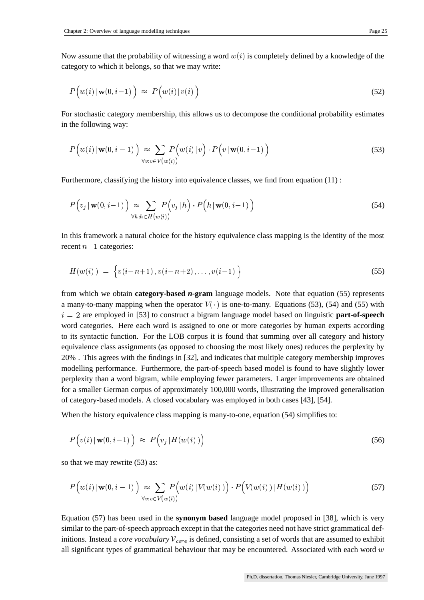Now assume that the probability of witnessing a word  $w(i)$  is completely defined by a knowledge of the category to which it belongs, so that we may write:

$$
P\Big(w(i) \,|\, \mathbf{w}(0,i-1)\Big) \;\approx\; P\Big(w(i) \,|\, v(i)\Big) \tag{52}
$$

For stochastic category membership, this allows us to decompose the conditional probability estimates in the following way:

$$
P\Big(w(i) \mid \mathbf{w}(0, i-1)\Big) \approx \sum_{\forall v:v \in V(w(i))} P\Big(w(i) \mid v\Big) \cdot P\Big(v \mid \mathbf{w}(0, i-1)\Big) \tag{53}
$$

Furthermore, classifying the history into equivalence classes, we find from equation (11) :

$$
P(v_j | \mathbf{w}(0, i-1)) \underset{\forall h: h \in H(w(i))}{\approx} \sum_{(w(i))} P(v_j | h) \cdot P(h | \mathbf{w}(0, i-1)) \tag{54}
$$

In this framework a natural choice for the history equivalence class mapping is the identity of the most recent  $n-1$  categories:

$$
H(w(i)) = \{v(i-n+1), v(i-n+2), \dots, v(i-1)\}
$$
\n(55)

from which we obtain **category-based** *n***-gram** language models. Note that equation (55) represents a many-to-many mapping when the operator  $V(\cdot)$  is one-to-many. Equations (53), (54) and (55) with  $i = 2$  are employed in [53] to construct a bigram language model based on linguistic **part-of-speech** word categories. Here each word is assigned to one or more categories by human experts according to its syntactic function. For the LOB corpus it is found that summing over all category and history equivalence class assignments (as opposed to choosing the most likely ones) reduces the perplexity by 20% . This agrees with the findings in [32], and indicates that multiple category membership improves modelling performance. Furthermore, the part-of-speech based model is found to have slightly lower perplexity than a word bigram, while employing fewer parameters. Larger improvements are obtained for a smaller German corpus of approximately 100,000 words, illustrating the improved generalisation of category-based models. A closed vocabulary was employed in both cases [43], [54].

When the history equivalence class mapping is many-to-one, equation (54) simplifies to:

$$
P(v(i) | \mathbf{w}(0, i-1)) \approx P(v_j | H(w(i))) \tag{56}
$$

so that we may rewrite (53) as:

$$
P\Big(w(i) \mid \mathbf{w}(0, i-1)\Big) \approx \sum_{\forall v:v \in V(w(i))} P\Big(w(i) \mid V(w(i))\Big) \cdot P\Big(V(w(i)) \mid H(w(i))\Big) \tag{57}
$$

Equation (57) has been used in the **synonym based** language model proposed in [38], which is very similar to the part-of-speech approach except in that the categories need not have strict grammatical definitions. Instead a *core vocabulary*  $V_{core}$  is defined, consisting a set of words that are assumed to exhibit all significant types of grammatical behaviour that may be encountered. Associated with each word  $w$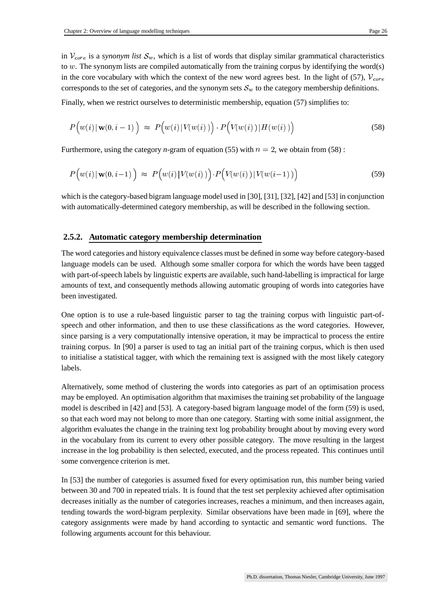in  $V_{core}$  is a *synonym list*  $S_w$ , which is a list of words that display similar grammatical characteristics to  $w$ . The synonym lists are compiled automatically from the training corpus by identifying the word(s) in the core vocabulary with which the context of the new word agrees best. In the light of (57),  $V_{core}$ corresponds to the set of categories, and the synonym sets  $S_w$  to the category membership definitions.

Finally, when we restrict ourselves to deterministic membership, equation (57) simplifies to:

$$
P\Big(w(i) \mid \mathbf{w}(0, i-1)\Big) \approx P\Big(w(i) \mid V(w(i))\Big) \cdot P\Big(V(w(i)) \mid H(w(i))\Big) \tag{58}
$$

Furthermore, using the category *n*-gram of equation (55) with  $n = 2$ , we obtain from (58) :

$$
P\Big(w(i) \mid \mathbf{w}(0, i-1)\Big) \approx P\Big(w(i) \mid V(w(i))\Big) \cdot P\Big(V(w(i)) \mid V(w(i-1))\Big) \tag{59}
$$

which is the category-based bigram language model used in [30], [31], [32], [42] and [53] in conjunction with automatically-determined category membership, as will be described in the following section.

#### **2.5.2. Automatic category membership determination**

The word categories and history equivalence classes must be defined in some way before category-based language models can be used. Although some smaller corpora for which the words have been tagged with part-of-speech labels by linguistic experts are available, such hand-labelling is impractical for large amounts of text, and consequently methods allowing automatic grouping of words into categories have been investigated.

One option is to use a rule-based linguistic parser to tag the training corpus with linguistic part-ofspeech and other information, and then to use these classifications as the word categories. However, since parsing is a very computationally intensive operation, it may be impractical to process the entire training corpus. In [90] a parser is used to tag an initial part of the training corpus, which is then used to initialise a statistical tagger, with which the remaining text is assigned with the most likely category labels.

Alternatively, some method of clustering the words into categories as part of an optimisation process may be employed. An optimisation algorithm that maximises the training set probability of the language model is described in [42] and [53]. A category-based bigram language model of the form (59) is used, so that each word may not belong to more than one category. Starting with some initial assignment, the algorithm evaluates the change in the training text log probability brought about by moving every word in the vocabulary from its current to every other possible category. The move resulting in the largest increase in the log probability is then selected, executed, and the process repeated. This continues until some convergence criterion is met.

In [53] the number of categories is assumed fixed for every optimisation run, this number being varied between 30 and 700 in repeated trials. It is found that the test set perplexity achieved after optimisation decreases initially as the number of categories increases, reaches a minimum, and then increases again, tending towards the word-bigram perplexity. Similar observations have been made in [69], where the category assignments were made by hand according to syntactic and semantic word functions. The following arguments account for this behaviour.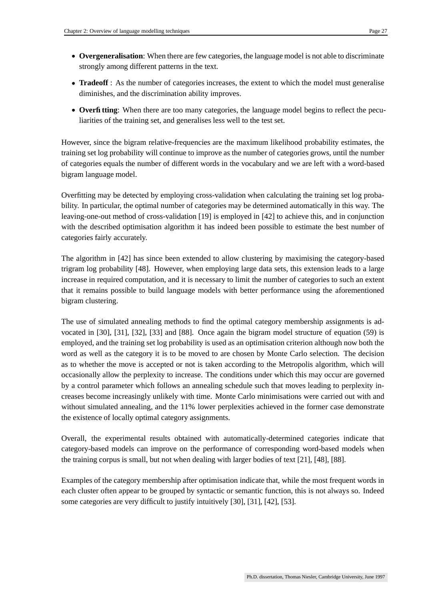- **Overgeneralisation**: When there are few categories, the language model is not able to discriminate strongly among different patterns in the text.
- **Tradeoff**: As the number of categories increases, the extent to which the model must generalise diminishes, and the discrimination ability improves.
- **Overfitting**: When there are too many categories, the language model begins to reflect the peculiarities of the training set, and generalises less well to the test set.

However, since the bigram relative-frequencies are the maximum likelihood probability estimates, the training set log probability will continue to improve as the number of categories grows, until the number of categories equals the number of different words in the vocabulary and we are left with a word-based bigram language model.

Overfitting may be detected by employing cross-validation when calculating the training set log probability. In particular, the optimal number of categories may be determined automatically in this way. The leaving-one-out method of cross-validation [19] is employed in [42] to achieve this, and in conjunction with the described optimisation algorithm it has indeed been possible to estimate the best number of categories fairly accurately.

The algorithm in [42] has since been extended to allow clustering by maximising the category-based trigram log probability [48]. However, when employing large data sets, this extension leads to a large increase in required computation, and it is necessary to limit the number of categories to such an extent that it remains possible to build language models with better performance using the aforementioned bigram clustering.

The use of simulated annealing methods to find the optimal category membership assignments is advocated in [30], [31], [32], [33] and [88]. Once again the bigram model structure of equation (59) is employed, and the training set log probability is used as an optimisation criterion although now both the word as well as the category it is to be moved to are chosen by Monte Carlo selection. The decision as to whether the move is accepted or not is taken according to the Metropolis algorithm, which will occasionally allow the perplexity to increase. The conditions under which this may occur are governed by a control parameter which follows an annealing schedule such that moves leading to perplexity increases become increasingly unlikely with time. Monte Carlo minimisations were carried out with and without simulated annealing, and the 11% lower perplexities achieved in the former case demonstrate the existence of locally optimal category assignments.

Overall, the experimental results obtained with automatically-determined categories indicate that category-based models can improve on the performance of corresponding word-based models when the training corpus is small, but not when dealing with larger bodies of text [21], [48], [88].

Examples of the category membership after optimisation indicate that, while the most frequent words in each cluster often appear to be grouped by syntactic or semantic function, this is not always so. Indeed some categories are very difficult to justify intuitively [30], [31], [42], [53].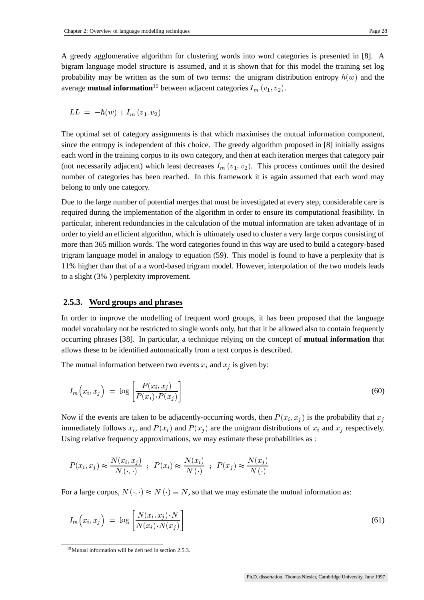A greedy agglomerative algorithm for clustering words into word categories is presented in [8]. A bigram language model structure is assumed, and it is shown that for this model the training set log probability may be written as the sum of two terms: the unigram distribution entropy  $\hbar(w)$  and the average **mutual information**  $^{15}$  between adjacent categories  $I_m\left(v_1,v_2\right)$ .

$$
LL = -\hbar(w) + I_m(v_1, v_2)
$$

The optimal set of category assignments is that which maximises the mutual information component, since the entropy is independent of this choice. The greedy algorithm proposed in [8] initially assigns each word in the training corpus to its own category, and then at each iteration merges that category pair (not necessarily adjacent) which least decreases  $I_m(v_1, v_2)$ . This process continues until the desired number of categories has been reached. In this framework it is again assumed that each word may belong to only one category.

Due to the large number of potential merges that must be investigated at every step, considerable care is required during the implementation of the algorithm in order to ensure its computational feasibility. In particular, inherent redundancies in the calculation of the mutual information are taken advantage of in order to yield an efficient algorithm, which is ultimately used to cluster a very large corpus consisting of more than 365 million words. The word categories found in this way are used to build a category-based trigram language model in analogy to equation (59). This model is found to have a perplexity that is 11% higher than that of a a word-based trigram model. However, interpolation of the two models leads to a slight (3% ) perplexity improvement.

#### **2.5.3. Word groups and phrases**

In order to improve the modelling of frequent word groups, it has been proposed that the language model vocabulary not be restricted to single words only, but that it be allowed also to contain frequently occurring phrases [38]. In particular, a technique relying on the concept of **mutual information** that allows these to be identified automatically from a text corpus is described.

The mutual information between two events  $x_i$  and  $x_j$  is given by:

$$
I_m(x_i, x_j) = \log \left[ \frac{P(x_i, x_j)}{P(x_i) \cdot P(x_j)} \right] \tag{60}
$$

Now if the events are taken to be adjacently-occurring words, then  $P(x_i, x_j)$  is the probability that  $x_j$ immediately follows  $x_i$ , and  $P(x_i)$  and  $P(x_j)$  are the unigram distributions of  $x_i$  and  $x_j$  respectively. Using relative frequency approximations, we may estimate these probabilities as :

$$
P(x_i, x_j) \approx \frac{N(x_i, x_j)}{N(\cdot, \cdot)} \; ; \; P(x_i) \approx \frac{N(x_i)}{N(\cdot)} \; ; \; P(x_j) \approx \frac{N(x_j)}{N(\cdot)}
$$

For a large corpus,  $N(\cdot, \cdot) \approx N(\cdot) \equiv N$ , so that we may estimate the mutual information as:

$$
I_m(x_i, x_j) = \log \left[ \frac{N(x_i, x_j) \cdot N}{N(x_i) \cdot N(x_j)} \right]
$$
\n(61)

<sup>15</sup>Mutual information will be defined in section 2.5.3.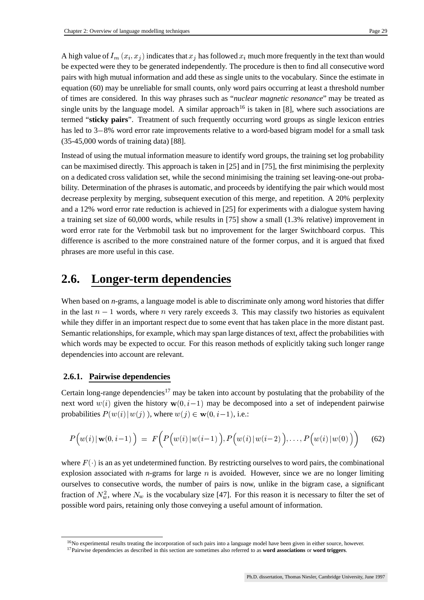A high value of  $I_m(x_i, x_j)$  indicates that  $x_j$  has followed  $x_i$  much more frequently in the text than would be expected were they to be generated independently. The procedure is then to find all consecutive word pairs with high mutual information and add these as single units to the vocabulary. Since the estimate in equation (60) may be unreliable for small counts, only word pairs occurring at least a threshold number of times are considered. In this way phrases such as "*nuclear magnetic resonance*" may be treated as single units by the language model. A similar approach<sup>16</sup> is taken in [8], where such associations are termed "**sticky pairs**". Treatment of such frequently occurring word groups as single lexicon entries has led to 3–8% word error rate improvements relative to a word-based bigram model for a small task (35-45,000 words of training data) [88].

Instead of using the mutual information measure to identify word groups, the training set log probability can be maximised directly. This approach is taken in [25] and in [75], the first minimising the perplexity on a dedicated cross validation set, while the second minimising the training set leaving-one-out probability. Determination of the phrases is automatic, and proceeds by identifying the pair which would most decrease perplexity by merging, subsequent execution of this merge, and repetition. A 20% perplexity and a 12% word error rate reduction is achieved in [25] for experiments with a dialogue system having a training set size of 60,000 words, while results in [75] show a small (1.3% relative) improvement in word error rate for the Verbmobil task but no improvement for the larger Switchboard corpus. This difference is ascribed to the more constrained nature of the former corpus, and it is argued that fixed phrases are more useful in this case.

### **2.6. Longer-term dependencies**

When based on *n*-grams, a language model is able to discriminate only among word histories that differ in the last  $n-1$  words, where n very rarely exceeds 3. This may classify two histories as equivalent while they differ in an important respect due to some event that has taken place in the more distant past. Semantic relationships, for example, which may span large distances of text, affect the probabilities with which words may be expected to occur. For this reason methods of explicitly taking such longer range dependencies into account are relevant.

#### **2.6.1. Pairwise dependencies**

Certain long-range dependencies<sup>17</sup> may be taken into account by postulating that the probability of the next word  $w(i)$  given the history  $w(0, i-1)$  may be decomposed into a set of independent pairwise probabilities  $P(w(i) | w(j))$ , where w  $(j)$ , where  $w(j) \in \mathbf{w}(0, i-1)$ , i.e.:

$$
P\Big(w(i) \,|\, \mathbf{w}(0,i-1)\,\Big) \;=\; F\Big(P\Big(w(i) \,|\, w(i-1)\,\Big), P\Big(w(i) \,|\, w(i-2)\,\Big), \ldots, P\Big(w(i) \,|\, w(0)\,\Big)\Big) \qquad (62)
$$

where  $F(\cdot)$  is an as yet undetermined function. By restricting ourselves to word pairs, the combinational explosion associated with *n*-grams for large  $n$  is avoided. However, since we are no longer limiting ourselves to consecutive words, the number of pairs is now, unlike in the bigram case, a significant fraction of  $N_w^2$ , where  $N_w$  is the vocabulary size [47]. For this reason it is necessary to filter the set of possible word pairs, retaining only those conveying a useful amount of information.

<sup>&</sup>lt;sup>16</sup>No experimental results treating the incorporation of such pairs into a language model have been given in either source, however. <sup>17</sup>Pairwise dependencies as described in this section are sometimes also referred to as **word associations** or **word triggers**.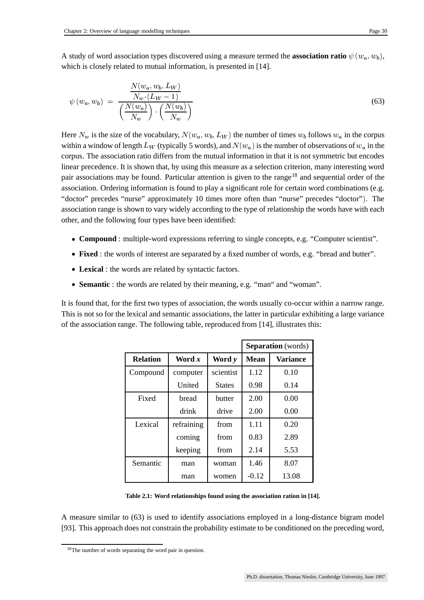$$
\psi(w_a, w_b) = \frac{\frac{N(w_a, w_b, L_W)}{N_w \cdot (L_W - 1)}}{\left(\frac{N(w_a)}{N_w}\right) \cdot \left(\frac{N(w_b)}{N_w}\right)}
$$
\n(63)

Here  $N_w$  is the size of the vocabulary,  $N(w_a, w_b, L_W)$  the nun  $_{b}$ ,  $L_{W}$ ) the number of times  $w_{b}$  follows  $w_{a}$  in the corpus within a window of length  $L_W$  (typically 5 words), and  $N(w_a)$  is the number of observations of  $w_a$  in the corpus. The association ratio differs from the mutual information in that it is not symmetric but encodes linear precedence. It is shown that, by using this measure as a selection criterion, many interesting word pair associations may be found. Particular attention is given to the range<sup>18</sup> and sequential order of the association. Ordering information is found to play a significant role for certain word combinations (e.g. "doctor" precedes "nurse" approximately 10 times more often than "nurse" precedes "doctor"). The association range is shown to vary widely according to the type of relationship the words have with each other, and the following four types have been identified:

- **Compound** : multiple-word expressions referring to single concepts, e.g. "Computer scientist".
- **Fixed** : the words of interest are separated by a fixed number of words, e.g. "bread and butter".
- **Lexical** : the words are related by syntactic factors.
- **Semantic** : the words are related by their meaning, e.g. "man" and "woman".

It is found that, for the first two types of association, the words usually co-occur within a narrow range. This is not so for the lexical and semantic associations, the latter in particular exhibiting a large variance of the association range. The following table, reproduced from [14], illustrates this:

|                 |            |               | <b>Separation</b> (words) |                 |
|-----------------|------------|---------------|---------------------------|-----------------|
| <b>Relation</b> | Word x     | Word y        | <b>Mean</b>               | <b>Variance</b> |
| Compound        | computer   | scientist     | 1.12                      | 0.10            |
|                 | United     | <b>States</b> | 0.98                      | 0.14            |
| Fixed           | bread      | butter        | 2.00                      | 0.00            |
|                 | drink      | drive         | 2.00                      | 0.00            |
| Lexical         | refraining | from          | 1.11                      | 0.20            |
|                 | coming     | from          | 0.83                      | 2.89            |
|                 | keeping    | from          | 2.14                      | 5.53            |
| Semantic        | man        | woman         | 1.46                      | 8.07            |
|                 | man        | women         | $-0.12$                   | 13.08           |

**Table 2.1: Word relationships found using the association ration in [14].**

A measure similar to (63) is used to identify associations employed in a long-distance bigram model [93]. This approach does not constrain the probability estimate to be conditioned on the preceding word,

<sup>18</sup>The number of words separating the word pair in question.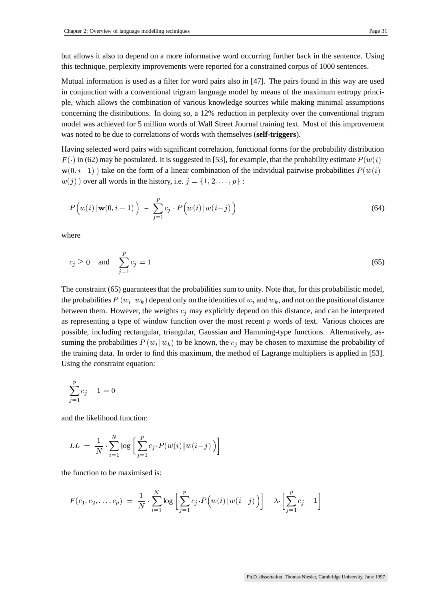but allows it also to depend on a more informative word occurring further back in the sentence. Using this technique, perplexity improvements were reported for a constrained corpus of 1000 sentences.

Mutual information is used as a filter for word pairs also in [47]. The pairs found in this way are used in conjunction with a conventional trigram language model by means of the maximum entropy principle, which allows the combination of various knowledge sources while making minimal assumptions concerning the distributions. In doing so, a 12% reduction in perplexity over the conventional trigram model was achieved for 5 million words of Wall Street Journal training text. Most of this improvement was noted to be due to correlations of words with themselves (**self-triggers**).

Having selected word pairs with significant correlation, functional forms for the probability distribution  $F(\cdot)$  in (62) may be postulated. It is suggested in [53], for example, that the probability estimate  $P(w(i))$  $\mathbf{w}(0, i-1)$ ) take on the form of a linear combination of the individual pairwise probabilities  $P(w(i))$   $(j)$  over all words in the history, i.e.  $j = \{1, 2, ..., p\}$ :

$$
P\left(w(i) \mid \mathbf{w}(0, i-1)\right) = \sum_{j=1}^{P} c_j \cdot P\left(w(i) \mid w(i-j)\right) \tag{64}
$$

where

$$
c_j \ge 0 \quad \text{and} \quad \sum_{j=1}^p c_j = 1 \tag{65}
$$

The constraint (65) guarantees that the probabilities sum to unity. Note that, for this probabilistic model, the probabilities  $P(w_i|w_k)$  depend of  $|w_k\rangle$  depend only on the identities of  $w_i$  and  $w_k$ , and not on the positional distance between them. However, the weights  $c_j$  may explicitly depend on this distance, and can be interpreted as representing a type of window function over the most recent  $p$  words of text. Various choices are possible, including rectangular, triangular, Gaussian and Hamming-type functions. Alternatively, assuming the probabilities  $P(w_i|w_k)$  to be kn  $(w_k)$  to be known, the  $c_j$  may be chosen to maximise the probability of the training data. In order to find this maximum, the method of Lagrange multipliers is applied in [53]. Using the constraint equation:

$$
\sum_{j=1}^p c_j -1 = 0
$$

and the likelihood function:

$$
LL ~=~ \frac{1}{N}\cdot\sum_{i=1}^N\log\bigg[\sum_{j=1}^pc_j\!\cdot\!P(w(i)\!\mid\!w(i\!-\!j)\,\big)\bigg]
$$

the function to be maximised is:

$$
F(c_1, c_2, \ldots, c_p) = \frac{1}{N} \cdot \sum_{i=1}^{N} \log \left[ \sum_{j=1}^{p} c_j \cdot P(w(i) | w(i-j)) \right] - \lambda \cdot \left[ \sum_{j=1}^{p} c_j - 1 \right]
$$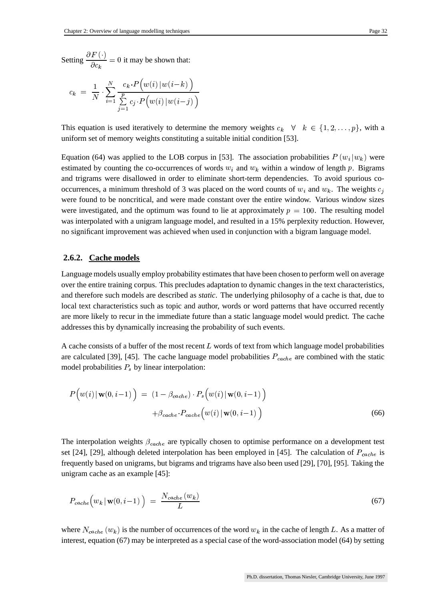$$
c_k \;=\; \frac{1}{N} \cdot \sum_{i=1}^N \frac{c_k\cdot P\Big(w(i)\,|\,w(i\!-\!k)\,\Big)}{\sum\limits_{j=1}^p c_j\cdot P\Big(w(i)\,|\,w(i\!-\!j)\,\Big)}
$$

This equation is used iteratively to determine the memory weights  $c_k \quad \forall \quad k \in \{1, 2, \ldots, p\}$ , with a uniform set of memory weights constituting a suitable initial condition [53].

Equation (64) was applied to the LOB corpus in [53]. The association probabilities  $P(w_i|w_k)$  were  $|w_k\rangle$  were estimated by counting the co-occurrences of words  $w_i$  and  $w_k$  within a window of length p. Bigrams and trigrams were disallowed in order to eliminate short-term dependencies. To avoid spurious cooccurrences, a minimum threshold of 3 was placed on the word counts of  $w_i$  and  $w_k$ . The weights  $c_j$ were found to be noncritical, and were made constant over the entire window. Various window sizes were investigated, and the optimum was found to lie at approximately  $p = 100$ . The resulting model was interpolated with a unigram language model, and resulted in a 15% perplexity reduction. However, no significant improvement was achieved when used in conjunction with a bigram language model.

#### **2.6.2. Cache models**

Language models usually employ probability estimates that have been chosen to perform well on average over the entire training corpus. This precludes adaptation to dynamic changes in the text characteristics, and therefore such models are described as *static*. The underlying philosophy of a cache is that, due to local text characteristics such as topic and author, words or word patterns that have occurred recently are more likely to recur in the immediate future than a static language model would predict. The cache addresses this by dynamically increasing the probability of such events.

A cache consists of a buffer of the most recent  $L$  words of text from which language model probabilities are calculated [39], [45]. The cache language model probabilities  $P_{cache}$  are combined with the static model probabilities  $P_s$  by linear interpolation:

$$
P\Big(w(i) \mid \mathbf{w}(0, i-1)\Big) = (1 - \beta_{cache}) \cdot P_s\Big(w(i) \mid \mathbf{w}(0, i-1)\Big) + \beta_{cache} \cdot P_{cache}\Big(w(i) \mid \mathbf{w}(0, i-1)\Big)
$$
(66)

The interpolation weights  $\beta_{cache}$  are typically chosen to optimise performance on a development test set [24], [29], although deleted interpolation has been employed in [45]. The calculation of  $P_{cache}$  is frequently based on unigrams, but bigrams and trigrams have also been used [29], [70], [95]. Taking the unigram cache as an example [45]:

$$
P_{cache}\left(w_k \,|\, \mathbf{w}(0,i-1)\,\right) \;=\; \frac{N_{cache}\left(w_k\right)}{L} \tag{67}
$$

where  $N_{cache}(w_k)$  is the number of occurrences of the word  $w_k$  in the cache of length L. As a matter of interest, equation (67) may be interpreted as a special case of the word-association model (64) by setting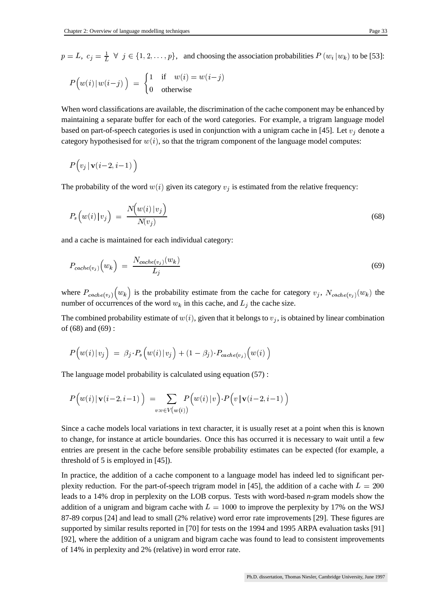$p=L, c_j=\frac{1}{L}$   $\forall$  ;  $=$   $\frac{1}{L}$   $\forall$   $j \in \{1, 2, ..., p\}$ , and choosing the association probabilities  $P(w_i | w_k)$  to be [53]  $\vert w_k)$  to be [53]:

$$
P(v(i) | w(i-j)) = \begin{cases} 1 & \text{if } w(i) = w(i-j) \\ 0 & \text{otherwise} \end{cases}
$$

When word classifications are available, the discrimination of the cache component may be enhanced by maintaining a separate buffer for each of the word categories. For example, a trigram language model based on part-of-speech categories is used in conjunction with a unigram cache in [45]. Let  $v_i$  denote a category hypothesised for  $w(i)$ , so that the trigram component of the language model computes:

$$
P\Big(v_j\,|\, {\bf v}(i\!-\!2,i\!-\!1)\,\Big)
$$

The probability of the word  $w(i)$  given its category  $v_i$  is estimated from the relative frequency:

$$
P_s\left(w(i) \mid v_j\right) = \frac{N\left(w(i) \mid v_j\right)}{N(v_j)}
$$
\n<sup>(68)</sup>

and a cache is maintained for each individual category:

$$
P_{cache(v_j)}(w_k) = \frac{N_{cache(v_j)}(w_k)}{L_j} \tag{69}
$$

where  $P_{cache(v_j)}(w_k)$  is  $\hat{U}_0(w_k)$  is the probability estimate from the cache for category  $v_j$ ,  $N_{cache(v_j)}(w_k)$  the prences of the word  $w_k$  in this cache, and  $L_i$  the cache size. number of occurrences of the word  $w_k$  in this cache, and  $L_i$  the cache size.

The combined probability estimate of  $w(i)$ , given that it belongs to  $v_j$ , is obtained by linear combination of (68) and (69) :

$$
P\Big(w(i)\,|\,v_j\Big)\ =\ \beta_j\!\cdot\!P_s\Big(w(i)\,|\,v_j\Big)+(1-\beta_j)\!\cdot\!P_{cache(v_j)}\Big(w(i)\Big)
$$

The language model probability is calculated using equation (57) :

$$
P\Big(w(i)\,|\,\mathbf{v}(i-2,i-1)\,\Big) \ = \!\!\!\!\!\!\!\!\!\!\sum_{v:v\in V\big(\overline{w}(i)\big)}\!\!\!\!\!\!\!\!\!\!\!\!P\Big(w(i)\,|\,v\Big)\cdot P\Big(v\,|\,\mathbf{v}(i-2,i-1)\,\Big)
$$

Since a cache models local variations in text character, it is usually reset at a point when this is known to change, for instance at article boundaries. Once this has occurred it is necessary to wait until a few entries are present in the cache before sensible probability estimates can be expected (for example, a threshold of 5 is employed in [45]).

In practice, the addition of a cache component to a language model has indeed led to significant perplexity reduction. For the part-of-speech trigram model in [45], the addition of a cache with  $L = 200$ leads to a 14% drop in perplexity on the LOB corpus. Tests with word-based *n*-gram models show the addition of a unigram and bigram cache with  $L = 1000$  to improve the perplexity by 17% on the WSJ 87-89 corpus [24] and lead to small (2% relative) word error rate improvements [29]. These figures are supported by similar results reported in [70] for tests on the 1994 and 1995 ARPA evaluation tasks [91] [92], where the addition of a unigram and bigram cache was found to lead to consistent improvements of 14% in perplexity and 2% (relative) in word error rate.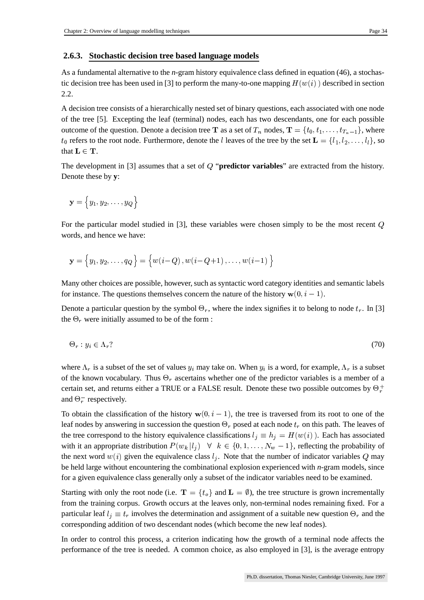#### **2.6.3. Stochastic decision tree based language models**

As a fundamental alternative to the *n*-gram history equivalence class defined in equation (46), a stochastic decision tree has been used in [3] to perform the many-to-one mapping  $H(w(i))$  described in section 2.2.

A decision tree consists of a hierarchically nested set of binary questions, each associated with one node of the tree [5]. Excepting the leaf (terminal) nodes, each has two descendants, one for each possible outcome of the question. Denote a decision tree **T** as a set of  $T_n$  nodes,  $\mathbf{T} = \{t_0, t_1, \ldots, t_{T_n-1}\}$ , where  $t_0$  refers to the root node. Furthermore, denote the *l* leaves of the tree by the set  $\mathbf{L} = \{l_1, l_2,$  $t_0$  refers to the root node. Furthermore, denote the *l* leaves of the tree by the set  $\mathbf{L} = \{l_1, l_2, \ldots, l_l\}$ , so that  $L \in T$ .

The development in [3] assumes that a set of Q "**predictor variables**" are extracted from the history. Denote these by **y**:

$$
\mathbf{y}=\Big\{y_1,y_2,\ldots,y_Q\Big\}
$$

For the particular model studied in  $[3]$ , these variables were chosen simply to be the most recent  $Q$ words, and hence we have:

$$
\mathbf{y} = \big\{y_1, y_2, \ldots, q_Q\big\} = \big\{w(i-Q)\,, w(i-Q\!+\!1)\,, \ldots, w(i\!-\!1)\,\big\}
$$

Many other choices are possible, however, such as syntactic word category identities and semantic labels for instance. The questions themselves concern the nature of the history  $\mathbf{w}(0, i-1)$ .

Denote a particular question by the symbol  $\Theta_r$ , where the index signifies it to belong to node  $t_r$ . In [3] the  $\Theta_r$  were initially assumed to be of the form :

$$
\Theta_r : y_i \in \Lambda_r \tag{70}
$$

where  $\Lambda_r$  is a subset of the set of values  $y_i$  may take on. When  $y_i$  is a word, for example,  $\Lambda_r$  is a subset of the known vocabulary. Thus  $\Theta_r$  ascertains whether one of the predictor variables is a member of a certain set, and returns either a TRUE or a FALSE result. Denote these two possible outcomes by  $\Theta_r^+$ and  $\Theta_r^-$  respectively.

and  $\Theta_r^-$  respectively.<br>To obtain the classification of the history  $\mathbf{w}(0, i - 1)$ , the tre  $(0, i - 1)$ , the tree is traversed from its root to one of the leaf nodes by answering in succession the question  $\Theta_r$  posed at each node  $t_r$  on this path. The leaves of the tree correspond to the history equivalence classifications  $l_i \equiv h_i = H(w(i))$ . Each has associated with it an appropriate distribution  $P(w_k | l_j) \quad \forall \quad k \in \{0, 1, \dots, N_w - 1\}$ , reflecting the probability of the next word  $w(i)$  given the equivalence class  $l_j$ . Note that the number of indicator variables Q may be held large without encountering the combinational explosion experienced with *n*-gram models, since for a given equivalence class generally only a subset of the indicator variables need to be examined.

Starting with only the root node (i.e.  $\mathbf{T} = \{t_o\}$  and  $\mathbf{L} = \emptyset$ ), the tree structure is grown incrementally from the training corpus. Growth occurs at the leaves only, non-terminal nodes remaining fixed. For a particular leaf  $l_i \equiv t_r$  involves the determination and assignment of a suitable new question  $\Theta_r$  and the corresponding addition of two descendant nodes (which become the new leaf nodes).

In order to control this process, a criterion indicating how the growth of a terminal node affects the performance of the tree is needed. A common choice, as also employed in [3], is the average entropy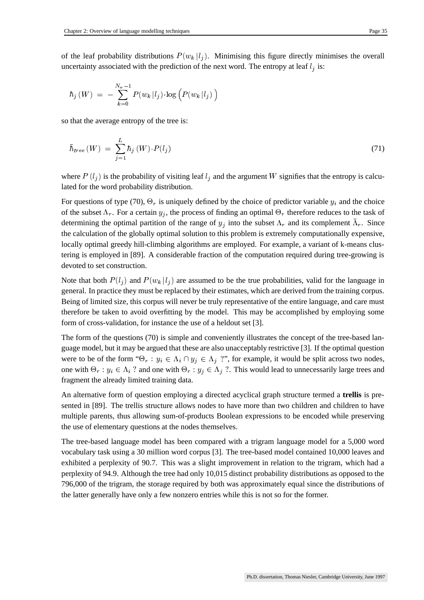of the leaf probability distributions  $P(w_k | l_i)$ . Minimising this figure directly minimises the overall uncertainty associated with the prediction of the next word. The entropy at leaf  $l_i$  is:

$$
\hbar_j\left(W\right)~=~-\sum_{k=0}^{N_w-1}P(w_k\!\mid\! l_j)\!\cdot\!\log\left(P(w_k\!\mid\! l_j)\right)
$$

so that the average entropy of the tree is:

$$
\bar{\hbar}_{tree}(W) = \sum_{j=1}^{L} \hbar_j(W) \cdot P(l_j)
$$
\n(71)

where  $P(l_i)$  is the probability of visiting leaf  $l_i$  and the argument W signifies that the entropy is calculated for the word probability distribution.

For questions of type (70),  $\Theta_r$  is uniquely defined by the choice of predictor variable  $y_i$  and the choice of the subset  $\Lambda_r$ . For a certain  $y_j$ , the process of finding an optimal  $\Theta_r$  therefore reduces to the task of determining the optimal partition of the range of  $y_j$  into the subset  $\Lambda_r$  and its complement  $\bar{\Lambda}_r$ . Since the calculation of the globally optimal solution to this problem is extremely computationally expensive, locally optimal greedy hill-climbing algorithms are employed. For example, a variant of k-means clustering is employed in [89]. A considerable fraction of the computation required during tree-growing is devoted to set construction.

Note that both  $P(l_i)$  and  $P(w_k | l_i)$  are assumed to be the true probabilities, valid for the language in general. In practice they must be replaced by their estimates, which are derived from the training corpus. Being of limited size, this corpus will never be truly representative of the entire language, and care must therefore be taken to avoid overfitting by the model. This may be accomplished by employing some form of cross-validation, for instance the use of a heldout set [3].

The form of the questions (70) is simple and conveniently illustrates the concept of the tree-based language model, but it may be argued that these are also unacceptably restrictive [3]. If the optimal question were to be of the form " $\Theta_r : y_i \in \Lambda_i \cap y_j \in \Lambda_j$  ?", for example, it would be split across two nodes, one with  $\Theta_r : y_i \in \Lambda_i$  ? and one with  $\Theta_r : y_j \in \Lambda_j$  ?. This would lead to unnecessarily large trees and fragment the already limited training data.

An alternative form of question employing a directed acyclical graph structure termed a **trellis** is presented in [89]. The trellis structure allows nodes to have more than two children and children to have multiple parents, thus allowing sum-of-products Boolean expressions to be encoded while preserving the use of elementary questions at the nodes themselves.

The tree-based language model has been compared with a trigram language model for a 5,000 word vocabulary task using a 30 million word corpus [3]. The tree-based model contained 10,000 leaves and exhibited a perplexity of 90.7. This was a slight improvement in relation to the trigram, which had a perplexity of 94.9. Although the tree had only 10,015 distinct probability distributions as opposed to the 796,000 of the trigram, the storage required by both was approximately equal since the distributions of the latter generally have only a few nonzero entries while this is not so for the former.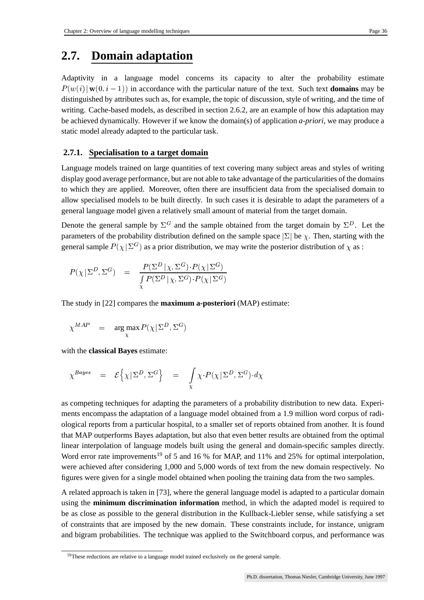### **2.7. Domain adaptation**

Adaptivity in a language model concerns its capacity to alter the probability estimate  $P(w(i) | w(0, i-1))$  in accordance with the particular nature of the text. Such text **domains** may be distinguished by attributes such as, for example, the topic of discussion, style of writing, and the time of writing. Cache-based models, as described in section 2.6.2, are an example of how this adaptation may be achieved dynamically. However if we know the domain(s) of application *a-priori*, we may produce a static model already adapted to the particular task.

### **2.7.1. Specialisation to a target domain**

Language models trained on large quantities of text covering many subject areas and styles of writing display good average performance, but are not able to take advantage of the particularities of the domains to which they are applied. Moreover, often there are insufficient data from the specialised domain to allow specialised models to be built directly. In such cases it is desirable to adapt the parameters of a general language model given a relatively small amount of material from the target domain.

Denote the general sample by  $\Sigma^G$  and the sample obtained from the target domain by  $\Sigma^D$ . Let the parameters of the probability distribution defined on the sample space  $|\Sigma|$  be  $\chi$ . Then, starting with the general sample  $P(\chi | \Sigma^G)$  as a prior distribution, we may write the posterior distribution of  $\chi$  as :

$$
P(\chi|\Sigma^D, \Sigma^G) \quad = \quad \frac{P(\Sigma^D|\chi, \Sigma^G) \cdot P(\chi|\Sigma^G)}{\int\limits_{\chi} P(\Sigma^D|\chi, \Sigma^G) \cdot P(\chi|\Sigma^G)}
$$

The study in [22] compares the **maximum a-posteriori** (MAP) estimate:

$$
\chi^{MAP} = \arg \max_{\chi} P(\chi | \Sigma^D, \Sigma^G)
$$

with the **classical Bayes** estimate:

$$
\chi^{Bayes} = \mathcal{E}\left\{\chi\,|\,\Sigma^D,\Sigma^G\right\} = \int\limits_{\chi} \chi \cdot P(\chi\,|\,\Sigma^D,\Sigma^G) \cdot d\chi
$$

as competing techniques for adapting the parameters of a probability distribution to new data. Experiments encompass the adaptation of a language model obtained from a 1.9 million word corpus of radiological reports from a particular hospital, to a smaller set of reports obtained from another. It is found that MAP outperforms Bayes adaptation, but also that even better results are obtained from the optimal linear interpolation of language models built using the general and domain-specific samples directly. Word error rate improvements<sup>19</sup> of 5 and 16 % for MAP, and 11% and 25% for optimal interpolation, were achieved after considering 1,000 and 5,000 words of text from the new domain respectively. No figures were given for a single model obtained when pooling the training data from the two samples.

A related approach is taken in [73], where the general language model is adapted to a particular domain using the **minimum discrimination information** method, in which the adapted model is required to be as close as possible to the general distribution in the Kullback-Liebler sense, while satisfying a set of constraints that are imposed by the new domain. These constraints include, for instance, unigram and bigram probabilities. The technique was applied to the Switchboard corpus, and performance was

<sup>&</sup>lt;sup>19</sup>These reductions are relative to a language model trained exclusively on the general sample.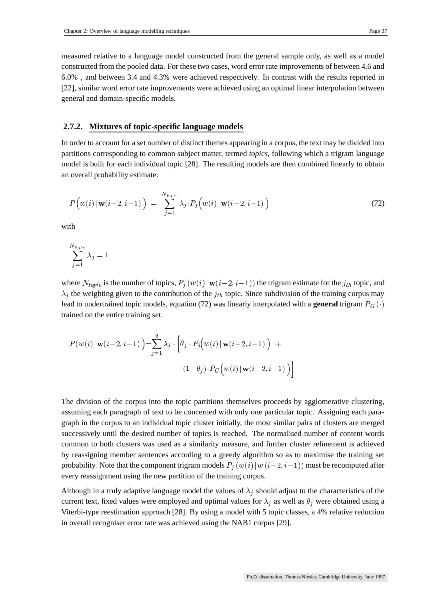measured relative to a language model constructed from the general sample only, as well as a model constructed from the pooled data. For these two cases, word error rate improvements of between 4.6 and 6.0% , and between 3.4 and 4.3% were achieved respectively. In contrast with the results reported in [22], similar word error rate improvements were achieved using an optimal linear interpolation between general and domain-specific models.

#### **2.7.2. Mixtures of topic-specific language models**

In order to account for a set number of distinct themes appearing in a corpus, the text may be divided into partitions corresponding to common subject matter, termed *topics*, following which a trigram language model is built for each individual topic [28]. The resulting models are then combined linearly to obtain an overall probability estimate:

$$
P\Big(w(i) \mid \mathbf{w}(i-2, i-1)\Big) = \sum_{j=1}^{N_{topic}} \lambda_j \cdot P_j\Big(w(i) \mid \mathbf{w}(i-2, i-1)\Big)
$$
\n(72)

with

$$
\sum_{j=1}^{N_{topic}} \lambda_j = 1
$$

where  $N_{topic}$  is the number of topics,  $P_j(w(i) | w(i-2, i-1))$  the trigram estimate for the  $j_{th}$  topic, and  $\lambda_i$  the weighting given to the contribution of the  $j_{th}$  topic. Since subdivision of the training corpus may lead to undertrained topic models, equation (72) was linearly interpolated with a **general** trigram  $P_G(\cdot)$ trained on the entire training set.

$$
P(w(i) | \mathbf{w}(i-2, i-1)) = \sum_{j=1}^{q} \lambda_j \cdot \left[ \theta_j \cdot P_j(w(i) | \mathbf{w}(i-2, i-1)) + \frac{\left(1-\theta_j\right) \cdot P_G(w(i) | \mathbf{w}(i-2, i-1))}{1-\theta_j} \right]
$$

The division of the corpus into the topic partitions themselves proceeds by agglomerative clustering, assuming each paragraph of text to be concerned with only one particular topic. Assigning each paragraph in the corpus to an individual topic cluster initially, the most similar pairs of clusters are merged successively until the desired number of topics is reached. The normalised number of content words common to both clusters was used as a similarity measure, and further cluster refinement is achieved by reassigning member sentences according to a greedy algorithm so as to maximise the training set probability. Note that the component trigram models  $P_i(w(i) | w(i-2, i-1))$  must be recomputed after every reassignment using the new partition of the training corpus.

Although in a truly adaptive language model the values of  $\lambda_j$  should adjust to the characteristics of the current text, fixed values were employed and optimal values for  $\lambda_j$  as well as  $\theta_j$  were obtained using a Viterbi-type reestimation approach [28]. By using a model with 5 topic classes, a 4% relative reduction in overall recogniser error rate was achieved using the NAB1 corpus [29].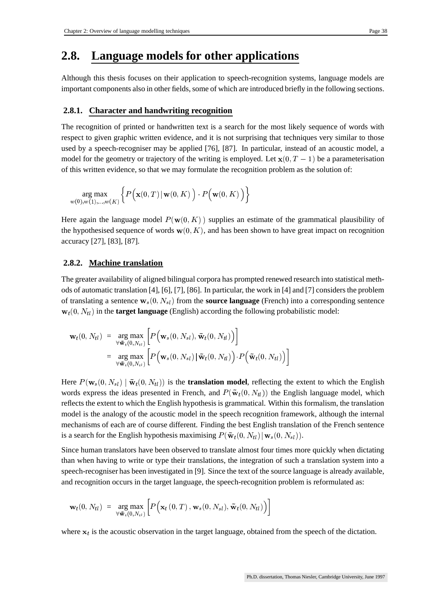### **2.8. Language models for other applications**

Although this thesis focuses on their application to speech-recognition systems, language models are important components also in other fields, some of which are introduced briefly in the following sections.

### **2.8.1. Character and handwriting recognition**

The recognition of printed or handwritten text is a search for the most likely sequence of words with respect to given graphic written evidence, and it is not surprising that techniques very similar to those used by a speech-recogniser may be applied [76], [87]. In particular, instead of an acoustic model, a model for the geometry or trajectory of the writing is employed. Let  $\mathbf{x}(0, T - 1)$  be a parameterisation of this written evidence, so that we may formulate the recognition problem as the solution of:

$$
\argmax_{w(0),w(1),...,w(K)} \biggl\{ P\Big(\mathbf{x}(0,T) \,|\, \mathbf{w}(0,K)\,\Big) \cdot P\Big(\mathbf{w}(0,K)\,\Big) \biggr\}
$$

Here again the language model  $P(\mathbf{w}(0, K))$  supplies an estimate of the grammatical plausibility of the hypothesised sequence of words  $w(0, K)$ , and has been shown to have great impact on recognition accuracy [27], [83], [87].

### **2.8.2. Machine translation**

The greater availability of aligned bilingual corpora has prompted renewed research into statistical methods of automatic translation [4], [6], [7], [86]. In particular, the work in [4] and [7] considersthe problem of translating a sentence  $w_s(0, N_{sl})$  from the **source language** (French) into a corresponding sentence  $\mathbf{w}_t(0, N_{tl})$  in the **target language** (English) according the following probabilistic model:

$$
\mathbf{w}_t(0, N_{tl}) = \underset{\forall \tilde{\mathbf{w}}_t(0, N_{tl})}{\arg \max} \left[ P(\mathbf{w}_s(0, N_{sl}), \tilde{\mathbf{w}}_t(0, N_{tl})) \right]
$$
  
= 
$$
\underset{\forall \tilde{\mathbf{w}}_t(0, N_{tl})}{\arg \max} \left[ P(\mathbf{w}_s(0, N_{sl}) | \tilde{\mathbf{w}}_t(0, N_{tl})) \cdot P(\tilde{\mathbf{w}}_t(0, N_{tl})) \right]
$$

Here  $P(\mathbf{w}_s(0, N_{sl}) | \tilde{\mathbf{w}}_t(0, N_{tl}))$  is the **translation model**, reflecting the extent to which the English words express the ideas presented in French, and  $P(\tilde{w}_t(0, N_t))$  the English language model, which reflects the extent to which the English hypothesisis grammatical. Within this formalism, the translation model is the analogy of the acoustic model in the speech recognition framework, although the internal mechanisms of each are of course different. Finding the best English translation of the French sentence is a search for the English hypothesis maximising  $P(\tilde{\mathbf{w}}_t(0, N_{tl}) | \mathbf{w}_s(0, N_{sl}))$ .

Since human translators have been observed to translate almost four times more quickly when dictating than when having to write or type their translations, the integration of such a translation system into a speech-recogniser has been investigated in [9]. Since the text of the source language is already available, and recognition occurs in the target language, the speech-recognition problem is reformulated as:

$$
\mathbf{w}_t(0, N_{tl}) = \arg_{\forall \mathbf{\tilde{w}}_t(0, N_{tl})} \left[ P\Big(\mathbf{x}_t\left(0, T\right), \mathbf{w}_s(0, N_{sl}), \mathbf{\tilde{w}}_t(0, N_{tl}) \Big) \right]
$$

where  $x_t$  is the acoustic observation in the target language, obtained from the speech of the dictation.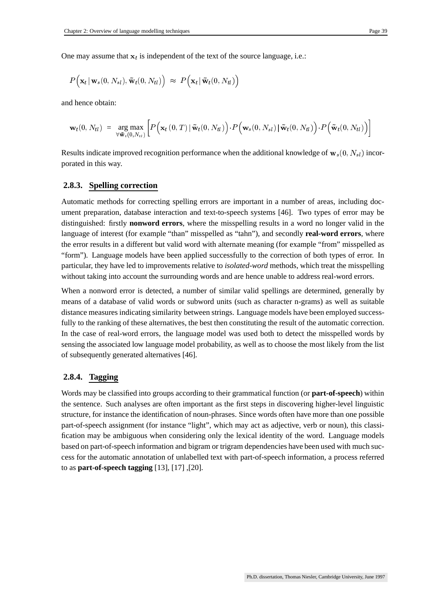One may assume that  $x_t$  is independent of the text of the source language, i.e.:

$$
P\Big(\mathbf{x}_t\,|\,\mathbf{w}_s(0,N_{sl}), \mathbf{\tilde{w}}_t(0,N_{tl})\Big) \;\approx\; P\Big(\mathbf{x}_t\,|\,\mathbf{\tilde{w}}_t(0,N_{tl})\Big)
$$

and hence obtain:

$$
\mathbf{w}_t(0, N_{tl}) \ = \ \argmax_{\forall \mathbf{\tilde{w}}_t(0, N_{tl})} \bigg[ P\Big(\mathbf{x}_t\left(0, T\right) \mid \mathbf{\tilde{w}}_t(0, N_{tl}) \Big) \cdot P\Big(\mathbf{w}_s(0, N_{sl}) \mid \mathbf{\tilde{w}}_t(0, N_{tl}) \Big) \cdot P\Big(\mathbf{\tilde{w}}_t(0, N_{tl}) \Big) \bigg]
$$

Results indicate improved recognition performance when the additional knowledge of  $w_s(0, N_{sl})$  incorporated in this way.

#### **2.8.3. Spelling correction**

Automatic methods for correcting spelling errors are important in a number of areas, including document preparation, database interaction and text-to-speech systems [46]. Two types of error may be distinguished: firstly **nonword errors**, where the misspelling results in a word no longer valid in the language of interest (for example "than" misspelled as "tahn"), and secondly **real-word errors**, where the error results in a different but valid word with alternate meaning (for example "from" misspelled as "form"). Language models have been applied successfully to the correction of both types of error. In particular, they have led to improvements relative to *isolated-word* methods, which treat the misspelling without taking into account the surrounding words and are hence unable to address real-word errors.

When a nonword error is detected, a number of similar valid spellings are determined, generally by means of a database of valid words or subword units (such as character n-grams) as well as suitable distance measures indicating similarity between strings. Language models have been employed successfully to the ranking of these alternatives, the best then constituting the result of the automatic correction. In the case of real-word errors, the language model was used both to detect the misspelled words by sensing the associated low language model probability, as well as to choose the most likely from the list of subsequently generated alternatives [46].

#### **2.8.4. Tagging**

Words may be classified into groups according to their grammatical function (or **part-of-speech**) within the sentence. Such analyses are often important as the first steps in discovering higher-level linguistic structure, for instance the identification of noun-phrases. Since words often have more than one possible part-of-speech assignment (for instance "light", which may act as adjective, verb or noun), this classification may be ambiguous when considering only the lexical identity of the word. Language models based on part-of-speech information and bigram or trigram dependencies have been used with much success for the automatic annotation of unlabelled text with part-of-speech information, a process referred to as **part-of-speech tagging** [13], [17] ,[20].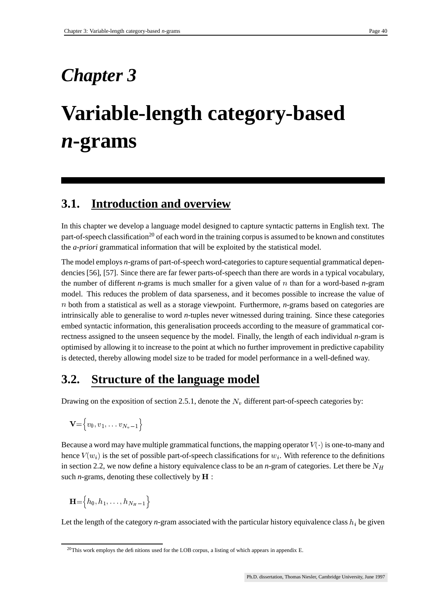## *Chapter 3*

# **Variable-length category-based** *n***-grams**

### **3.1. Introduction and overview**

In this chapter we develop a language model designed to capture syntactic patterns in English text. The part-of-speech classification<sup>20</sup> of each word in the training corpus is assumed to be known and constitutes the *a-priori* grammatical information that will be exploited by the statistical model.

The model employs *n*-grams of part-of-speech word-categoriesto capture sequential grammatical dependencies [56], [57]. Since there are far fewer parts-of-speech than there are words in a typical vocabulary, the number of different *n*-grams is much smaller for a given value of  $n$  than for a word-based *n*-gram model. This reduces the problem of data sparseness, and it becomes possible to increase the value of both from a statistical as well as a storage viewpoint. Furthermore, *n*-grams based on categories are intrinsically able to generalise to word *n*-tuples never witnessed during training. Since these categories embed syntactic information, this generalisation proceeds according to the measure of grammatical correctness assigned to the unseen sequence by the model. Finally, the length of each individual *n*-gram is optimised by allowing it to increase to the point at which no further improvement in predictive capability is detected, thereby allowing model size to be traded for model performance in a well-defined way.

### **3.2. Structure of the language model**

Drawing on the exposition of section 2.5.1, denote the  $N<sub>n</sub>$  different part-of-speech categories by:

$$
\mathbf{V}\mathbf{=}\Big\{v_{0},v_{1},\ldots v_{N_{v}-1}\Big\}
$$

Because a word may have multiple grammatical functions, the mapping operator  $V(\cdot)$  is one-to-many and hence  $V(w_i)$  is the set of possible part-of-speech classifications for  $w_i$ . With reference to the definitions in section 2.2, we now define a history equivalence class to be an *n*-gram of categories. Let there be  $N_H$ such *n*-grams, denoting these collectively by  $\bf{H}$ : :

$$
\mathbf{H}\mathbf{=}\left\{h_0, h_1, \ldots, h_{N_H-1}\right\}
$$

Let the length of the category *n*-gram associated with the particular history equivalence class  $h_i$  be given

<sup>&</sup>lt;sup>20</sup>This work employs the definitions used for the LOB corpus, a listing of which appears in appendix E.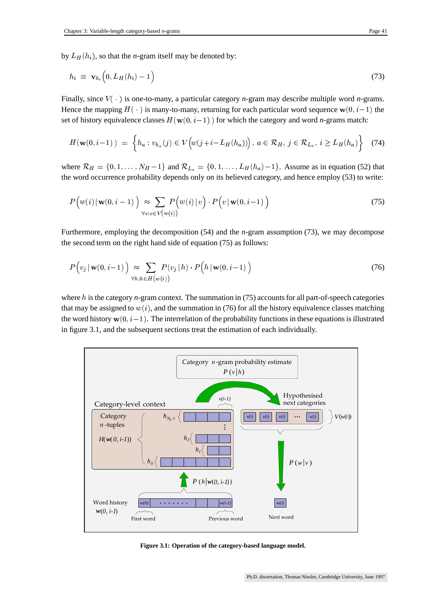by  $L_H(h_i)$ , so that t  $(h_i)$ , so that the *n*-gram itself may be denoted by:

$$
h_i \equiv \mathbf{v}_{h_i} \left( 0, L_H(h_i) - 1 \right) \tag{73}
$$

Finally, since  $V(\cdot)$  is one-to-many, a particular category *n*-gram may describe multiple word *n*-grams. Hence the mapping  $H(\cdot)$  is many-to-many, returning for each particular word sequence  $w(0, i-1)$  the set of history equivalence classes  $H(w(0, i-1))$  for which the category and word *n*-grams match:

$$
H(\mathbf{w}(0,i-1)) = \left\{ h_a : v_{h_a}(j) \in V(\hat{w}(j+i-L_H(h_a))) \right\}, a \in \mathcal{R}_H, j \in \mathcal{R}_{L_a}, i \ge L_H(h_a) \right\}
$$
(74)

where  $\mathcal{R}_H = \{0, 1, \ldots, N_H - 1\}$  and  $\mathcal{R}_{L_a} = \{0, 1, \ldots, L_H(h_a) - 1\}$ . Assume as in equation (52) that the word occurrence probability depends only on its believed category, and hence employ (53) to write:

$$
P\Big(w(i) \mid \mathbf{w}(0, i-1)\Big) \approx \sum_{\forall v:v \in V(w(i))} P\Big(w(i) \mid v\Big) \cdot P\Big(v \mid \mathbf{w}(0, i-1)\Big) \tag{75}
$$

Furthermore, employing the decomposition (54) and the *n*-gram assumption (73), we may decompose the second term on the right hand side of equation (75) as follows:

$$
P(v_j | \mathbf{w}(0, i-1)) \underset{\forall h: h \in H(v(i))}{\approx} \sum_{(v_i, i) \in H(v(i))} P(v_j | h) \cdot P(h | \mathbf{w}(0, i-1)) \tag{76}
$$

where  $h$  is the category  $n$ -gram context. The summation in (75) accounts for all part-of-speech categories that may be assigned to  $w(i)$ , and the summation in (76) for all the history equivalence classes matching the word history  $\mathbf{w}(0, i-1)$ . The interrelation of the probability functions in these equations is illustrated in figure 3.1, and the subsequent sections treat the estimation of each individually.



**Figure 3.1: Operation of the category-based language model.**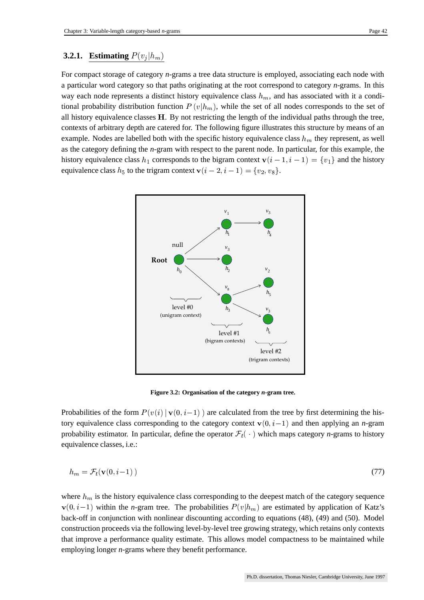### **3.2.1. Estimating**  $P(v_i|h_m)$

For compact storage of category *n*-grams a tree data structure is employed, associating each node with a particular word category so that paths originating at the root correspond to category *n*-grams. In this way each node represents a distinct history equivalence class  $h_m$ , and has associated with it a conditional probability distribution function  $P(v|h_m)$ , while the set of all nodes corresponds to the set of all history equivalence classes  $H$ . By not restricting the length of the individual paths through the tree, contexts of arbitrary depth are catered for. The following figure illustrates this structure by means of an example. Nodes are labelled both with the specific history equivalence class  $h_m$  they represent, as well as the category defining the *n*-gram with respect to the parent node. In particular, for this example, the history equivalence class  $h_1$  corresponds to the bigram context  $\mathbf{v}(i-1, i-1) = \{v_1\}$  and the history equivalence class  $h_5$  to the trigram context  $\mathbf{v}(i-2, i-1) = \{v_2, v_8\}$ . equivalence class  $h_5$  to the trigram context  $\mathbf{v}(i-2,i-1) = \{v_2, v_8\}.$ 



**Figure 3.2: Organisation of the category** *n***-gram tree.**

Probabilities of the form  $P(v(i) | v(0, i-1))$  are calculated from the tree by first determining the history equivalence class corresponding to the category context  $\mathbf{v}(0, i-1)$  and then applying an *n*-gram probability estimator. In particular, define the operator  $\mathcal{F}_t(\cdot)$  which maps category *n*-grams to history equivalence classes, i.e.:

$$
h_m = \mathcal{F}_t(\mathbf{v}(0, i-1))
$$
\n<sup>(77)</sup>

where  $h_m$  is the history equivalence class corresponding to the deepest match of the category sequence  $\mathbf{v}(0,i-1)$  within the *n*-gram tree. The probabilities  $P(v|h_m)$  are estimated by application of Katz's back-off in conjunction with nonlinear discounting according to equations (48), (49) and (50). Model construction proceeds via the following level-by-level tree growing strategy, which retains only contexts that improve a performance quality estimate. This allows model compactness to be maintained while employing longer *n*-grams where they benefit performance.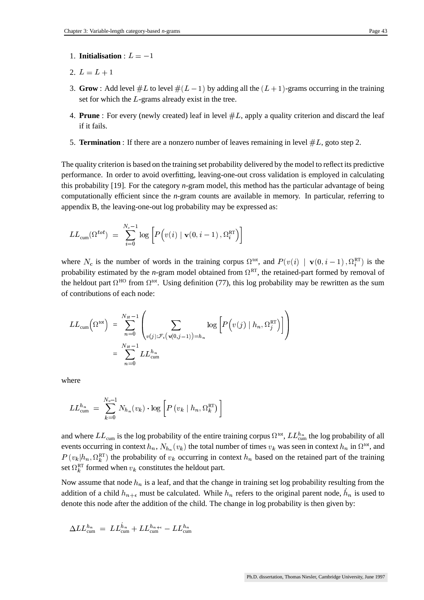- 1. **Initialisation** :  $L = -1$
- 2.  $L = L + 1$  $\blacksquare$  . The contract of the contract of the contract of the contract of the contract of the contract of the contract of the contract of the contract of the contract of the contract of the contract of the contract of the the contract of the contract of the contract of the contract of the contract of the contract of the contract of
- 3. **Grow**: Add level  $#L$  to level  $#(L-1)$  by adding all the  $(L + 1)$ -grams occurring in the training set for which the  $L$ -grams already exist in the tree.
- 4. **Prune**: For every (newly created) leaf in level  $#L$ , apply a quality criterion and discard the leaf if it fails.
- 5. **Termination**: If there are a nonzero number of leaves remaining in level  $\#L$ , goto step 2.

The quality criterion is based on the training set probability delivered by the model to reflect its predictive performance. In order to avoid overfitting, leaving-one-out cross validation is employed in calculating this probability [19]. For the category *n*-gram model, this method has the particular advantage of being computationally efficient since the *n*-gram counts are available in memory. In particular, referring to appendix B, the leaving-one-out log probability may be expressed as:

$$
LL_{\text{cum}}(\Omega^{tot})\ =\ \sum_{i=0}^{N_c-1}\log\left[P\Big(v(i)\mid {\bf v}(0,i-1)\,,\Omega_i^{\text{RT}}\Big)\right]
$$

where  $N_c$  is the number of words in the training corpus  $\Omega^{tot}$ , and  $P(v(i) | v(0, i-1), \Omega_i^{RT})$  is the probability estimated by the *n*-gram model obtained from  $\Omega^{RT}$ , the retained-part formed by removal of the heldout part  $\Omega^{HO}$  from  $\Omega^{tot}$ . Using definition (77), this log probability may be rewritten as the sum of contributions of each node:

$$
LL_{\text{cum}}\left(\Omega^{\text{tot}}\right) = \sum_{n=0}^{N_H-1} \left( \sum_{v(j): \mathcal{F}_t\left(\mathbf{v}(0,j-1)\right) = h_n} \log\left[ P\left(v(j) \mid h_n, \Omega_j^{\text{RT}}\right) \right] \right)
$$
  
= 
$$
\sum_{n=0}^{N_H-1} LL_{\text{cum}}^{h_n}
$$

where

$$
LL_{\text{cum}}^{h_n} \;=\; \sum_{k=0}^{N_v-1} N_{h_n}(v_k) \cdot \log \left[ P\left(v_k \mid h_n, \Omega_k^{\text{RT}}\right) \right]
$$

and where  $LL_{\text{cum}}$  is the log probability of the entire training corpus  $\Omega^{tot}$ ,  $LL_{\text{cum}}^{h_n}$  the log probability of all events occurring in context  $h_n$ ,  $N_{h_n}(v_k)$  the total number of times  $v_k$  was seen in context  $h_n$  in  $\Omega^{tot}$ , and  $P(v_k|h_n, \Omega_k^{\text{RT}})$  the probability of  $v_k$  occurring in context  $h_n$  based on the retained part of the training set  $\Omega_k^{\text{RT}}$  formed when  $v_k$  constitutes the heldout part.

Now assume that node  $h_n$  is a leaf, and that the change in training set log probability resulting from the addition of a child  $h_{n+\epsilon}$  must be calculated. While  $h_n$  refers to the original parent node,  $h_n$  is used to denote this node after the addition of the child. The change in log probability is then given by:

$$
\Delta LL^{h_n}_{\text{cum}}\;=\; LL^{h_n}_{\text{cum}}+ LL^{h_{n+\epsilon}}_{\text{cum}}- LL^{h_n}_{\text{cum}}
$$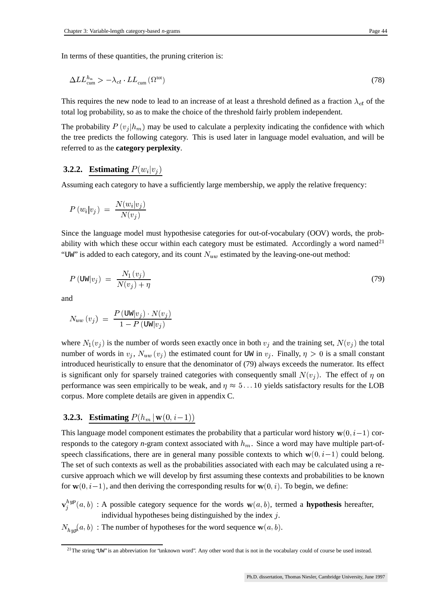$$
\Delta LL_{\text{cum}}^{h_n} > -\lambda_{ct} \cdot LL_{\text{cum}}(\Omega^{\text{tot}}) \tag{78}
$$

This requires the new node to lead to an increase of at least a threshold defined as a fraction  $\lambda_{ct}$  of the total log probability, so as to make the choice of the threshold fairly problem independent.

The probability  $P(v_i|h_m)$  may be used to calculate a perplexity indicating the confidence with which the tree predicts the following category. This is used later in language model evaluation, and will be referred to as the **category perplexity**.

### **3.2.2. Estimating**  $P(w_i|v_i)$

Assuming each category to have a sufficiently large membership, we apply the relative frequency:

$$
P\left(w_i|v_j\right)\ =\ \frac{N(w_i|v_j)}{N(v_j)}
$$

Since the language model must hypothesise categories for out-of-vocabulary (OOV) words, the probability with which these occur within each category must be estimated. Accordingly a word named<sup>21</sup> "UW" is added to each category, and its count  $N_{uw}$  estimated by the leaving-one-out method:

$$
P(\text{UW}|v_j) = \frac{N_1(v_j)}{N(v_j) + \eta} \tag{79}
$$

and

$$
N_{uw} \left( v_j \right) \; = \; \frac{P \left( \text{UW} | v_j \right) \cdot N(v_j)}{1 - P \left( \text{UW} | v_j \right)}
$$

where  $N_1(v_i)$  is the number of words seen exactly once in both  $v_i$  and the training set,  $N(v_i)$  the total number of words in  $v_j$ ,  $N_{uw}(v_j)$  the estimated count for UW in  $v_j$ . Finally,  $\eta > 0$  is a small constant introduced heuristically to ensure that the denominator of (79) always exceeds the numerator. Its effect is significant only for sparsely trained categories with consequently small  $N(v_i)$ . The effect of  $\eta$  on performance was seen empirically to be weak, and  $\eta \approx 5...10$  yields satisfactory results for the LOB corpus. More complete details are given in appendix C.

### **3.2.3. Estimating**  $P(h_m | w(0, i-1))$

This language model component estimates the probability that a particular word history  $w(0, i-1)$  corresponds to the category *n*-gram context associated with  $h_m$ . Since a word may have multiple part-ofspeech classifications, there are in general many possible contexts to which  $w(0, i-1)$  could belong. The set of such contexts as well as the probabilities associated with each may be calculated using a recursive approach which we will develop by first assuming these contexts and probabilities to be known for  $w(0, i-1)$ , and then deriving the corresponding results for  $w(0, i)$ . To begin, we define:

- $_{i}^{hyp}(a, b)$ : A possible category sequence for the words  $w(a, b)$ , termed a **hypothesis** hereafter, individual hypotheses being distinguished by the index  $j$ .
- $\mathbf{u}_h = \mathbf{u}_h$  $(a, b)$ : The number of hypotheses for the word sequence  $w(a, b)$ .

 $21$ The string 'UW" is an abbreviation for 'unknown word'. Any other word that is not in the vocabulary could of course be used instead.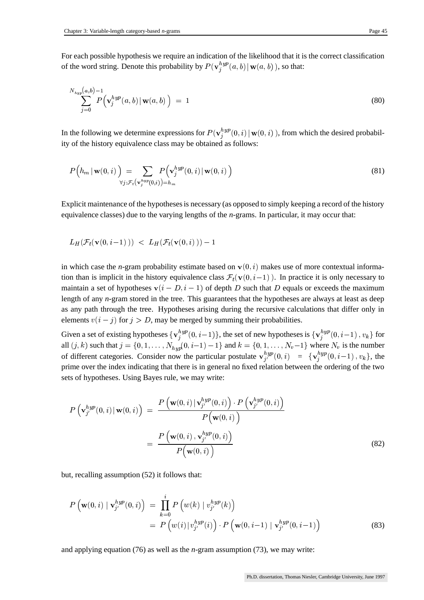For each possible hypothesis we require an indication of the likelihood that it is the correct classification of the word string. Denote this probability by  $P(\mathbf{v}_i^{hyp}(a, b) | \mathbf{w}(a, b))$ , so that:

$$
\sum_{j=0}^{N_{hyp}(a,b)-1} P\Big(\mathbf{v}_j^{hyp}(a,b) \,|\, \mathbf{w}(a,b)\Big) \;=\; 1 \tag{80}
$$

In the following we determine expressions for  $P(\mathbf{v}_i^{hyp}(0,i) | \mathbf{w}(0,i))$ , from which the desired probability of the history equivalence class may be obtained as follows:

$$
P\left(h_m \mid \mathbf{w}(0,i)\right) = \sum_{\forall j: \mathcal{F}_t(\mathbf{v}_j^{hyp}(0,i)) = h_m} P\left(\mathbf{v}_j^{hyp}(0,i) \mid \mathbf{w}(0,i)\right)
$$
(81)

Explicit maintenance of the hypothesesis necessary (as opposed to simply keeping a record of the history equivalence classes) due to the varying lengths of the *n*-grams. In particular, it may occur that:

$$
L_H(\mathcal{F}_t(\mathbf{v}(0,i\!-\!1)\,))\ <\ L_H(\mathcal{F}_t(\mathbf{v}(0,i)\,))-1
$$

in which case the *n*-gram probability estimate based on  $\mathbf{v}(0, i)$  makes use of more contextual information than is implicit in the history equivalence class  $\mathcal{F}_t(\mathbf{v}(0,i-1))$ . In practice it is only necessary to maintain a set of hypotheses  $\mathbf{v}(i - D, i - 1)$  of depth D such that D equals or exceeds the maximum length of any *n*-gram stored in the tree. This guarantees that the hypotheses are always at least as deep as any path through the tree. Hypotheses arising during the recursive calculations that differ only in elements  $v(i - j)$  for  $j > D$ , may be merged by summing their probabilities.

Given a set of existing hypotheses  $\{v_i^{hyp}(0,i-1)\}\$ , the set of new hypotheses is  $\{v_i^{hyp}(0,i-1), v_k\}\$ for all  $(j, k)$  such that  $j = \{0, 1, ..., N_{hyn}(0, i-1)\}$  $(0, i-1) - 1$  and  $k = \{0, 1, ..., N_v-1\}$  where  $N_v$  is the number of different categories. Consider now the particular postulate  ${\bf v}_{i'}^{hyp}(0,i) = {\bf v}_i^{hyp}(0,i-1), v_k$ , the prime over the index indicating that there is in general no fixed relation between the ordering of the two sets of hypotheses. Using Bayes rule, we may write:

$$
P\left(\mathbf{v}_{j'}^{hyp}(0,i) | \mathbf{w}(0,i)\right) = \frac{P\left(\mathbf{w}(0,i) | \mathbf{v}_{j'}^{hyp}(0,i)\right) \cdot P\left(\mathbf{v}_{j'}^{hyp}(0,i)\right)}{P\left(\mathbf{w}(0,i)\right)}
$$

$$
= \frac{P\left(\mathbf{w}(0,i) , \mathbf{v}_{j'}^{hyp}(0,i)\right)}{P\left(\mathbf{w}(0,i)\right)}
$$
(82)

but, recalling assumption (52) it follows that:

$$
P\left(\mathbf{w}(0,i) \mid \mathbf{v}_{j'}^{hyp}(0,i)\right) = \prod_{k=0}^{i} P\left(w(k) \mid v_{j'}^{hyp}(k)\right)
$$
  
= 
$$
P\left(w(i) \mid v_{j'}^{hyp}(i)\right) \cdot P\left(\mathbf{w}(0,i-1) \mid \mathbf{v}_{j'}^{hyp}(0,i-1)\right)
$$
 (83)

and applying equation (76) as well as the *n*-gram assumption (73), we may write: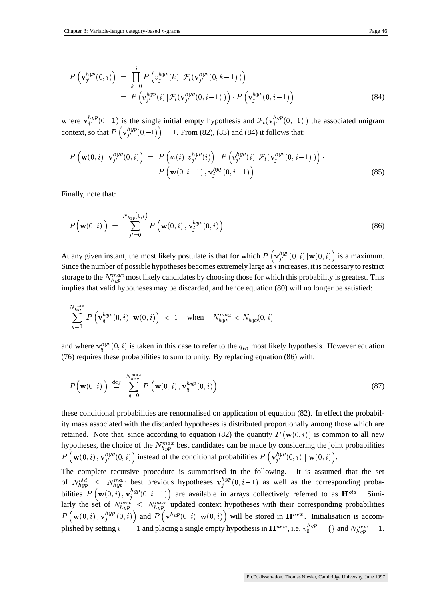$$
P\left(\mathbf{v}_{j'}^{hyp}(0,i)\right) = \prod_{k=0}^{i} P\left(v_{j'}^{hyp}(k) | \mathcal{F}_t(\mathbf{v}_{j'}^{hyp}(0,k-1))\right)
$$
  
= 
$$
P\left(v_{j'}^{hyp}(i) | \mathcal{F}_t(\mathbf{v}_{j'}^{hyp}(0,i-1))\right) \cdot P\left(\mathbf{v}_{j'}^{hyp}(0,i-1)\right)
$$
 (84)

where  $\mathbf{v}_{i'}^{hyp}(0,-1)$  is the single initial empty hypothesis and  $\mathcal{F}_t(\mathbf{v}_{i'}^{hyp}(0,-1))$  the associated unigram context, so that  $P\left(\mathbf{v}_i^{hyp}(0,-1)\right) = 1$ . From (82), (83) and (84) it follows that:

$$
P\left(\mathbf{w}(0,i),\mathbf{v}_{j'}^{hyp}(0,i)\right) = P\left(w(i) \, |v_{j'}^{hyp}(i)\right) \cdot P\left(v_{j'}^{hyp}(i) \, | \, \mathcal{F}_t(\mathbf{v}_{j'}^{hyp}(0,i-1))\right) \cdot P\left(\mathbf{w}(0,i-1),\mathbf{v}_{j'}^{hyp}(0,i-1)\right) \tag{85}
$$

Finally, note that:

$$
P\big(\mathbf{w}(0,i)\big) = \sum_{j'=0}^{N_{hyp}(0,i)} P\left(\mathbf{w}(0,i), \mathbf{v}_{j'}^{hyp}(0,i)\right)
$$
(86)

At any given instant, the most likely postulate is that for which  $P\left(\mathbf{v}_{i'}^{hyp}(0,i) | \mathbf{w}(0,i)\right)$  is a maximum. Since the number of possible hypotheses becomes extremely large as  $i$  increases, it is necessary to restrict storage to the  $N_{hm}^{max}$  most likely candidates by choosing those for which this probability is greatest. This implies that valid hypotheses may be discarded, and hence equation (80) will no longer be satisfied:

$$
\sum_{q=0}^{N_{hyp}^{max}} P\left(\mathbf{v}_q^{hyp}(0,i) \,|\, \mathbf{w}(0,i)\right) \; < \; 1 \quad \text{ when } \quad N_{hyp}^{max} < N_{hyp}(0,i)
$$

and where  $\mathbf{v}_q^{hyp}(0, i)$  is taken in this case to refer to the  $q_{th}$  most likely hypothesis. However equation (76) requires these probabilities to sum to unity. By replacing equation (86) with:

$$
P(\mathbf{w}(0,i)) \stackrel{def}{=} \sum_{q=0}^{N_{hyp}^{max}} P(\mathbf{w}(0,i), \mathbf{v}_q^{hyp}(0,i))
$$
 (87)

these conditional probabilities are renormalised on application of equation (82). In effect the probability mass associated with the discarded hypotheses is distributed proportionally among those which are retained. Note that, since according to equation (82) the quantity  $P(\mathbf{w}(0,i))$  is common to all new hypotheses, the choice of the  $N_{hym}^{max}$  best candidates can be made by considering the joint probabilities  $P\left(\mathbf{w}(0,i), \mathbf{v}_{i}^{hyp}(0,i)\right)$  in  $\mathcal{L}^{hyp}_{i'}(0,i)$  instead of the conditional probabilities  $P\left(\mathbf{v}_{i'}^{hyp}(0,i) \mid \mathbf{w}(0,i)\right)$ .

The complete recursive procedure is summarised in the following. It is assumed that the set of  $N_{hyn}^{old} \leq N_{hyn}^{max}$  best previous hypotheses  $\mathbf{v}_i^{hyp}(0, i-1)$  as well as the corresponding probabilities  $P(\mathbf{w}(0,i), \mathbf{v}_i^{hyp}(0,i-1))$  $\binom{hyp}{i}(0, i-1)$  are available in arrays collectively referred to as  $H^{old}$ . Sim  $l$ <sup>d</sup>. Similarly the set of  $N_{hym}^{new} \leq N_{hym}^{max}$  updated conter- larly the set of  $N_{hyp}^{new} \le N_{hyp}^{max}$  updated context hypotheses with their corresponding probabilities  $P(\mathbf{w}(0,i), \mathbf{v}_i^{hyp}(0,i))$  and  $P(\mathbf{v}^{hyp}(0,i)|\mathbf{w}(0,i))$  will be stored in  $\mathbf{H}^{new}$ . Initialisation is accom- $\mathbb{E}_{i}^{hyp}(0,i)$  and  $P(\mathbf{v}^{hyp}(0,i) | \mathbf{w}(0,i))$  will be stored in  $\mathbf{H}^{new}$ . Initialisation is accomplished by setting  $i = -1$  and placing a single empty hypothesis in  $\mathbf{H}^{new}$ , i.e.  $v_0^{hyp} = \{\}\$  and  $N_{hum}^{new} = 1$ .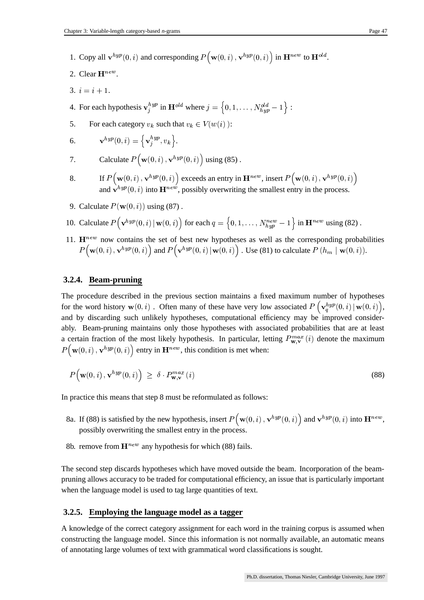- 1. Copy all  $\mathbf{v}^{hyp}(0,i)$  and corresponding  $P(\mathbf{w}(0,i), \mathbf{v}^{hyp}(0,i))$  in  $^{hyp}(0, i)$  in  $\mathbf{H}^{new}$  to  $\mathbf{H}^{old}$ .  $\mathbf{d}$ .
- 2. Clear  $\mathbf{H}^{new}$ .
- 3.  $i = i + 1$ .

4. For each hypothesis  $\mathbf{v}_i^{hyp}$  in  $\mathbf{H}^{old}$  wher <sup>ld</sup> where  $j = \{0, 1, \ldots, N_{hyn}^{old} - 1\}$  $\begin{array}{c} old_{hvm} = 1 \end{array}$ :

5. For each category  $v_k$  such that  $v_k \in V(w(i))$ :

6. 
$$
\mathbf{v}^{hyp}(0,i) = \left\{ \mathbf{v}_j^{hyp}, v_k \right\}.
$$

7. Calculate 
$$
P(\mathbf{w}(0, i), \mathbf{v}^{hyp}(0, i))
$$
 using (85).

- 8. If  $P(\mathbf{w}(0,i), \mathbf{v}^{hyp}(0,i))$  ex  $({\bf p}^{hyp}(0,i))$  exceeds an entry in  ${\bf H}^{new}$ , insert  $P({\bf w}(0,i),{\bf v}^{hyp}(0,i))$ If  $P(\mathbf{w}(0,i), \mathbf{v}^{hyp}(0,i))$  exceeds an entry in  $\mathbf{H}^{new}$ , insert  $P(\mathbf{w}(0,i), \mathbf{v}^{hyp}(0,i))$ <br>and  $\mathbf{v}^{hyp}(0,i)$  into  $\mathbf{H}^{new}$ , possibly overwriting the smallest entry in the process.
- 9. Calculate  $P(\mathbf{w}(0, i))$  using (87).
- 10. Calculate  $P(\mathbf{v}^{hyp}(0,i) | \mathbf{w}(0,i))$  for each  $q = \{0, 1, \ldots, N_{hm}^{new} 1\}$  in  $\mathbf{H}^{new}$  using (82).
- 11.  $\mathbf{H}^{new}$  now contains the set of best new hypotheses as well as the corresponding probabilities  $P({\bf w}(0,i),{\bf v}^{hyp}(0,i))$  an  $\mathbb{E}^{hyp}(0,i)$  and  $P(\mathbf{v}^{hyp}(0,i) | \mathbf{w}(0,i))$  . Use (81) to calculate  $P(h_m | \mathbf{w}(0,i))$ .

### **3.2.4. Beam-pruning**

The procedure described in the previous section maintains a fixed maximum number of hypotheses for the word history  $\mathbf{w}(0, i)$ . Often many of these have very low associated  $P\left(\mathbf{v}_a^{hyp}(0, i) | \mathbf{w}(0, i)\right)$ , and by discarding such unlikely hypotheses, computational efficiency may be improved considerably. Beam-pruning maintains only those hypotheses with associated probabilities that are at least a certain fraction of the most likely hypothesis. In particular, letting  $P_{\mathbf{w},\mathbf{v}}^{max}(i)$  denote the maximum  $P({\bf w}(0,i),{\bf v}^{hyp}(0,i))$  en  $^{hyp}(0,i)$  entry in  $\mathbf{H}^{new}$ , this condition is met when:

$$
P\big(\mathbf{w}(0,i),\mathbf{v}^{hyp}(0,i)\big) \ \geq \ \delta \cdot P_{\mathbf{w},\mathbf{v}}^{max}(i) \tag{88}
$$

In practice this means that step 8 must be reformulated as follows:

- 8a. If (88) is satisfied by the new hypothesis, insert  $P(\mathbf{w}(0,i), \mathbf{v}^{hyp}(0,i))$  and  $^{hyp}(0,i)$  and  ${\bf v}^{hyp}(0,i)$  into  ${\bf H}^{new}$ , possibly overwriting the smallest entry in the process.
- 8b. remove from  $\mathbf{H}^{new}$  any hypothesis for which (88) fails.

The second step discards hypotheses which have moved outside the beam. Incorporation of the beampruning allows accuracy to be traded for computational efficiency, an issue that is particularly important when the language model is used to tag large quantities of text.

#### **3.2.5. Employing the language model as a tagger**

A knowledge of the correct category assignment for each word in the training corpus is assumed when constructing the language model. Since this information is not normally available, an automatic means of annotating large volumes of text with grammatical word classifications is sought.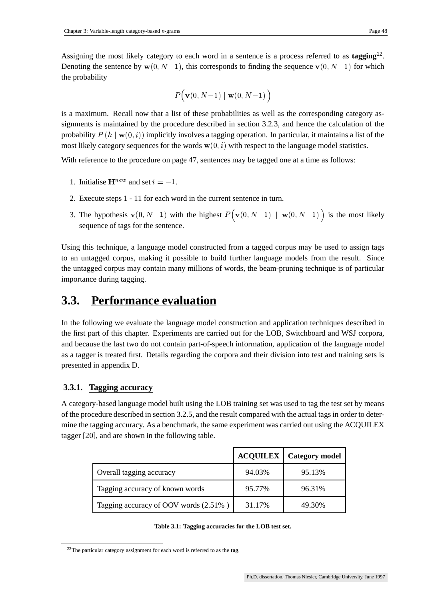Assigning the most likely category to each word in a sentence is a process referred to as tagging<sup>22</sup>. Denoting the sentence by  $\mathbf{w}(0, N-1)$ , this corresponds to finding the sequence  $\mathbf{v}(0, N-1)$  for which the probability

$$
P\big(\mathbf{v}(0, N\!-\!1) \mid \mathbf{w}(0, N\!-\!1)\,\big)
$$

is a maximum. Recall now that a list of these probabilities as well as the corresponding category assignments is maintained by the procedure described in section 3.2.3, and hence the calculation of the probability  $P(h | w(0, i))$  implicitly involves a tagging operation. In particular, it maintains a list of the most likely category sequences for the words  $w(0, i)$  with respect to the language model statistics.

With reference to the procedure on page 47, sentences may be tagged one at a time as follows:

- 1. Initialise  $\mathbf{H}^{new}$  and set  $i = -1$ .
- 2. Execute steps 1 11 for each word in the current sentence in turn.
- 3. The hypothesis  $\mathbf{v}(0, N-1)$  with the highest  $P(\mathbf{v}(0, N-1) | \mathbf{w}(0, N-1))$  is the most likely sequence of tags for the sentence.

Using this technique, a language model constructed from a tagged corpus may be used to assign tags to an untagged corpus, making it possible to build further language models from the result. Since the untagged corpus may contain many millions of words, the beam-pruning technique is of particular importance during tagging.

### **3.3. Performance evaluation**

In the following we evaluate the language model construction and application techniques described in the first part of this chapter. Experiments are carried out for the LOB, Switchboard and WSJ corpora, and because the last two do not contain part-of-speech information, application of the language model as a tagger is treated first. Details regarding the corpora and their division into test and training sets is presented in appendix D.

### **3.3.1. Tagging accuracy**

A category-based language model built using the LOB training set was used to tag the test set by means of the procedure described in section 3.2.5, and the result compared with the actual tags in order to determine the tagging accuracy. As a benchmark, the same experiment was carried out using the ACQUILEX tagger [20], and are shown in the following table.

|                                       |        | <b>ACQUILEX</b>   Category model |
|---------------------------------------|--------|----------------------------------|
| Overall tagging accuracy              | 94.03% | 95.13%                           |
| Tagging accuracy of known words       | 95.77% | 96.31%                           |
| Tagging accuracy of OOV words (2.51%) | 31.17% | 49.30%                           |

**Table 3.1: Tagging accuracies for the LOB test set.**

<sup>22</sup>The particular category assignment for each word is referred to as the **tag**.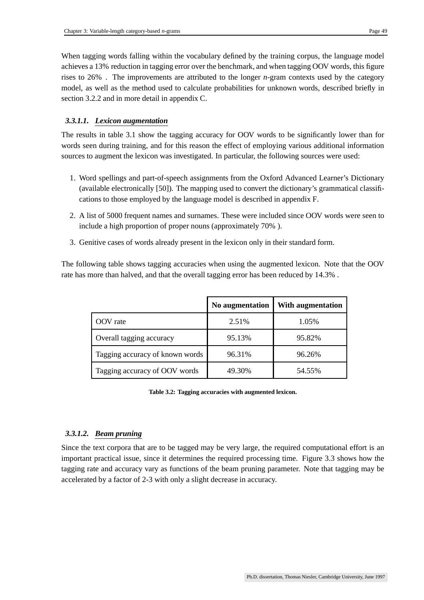When tagging words falling within the vocabulary defined by the training corpus, the language model achieves a 13% reduction in tagging error over the benchmark, and when tagging OOV words, this figure rises to 26% . The improvements are attributed to the longer *n*-gram contexts used by the category model, as well as the method used to calculate probabilities for unknown words, described briefly in section 3.2.2 and in more detail in appendix C.

### *3.3.1.1. Lexicon augmentation*

The results in table 3.1 show the tagging accuracy for OOV words to be significantly lower than for words seen during training, and for this reason the effect of employing various additional information sources to augment the lexicon was investigated. In particular, the following sources were used:

- 1. Word spellings and part-of-speech assignments from the Oxford Advanced Learner's Dictionary (available electronically [50]). The mapping used to convert the dictionary's grammatical classifications to those employed by the language model is described in appendix F.
- 2. A list of 5000 frequent names and surnames. These were included since OOV words were seen to include a high proportion of proper nouns (approximately 70% ).
- 3. Genitive cases of words already present in the lexicon only in their standard form.

The following table shows tagging accuracies when using the augmented lexicon. Note that the OOV rate has more than halved, and that the overall tagging error has been reduced by 14.3% .

|                                 | No augmentation | With augmentation |
|---------------------------------|-----------------|-------------------|
| OOV rate                        | 2.51%           | 1.05%             |
| Overall tagging accuracy        | 95.13%          | 95.82%            |
| Tagging accuracy of known words | 96.31%          | 96.26%            |
| Tagging accuracy of OOV words   | 49.30%          | 54.55%            |

**Table 3.2: Tagging accuracies with augmented lexicon.**

### *3.3.1.2. Beam pruning*

Since the text corpora that are to be tagged may be very large, the required computational effort is an important practical issue, since it determines the required processing time. Figure 3.3 shows how the tagging rate and accuracy vary as functions of the beam pruning parameter. Note that tagging may be accelerated by a factor of 2-3 with only a slight decrease in accuracy.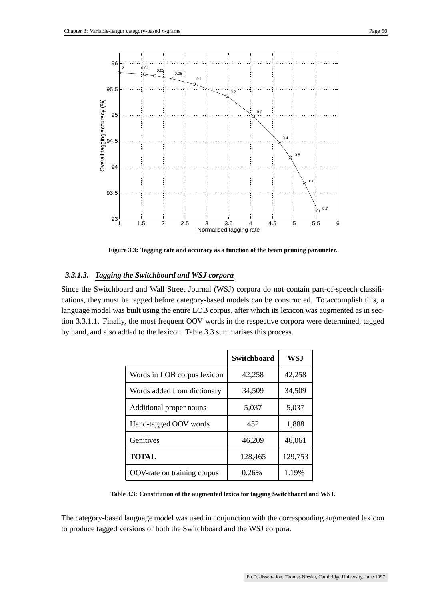

**Figure 3.3: Tagging rate and accuracy as a function of the beam pruning parameter.**

#### *3.3.1.3. Tagging the Switchboard and WSJ corpora*

Since the Switchboard and Wall Street Journal (WSJ) corpora do not contain part-of-speech classifications, they must be tagged before category-based models can be constructed. To accomplish this, a language model was built using the entire LOB corpus, after which its lexicon was augmented as in section 3.3.1.1. Finally, the most frequent OOV words in the respective corpora were determined, tagged by hand, and also added to the lexicon. Table 3.3 summarises this process.

|                             | Switchboard | WSJ     |
|-----------------------------|-------------|---------|
| Words in LOB corpus lexicon | 42,258      | 42,258  |
| Words added from dictionary | 34,509      | 34,509  |
| Additional proper nouns     | 5,037       | 5,037   |
| Hand-tagged OOV words       | 452         | 1,888   |
| Genitives                   | 46,209      | 46,061  |
| <b>TOTAL</b>                | 128,465     | 129,753 |
| OOV-rate on training corpus | 0.26%       | 1.19%   |

**Table 3.3: Constitution of the augmented lexica for tagging Switchbaord and WSJ.**

The category-based language model was used in conjunction with the corresponding augmented lexicon to produce tagged versions of both the Switchboard and the WSJ corpora.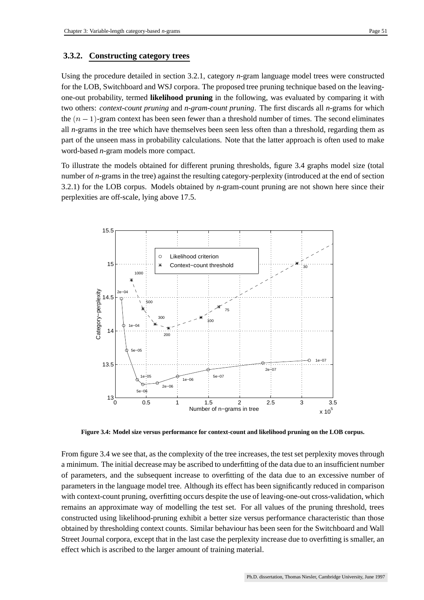#### **3.3.2. Constructing category trees**

Using the procedure detailed in section 3.2.1, category *n*-gram language model trees were constructed for the LOB, Switchboard and WSJ corpora. The proposed tree pruning technique based on the leavingone-out probability, termed **likelihood pruning** in the following, was evaluated by comparing it with two others: *context-count pruning* and *n-gram-count pruning*. The first discards all *n*-grams for which the  $(n-1)$ -gram context has been seen fewer than a threshold number of times. The second eliminates all *n*-grams in the tree which have themselves been seen less often than a threshold, regarding them as part of the unseen mass in probability calculations. Note that the latter approach is often used to make word-based *n*-gram models more compact.

To illustrate the models obtained for different pruning thresholds, figure 3.4 graphs model size (total number of *n*-grams in the tree) against the resulting category-perplexity (introduced at the end of section 3.2.1) for the LOB corpus. Models obtained by *n*-gram-count pruning are not shown here since their perplexities are off-scale, lying above 17.5.



**Figure 3.4: Model size versus performance for context-count and likelihood pruning on the LOB corpus.**

From figure 3.4 we see that, as the complexity of the tree increases, the test set perplexity moves through a minimum. The initial decrease may be ascribed to underfitting of the data due to an insufficient number of parameters, and the subsequent increase to overfitting of the data due to an excessive number of parameters in the language model tree. Although its effect has been significantly reduced in comparison with context-count pruning, overfitting occurs despite the use of leaving-one-out cross-validation, which remains an approximate way of modelling the test set. For all values of the pruning threshold, trees constructed using likelihood-pruning exhibit a better size versus performance characteristic than those obtained by thresholding context counts. Similar behaviour has been seen for the Switchboard and Wall Street Journal corpora, except that in the last case the perplexity increase due to overfitting is smaller, an effect which is ascribed to the larger amount of training material.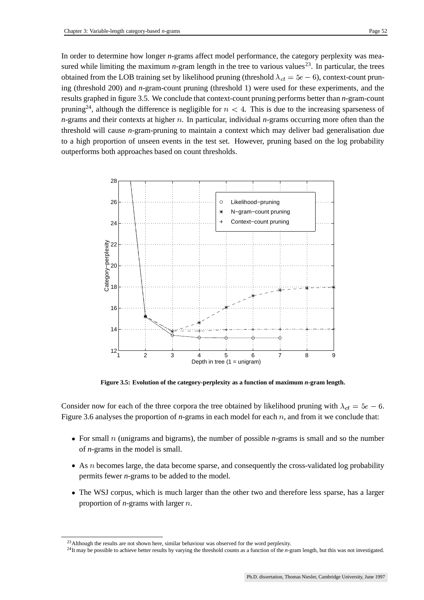In order to determine how longer *n*-grams affect model performance, the category perplexity was measured while limiting the maximum *n*-gram length in the tree to various values<sup>23</sup>. In particular, the trees obtained from the LOB training set by likelihood pruning (threshold  $\lambda_{ct} = 5e - 6$ ), context-count prun ing (threshold 200) and *n*-gram-count pruning (threshold 1) were used for these experiments, and the results graphed in figure 3.5. We conclude that context-count pruning performs better than *n*-gram-count pruning<sup>24</sup>, although the difference is negligible for  $n < 4$ . This is due to the increasing sparseness of  $n$ -grams and their contexts at higher  $n$ . In particular, individual  $n$ -grams occurring more often than the threshold will cause *n*-gram-pruning to maintain a context which may deliver bad generalisation due to a high proportion of unseen events in the test set. However, pruning based on the log probability outperforms both approaches based on count thresholds.



**Figure 3.5: Evolution of the category-perplexity as a function of maximum** *n***-gram length.**

Consider now for each of the three corpora the tree obtained by likelihood pruning with  $\lambda_{ct} = 5e - 6$ . Figure 3.6 analyses the proportion of  $n$ -grams in each model for each  $n$ , and from it we conclude that:

- For small  $n$  (unigrams and bigrams), the number of possible  $n$ -grams is small and so the number of *n*-grams in the model is small.
- As  $n$  becomes large, the data become sparse, and consequently the cross-validated log probability permits fewer *n*-grams to be added to the model.
- The WSJ corpus, which is much larger than the other two and therefore less sparse, has a larger proportion of  $n$ -grams with larger  $n$ .

<sup>&</sup>lt;sup>23</sup>Although the results are not shown here, similar behaviour was observed for the word perplexity.

<sup>&</sup>lt;sup>24</sup>It may be possible to achieve better results by varying the threshold counts as a function of the *n*-gram length, but this was not investigated.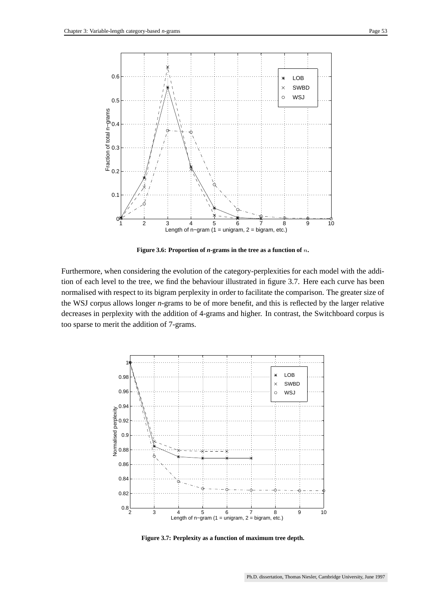

**Figure 3.6: Proportion of** *n***-grams in the tree as a function of .**

Furthermore, when considering the evolution of the category-perplexities for each model with the addition of each level to the tree, we find the behaviour illustrated in figure 3.7. Here each curve has been normalised with respect to its bigram perplexity in order to facilitate the comparison. The greater size of the WSJ corpus allows longer *n*-grams to be of more benefit, and this is reflected by the larger relative decreases in perplexity with the addition of 4-grams and higher. In contrast, the Switchboard corpus is too sparse to merit the addition of 7-grams.



**Figure 3.7: Perplexity as a function of maximum tree depth.**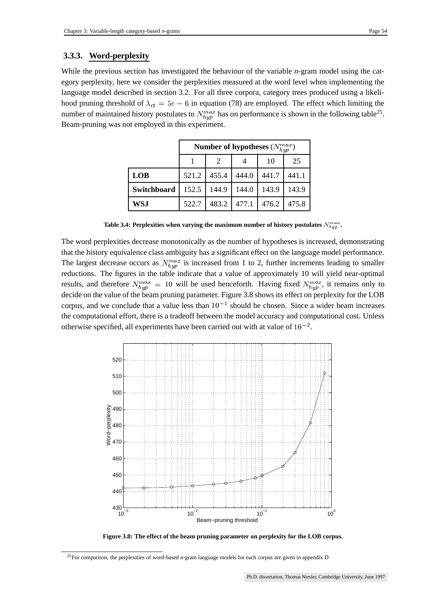### **3.3.3. Word-perplexity**

While the previous section has investigated the behaviour of the variable *n*-gram model using the category perplexity, here we consider the perplexities measured at the word level when implementing the language model described in section 3.2. For all three corpora, category trees produced using a likelihood pruning threshold of  $\lambda_{ct} = 5e - 6$  in equation (78) are employed. The effect which limiting the number of maintained history postulates to  $N_{bin}^{max}$  has on performance is shown in the following table<sup>25</sup>. Beam-pruning was not employed in this experiment.

|             | Number of hypotheses $(N_{hyp}^{max})$ |       |       |       |       |
|-------------|----------------------------------------|-------|-------|-------|-------|
|             |                                        | 2     |       | 10    | 25    |
| <b>LOB</b>  | 521.2                                  | 455.4 | 444.0 | 441.7 | 441.1 |
| Switchboard | 152.5                                  | 144.9 | 144.0 | 143.9 | 143.9 |
| <b>WSJ</b>  | 522.7                                  | 483.2 | 477.1 | 476.2 | 475.8 |

**Table** 3.4: Perplexities when varying the maximum number of history postulates  $N_{hwv}^{max}$ . **.**

The word perplexities decrease monotonically as the number of hypotheses is increased, demonstrating that the history equivalence class ambiguity has a significant effect on the language model performance. The largest decrease occurs as  $N_{bin}^{max}$  is increased from 1 to 2, further increments leading to smaller reductions. The figures in the table indicate that a value of approximately 10 will yield near-optimal results, and therefore  $N_{burn}^{max} = 10$  will be used henceforth. Having fixed  $N_{hum}^{max}$ , it remains only to decide on the value of the beam pruning parameter. Figure 3.8 shows its effect on perplexity for the LOB corpus, and we conclude that a value less than  $10^{-1}$  should be chosen. Since a wider beam increases the computational effort, there is a tradeoff between the model accuracy and computational cost. Unless otherwise specified, all experiments have been carried out with at value of  $10^{-2}$ .



**Figure 3.8: The effect of the beam pruning parameter on perplexity for the LOB corpus.**

<sup>25</sup>For comparison, the perplexities of word-based *n*-gram language models for each corpus are given in appendix D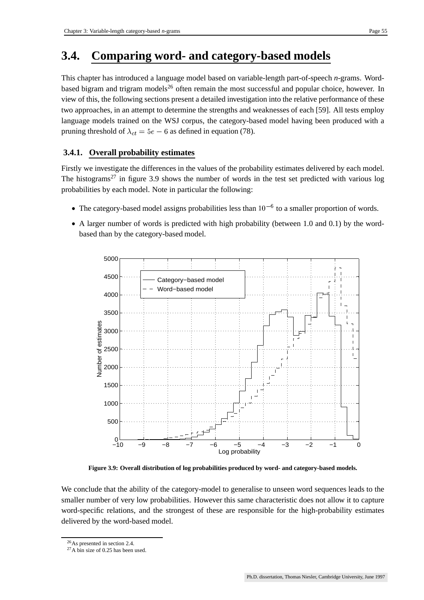### **3.4. Comparing word- and category-based models**

This chapter has introduced a language model based on variable-length part-of-speech *n*-grams. Wordbased bigram and trigram models<sup>26</sup> often remain the most successful and popular choice, however. In view of this, the following sections present a detailed investigation into the relative performance of these two approaches, in an attempt to determine the strengths and weaknesses of each [59]. All tests employ language models trained on the WSJ corpus, the category-based model having been produced with a pruning threshold of  $\lambda_{ct} = 5e - 6$  as defined in equation (78).

### **3.4.1. Overall probability estimates**

Firstly we investigate the differences in the values of the probability estimates delivered by each model. The histograms<sup>27</sup> in figure 3.9 shows the number of words in the test set predicted with various log probabilities by each model. Note in particular the following:

- The category-based model assigns probabilities less than  $10^{-6}$  to a smaller proportion of words.
- A larger number of words is predicted with high probability (between 1.0 and 0.1) by the wordbased than by the category-based model.



**Figure 3.9: Overall distribution of log probabilities produced by word- and category-based models.**

We conclude that the ability of the category-model to generalise to unseen word sequences leads to the smaller number of very low probabilities. However this same characteristic does not allow it to capture word-specific relations, and the strongest of these are responsible for the high-probability estimates delivered by the word-based model.

<sup>26</sup>As presented in section 2.4.

<sup>27</sup>A bin size of 0.25 has been used.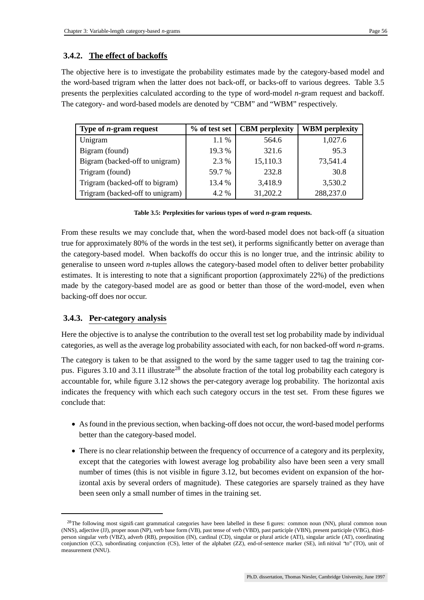### **3.4.2. The effect of backoffs**

The objective here is to investigate the probability estimates made by the category-based model and the word-based trigram when the latter does not back-off, or backs-off to various degrees. Table 3.5 presents the perplexities calculated according to the type of word-model *n*-gram request and backoff. The category- and word-based models are denoted by "CBM" and "WBM" respectively.

| Type of $n$ -gram request       | % of test set | <b>CBM</b> perplexity | <b>WBM</b> perplexity |
|---------------------------------|---------------|-----------------------|-----------------------|
| Unigram                         | $1.1\%$       | 564.6                 | 1,027.6               |
| Bigram (found)                  | 19.3 %        | 321.6                 | 95.3                  |
| Bigram (backed-off to unigram)  | 2.3 %         | 15,110.3              | 73,541.4              |
| Trigram (found)                 | 59.7 %        | 232.8                 | 30.8                  |
| Trigram (backed-off to bigram)  | 13.4 %        | 3,418.9               | 3,530.2               |
| Trigram (backed-off to unigram) | 4.2 %         | 31,202.2              | 288,237.0             |

**Table 3.5: Perplexities for various types of word** *n***-gram requests.**

From these results we may conclude that, when the word-based model does not back-off (a situation true for approximately 80% of the words in the test set), it performs significantly better on average than the category-based model. When backoffs do occur this is no longer true, and the intrinsic ability to generalise to unseen word *n*-tuples allows the category-based model often to deliver better probability estimates. It is interesting to note that a significant proportion (approximately 22%) of the predictions made by the category-based model are as good or better than those of the word-model, even when backing-off does nor occur.

### **3.4.3. Per-category analysis**

Here the objective is to analyse the contribution to the overall test set log probability made by individual categories, as well as the average log probability associated with each, for non backed-off word *n*-grams.

The category is taken to be that assigned to the word by the same tagger used to tag the training corpus. Figures 3.10 and 3.11 illustrate<sup>28</sup> the absolute fraction of the total log probability each category is accountable for, while figure 3.12 shows the per-category average log probability. The horizontal axis indicates the frequency with which each such category occurs in the test set. From these figures we conclude that:

- As found in the previous section, when backing-off does not occur, the word-based model performs better than the category-based model.
- There is no clear relationship between the frequency of occurrence of a category and its perplexity, except that the categories with lowest average log probability also have been seen a very small number of times (this is not visible in figure 3.12, but becomes evident on expansion of the horizontal axis by several orders of magnitude). These categories are sparsely trained as they have been seen only a small number of times in the training set.

<sup>&</sup>lt;sup>28</sup>The following most significant grammatical categories have been labelled in these figures: common noun (NN), plural common noun (NNS), adjective (JJ), proper noun (NP), verb base form (VB), past tense of verb (VBD), past participle (VBN), present participle (VBG), thirdperson singular verb (VBZ), adverb (RB), preposition (IN), cardinal (CD), singular or plural article (ATI), singular article (AT), coordinating conjunction (CC), subordinating conjunction (CS), letter of the alphabet (ZZ), end-of-sentence marker (SE), infinitival "to" (TO), unit of measurement (NNU).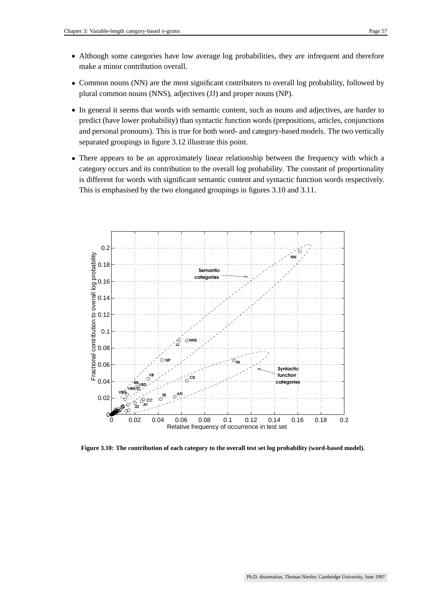- Although some categories have low average log probabilities, they are infrequent and therefore make a minor contribution overall.
- Common nouns (NN) are the most significant contributers to overall log probability, followed by plural common nouns (NNS), adjectives (JJ) and proper nouns (NP).
- In general it seems that words with semantic content, such as nouns and adjectives, are harder to predict (have lower probability) than syntactic function words (prepositions, articles, conjunctions and personal pronouns). This is true for both word- and category-based models. The two vertically separated groupings in figure 3.12 illustrate this point.
- There appears to be an approximately linear relationship between the frequency with which a category occurs and its contribution to the overall log probability. The constant of proportionality is different for words with significant semantic content and syntactic function words respectively. This is emphasised by the two elongated groupings in figures 3.10 and 3.11.



**Figure 3.10: The contribution of each category to the overall test set log probability (word-based model).**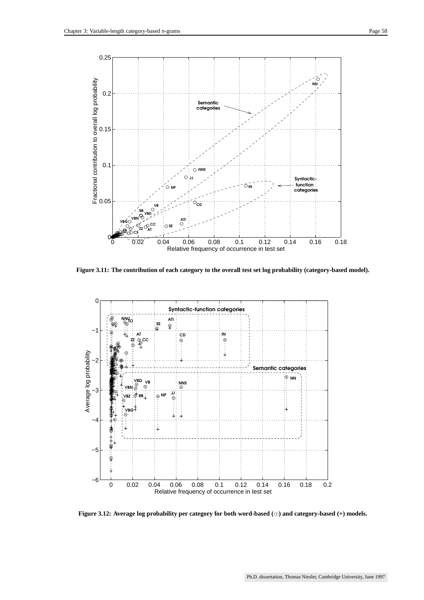

**Figure 3.11: The contribution of each category to the overall test set log probability (category-based model).**



**Figure 3.12: Average log probability per category for both word-based () and category-based (+) models.**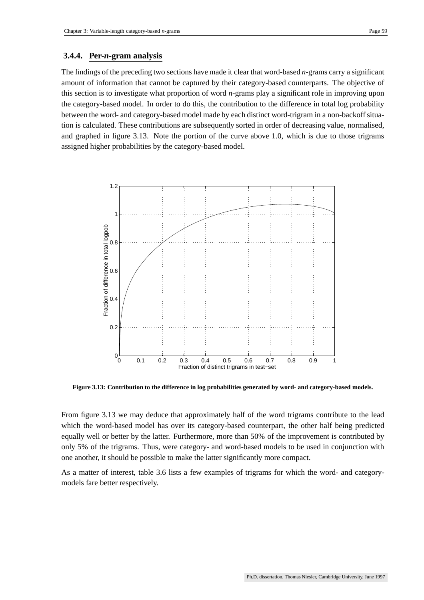#### **3.4.4. Per-***n***-gram analysis**

The findings of the preceding two sections have made it clear that word-based *n*-grams carry a significant amount of information that cannot be captured by their category-based counterparts. The objective of this section is to investigate what proportion of word *n*-grams play a significant role in improving upon the category-based model. In order to do this, the contribution to the difference in total log probability between the word- and category-based model made by each distinct word-trigram in a non-backoff situation is calculated. These contributions are subsequently sorted in order of decreasing value, normalised, and graphed in figure 3.13. Note the portion of the curve above 1.0, which is due to those trigrams assigned higher probabilities by the category-based model.



**Figure 3.13: Contribution to the difference in log probabilities generated by word- and category-based models.**

From figure 3.13 we may deduce that approximately half of the word trigrams contribute to the lead which the word-based model has over its category-based counterpart, the other half being predicted equally well or better by the latter. Furthermore, more than 50% of the improvement is contributed by only 5% of the trigrams. Thus, were category- and word-based models to be used in conjunction with one another, it should be possible to make the latter significantly more compact.

As a matter of interest, table 3.6 lists a few examples of trigrams for which the word- and categorymodels fare better respectively.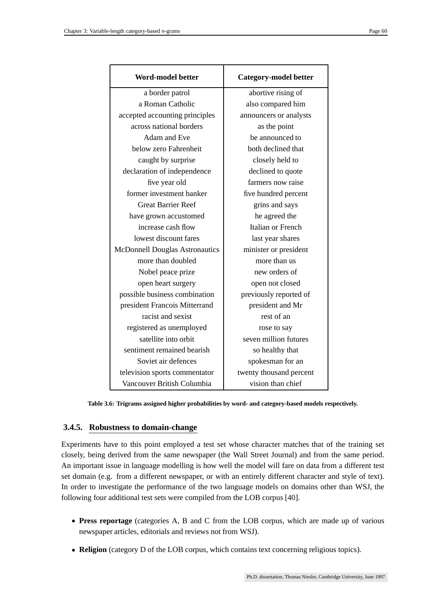| <b>Word-model better</b>              | <b>Category-model better</b> |  |
|---------------------------------------|------------------------------|--|
| a border patrol                       | abortive rising of           |  |
| a Roman Catholic                      | also compared him            |  |
| accepted accounting principles        | announcers or analysts       |  |
| across national borders               | as the point                 |  |
| Adam and Eve                          | be announced to              |  |
| below zero Fahrenheit                 | both declined that           |  |
| caught by surprise                    | closely held to              |  |
| declaration of independence           | declined to quote            |  |
| five year old                         | farmers now raise            |  |
| former investment banker              | five hundred percent         |  |
| <b>Great Barrier Reef</b>             | grins and says               |  |
| have grown accustomed                 | he agreed the                |  |
| increase cash flow                    | <b>Italian or French</b>     |  |
| lowest discount fares                 | last year shares             |  |
| <b>McDonnell Douglas Astronautics</b> | minister or president        |  |
| more than doubled                     | more than us                 |  |
| Nobel peace prize                     | new orders of                |  |
| open heart surgery                    | open not closed              |  |
| possible business combination         | previously reported of       |  |
| president Francois Mitterrand         | president and Mr             |  |
| racist and sexist                     | rest of an                   |  |
| registered as unemployed              | rose to say                  |  |
| satellite into orbit                  | seven million futures        |  |
| sentiment remained bearish            | so healthy that              |  |
| Soviet air defences                   | spokesman for an             |  |
| television sports commentator         | twenty thousand percent      |  |
| Vancouver British Columbia            | vision than chief            |  |

**Table 3.6: Trigrams assigned higher probabilities by word- and category-based models respectively.**

### **3.4.5. Robustness to domain-change**

Experiments have to this point employed a test set whose character matches that of the training set closely, being derived from the same newspaper (the Wall Street Journal) and from the same period. An important issue in language modelling is how well the model will fare on data from a different test set domain (e.g. from a different newspaper, or with an entirely different character and style of text). In order to investigate the performance of the two language models on domains other than WSJ, the following four additional test sets were compiled from the LOB corpus [40].

- **Press reportage** (categories A, B and C from the LOB corpus, which are made up of various newspaper articles, editorials and reviews not from WSJ).
- **Religion** (category D of the LOB corpus, which contains text concerning religious topics).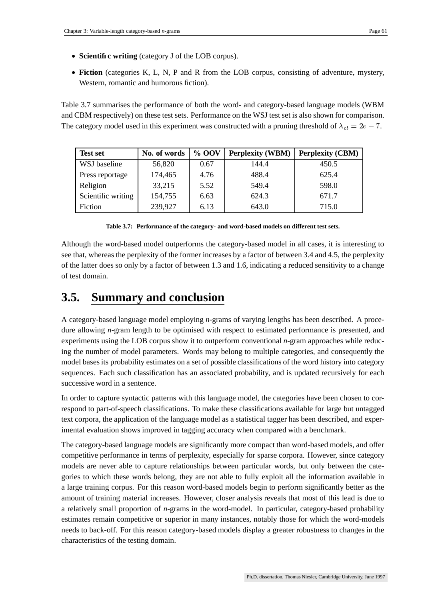- **Scientific writing** (category J of the LOB corpus).
- **Fiction** (categories K, L, N, P and R from the LOB corpus, consisting of adventure, mystery, Western, romantic and humorous fiction).

Table 3.7 summarises the performance of both the word- and category-based language models (WBM and CBM respectively) on these test sets. Performance on the WSJ test set is also shown for comparison. The category model used in this experiment was constructed with a pruning threshold of  $\lambda_{ct} = 2e - 7$ .

| <b>Test set</b>    | No. of words | % OOV | <b>Perplexity (WBM)</b> | <b>Perplexity (CBM)</b> |
|--------------------|--------------|-------|-------------------------|-------------------------|
| WSJ baseline       | 56,820       | 0.67  | 144.4                   | 450.5                   |
| Press reportage    | 174,465      | 4.76  | 488.4                   | 625.4                   |
| Religion           | 33,215       | 5.52  | 549.4                   | 598.0                   |
| Scientific writing | 154,755      | 6.63  | 624.3                   | 671.7                   |
| Fiction            | 239,927      | 6.13  | 643.0                   | 715.0                   |

**Table 3.7: Performance of the category- and word-based models on different test sets.**

Although the word-based model outperforms the category-based model in all cases, it is interesting to see that, whereas the perplexity of the former increases by a factor of between 3.4 and 4.5, the perplexity of the latter does so only by a factor of between 1.3 and 1.6, indicating a reduced sensitivity to a change of test domain.

### **3.5. Summary and conclusion**

A category-based language model employing *n*-grams of varying lengths has been described. A procedure allowing *n*-gram length to be optimised with respect to estimated performance is presented, and experiments using the LOB corpus show it to outperform conventional *n*-gram approaches while reducing the number of model parameters. Words may belong to multiple categories, and consequently the model basesits probability estimates on a set of possible classifications of the word history into category sequences. Each such classification has an associated probability, and is updated recursively for each successive word in a sentence.

In order to capture syntactic patterns with this language model, the categories have been chosen to correspond to part-of-speech classifications. To make these classifications available for large but untagged text corpora, the application of the language model as a statistical tagger has been described, and experimental evaluation shows improved in tagging accuracy when compared with a benchmark.

The category-based language models are significantly more compact than word-based models, and offer competitive performance in terms of perplexity, especially for sparse corpora. However, since category models are never able to capture relationships between particular words, but only between the categories to which these words belong, they are not able to fully exploit all the information available in a large training corpus. For this reason word-based models begin to perform significantly better as the amount of training material increases. However, closer analysis reveals that most of this lead is due to a relatively small proportion of *n*-grams in the word-model. In particular, category-based probability estimates remain competitive or superior in many instances, notably those for which the word-models needs to back-off. For this reason category-based models display a greater robustness to changes in the characteristics of the testing domain.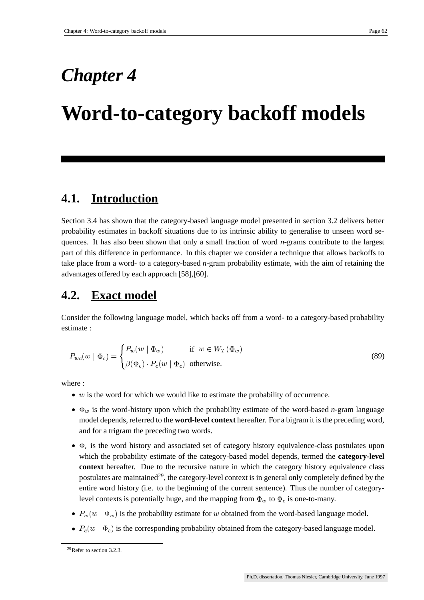## *Chapter 4*

## **Word-to-category backoff models**

### **4.1. Introduction**

Section 3.4 has shown that the category-based language model presented in section 3.2 delivers better probability estimates in backoff situations due to its intrinsic ability to generalise to unseen word sequences. It has also been shown that only a small fraction of word *n*-grams contribute to the largest part of this difference in performance. In this chapter we consider a technique that allows backoffs to take place from a word- to a category-based *n*-gram probability estimate, with the aim of retaining the advantages offered by each approach [58],[60].

### **4.2. Exact model**

Consider the following language model, which backs off from a word- to a category-based probability estimate :

$$
P_{wc}(w \mid \Phi_c) = \begin{cases} P_w(w \mid \Phi_w) & \text{if } w \in W_T(\Phi_w) \\ \beta(\Phi_c) \cdot P_c(w \mid \Phi_c) & \text{otherwise.} \end{cases}
$$
(89)

where :

- $\bullet$  w is the word for which we would like to estimate the probability of occurrence.
- $\bullet$   $\Phi_w$  is the word-history upon which the probability estimate of the word-based *n*-gram language model depends, referred to the **word-level context** hereafter. For a bigram it is the preceding word, and for a trigram the preceding two words.
- $\bullet$   $\Phi_c$  is the word history and associated set of category history equivalence-class postulates upon which the probability estimate of the category-based model depends, termed the **category-level context** hereafter. Due to the recursive nature in which the category history equivalence class postulates are maintained<sup>29</sup>, the category-level context is in general only completely defined by the entire word history (i.e. to the beginning of the current sentence). Thus the number of categorylevel contexts is potentially huge, and the mapping from  $\Phi_w$  to  $\Phi_c$  is one-to-many.
- $P_w(w | \Phi_w)$  is the probability estimate for w obtained from the word-based language model.
- $P_c(w | \Phi_c)$  is the corresponding probability obtained from the category-based language model.

<sup>29</sup>Refer to section 3.2.3.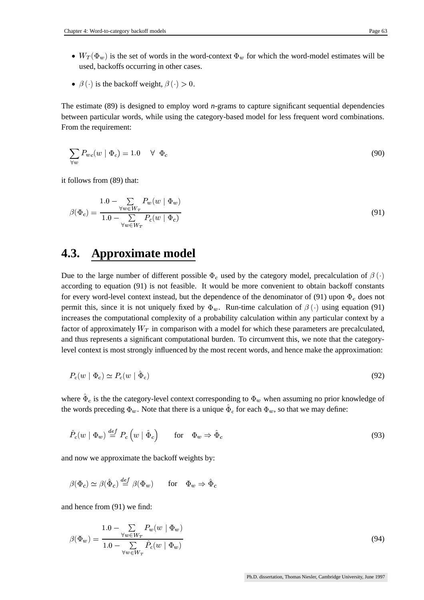- $W_T(\Phi_w)$  is the set of words in the word-context  $\Phi_w$  for which the word-model estimates will be used, backoffs occurring in other cases.
- $\beta(\cdot)$  is the backoff weight,  $\beta(\cdot) > 0$ .

The estimate (89) is designed to employ word *n*-grams to capture significant sequential dependencies between particular words, while using the category-based model for less frequent word combinations. From the requirement:

$$
\sum_{\forall w} P_{wc}(w \mid \Phi_c) = 1.0 \quad \forall \Phi_c \tag{90}
$$

it follows from (89) that:

$$
\beta(\Phi_c) = \frac{1.0 - \sum_{\forall w \in W_T} P_w(w \mid \Phi_w)}{1.0 - \sum_{\forall w \in W_T} P_c(w \mid \Phi_c)}
$$
\n(91)

### **4.3. Approximate model**

Due to the large number of different possible  $\Phi_c$  used by the category model, precalculation of  $\beta(\cdot)$  according to equation (91) is not feasible. It would be more convenient to obtain backoff constants for every word-level context instead, but the dependence of the denominator of (91) upon  $\Phi_c$  does not permit this, since it is not uniquely fixed by  $\Phi_w$ . Run-time calculation of  $\beta(\cdot)$  using equation (91) increases the computational complexity of a probability calculation within any particular context by a factor of approximately  $W_T$  in comparison with a model for which these parameters are precalculated, and thus represents a significant computational burden. To circumvent this, we note that the categorylevel context is most strongly influenced by the most recent words, and hence make the approximation:

$$
P_c(w | \Phi_c) \simeq P_c(w | \hat{\Phi}_c) \tag{92}
$$

where  $\hat{\Phi}_c$  is the the category-level context corresponding to  $\Phi_w$  when assuming no prior knowledge of the words preceding  $\Phi_w$ . Note that there is a unique  $\hat{\Phi}_c$  for each  $\Phi_w$ , so that we may define:

$$
\hat{P}_c(w \mid \Phi_w) \stackrel{def}{=} P_c(w \mid \hat{\Phi}_c) \quad \text{for} \quad \Phi_w \Rightarrow \hat{\Phi}_c \tag{93}
$$

and now we approximate the backoff weights by:

$$
\beta(\Phi_c)\simeq \beta(\hat{\Phi}_c)\stackrel{def}{=}\beta(\Phi_w) \qquad \text{for}\quad \Phi_w\Rightarrow \hat{\Phi}_c
$$

and hence from (91) we find:

$$
\beta(\Phi_w) = \frac{1.0 - \sum_{\forall w \in W_T} P_w(w \mid \Phi_w)}{1.0 - \sum_{\forall w \in W_T} \hat{P}_c(w \mid \Phi_w)}
$$
\n(94)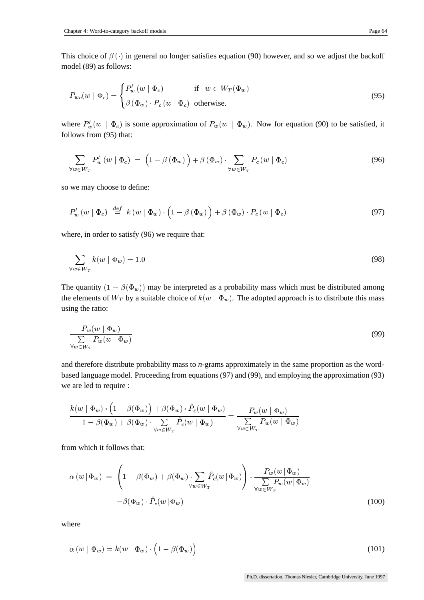This choice of  $\beta(\cdot)$  in general no longer satisfies equation (90) however, and so we adjust the backoff model (89) as follows:

$$
P_{wc}(w \mid \Phi_c) = \begin{cases} P_w'(w \mid \Phi_c) & \text{if } w \in W_T(\Phi_w) \\ \beta(\Phi_w) \cdot P_c(w \mid \Phi_c) & \text{otherwise.} \end{cases}
$$
(95)

where  $P'_m(w | \Phi_c)$  is some approximation of  $P_w(w | \Phi_w)$ . Now for equation (90) to be satisfied, it follows from (95) that:

$$
\sum_{\forall w \in W_T} P'_w(w \mid \Phi_c) = \left(1 - \beta(\Phi_w)\right) + \beta(\Phi_w) \cdot \sum_{\forall w \in W_T} P_c(w \mid \Phi_c) \tag{96}
$$

so we may choose to define:

$$
P'_{w}(w | \Phi_{c}) \stackrel{def}{=} k(w | \Phi_{w}) \cdot (1 - \beta(\Phi_{w})) + \beta(\Phi_{w}) \cdot P_{c}(w | \Phi_{c}) \tag{97}
$$

where, in order to satisfy (96) we require that:

$$
\sum_{\forall w \in W_T} k(w \mid \Phi_w) = 1.0 \tag{98}
$$

The quantity  $(1 - \beta(\Phi_w))$  may be interpreted as a probability mass which must be distributed among the elements of  $W_T$  by a suitable choice of  $k(w | \Phi_w)$ . The adopted approach is to distribute this mass using the ratio:

$$
\frac{P_w(w \mid \Phi_w)}{\sum\limits_{\forall w \in W_T} P_w(w \mid \Phi_w)}
$$
\n
$$
(99)
$$

and therefore distribute probability mass to *n*-grams approximately in the same proportion as the wordbased language model. Proceeding from equations (97) and (99), and employing the approximation (93) we are led to require :

$$
\frac{k(w \mid \Phi_w) \cdot \left(1-\beta(\Phi_w)\right) + \beta(\Phi_w) \cdot \hat{P}_c(w \mid \Phi_w)}{1-\beta(\Phi_w) + \beta(\Phi_w) \cdot \sum\limits_{\forall w \in W_T} \hat{P}_c(w \mid \Phi_w)} = \frac{P_w(w \mid \Phi_w)}{\sum\limits_{\forall w \in W_T} P_w(w \mid \Phi_w)}
$$

from which it follows that:

$$
\alpha(w|\Phi_w) = \left(1 - \beta(\Phi_w) + \beta(\Phi_w) \cdot \sum_{\forall w \in W_T} \hat{P}_c(w|\Phi_w)\right) \cdot \frac{P_w(w|\Phi_w)}{\sum_{\forall w \in W_T} P_w(w|\Phi_w)} -\beta(\Phi_w) \cdot \hat{P}_c(w|\Phi_w)
$$
\n(100)

where

$$
\alpha(w \mid \Phi_w) = k(w \mid \Phi_w) \cdot \left(1 - \beta(\Phi_w)\right) \tag{101}
$$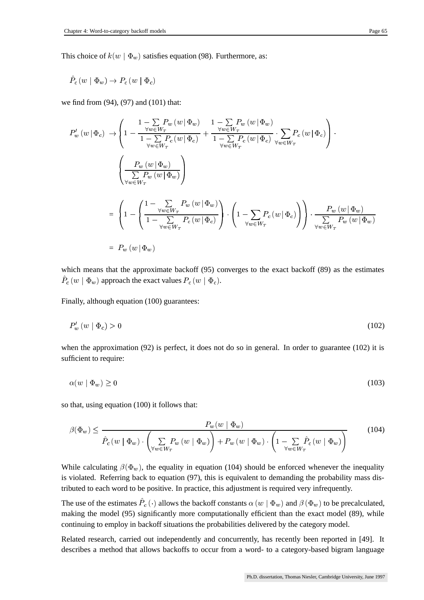$$
\hat{P}_c\left(w\mid\Phi_w\right)\to P_c\left(w\mid\Phi_c\right)
$$

we find from (94), (97) and (101) that:

$$
P_w'(w|\Phi_c) \rightarrow \left(1 - \frac{1 - \sum\limits_{\forall w \in W_T} P_w(w|\Phi_w)}{1 - \sum\limits_{\forall w \in W_T} P_c(w|\Phi_c)} + \frac{\frac{1 - \sum\limits_{\forall w \in W_T} P_w(w|\Phi_w)}{1 - \sum\limits_{\forall w \in W_T} P_c(w|\Phi_c)} \cdot \sum\limits_{\forall w \in W_T} P_c(w|\Phi_c)\right) \cdot \left(\frac{P_w(w|\Phi_w)}{\sum\limits_{\forall w \in W_T} P_w(w|\Phi_w)}\right)
$$
  
= 
$$
\left(1 - \left(\frac{1 - \sum\limits_{\forall w \in W_T} P_w(w|\Phi_w)}{1 - \sum\limits_{\forall w \in W_T} P_c(w|\Phi_c)}\right) \cdot \left(1 - \sum\limits_{\forall w \in W_T} P_c(w|\Phi_c)\right)\right) \cdot \frac{P_w(w|\Phi_w)}{\sum\limits_{\forall w \in W_T} P_w(w|\Phi_w)} \cdot P_w(w|\Phi_w)
$$
  
= 
$$
P_w(w|\Phi_w)
$$

which means that the approximate backoff (95) converges to the exact backoff (89) as the estimates  $\hat{P}_c\left(w\mid\Phi_w\right)$  approach the exact values  $P_c\left(w\mid\Phi_c\right)$ .

Finally, although equation (100) guarantees:

$$
P_w'(w \mid \Phi_c) > 0 \tag{102}
$$

when the approximation (92) is perfect, it does not do so in general. In order to guarantee (102) it is sufficient to require:

$$
\alpha(w \mid \Phi_w) \ge 0 \tag{103}
$$

so that, using equation (100) it follows that:

$$
\beta(\Phi_w) \le \frac{P_w(w \mid \Phi_w)}{\hat{P}_c(w \mid \Phi_w) \cdot \left(\sum_{\forall w \in W_T} P_w(w \mid \Phi_w)\right) + P_w(w \mid \Phi_w) \cdot \left(1 - \sum_{\forall w \in W_T} \hat{P}_c(w \mid \Phi_w)\right)}\tag{104}
$$

While calculating  $\beta(\Phi_w)$ , the equality in equation (104) should be enforced whenever the inequality is violated. Referring back to equation (97), this is equivalent to demanding the probability mass distributed to each word to be positive. In practice, this adjustment is required very infrequently.

The use of the estimates  $\hat{P}_c(\cdot)$  allows the backoff constants  $\alpha(w | \Phi_w)$  and  $\beta(\Phi_w)$  to be precalculated, making the model (95) significantly more computationally efficient than the exact model (89), while continuing to employ in backoff situations the probabilities delivered by the category model.

Related research, carried out independently and concurrently, has recently been reported in [49]. It describes a method that allows backoffs to occur from a word- to a category-based bigram language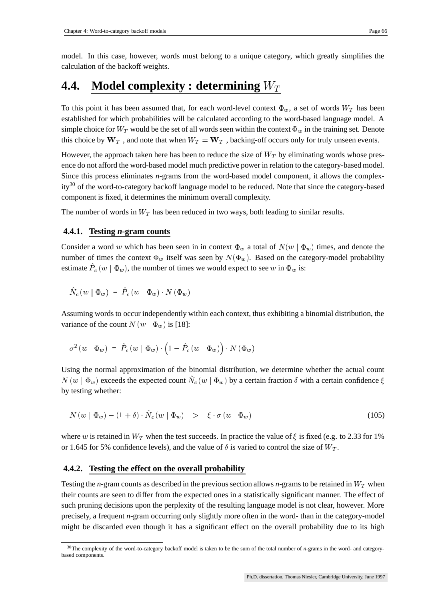model. In this case, however, words must belong to a unique category, which greatly simplifies the calculation of the backoff weights.

## **4.4. Model complexity : determining**

To this point it has been assumed that, for each word-level context  $\Phi_w$ , a set of words  $W_T$  has been established for which probabilities will be calculated according to the word-based language model. A simple choice for  $W_T$  would be the set of all words seen within the context  $\Phi_w$  in the training set. Denote this choice by  $W_T$ , and note that when  $W_T = W_T$ , backing-off occurs only for truly unseen events.

However, the approach taken here has been to reduce the size of  $W_T$  by eliminating words whose presence do not afford the word-based model much predictive power in relation to the category-based model. Since this process eliminates *n*-grams from the word-based model component, it allows the complexity<sup>30</sup> of the word-to-category backoff language model to be reduced. Note that since the category-based component is fixed, it determines the minimum overall complexity.

The number of words in  $W_T$  has been reduced in two ways, both leading to similar results.

### **4.4.1. Testing** *n***-gram counts**

Consider a word w which has been seen in in context  $\Phi_w$  a total of  $N(w | \Phi_w)$  times, and denote the number of times the context  $\Phi_w$  itself was seen by  $N(\Phi_w)$ . Based on the category-model probability estimate  $\overline{P}_c(w | \Phi_w)$ , the number of times we would expect to see w in  $\Phi_w$  is:  $\blacksquare$  . The contract of the contract of the contract of the contract of the contract of the contract of the contract of the contract of the contract of the contract of the contract of the contract of the contract of the

$$
\hat{N}_{c} \left( w \mid \Phi_{w} \right) \; =\; \hat{P}_{c} \left( w \mid \Phi_{w} \right) \cdot N \left( \Phi_{w} \right)
$$

Assuming words to occur independently within each context, thus exhibiting a binomial distribution, the variance of the count  $N(w | \Phi_w)$  is [18]:

$$
\sigma^2 \left( w \mid \Phi_w \right) \; = \; \hat{P}_c \left( w \mid \Phi_w \right) \cdot \left( 1 - \hat{P}_c \left( w \mid \Phi_w \right) \right) \cdot N \left( \Phi_w \right)
$$

Using the normal approximation of the binomial distribution, we determine whether the actual count  $N(w | \Phi_w)$  exceeds the expected count  $\hat{N}_c(w | \Phi_w)$  by a certain fraction  $\delta$  with a certain confidence  $\xi$ by testing whether:

$$
N(w | \Phi_w) - (1 + \delta) \cdot \hat{N}_c(w | \Phi_w) > \xi \cdot \sigma(w | \Phi_w)
$$
\n(105)

where w is retained in  $W_T$  when the test succeeds. In practice the value of  $\xi$  is fixed (e.g. to 2.33 for 1% or 1.645 for 5% confidence levels), and the value of  $\delta$  is varied to control the size of  $W_T$ .

#### **4.4.2. Testing the effect on the overall probability**

Testing the *n*-gram counts as described in the previous section allows *n*-grams to be retained in  $W_T$  when their counts are seen to differ from the expected ones in a statistically significant manner. The effect of such pruning decisions upon the perplexity of the resulting language model is not clear, however. More precisely, a frequent *n*-gram occurring only slightly more often in the word- than in the category-model might be discarded even though it has a significant effect on the overall probability due to its high

<sup>30</sup>The complexity of the word-to-category backoff model is taken to be the sum of the total number of *n*-grams in the word- and categorybased components.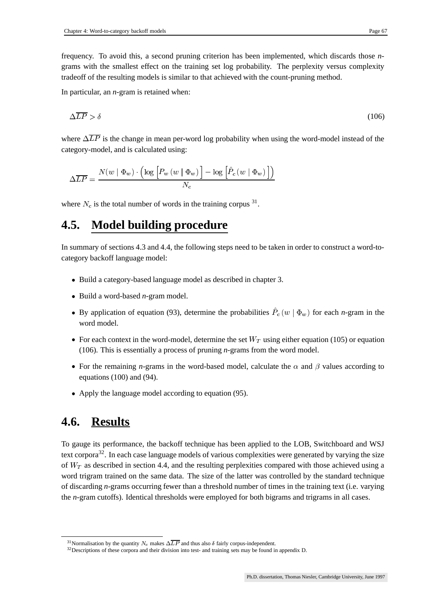frequency. To avoid this, a second pruning criterion has been implemented, which discards those *n*grams with the smallest effect on the training set log probability. The perplexity versus complexity tradeoff of the resulting models is similar to that achieved with the count-pruning method.

In particular, an *n*-gram is retained when:

$$
\Delta \overline{LP} > \delta \tag{106}
$$

where  $\Delta \overline{LP}$  is the change in mean per-word log probability when using the word-model instead of the category-model, and is calculated using:

$$
\Delta \overline{LP} = \frac{N(w \mid \Phi_w) \cdot \left(\log\left[P_w\left(w \mid \Phi_w\right)\right] - \log\left[\hat{P}_c\left(w \mid \Phi_w\right)\right]\right)}{N_c}
$$

where  $N_c$  is the total number of words in the training corpus  $31$ .

## **4.5. Model building procedure**

In summary of sections 4.3 and 4.4, the following steps need to be taken in order to construct a word-tocategory backoff language model:

- Build a category-based language model as described in chapter 3.
- Build a word-based *n*-gram model.
- By application of equation (93), determine the probabilities  $P_c(w | \Phi_w)$  for each *n*-gram in the  $\blacksquare$  . The contract of the contract of the contract of the contract of the contract of the contract of the contract of the contract of the contract of the contract of the contract of the contract of the contract of the word model.
- For each context in the word-model, determine the set  $W_T$  using either equation (105) or equation (106). This is essentially a process of pruning *n*-grams from the word model.
- For the remaining *n*-grams in the word-based model, calculate the  $\alpha$  and  $\beta$  values according to equations (100) and (94).
- Apply the language model according to equation (95).

## **4.6. Results**

To gauge its performance, the backoff technique has been applied to the LOB, Switchboard and WSJ text corpora<sup>32</sup>. In each case language models of various complexities were generated by varying the size of  $W_T$  as described in section 4.4, and the resulting perplexities compared with those achieved using a word trigram trained on the same data. The size of the latter was controlled by the standard technique of discarding *n*-grams occurring fewer than a threshold number of times in the training text (i.e. varying the *n*-gram cutoffs). Identical thresholds were employed for both bigrams and trigrams in all cases.

<sup>&</sup>lt;sup>31</sup> Normalisation by the quantity  $N_c$  makes  $\Delta \overline{LP}$  and thus also  $\delta$  fairly corpus-independent.

<sup>&</sup>lt;sup>32</sup>Descriptions of these corpora and their division into test- and training sets may be found in appendix D.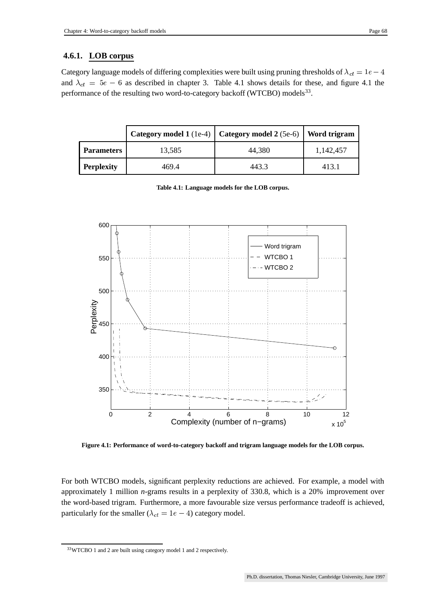Category language models of differing complexities were built using pruning thresholds of  $\lambda_{ct} = 1e - 4$ and  $\lambda_{ct} = 5e - 6$  as described in chapter 3. Table 4.1 shows details for these, and figure 4.1 the performance of the resulting two word-to-category backoff (WTCBO) models<sup>33</sup>.

|                   |        | Category model 1 (1e-4)   Category model 2 (5e-6)   Word trigram |           |
|-------------------|--------|------------------------------------------------------------------|-----------|
| <b>Parameters</b> | 13,585 | 44,380                                                           | 1,142,457 |
| <b>Perplexity</b> | 469.4  | 443.3                                                            | 413.1     |

**Table 4.1: Language models for the LOB corpus.**



**Figure 4.1: Performance of word-to-category backoff and trigram language models for the LOB corpus.**

For both WTCBO models, significant perplexity reductions are achieved. For example, a model with approximately 1 million *n*-grams results in a perplexity of 330.8, which is a 20% improvement over the word-based trigram. Furthermore, a more favourable size versus performance tradeoff is achieved, particularly for the smaller ( $\lambda_{ct} = 1e - 4$ ) category model.

<sup>33</sup>WTCBO 1 and 2 are built using category model 1 and 2 respectively.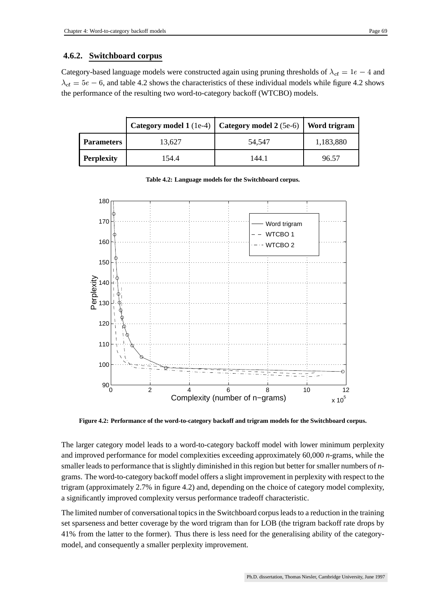## **4.6.2. Switchboard corpus**

Category-based language models were constructed again using pruning thresholds of  $\lambda_{ct} = 1e - 4$  and  $\lambda_{ct} = 5e - 6$ , and table 4.2 shows the characteristics of these individual models while figure 4.2 shows the performance of the resulting two word-to-category backoff (WTCBO) models.

|                   |        | Category model 1 (1e-4)   Category model 2 (5e-6)   Word trigram |           |
|-------------------|--------|------------------------------------------------------------------|-----------|
| <b>Parameters</b> | 13,627 | 54,547                                                           | 1,183,880 |
| <b>Perplexity</b> | 154.4  | 144.1                                                            | 96.57     |



#### **Table 4.2: Language models for the Switchboard corpus.**

**Figure 4.2: Performance of the word-to-category backoff and trigram models for the Switchboard corpus.**

The larger category model leads to a word-to-category backoff model with lower minimum perplexity and improved performance for model complexities exceeding approximately 60,000 *n*-grams, while the smaller leads to performance that is slightly diminished in this region but better for smaller numbers of *n*grams. The word-to-category backoff model offers a slight improvement in perplexity with respect to the trigram (approximately 2.7% in figure 4.2) and, depending on the choice of category model complexity, a significantly improved complexity versus performance tradeoff characteristic.

The limited number of conversational topics in the Switchboard corpus leads to a reduction in the training set sparseness and better coverage by the word trigram than for LOB (the trigram backoff rate drops by 41% from the latter to the former). Thus there is less need for the generalising ability of the categorymodel, and consequently a smaller perplexity improvement.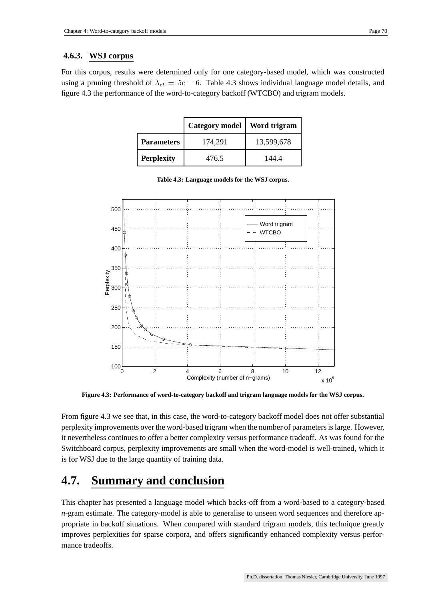## **4.6.3. WSJ corpus**

For this corpus, results were determined only for one category-based model, which was constructed using a pruning threshold of  $\lambda_{ct} = 5e - 6$ . Table 4.3 shows individual language model details, and figure 4.3 the performance of the word-to-category backoff (WTCBO) and trigram models.

|                   | <b>Category model</b> | Word trigram |
|-------------------|-----------------------|--------------|
| <b>Parameters</b> | 174,291               | 13,599,678   |
| <b>Perplexity</b> | 476.5                 | 144.4        |



**Table 4.3: Language models for the WSJ corpus.**

**Figure 4.3: Performance of word-to-category backoff and trigram language models for the WSJ corpus.**

From figure 4.3 we see that, in this case, the word-to-category backoff model does not offer substantial perplexity improvements over the word-based trigram when the number of parametersis large. However, it nevertheless continues to offer a better complexity versus performance tradeoff. As was found for the Switchboard corpus, perplexity improvements are small when the word-model is well-trained, which it is for WSJ due to the large quantity of training data.

## **4.7. Summary and conclusion**

This chapter has presented a language model which backs-off from a word-based to a category-based *n*-gram estimate. The category-model is able to generalise to unseen word sequences and therefore appropriate in backoff situations. When compared with standard trigram models, this technique greatly improves perplexities for sparse corpora, and offers significantly enhanced complexity versus performance tradeoffs.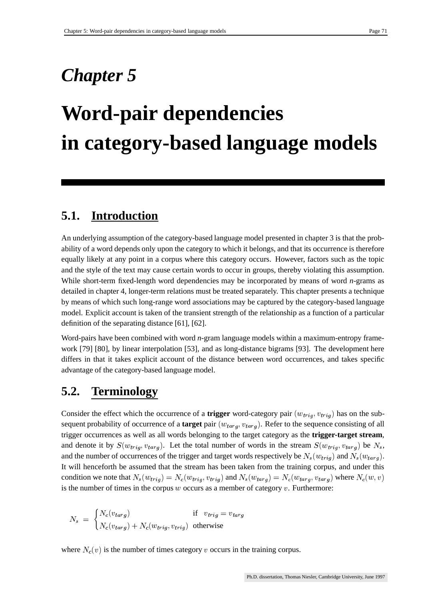## *Chapter 5*

# **Word-pair dependencies in category-based language models**

## **5.1. Introduction**

An underlying assumption of the category-based language model presented in chapter 3 is that the probability of a word depends only upon the category to which it belongs, and that its occurrence is therefore equally likely at any point in a corpus where this category occurs. However, factors such as the topic and the style of the text may cause certain words to occur in groups, thereby violating this assumption. While short-term fixed-length word dependencies may be incorporated by means of word *n*-grams as detailed in chapter 4, longer-term relations must be treated separately. This chapter presents a technique by means of which such long-range word associations may be captured by the category-based language model. Explicit account is taken of the transient strength of the relationship as a function of a particular definition of the separating distance [61], [62].

Word-pairs have been combined with word *n*-gram language models within a maximum-entropy framework [79] [80], by linear interpolation [53], and as long-distance bigrams [93]. The development here differs in that it takes explicit account of the distance between word occurrences, and takes specific advantage of the category-based language model.

## **5.2. Terminology**

Consider the effect which the occurrence of a **trigger** word-category pair  $(w_{trig}, v_{trig})$  has on the subsequent probability of occurrence of a **target** pair  $(w_{targ}, v_{targ})$ . Refer to the sequence consisting of all trigger occurrences as well as all words belonging to the target category as the **trigger-target stream**, and denote it by  $S(w_{trig}, v_{targ})$ . Let the total number of words in the stream  $S(w_{trig}, v_{targ})$  be  $N_s$ , and the number of occurrences of the trigger and target words respectively be  $N_s(w_{triq})$  and  $N_s(w_{targ})$ . It will henceforth be assumed that the stream has been taken from the training corpus, and under this condition we note that  $N_s(w_{trig}) = N_c(w_{trig})$  $) = N_c(w_{trig}, v_{trig})$  and  $N_s(w_{targ}) = N_c(w_{ta})$ is the number of times in the corpus  $w$  occurs as a member of category  $v$ . Furthermore:  $= N_c(w_{targ}, v_{targ})$  where  $N_c(w, v)$ 

$$
N_s = \begin{cases} N_c(v_{targ}) & \text{if } v_{trig} = v_{targ} \\ N_c(v_{targ}) + N_c(w_{trig}, v_{trig}) & \text{otherwise} \end{cases}
$$

where  $N_c(v)$  is the number of times category v occurs in the training corpus.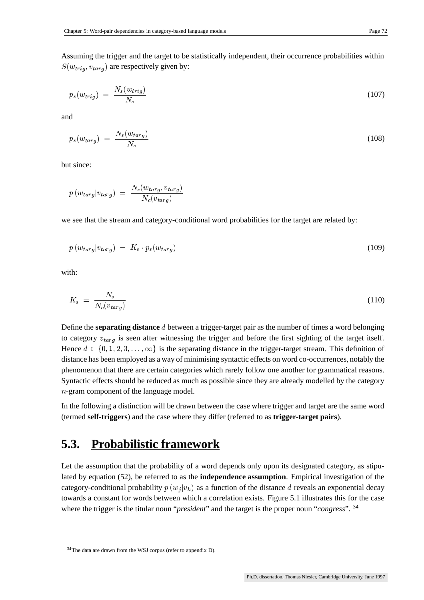Assuming the trigger and the target to be statistically independent, their occurrence probabilities within  $S(w_{trig}, v_{targ})$  are respectively given by:

$$
p_s(w_{trig}) = \frac{N_s(w_{trig})}{N_s} \tag{107}
$$

and

$$
p_s(w_{targ}) = \frac{N_s(w_{targ})}{N_s} \tag{108}
$$

but since:

$$
p(w_{targ}|v_{targ}) = \frac{N_c(w_{targ}, v_{targ})}{N_c(v_{targ})}
$$

we see that the stream and category-conditional word probabilities for the target are related by:

$$
p(w_{targ}|v_{targ}) = K_s \cdot p_s(w_{targ}) \tag{109}
$$

with:

$$
K_s = \frac{N_s}{N_c(v_{targ})} \tag{110}
$$

Define the **separating distance** d between a trigger-target pair as the number of times a word belonging to category  $v_{targ}$  is seen after witnessing the trigger and before the first sighting of the target itself. Hence  $d \in \{0, 1, 2, 3, \ldots, \infty\}$  is the separating distance in the trigger-target stream. This definition of distance has been employed as a way of minimising syntactic effects on word co-occurrences, notably the phenomenon that there are certain categories which rarely follow one another for grammatical reasons. Syntactic effects should be reduced as much as possible since they are already modelled by the category -gram component of the language model.

In the following a distinction will be drawn between the case where trigger and target are the same word (termed **self-triggers**) and the case where they differ (referred to as **trigger-target pairs**).

## **5.3. Probabilistic framework**

Let the assumption that the probability of a word depends only upon its designated category, as stipulated by equation (52), be referred to as the **independence assumption**. Empirical investigation of the category-conditional probability  $p(w_i|v_k)$  as a function of the distance d reveals an exponential decay towards a constant for words between which a correlation exists. Figure 5.1 illustrates this for the case where the trigger is the titular noun "*president*" and the target is the proper noun "*congress*". <sup>34</sup>

<sup>34</sup>The data are drawn from the WSJ corpus (refer to appendix D).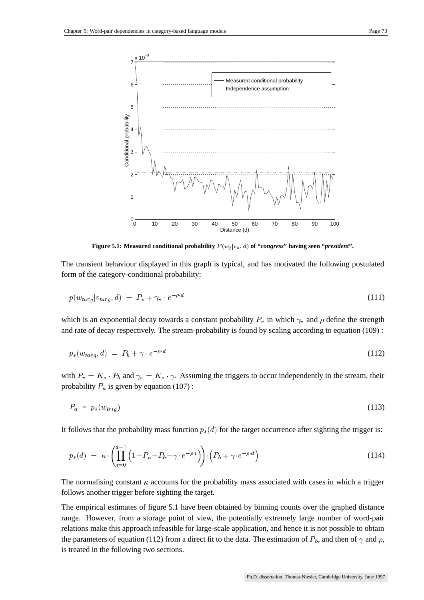

**Figure 5.1:** Measured conditional probability  $P(w_j|v_k, d)$  of "congress" having seen "president".

The transient behaviour displayed in this graph is typical, and has motivated the following postulated form of the category-conditional probability:

$$
p(w_{targ}|v_{targ},d) = P_v + \gamma_v \cdot e^{-\rho \cdot d} \tag{111}
$$

which is an exponential decay towards a constant probability  $P_v$  in which  $\gamma_v$  and  $\rho$  define the strength and rate of decay respectively. The stream-probability is found by scaling according to equation (109) :

$$
p_s(w_{targ}, d) = P_b + \gamma \cdot e^{-\rho \cdot d} \tag{112}
$$

with  $P_v = K_s \cdot P_b$  and  $\gamma_v = K_s \cdot \gamma$ . Assuming the triggers to occur independently in the stream, their probability  $P_a$  is given by equation (107):

$$
P_a = p_s(w_{trig}) \tag{113}
$$

It follows that the probability mass function  $p_s(d)$  for the target occurrence after sighting the trigger is:

$$
p_s(d) = \kappa \cdot \left( \prod_{i=0}^{d-1} \left( 1 - P_a - P_b - \gamma \cdot e^{-\rho \cdot i} \right) \right) \cdot \left( P_b + \gamma \cdot e^{-\rho \cdot d} \right) \tag{114}
$$

The normalising constant  $\kappa$  accounts for the probability mass associated with cases in which a trigger follows another trigger before sighting the target.

The empirical estimates of figure 5.1 have been obtained by binning counts over the graphed distance range. However, from a storage point of view, the potentially extremely large number of word-pair relations make this approach infeasible for large-scale application, and hence it is not possible to obtain the parameters of equation (112) from a direct fit to the data. The estimation of  $P_b$ , and then of  $\gamma$  and  $\rho$ , is treated in the following two sections.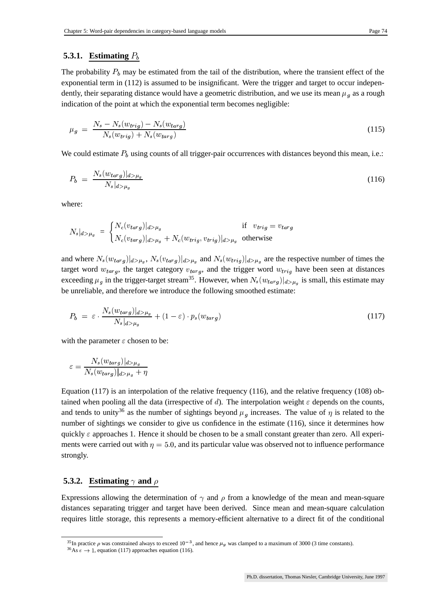#### **5.3.1. Estimating**

The probability  $P_b$  may be estimated from the tail of the distribution, where the transient effect of the exponential term in (112) is assumed to be insignificant. Were the trigger and target to occur independently, their separating distance would have a geometric distribution, and we use its mean  $\mu_q$  as a rough indication of the point at which the exponential term becomes negligible:

$$
\mu_g = \frac{N_s - N_s(w_{trig}) - N_s(w_{targ})}{N_s(w_{trig}) + N_s(w_{targ})} \tag{115}
$$

We could estimate  $P_b$  using counts of all trigger-pair occurrences with distances beyond this mean, i.e.:

$$
P_b = \frac{N_s(w_{targ})|_{d>\mu_g}}{N_s|_{d>\mu_g}}\tag{116}
$$

where:

$$
N_s|_{d>\mu_g} = \begin{cases} N_c(v_{targ})|_{d>\mu_g} & \text{if } v_{trig} = v_{targ} \\ N_c(v_{targ})|_{d>\mu_g} + N_c(w_{trig}, v_{trig})|_{d>\mu_g} & \text{otherwise} \end{cases}
$$

and where  $N_s(w_{tarq})|_{d>\mu_q}$ ,  $N_s(v_{tarq})|_{d>\mu_q}$  and  $N_s(w_{triq})|_{d>\mu_q}$  are the respective number of times the target word  $w_{targ}$ , the target category  $v_{targ}$ , and the trigger word  $w_{trig}$  have been seen at distances exceeding  $\mu_q$  in the trigger-target stream<sup>35</sup>. However, when  $N_s(w_{targ})|_{d>\mu_q}$  is small, this estimate may be unreliable, and therefore we introduce the following smoothed estimate:

$$
P_b = \varepsilon \cdot \frac{N_s(w_{targ})|_{d>\mu_g}}{N_s|_{d>\mu_g}} + (1-\varepsilon) \cdot p_s(w_{targ}) \tag{117}
$$

with the parameter  $\varepsilon$  chosen to be:

$$
\varepsilon = \frac{N_s(w_{targ})|_{d>\mu_g}}{N_s(w_{targ})|_{d>\mu_g} + \eta}
$$

Equation (117) is an interpolation of the relative frequency (116), and the relative frequency (108) obtained when pooling all the data (irrespective of d). The interpolation weight  $\varepsilon$  depends on the counts, and tends to unity<sup>36</sup> as the number of sightings beyond  $\mu_q$  increases. The value of  $\eta$  is related to the number of sightings we consider to give us confidence in the estimate (116), since it determines how quickly  $\varepsilon$  approaches 1. Hence it should be chosen to be a small constant greater than zero. All experiments were carried out with  $\eta = 5.0$ , and its particular value was observed not to influence performance strongly.

#### **5.3.2. Estimating**  $\gamma$  and  $\rho$

Expressions allowing the determination of  $\gamma$  and  $\rho$  from a knowledge of the mean and mean-square distances separating trigger and target have been derived. Since mean and mean-square calculation requires little storage, this represents a memory-efficient alternative to a direct fit of the conditional

<sup>&</sup>lt;sup>35</sup>In practice  $\rho$  was constrained always to exceed  $10^{-3}$ , and hence  $\mu_g$  was clamped to a maximum of 3000 (3 time constants).<br><sup>36</sup>As  $\varepsilon \to 1$ , equation (117) approaches equation (116).

<sup>&</sup>lt;sup>36</sup>As  $\varepsilon \to 1$ , equation (117) approaches equation (116).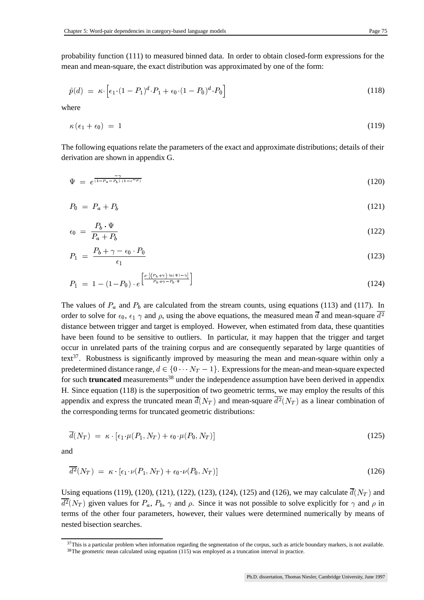probability function (111) to measured binned data. In order to obtain closed-form expressions for the mean and mean-square, the exact distribution was approximated by one of the form:

$$
\hat{p}(d) = \kappa \cdot \left[ \epsilon_1 \cdot (1 - P_1)^d \cdot P_1 + \epsilon_0 \cdot (1 - P_0)^d \cdot P_0 \right] \tag{118}
$$

where

$$
\kappa\left(\epsilon_{1}+\epsilon_{0}\right) = 1\tag{119}
$$

The following equations relate the parameters of the exact and approximate distributions; details of their derivation are shown in appendix G.

$$
\Psi = e^{\frac{-\gamma}{(1 - P_a - P_b) \cdot (1 - e^{-\rho})}} \tag{120}
$$

$$
P_0 = P_a + P_b \tag{121}
$$

$$
\epsilon_0 = \frac{P_b \cdot \Psi}{P_a + P_b} \tag{122}
$$

$$
P_1 = \frac{P_b + \gamma - \epsilon_0 \cdot P_0}{\epsilon_1} \tag{123}
$$

$$
P_1 = 1 - (1 - P_0) \cdot e^{\left[\frac{\rho \cdot \left[\left(P_b + \gamma\right) \cdot \ln \left(\Psi\right) - \gamma\right]}{P_b + \gamma - P_b \cdot \Psi}\right]}
$$
\n(124)

The values of  $P_a$  and  $P_b$  are calculated from the stream counts, using equations (113) and (117). In order to solve for  $\epsilon_0$ ,  $\epsilon_1 \gamma$  and  $\rho$ , using the above equations, the measured mean  $\overline{d}$  and mean-square  $d^2$  distance between trigger and target is employed. However, when estimated from data, these quantitie distance between trigger and target is employed. However, when estimated from data, these quantities have been found to be sensitive to outliers. In particular, it may happen that the trigger and target occur in unrelated parts of the training corpus and are consequently separated by large quantities of text<sup>37</sup>. Robustness is significantly improved by measuring the mean and mean-square within only a predetermined distance range,  $d \in \{0 \cdots N_T - 1\}$ . Expressions for the mean-and mean-square expected for such **truncated** measurements<sup>38</sup> under the independence assumption have been derived in appendix H. Since equation (118) is the superposition of two geometric terms, we may employ the results of this appendix and express the truncated mean  $\overline{d}(N_T)$  and mean-square  $d^2(N_T)$  as a linear combination of the corresponding terms for truncated geometric distributions:

$$
\overline{d}(N_T) = \kappa \cdot [\epsilon_1 \cdot \mu(P_1, N_T) + \epsilon_0 \cdot \mu(P_0, N_T)] \tag{125}
$$

and

$$
\overline{d^2}(N_T) = \kappa \cdot [\epsilon_1 \cdot \nu(P_1, N_T) + \epsilon_0 \cdot \nu(P_0, N_T)] \tag{126}
$$

Using equations (119), (120), (121), (122), (123), (124), (125) and (126), we may calculate  $d(N_T)$  and  $d^2(N_T)$  given values for  $P_a$ ,  $P_b$ ,  $\gamma$  and  $\rho$ . Since it was not possible to solve explicitly for  $\gamma$  and  $\rho$  in terms of the other four parameters, however, their values were determined numerically by means of nested bisection searches.

 $37$ This is a particular problem when information regarding the segmentation of the corpus, such as article boundary markers, is not available. <sup>38</sup>The geometric mean calculated using equation (115) was employed as a truncation interval in practice.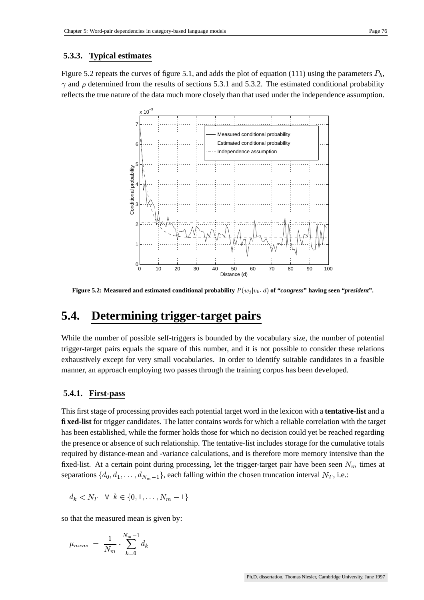#### **5.3.3. Typical estimates**

Figure 5.2 repeats the curves of figure 5.1, and adds the plot of equation (111) using the parameters  $P_b$ ,  $\gamma$  and  $\rho$  determined from the results of sections 5.3.1 and 5.3.2. The estimated conditional probability reflects the true nature of the data much more closely than that used under the independence assumption.



**Figure 5.2:** Measured and estimated conditional probability  $P(w_j|v_k, d)$  of "congress" having seen "president".

## **5.4. Determining trigger-target pairs**

While the number of possible self-triggers is bounded by the vocabulary size, the number of potential trigger-target pairs equals the square of this number, and it is not possible to consider these relations exhaustively except for very small vocabularies. In order to identify suitable candidates in a feasible manner, an approach employing two passes through the training corpus has been developed.

#### **5.4.1. First-pass**

This first stage of processing provides each potential target word in the lexicon with a **tentative-list** and a **fixed-list** for trigger candidates. The latter contains words for which a reliable correlation with the target has been established, while the former holds those for which no decision could yet be reached regarding the presence or absence of such relationship. The tentative-list includes storage for the cumulative totals required by distance-mean and -variance calculations, and is therefore more memory intensive than the fixed-list. At a certain point during processing, let the trigger-target pair have been seen  $N_m$  times at separations  $\{d_0, d_1, \ldots, d_{N_m-1}\}$ , each falling within the chosen truncation interval  $N_T$ , i.e.:

$$
d_k < N_T \quad \forall \quad k \in \{0, 1, \dots, N_m - 1\}
$$

so that the measured mean is given by:

$$
\mu_{meas} = \frac{1}{N_m} \cdot \sum_{k=0}^{N_m-1} d_k
$$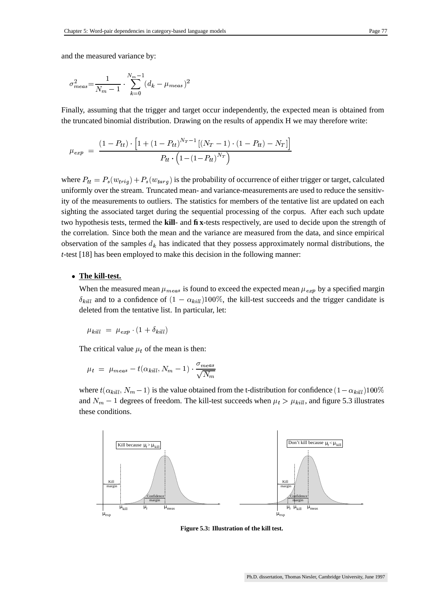$$
\sigma_{meas}^2 = \frac{1}{N_m - 1} \cdot \sum_{k=0}^{N_m - 1} (d_k - \mu_{meas})^2
$$

Finally, assuming that the trigger and target occur independently, the expected mean is obtained from the truncated binomial distribution. Drawing on the results of appendix H we may therefore write:

$$
\mu_{exp} \;=\; \frac{(1-P_{tt}) \cdot \left[1+\left(1-P_{tt}\right)^{N_T-1}\left[(N_T-1)\cdot(1-P_{tt})-N_T\right]\right]}{P_{tt} \cdot \left(1-\left(1-P_{tt}\right)^{N_T}\right)}
$$

where  $P_{tt} = P_s(w_{trig}) + P_s(w_{targ})$  is the probability of occurrence of either trigger or target, calculated uniformly over the stream. Truncated mean- and variance-measurements are used to reduce the sensitivity of the measurements to outliers. The statistics for members of the tentative list are updated on each sighting the associated target during the sequential processing of the corpus. After each such update two hypothesis tests, termed the **kill**- and **fix**-tests respectively, are used to decide upon the strength of the correlation. Since both the mean and the variance are measured from the data, and since empirical observation of the samples  $d_k$  has indicated that they possess approximately normal distributions, the *t*-test [18] has been employed to make this decision in the following manner:

#### **The kill-test.**

When the measured mean  $\mu_{meas}$  is found to exceed the expected mean  $\mu_{exp}$  by a specified margin  $\delta_{kill}$  and to a confidence of  $(1 - \alpha_{kill})100\%$ , the kill-test succeeds and the trigger candidate is deleted from the tentative list. In particular, let:

$$
\mu_{kill} = \mu_{exp} \cdot (1 + \delta_{kill})
$$

The critical value  $\mu_t$  of the mean is then:

$$
\mu_t = \mu_{meas} - t(\alpha_{kill}, N_m - 1) \cdot \frac{\sigma_{meas}}{\sqrt{N_m}}
$$

where  $t(\alpha_{kill}, N_m-1)$  is the value  $\lambda_{m}$   $\sim$  1) is the value obtained from the t-distribution for confidence  $(1-\alpha_{kill})100\%$ and  $N_m - 1$  degrees of freedom. The kill-test succeeds when  $\mu_t > \mu_{kill}$ , and figure  $_{kill}$ , and figure 5.3 illustrates these conditions.



**Figure 5.3: Illustration of the kill test.**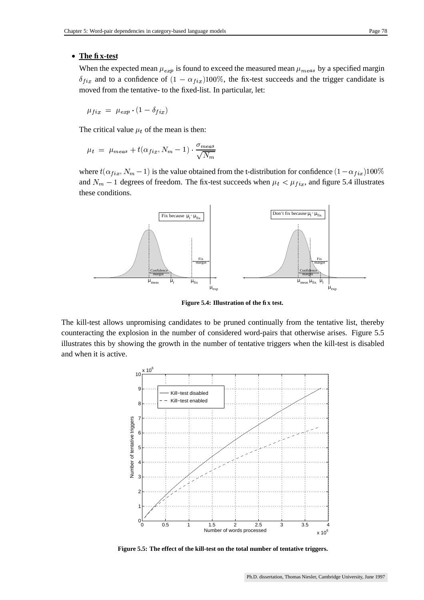#### **The fix-test**

When the expected mean  $\mu_{exp}$  is found to exceed the measured mean  $\mu_{meas}$  by a specified margin  $\delta_{fix}$  and to a confidence of  $(1 - \alpha_{fix})100\%$ , the fix-test succeeds and the trigger candidate is moved from the tentative- to the fixed-list. In particular, let:

$$
\mu_{fix}~=~\mu_{exp} \cdot (1-\delta_{fix})
$$

The critical value  $\mu_t$  of the mean is then:

$$
\mu_t = \mu_{meas} + t(\alpha_{fix}, N_m - 1) \cdot \frac{\sigma_{meas}}{\sqrt{N_m}}
$$

where  $t(\alpha_{fix}, N_m-1)$  is the value  $\lambda_{m}$   $\sim$  1) is the value obtained from the t-distribution for confidence  $(1-\alpha_{fix})100\%$ and  $N_m - 1$  degrees of freedom. The fix-test succeeds when  $\mu_t < \mu_{fix}$ , and figure 5.4 illustrates these conditions.



**Figure 5.4: Illustration of the fix test.**

The kill-test allows unpromising candidates to be pruned continually from the tentative list, thereby counteracting the explosion in the number of considered word-pairs that otherwise arises. Figure 5.5 illustrates this by showing the growth in the number of tentative triggers when the kill-test is disabled and when it is active.



**Figure 5.5: The effect of the kill-test on the total number of tentative triggers.**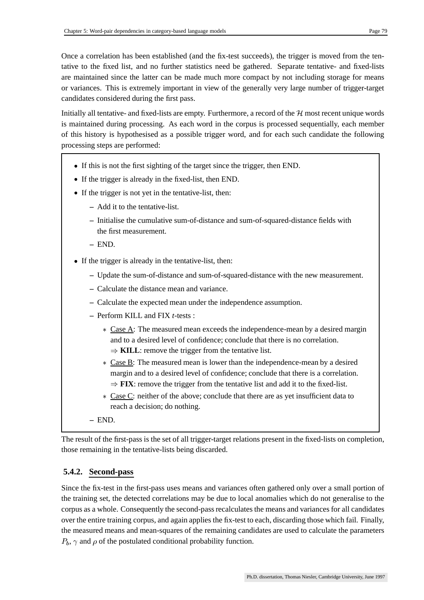Once a correlation has been established (and the fix-test succeeds), the trigger is moved from the tentative to the fixed list, and no further statistics need be gathered. Separate tentative- and fixed-lists are maintained since the latter can be made much more compact by not including storage for means or variances. This is extremely important in view of the generally very large number of trigger-target candidates considered during the first pass.

Initially all tentative- and fixed-lists are empty. Furthermore, a record of the  $H$  most recent unique words is maintained during processing. As each word in the corpus is processed sequentially, each member of this history is hypothesised as a possible trigger word, and for each such candidate the following processing steps are performed:

- If this is not the first sighting of the target since the trigger, then END.
- If the trigger is already in the fixed-list, then END.
- If the trigger is not yet in the tentative-list, then:
	- **–** Add it to the tentative-list.
	- **–** Initialise the cumulative sum-of-distance and sum-of-squared-distance fields with the first measurement.
	- **–** END.
- If the trigger is already in the tentative-list, then:
	- **–** Update the sum-of-distance and sum-of-squared-distance with the new measurement.
	- **–** Calculate the distance mean and variance.
	- **–** Calculate the expected mean under the independence assumption.
	- **–** Perform KILL and FIX *t*-tests :
		- \* Case A: The measured mean exceeds the independence-mean by a desired margin and to a desired level of confidence; conclude that there is no correlation.  $\Rightarrow$  **KILL**: remove the trigger from the tentative list.
		- \* Case B: The measured mean is lower than the independence-mean by a desired margin and to a desired level of confidence; conclude that there is a correlation.  $\Rightarrow$  FIX: remove the trigger from the tentative list and add it to the fixed-list.
		- \* Case C: neither of the above; conclude that there are as yet insufficient data to reach a decision; do nothing.
	- **–** END.

The result of the first-pass is the set of all trigger-target relations present in the fixed-lists on completion, those remaining in the tentative-lists being discarded.

### **5.4.2. Second-pass**

Since the fix-test in the first-pass uses means and variances often gathered only over a small portion of the training set, the detected correlations may be due to local anomalies which do not generalise to the corpus as a whole. Consequently the second-passrecalculates the means and variances for all candidates over the entire training corpus, and again applies the fix-test to each, discarding those which fail. Finally, the measured means and mean-squares of the remaining candidates are used to calculate the parameters  $P_b$ ,  $\gamma$  and  $\rho$  of the postulated conditional probability function.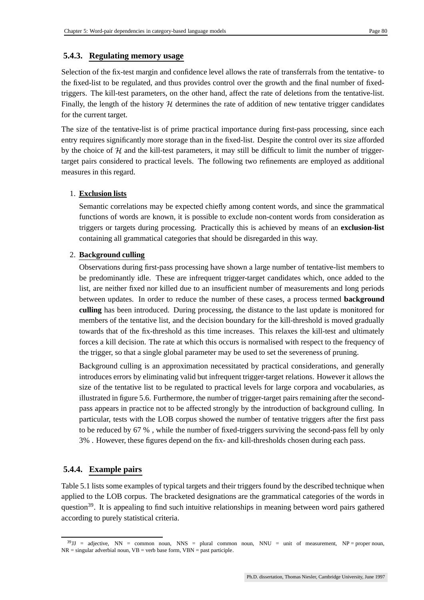## **5.4.3. Regulating memory usage**

Selection of the fix-test margin and confidence level allows the rate of transferrals from the tentative- to the fixed-list to be regulated, and thus provides control over the growth and the final number of fixedtriggers. The kill-test parameters, on the other hand, affect the rate of deletions from the tentative-list. Finally, the length of the history  $H$  determines the rate of addition of new tentative trigger candidates for the current target.

The size of the tentative-list is of prime practical importance during first-pass processing, since each entry requires significantly more storage than in the fixed-list. Despite the control over its size afforded by the choice of  $H$  and the kill-test parameters, it may still be difficult to limit the number of triggertarget pairs considered to practical levels. The following two refinements are employed as additional measures in this regard.

#### 1. **Exclusion lists**

Semantic correlations may be expected chiefly among content words, and since the grammatical functions of words are known, it is possible to exclude non-content words from consideration as triggers or targets during processing. Practically this is achieved by means of an **exclusion-list** containing all grammatical categories that should be disregarded in this way.

### 2. **Background culling**

Observations during first-pass processing have shown a large number of tentative-list members to be predominantly idle. These are infrequent trigger-target candidates which, once added to the list, are neither fixed nor killed due to an insufficient number of measurements and long periods between updates. In order to reduce the number of these cases, a process termed **background culling** has been introduced. During processing, the distance to the last update is monitored for members of the tentative list, and the decision boundary for the kill-threshold is moved gradually towards that of the fix-threshold as this time increases. This relaxes the kill-test and ultimately forces a kill decision. The rate at which this occurs is normalised with respect to the frequency of the trigger, so that a single global parameter may be used to set the severeness of pruning.

Background culling is an approximation necessitated by practical considerations, and generally introduces errors by eliminating valid but infrequent trigger-target relations. However it allows the size of the tentative list to be regulated to practical levels for large corpora and vocabularies, as illustrated in figure 5.6. Furthermore, the number of trigger-target pairs remaining after the secondpass appears in practice not to be affected strongly by the introduction of background culling. In particular, tests with the LOB corpus showed the number of tentative triggers after the first pass to be reduced by 67 % , while the number of fixed-triggers surviving the second-pass fell by only 3% . However, these figures depend on the fix- and kill-thresholds chosen during each pass.

### **5.4.4. Example pairs**

Table 5.1 lists some examples of typical targets and their triggers found by the described technique when applied to the LOB corpus. The bracketed designations are the grammatical categories of the words in question<sup>39</sup>. It is appealing to find such intuitive relationships in meaning between word pairs gathered according to purely statistical criteria.

 $39$ JJ = adjective, NN = common noun, NNS = plural common noun, NNU = unit of measurement, NP = proper noun,  $NR = singular$  adverbial noun,  $VB = verb$  base form,  $VBN = past$  participle.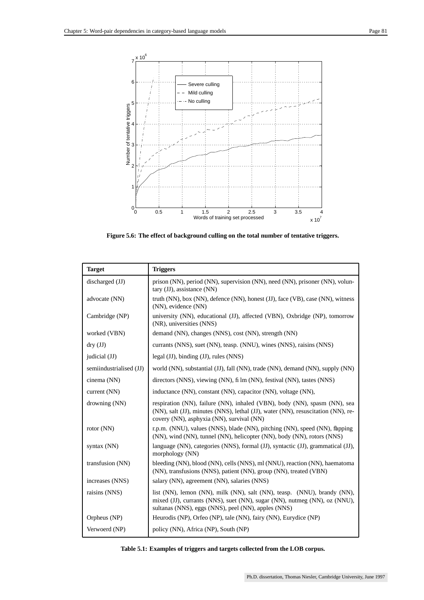

**Figure 5.6: The effect of background culling on the total number of tentative triggers.**

| <b>Target</b>           | <b>Triggers</b>                                                                                                                                                                                             |
|-------------------------|-------------------------------------------------------------------------------------------------------------------------------------------------------------------------------------------------------------|
| discharged (JJ)         | prison (NN), period (NN), supervision (NN), need (NN), prisoner (NN), volun-<br>tary (JJ), assistance (NN)                                                                                                  |
| advocate (NN)           | truth (NN), box (NN), defence (NN), honest (JJ), face (VB), case (NN), witness<br>(NN), evidence (NN)                                                                                                       |
| Cambridge (NP)          | university (NN), educational (JJ), affected (VBN), Oxbridge (NP), tomorrow<br>(NR), universities (NNS)                                                                                                      |
| worked (VBN)            | demand (NN), changes (NNS), cost (NN), strength (NN)                                                                                                                                                        |
| $\text{dry } (JJ)$      | currants (NNS), suet (NN), teasp. (NNU), wines (NNS), raisins (NNS)                                                                                                                                         |
| judicial (JJ)           | legal $(JJ)$ , binding $(JJ)$ , rules $(NNS)$                                                                                                                                                               |
| semiindustrialised (JJ) | world (NN), substantial (JJ), fall (NN), trade (NN), demand (NN), supply (NN)                                                                                                                               |
| cinema (NN)             | directors (NNS), viewing (NN), fi lm (NN), festival (NN), tastes (NNS)                                                                                                                                      |
| current (NN)            | inductance (NN), constant (NN), capacitor (NN), voltage (NN),                                                                                                                                               |
| drowning (NN)           | respiration (NN), failure (NN), inhaled (VBN), body (NN), spasm (NN), sea<br>(NN), salt (JJ), minutes (NNS), lethal (JJ), water (NN), resuscitation (NN), re-<br>covery (NN), asphyxia (NN), survival (NN)  |
| rotor $(NN)$            | r.p.m. (NNU), values (NNS), blade (NN), pitching (NN), speed (NN), fapping<br>(NN), wind (NN), tunnel (NN), helicopter (NN), body (NN), rotors (NNS)                                                        |
| syntax (NN)             | language (NN), categories (NNS), formal (JJ), syntactic (JJ), grammatical (JJ),<br>morphology (NN)                                                                                                          |
| transfusion (NN)        | bleeding (NN), blood (NN), cells (NNS), ml (NNU), reaction (NN), haematoma<br>(NN), transfusions (NNS), patient (NN), group (NN), treated (VBN)                                                             |
| increases (NNS)         | salary (NN), agreement (NN), salaries (NNS)                                                                                                                                                                 |
| raisins (NNS)           | list (NN), lemon (NN), milk (NN), salt (NN), teasp. (NNU), brandy (NN),<br>mixed (JJ), currants (NNS), suet (NN), sugar (NN), nutmeg (NN), oz (NNU),<br>sultanas (NNS), eggs (NNS), peel (NN), apples (NNS) |
| Orpheus (NP)            | Heurodis (NP), Orfeo (NP), tale (NN), fairy (NN), Eurydice (NP)                                                                                                                                             |
| Verwoerd (NP)           | policy (NN), Africa (NP), South (NP)                                                                                                                                                                        |

| Table 5.1: Examples of triggers and targets collected from the LOB corpus. |  |  |
|----------------------------------------------------------------------------|--|--|
|                                                                            |  |  |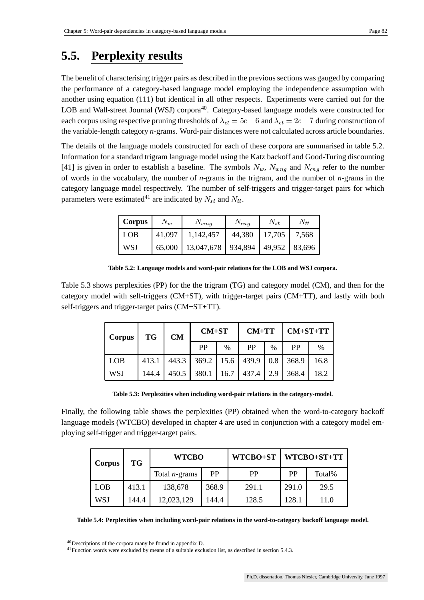## **5.5. Perplexity results**

The benefit of characterising trigger pairs as described in the previoussections was gauged by comparing the performance of a category-based language model employing the independence assumption with another using equation (111) but identical in all other respects. Experiments were carried out for the LOB and Wall-street Journal (WSJ) corpora<sup>40</sup>. Category-based language models were constructed for each corpus using respective pruning thresholds of  $\lambda_{ct} = 5e - 6$  and  $\lambda_{ct} = 2e - 7$  during construction of the variable-length category *n*-grams. Word-pair distances were not calculated across article boundaries.

The details of the language models constructed for each of these corpora are summarised in table 5.2. Information for a standard trigram language model using the Katz backoff and Good-Turing discounting [41] is given in order to establish a baseline. The symbols  $N_w$ ,  $N_{wng}$  and  $N_{cng}$  refer to the number  $\cdots$   $\sigma$ of words in the vocabulary, the number of *n*-grams in the trigram, and the number of *n*-grams in the category language model respectively. The number of self-triggers and trigger-target pairs for which parameters were estimated<sup>41</sup> are indicated by  $N_{st}$  and  $N_{tt}$ .

| <b>Corpus</b> | $N_w$  | $N_{wng}$                                       | $N_{c n q}$   | $N_{st}$ | $N_{tt}$ |
|---------------|--------|-------------------------------------------------|---------------|----------|----------|
| LOB           | 41,097 | 1,142,457                                       | 44,380 17,705 |          | 7,568    |
| WSJ           |        | 65,000   13,047,678   934,894   49,952   83,696 |               |          |          |

**Table 5.2: Language models and word-pair relations for the LOB and WSJ corpora.**

Table 5.3 shows perplexities (PP) for the the trigram (TG) and category model (CM), and then for the category model with self-triggers (CM+ST), with trigger-target pairs (CM+TT), and lastly with both self-triggers and trigger-target pairs (CM+ST+TT).

| <b>Corpus</b> | <b>TG</b> | <b>CM</b> | $CM+ST$      |               | $CM+TT$   |               | $CM+ST+TT$ |               |
|---------------|-----------|-----------|--------------|---------------|-----------|---------------|------------|---------------|
|               |           |           | PP           | $\frac{0}{0}$ | <b>PP</b> | $\frac{0}{0}$ | PP         | $\frac{0}{0}$ |
| <b>LOB</b>    | 413.1     | 443.3     | $369.2$ 15.6 |               | 439.9     | 0.8           | 368.9      | 16.8          |
| <b>WSJ</b>    | 144.4     | 450.5     | 380.1        | 16.7          | 437.4     | 2.9           | 368.4      | 18.2          |

**Table 5.3: Perplexities when including word-pair relations in the category-model.**

Finally, the following table shows the perplexities (PP) obtained when the word-to-category backoff language models (WTCBO) developed in chapter 4 are used in conjunction with a category model employing self-trigger and trigger-target pairs.

| Corpus     | TG    | <b>WTCBO</b>     |       | WTCBO+ST |           | WTCBO+ST+TT |
|------------|-------|------------------|-------|----------|-----------|-------------|
|            |       | Total $n$ -grams | PP    | PP       | <b>PP</b> | Total%      |
| <b>LOB</b> | 413.1 | 138,678          | 368.9 | 291.1    | 291.0     | 29.5        |
| <b>WSJ</b> | 144.4 | 12,023,129       | 144.4 | 128.5    | 128.1     | 11.0        |

**Table 5.4: Perplexities when including word-pair relations in the word-to-category backoff language model.**

<sup>40</sup>Descriptions of the corpora many be found in appendix D.

<sup>41</sup>Function words were excluded by means of a suitable exclusion list, as described in section 5.4.3.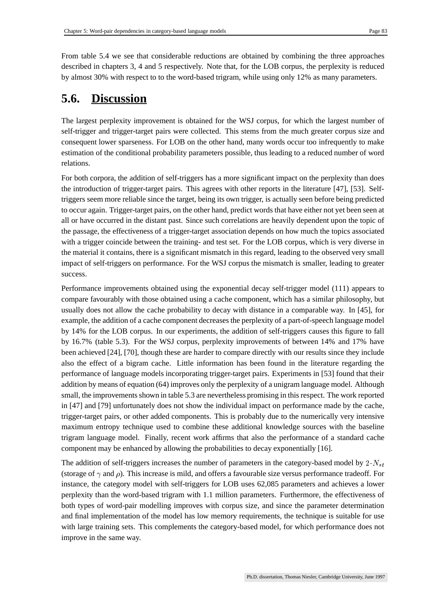From table 5.4 we see that considerable reductions are obtained by combining the three approaches described in chapters 3, 4 and 5 respectively. Note that, for the LOB corpus, the perplexity is reduced by almost 30% with respect to to the word-based trigram, while using only 12% as many parameters.

## **5.6. Discussion**

The largest perplexity improvement is obtained for the WSJ corpus, for which the largest number of self-trigger and trigger-target pairs were collected. This stems from the much greater corpus size and consequent lower sparseness. For LOB on the other hand, many words occur too infrequently to make estimation of the conditional probability parameters possible, thus leading to a reduced number of word relations.

For both corpora, the addition of self-triggers has a more significant impact on the perplexity than does the introduction of trigger-target pairs. This agrees with other reports in the literature [47], [53]. Selftriggers seem more reliable since the target, being its own trigger, is actually seen before being predicted to occur again. Trigger-target pairs, on the other hand, predict words that have either not yet been seen at all or have occurred in the distant past. Since such correlations are heavily dependent upon the topic of the passage, the effectiveness of a trigger-target association depends on how much the topics associated with a trigger coincide between the training- and test set. For the LOB corpus, which is very diverse in the material it contains, there is a significant mismatch in this regard, leading to the observed very small impact of self-triggers on performance. For the WSJ corpus the mismatch is smaller, leading to greater success.

Performance improvements obtained using the exponential decay self-trigger model (111) appears to compare favourably with those obtained using a cache component, which has a similar philosophy, but usually does not allow the cache probability to decay with distance in a comparable way. In [45], for example, the addition of a cache component decreases the perplexity of a part-of-speech language model by 14% for the LOB corpus. In our experiments, the addition of self-triggers causes this figure to fall by 16.7% (table 5.3). For the WSJ corpus, perplexity improvements of between 14% and 17% have been achieved [24], [70], though these are harder to compare directly with our results since they include also the effect of a bigram cache. Little information has been found in the literature regarding the performance of language models incorporating trigger-target pairs. Experiments in [53] found that their addition by means of equation (64) improves only the perplexity of a unigram language model. Although small, the improvements shown in table 5.3 are nevertheless promising in this respect. The work reported in [47] and [79] unfortunately does not show the individual impact on performance made by the cache, trigger-target pairs, or other added components. This is probably due to the numerically very intensive maximum entropy technique used to combine these additional knowledge sources with the baseline trigram language model. Finally, recent work affirms that also the performance of a standard cache component may be enhanced by allowing the probabilities to decay exponentially [16].

The addition of self-triggers increases the number of parameters in the category-based model by  $2 \cdot N_{st}$ (storage of  $\gamma$  and  $\rho$ ). This increase is mild, and offers a favourable size versus performance tradeoff. For instance, the category model with self-triggers for LOB uses 62,085 parameters and achieves a lower perplexity than the word-based trigram with 1.1 million parameters. Furthermore, the effectiveness of both types of word-pair modelling improves with corpus size, and since the parameter determination and final implementation of the model has low memory requirements, the technique is suitable for use with large training sets. This complements the category-based model, for which performance does not improve in the same way.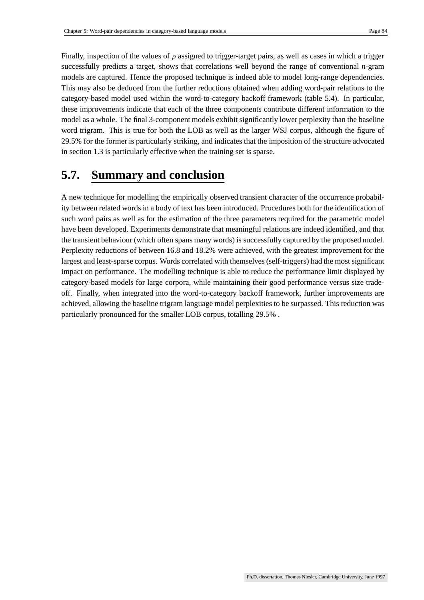Finally, inspection of the values of  $\rho$  assigned to trigger-target pairs, as well as cases in which a trigger successfully predicts a target, shows that correlations well beyond the range of conventional *n*-gram models are captured. Hence the proposed technique is indeed able to model long-range dependencies. This may also be deduced from the further reductions obtained when adding word-pair relations to the category-based model used within the word-to-category backoff framework (table 5.4). In particular, these improvements indicate that each of the three components contribute different information to the model as a whole. The final 3-component models exhibit significantly lower perplexity than the baseline word trigram. This is true for both the LOB as well as the larger WSJ corpus, although the figure of 29.5% for the former is particularly striking, and indicates that the imposition of the structure advocated in section 1.3 is particularly effective when the training set is sparse.

## **5.7. Summary and conclusion**

A new technique for modelling the empirically observed transient character of the occurrence probability between related words in a body of text has been introduced. Procedures both for the identification of such word pairs as well as for the estimation of the three parameters required for the parametric model have been developed. Experiments demonstrate that meaningful relations are indeed identified, and that the transient behaviour (which often spans many words) is successfully captured by the proposed model. Perplexity reductions of between 16.8 and 18.2% were achieved, with the greatest improvement for the largest and least-sparse corpus. Words correlated with themselves(self-triggers) had the most significant impact on performance. The modelling technique is able to reduce the performance limit displayed by category-based models for large corpora, while maintaining their good performance versus size tradeoff. Finally, when integrated into the word-to-category backoff framework, further improvements are achieved, allowing the baseline trigram language model perplexities to be surpassed. This reduction was particularly pronounced for the smaller LOB corpus, totalling 29.5% .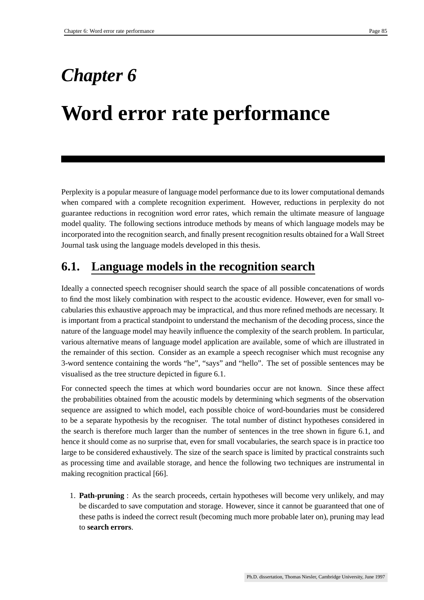## *Chapter 6*

## **Word error rate performance**

Perplexity is a popular measure of language model performance due to its lower computational demands when compared with a complete recognition experiment. However, reductions in perplexity do not guarantee reductions in recognition word error rates, which remain the ultimate measure of language model quality. The following sections introduce methods by means of which language models may be incorporated into the recognition search, and finally present recognition results obtained for a Wall Street Journal task using the language models developed in this thesis.

## **6.1. Language models in the recognition search**

Ideally a connected speech recogniser should search the space of all possible concatenations of words to find the most likely combination with respect to the acoustic evidence. However, even for small vocabularies this exhaustive approach may be impractical, and thus more refined methods are necessary. It is important from a practical standpoint to understand the mechanism of the decoding process, since the nature of the language model may heavily influence the complexity of the search problem. In particular, various alternative means of language model application are available, some of which are illustrated in the remainder of this section. Consider as an example a speech recogniser which must recognise any 3-word sentence containing the words "he", "says" and "hello". The set of possible sentences may be visualised as the tree structure depicted in figure 6.1.

For connected speech the times at which word boundaries occur are not known. Since these affect the probabilities obtained from the acoustic models by determining which segments of the observation sequence are assigned to which model, each possible choice of word-boundaries must be considered to be a separate hypothesis by the recogniser. The total number of distinct hypotheses considered in the search is therefore much larger than the number of sentences in the tree shown in figure 6.1, and hence it should come as no surprise that, even for small vocabularies, the search space is in practice too large to be considered exhaustively. The size of the search space is limited by practical constraints such as processing time and available storage, and hence the following two techniques are instrumental in making recognition practical [66].

1. **Path-pruning** : As the search proceeds, certain hypotheses will become very unlikely, and may be discarded to save computation and storage. However, since it cannot be guaranteed that one of these paths is indeed the correct result (becoming much more probable later on), pruning may lead to **search errors**.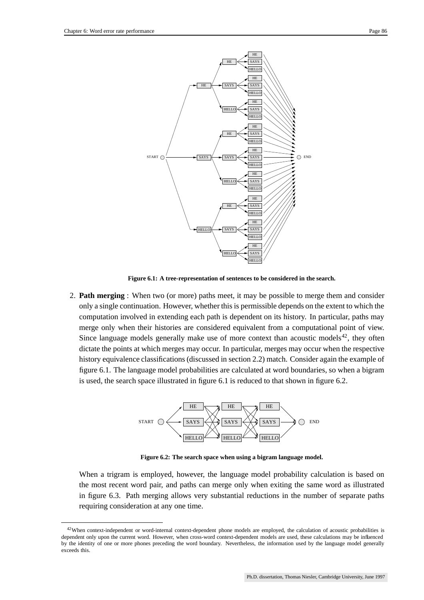

**Figure 6.1: A tree-representation of sentences to be considered in the search.**

2. **Path merging** : When two (or more) paths meet, it may be possible to merge them and consider only a single continuation. However, whether this is permissible depends on the extent to which the computation involved in extending each path is dependent on its history. In particular, paths may merge only when their histories are considered equivalent from a computational point of view. Since language models generally make use of more context than acoustic models $42$ , they often dictate the points at which merges may occur. In particular, merges may occur when the respective history equivalence classifications(discussed in section 2.2) match. Consider again the example of figure 6.1. The language model probabilities are calculated at word boundaries, so when a bigram is used, the search space illustrated in figure 6.1 is reduced to that shown in figure 6.2.



**Figure 6.2: The search space when using a bigram language model.**

When a trigram is employed, however, the language model probability calculation is based on the most recent word pair, and paths can merge only when exiting the same word as illustrated in figure 6.3. Path merging allows very substantial reductions in the number of separate paths requiring consideration at any one time.

<sup>&</sup>lt;sup>42</sup>When context-independent or word-internal context-dependent phone models are employed, the calculation of acoustic probabilities is dependent only upon the current word. However, when cross-word context-dependent models are used, these calculations may be influenced by the identity of one or more phones preceding the word boundary. Nevertheless, the information used by the language model generally exceeds this.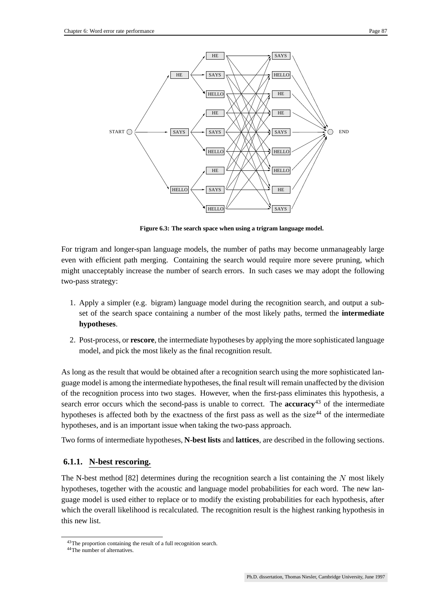

**Figure 6.3: The search space when using a trigram language model.**

For trigram and longer-span language models, the number of paths may become unmanageably large even with efficient path merging. Containing the search would require more severe pruning, which might unacceptably increase the number of search errors. In such cases we may adopt the following two-pass strategy:

- 1. Apply a simpler (e.g. bigram) language model during the recognition search, and output a subset of the search space containing a number of the most likely paths, termed the **intermediate hypotheses**.
- 2. Post-process, or **rescore**, the intermediate hypotheses by applying the more sophisticated language model, and pick the most likely as the final recognition result.

As long as the result that would be obtained after a recognition search using the more sophisticated language model is among the intermediate hypotheses, the final result will remain unaffected by the division of the recognition process into two stages. However, when the first-pass eliminates this hypothesis, a search error occurs which the second-pass is unable to correct. The **accuracy**<sup>43</sup> of the intermediate hypotheses is affected both by the exactness of the first pass as well as the size<sup>44</sup> of the intermediate hypotheses, and is an important issue when taking the two-pass approach.

Two forms of intermediate hypotheses, **N-best lists** and **lattices**, are described in the following sections.

## **6.1.1. N-best rescoring.**

The N-best method  $[82]$  determines during the recognition search a list containing the N most likely hypotheses, together with the acoustic and language model probabilities for each word. The new language model is used either to replace or to modify the existing probabilities for each hypothesis, after which the overall likelihood is recalculated. The recognition result is the highest ranking hypothesis in this new list.

<sup>43</sup>The proportion containing the result of a full recognition search.

<sup>44</sup>The number of alternatives.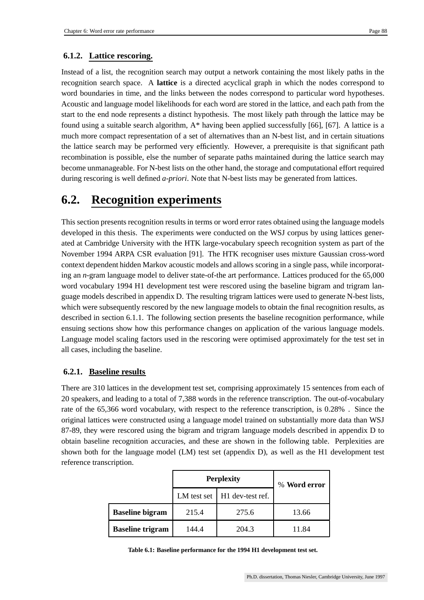## **6.1.2. Lattice rescoring.**

Instead of a list, the recognition search may output a network containing the most likely paths in the recognition search space. A **lattice** is a directed acyclical graph in which the nodes correspond to word boundaries in time, and the links between the nodes correspond to particular word hypotheses. Acoustic and language model likelihoods for each word are stored in the lattice, and each path from the start to the end node represents a distinct hypothesis. The most likely path through the lattice may be found using a suitable search algorithm, A\* having been applied successfully [66], [67]. A lattice is a much more compact representation of a set of alternatives than an N-best list, and in certain situations the lattice search may be performed very efficiently. However, a prerequisite is that significant path recombination is possible, else the number of separate paths maintained during the lattice search may become unmanageable. For N-best lists on the other hand, the storage and computational effort required during rescoring is well defined *a-priori*. Note that N-best lists may be generated from lattices.

## **6.2. Recognition experiments**

This section presents recognition results in terms or word error rates obtained using the language models developed in this thesis. The experiments were conducted on the WSJ corpus by using lattices generated at Cambridge University with the HTK large-vocabulary speech recognition system as part of the November 1994 ARPA CSR evaluation [91]. The HTK recogniser uses mixture Gaussian cross-word context dependent hidden Markov acoustic models and allows scoring in a single pass, while incorporating an *n*-gram language model to deliver state-of-the art performance. Lattices produced for the 65,000 word vocabulary 1994 H1 development test were rescored using the baseline bigram and trigram language models described in appendix D. The resulting trigram lattices were used to generate N-best lists, which were subsequently rescored by the new language models to obtain the final recognition results, as described in section 6.1.1. The following section presents the baseline recognition performance, while ensuing sections show how this performance changes on application of the various language models. Language model scaling factors used in the rescoring were optimised approximately for the test set in all cases, including the baseline.

### **6.2.1. Baseline results**

There are 310 lattices in the development test set, comprising approximately 15 sentences from each of 20 speakers, and leading to a total of 7,388 words in the reference transcription. The out-of-vocabulary rate of the 65,366 word vocabulary, with respect to the reference transcription, is 0.28% . Since the original lattices were constructed using a language model trained on substantially more data than WSJ 87-89, they were rescored using the bigram and trigram language models described in appendix D to obtain baseline recognition accuracies, and these are shown in the following table. Perplexities are shown both for the language model (LM) test set (appendix D), as well as the H1 development test reference transcription.

|                                      | <b>Perplexity</b> | % Word error |       |  |
|--------------------------------------|-------------------|--------------|-------|--|
| LM test set $\vert$ H1 dev-test ref. |                   |              |       |  |
| <b>Baseline bigram</b>               | 215.4             | 275.6        | 13.66 |  |
| <b>Baseline trigram</b>              | 144.4             | 204.3        | 11.84 |  |

**Table 6.1: Baseline performance for the 1994 H1 development test set.**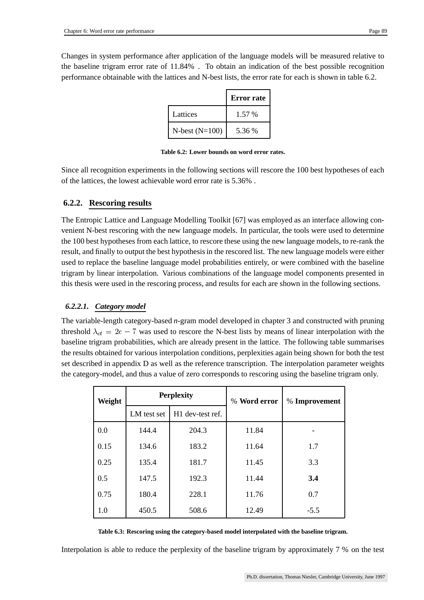Changes in system performance after application of the language models will be measured relative to the baseline trigram error rate of 11.84% . To obtain an indication of the best possible recognition performance obtainable with the lattices and N-best lists, the error rate for each is shown in table 6.2.

|                  | <b>Error</b> rate |
|------------------|-------------------|
| Lattices         | 1.57 %            |
| $N-best (N=100)$ | 5.36 %            |

**Table 6.2: Lower bounds on word error rates.**

Since all recognition experiments in the following sections will rescore the 100 best hypotheses of each of the lattices, the lowest achievable word error rate is 5.36% .

## **6.2.2. Rescoring results**

The Entropic Lattice and Language Modelling Toolkit [67] was employed as an interface allowing convenient N-best rescoring with the new language models. In particular, the tools were used to determine the 100 best hypothesesfrom each lattice, to rescore these using the new language models, to re-rank the result, and finally to output the best hypothesisin the rescored list. The new language models were either used to replace the baseline language model probabilities entirely, or were combined with the baseline trigram by linear interpolation. Various combinations of the language model components presented in this thesis were used in the rescoring process, and results for each are shown in the following sections.

## *6.2.2.1. Category model*

The variable-length category-based *n*-gram model developed in chapter 3 and constructed with pruning threshold  $\lambda_{ct} = 2e - 7$  was used to rescore the N-best lists by means of linear interpolation with the baseline trigram probabilities, which are already present in the lattice. The following table summarises the results obtained for various interpolation conditions, perplexities again being shown for both the test set described in appendix D as well as the reference transcription. The interpolation parameter weights the category-model, and thus a value of zero corresponds to rescoring using the baseline trigram only.

| Weight |             | <b>Perplexity</b> | % Word error | % Improvement |  |
|--------|-------------|-------------------|--------------|---------------|--|
|        | LM test set | H1 dev-test ref.  |              |               |  |
| 0.0    | 144.4       | 204.3             | 11.84        |               |  |
| 0.15   | 134.6       | 183.2             | 11.64        | 1.7           |  |
| 0.25   | 135.4       | 181.7             | 11.45        | 3.3           |  |
| 0.5    | 147.5       | 192.3             | 11.44        | 3.4           |  |
| 0.75   | 180.4       | 228.1             | 11.76        | 0.7           |  |
| 1.0    | 450.5       | 508.6             | 12.49        | $-5.5$        |  |

#### **Table 6.3: Rescoring using the category-based model interpolated with the baseline trigram.**

Interpolation is able to reduce the perplexity of the baseline trigram by approximately 7 % on the test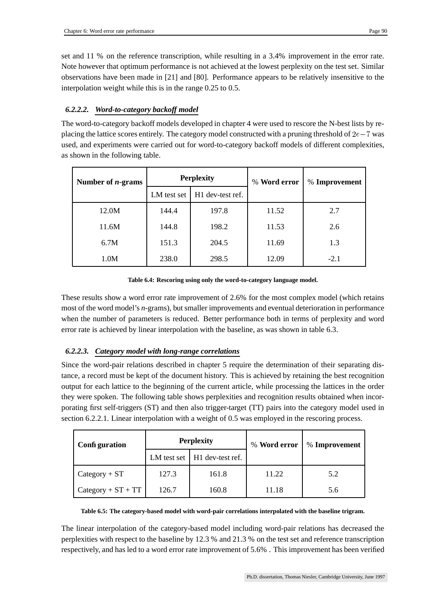set and 11 % on the reference transcription, while resulting in a 3.4% improvement in the error rate. Note however that optimum performance is not achieved at the lowest perplexity on the test set. Similar observations have been made in [21] and [80]. Performance appears to be relatively insensitive to the interpolation weight while this is in the range 0.25 to 0.5.

## *6.2.2.2. Word-to-category backoff model*

The word-to-category backoff models developed in chapter 4 were used to rescore the N-best lists by replacing the lattice scores entirely. The category model constructed with a pruning threshold of  $2e-7$  was used, and experiments were carried out for word-to-category backoff models of different complexities, as shown in the following table.

| Number of $n$ -grams | <b>Perplexity</b> |                  | % Word error | % Improvement |
|----------------------|-------------------|------------------|--------------|---------------|
|                      | LM test set       | H1 dev-test ref. |              |               |
| 12.0M                | 144.4             | 197.8            | 11.52        | 2.7           |
| 11.6M                | 144.8             | 198.2            | 11.53        | 2.6           |
| 6.7M                 | 151.3             | 204.5            | 11.69        | 1.3           |
| 1.0M                 | 238.0             | 298.5            | 12.09        | $-2.1$        |

#### **Table 6.4: Rescoring using only the word-to-category language model.**

These results show a word error rate improvement of 2.6% for the most complex model (which retains most of the word model's *n*-grams), but smaller improvements and eventual deterioration in performance when the number of parameters is reduced. Better performance both in terms of perplexity and word error rate is achieved by linear interpolation with the baseline, as was shown in table 6.3.

### *6.2.2.3. Category model with long-range correlations*

Since the word-pair relations described in chapter 5 require the determination of their separating distance, a record must be kept of the document history. This is achieved by retaining the best recognition output for each lattice to the beginning of the current article, while processing the lattices in the order they were spoken. The following table shows perplexities and recognition results obtained when incorporating first self-triggers (ST) and then also trigger-target (TT) pairs into the category model used in section 6.2.2.1. Linear interpolation with a weight of 0.5 was employed in the rescoring process.

| Configuration        | <b>Perplexity</b> |                                          | % Word error | % Improvement |
|----------------------|-------------------|------------------------------------------|--------------|---------------|
|                      |                   | LM test set $\parallel$ H1 dev-test ref. |              |               |
| $Category + ST$      | 127.3             | 161.8                                    | 11.22        | 5.2           |
| $Category + ST + TT$ | 126.7             | 160.8                                    | 11.18        | 5.6           |

#### **Table 6.5: The category-based model with word-pair correlations interpolated with the baseline trigram.**

The linear interpolation of the category-based model including word-pair relations has decreased the perplexities with respect to the baseline by 12.3 % and 21.3 % on the test set and reference transcription respectively, and has led to a word error rate improvement of 5.6% . This improvement has been verified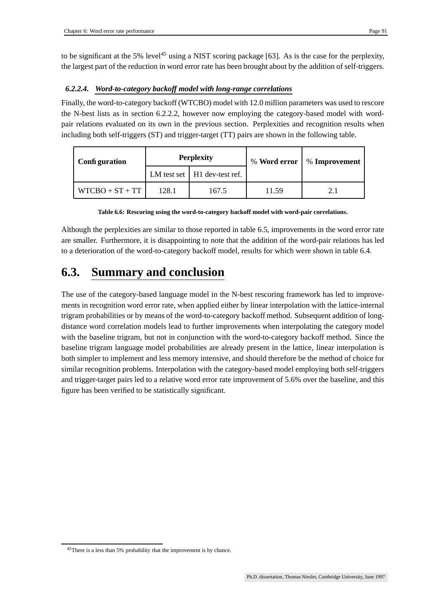to be significant at the 5% level<sup>45</sup> using a NIST scoring package [63]. As is the case for the perplexity, the largest part of the reduction in word error rate has been brought about by the addition of self-triggers.

## *6.2.2.4. Word-to-category backoff model with long-range correlations*

Finally, the word-to-category backoff (WTCBO) model with 12.0 million parameters was used to rescore the N-best lists as in section 6.2.2.2, however now employing the category-based model with wordpair relations evaluated on its own in the previous section. Perplexities and recognition results when including both self-triggers (ST) and trigger-target (TT) pairs are shown in the following table.

| Configuration     | <b>Perplexity</b> |                                  | % Word error | % Improvement |
|-------------------|-------------------|----------------------------------|--------------|---------------|
|                   |                   | $LM$ test set $H1$ dev-test ref. |              |               |
| $WTCBO + ST + TT$ | 128.1             | 167.5                            | 11.59        | 21            |

|  |  | Table 6.6: Rescoring using the word-to-category backoff model with word-pair correlations. |
|--|--|--------------------------------------------------------------------------------------------|
|  |  |                                                                                            |

Although the perplexities are similar to those reported in table 6.5, improvements in the word error rate are smaller. Furthermore, it is disappointing to note that the addition of the word-pair relations has led to a deterioration of the word-to-category backoff model, results for which were shown in table 6.4.

## **6.3. Summary and conclusion**

The use of the category-based language model in the N-best rescoring framework has led to improvements in recognition word error rate, when applied either by linear interpolation with the lattice-internal trigram probabilities or by means of the word-to-category backoff method. Subsequent addition of longdistance word correlation models lead to further improvements when interpolating the category model with the baseline trigram, but not in conjunction with the word-to-category backoff method. Since the baseline trigram language model probabilities are already present in the lattice, linear interpolation is both simpler to implement and less memory intensive, and should therefore be the method of choice for similar recognition problems. Interpolation with the category-based model employing both self-triggers and trigger-target pairs led to a relative word error rate improvement of 5.6% over the baseline, and this figure has been verified to be statistically significant.

<sup>45</sup>There is a less than 5% probability that the improvement is by chance.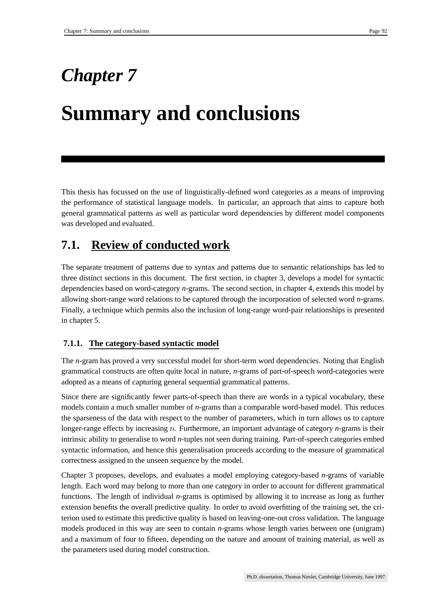## *Chapter 7*

# **Summary and conclusions**

This thesis has focussed on the use of linguistically-defined word categories as a means of improving the performance of statistical language models. In particular, an approach that aims to capture both general grammatical patterns as well as particular word dependencies by different model components was developed and evaluated.

## **7.1. Review of conducted work**

The separate treatment of patterns due to syntax and patterns due to semantic relationships has led to three distinct sections in this document. The first section, in chapter 3, develops a model for syntactic dependencies based on word-category *n*-grams. The second section, in chapter 4, extends this model by allowing short-range word relations to be captured through the incorporation of selected word *n*-grams. Finally, a technique which permits also the inclusion of long-range word-pair relationships is presented in chapter 5.

## **7.1.1. The category-based syntactic model**

The *n*-gram has proved a very successful model for short-term word dependencies. Noting that English grammatical constructs are often quite local in nature, *n*-grams of part-of-speech word-categories were adopted as a means of capturing general sequential grammatical patterns.

Since there are significantly fewer parts-of-speech than there are words in a typical vocabulary, these models contain a much smaller number of *n*-grams than a comparable word-based model. This reduces the sparseness of the data with respect to the number of parameters, which in turn allows us to capture longer-range effects by increasing *n*. Furthermore, an important advantage of category *n*-grams is their intrinsic ability to generalise to word *n*-tuples not seen during training. Part-of-speech categories embed syntactic information, and hence this generalisation proceeds according to the measure of grammatical correctness assigned to the unseen sequence by the model.

Chapter 3 proposes, develops, and evaluates a model employing category-based *n*-grams of variable length. Each word may belong to more than one category in order to account for different grammatical functions. The length of individual *n*-grams is optimised by allowing it to increase as long as further extension benefits the overall predictive quality. In order to avoid overfitting of the training set, the criterion used to estimate this predictive quality is based on leaving-one-out cross validation. The language models produced in this way are seen to contain *n*-grams whose length varies between one (unigram) and a maximum of four to fifteen, depending on the nature and amount of training material, as well as the parameters used during model construction.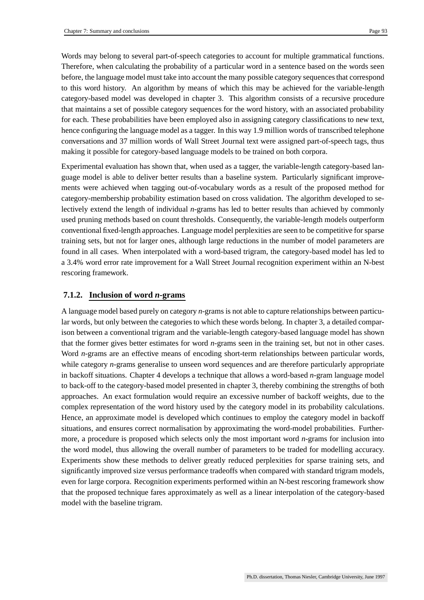Words may belong to several part-of-speech categories to account for multiple grammatical functions. Therefore, when calculating the probability of a particular word in a sentence based on the words seen before, the language model must take into account the many possible category sequences that correspond to this word history. An algorithm by means of which this may be achieved for the variable-length category-based model was developed in chapter 3. This algorithm consists of a recursive procedure that maintains a set of possible category sequences for the word history, with an associated probability for each. These probabilities have been employed also in assigning category classifications to new text, hence configuring the language model as a tagger. In this way 1.9 million words of transcribed telephone conversations and 37 million words of Wall Street Journal text were assigned part-of-speech tags, thus making it possible for category-based language models to be trained on both corpora.

Experimental evaluation has shown that, when used as a tagger, the variable-length category-based language model is able to deliver better results than a baseline system. Particularly significant improvements were achieved when tagging out-of-vocabulary words as a result of the proposed method for category-membership probability estimation based on cross validation. The algorithm developed to selectively extend the length of individual *n*-grams has led to better results than achieved by commonly used pruning methods based on count thresholds. Consequently, the variable-length models outperform conventional fixed-length approaches. Language model perplexities are seen to be competitive for sparse training sets, but not for larger ones, although large reductions in the number of model parameters are found in all cases. When interpolated with a word-based trigram, the category-based model has led to a 3.4% word error rate improvement for a Wall Street Journal recognition experiment within an N-best rescoring framework.

#### **7.1.2. Inclusion of word** *n***-grams**

A language model based purely on category *n*-grams is not able to capture relationships between particular words, but only between the categories to which these words belong. In chapter 3, a detailed comparison between a conventional trigram and the variable-length category-based language model has shown that the former gives better estimates for word *n*-grams seen in the training set, but not in other cases. Word *n*-grams are an effective means of encoding short-term relationships between particular words, while category *n*-grams generalise to unseen word sequences and are therefore particularly appropriate in backoff situations. Chapter 4 develops a technique that allows a word-based *n*-gram language model to back-off to the category-based model presented in chapter 3, thereby combining the strengths of both approaches. An exact formulation would require an excessive number of backoff weights, due to the complex representation of the word history used by the category model in its probability calculations. Hence, an approximate model is developed which continues to employ the category model in backoff situations, and ensures correct normalisation by approximating the word-model probabilities. Furthermore, a procedure is proposed which selects only the most important word *n*-grams for inclusion into the word model, thus allowing the overall number of parameters to be traded for modelling accuracy. Experiments show these methods to deliver greatly reduced perplexities for sparse training sets, and significantly improved size versus performance tradeoffs when compared with standard trigram models, even for large corpora. Recognition experiments performed within an N-best rescoring framework show that the proposed technique fares approximately as well as a linear interpolation of the category-based model with the baseline trigram.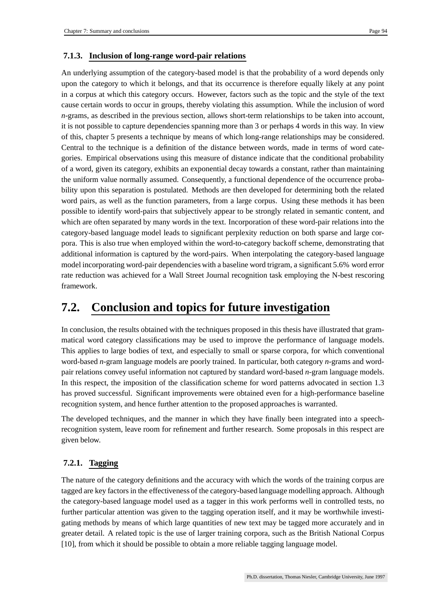### **7.1.3. Inclusion of long-range word-pair relations**

An underlying assumption of the category-based model is that the probability of a word depends only upon the category to which it belongs, and that its occurrence is therefore equally likely at any point in a corpus at which this category occurs. However, factors such as the topic and the style of the text cause certain words to occur in groups, thereby violating this assumption. While the inclusion of word *n*-grams, as described in the previous section, allows short-term relationships to be taken into account, it is not possible to capture dependencies spanning more than 3 or perhaps 4 words in this way. In view of this, chapter 5 presents a technique by means of which long-range relationships may be considered. Central to the technique is a definition of the distance between words, made in terms of word categories. Empirical observations using this measure of distance indicate that the conditional probability of a word, given its category, exhibits an exponential decay towards a constant, rather than maintaining the uniform value normally assumed. Consequently, a functional dependence of the occurrence probability upon this separation is postulated. Methods are then developed for determining both the related word pairs, as well as the function parameters, from a large corpus. Using these methods it has been possible to identify word-pairs that subjectively appear to be strongly related in semantic content, and which are often separated by many words in the text. Incorporation of these word-pair relations into the category-based language model leads to significant perplexity reduction on both sparse and large corpora. This is also true when employed within the word-to-category backoff scheme, demonstrating that additional information is captured by the word-pairs. When interpolating the category-based language model incorporating word-pair dependencies with a baseline word trigram, a significant 5.6% word error rate reduction was achieved for a Wall Street Journal recognition task employing the N-best rescoring framework.

## **7.2. Conclusion and topics for future investigation**

In conclusion, the results obtained with the techniques proposed in this thesis have illustrated that grammatical word category classifications may be used to improve the performance of language models. This applies to large bodies of text, and especially to small or sparse corpora, for which conventional word-based *n*-gram language models are poorly trained. In particular, both category *n*-grams and wordpair relations convey useful information not captured by standard word-based *n*-gram language models. In this respect, the imposition of the classification scheme for word patterns advocated in section 1.3 has proved successful. Significant improvements were obtained even for a high-performance baseline recognition system, and hence further attention to the proposed approaches is warranted.

The developed techniques, and the manner in which they have finally been integrated into a speechrecognition system, leave room for refinement and further research. Some proposals in this respect are given below.

## **7.2.1. Tagging**

The nature of the category definitions and the accuracy with which the words of the training corpus are tagged are key factors in the effectiveness of the category-based language modelling approach. Although the category-based language model used as a tagger in this work performs well in controlled tests, no further particular attention was given to the tagging operation itself, and it may be worthwhile investigating methods by means of which large quantities of new text may be tagged more accurately and in greater detail. A related topic is the use of larger training corpora, such as the British National Corpus [10], from which it should be possible to obtain a more reliable tagging language model.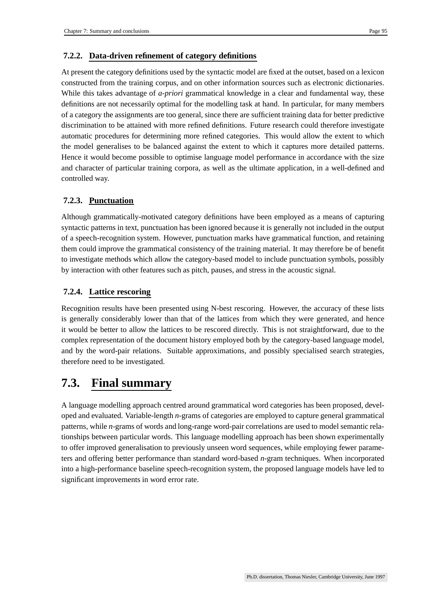## **7.2.2. Data-driven refinement of category definitions**

At present the category definitions used by the syntactic model are fixed at the outset, based on a lexicon constructed from the training corpus, and on other information sources such as electronic dictionaries. While this takes advantage of *a-priori* grammatical knowledge in a clear and fundamental way, these definitions are not necessarily optimal for the modelling task at hand. In particular, for many members of a category the assignments are too general, since there are sufficient training data for better predictive discrimination to be attained with more refined definitions. Future research could therefore investigate automatic procedures for determining more refined categories. This would allow the extent to which the model generalises to be balanced against the extent to which it captures more detailed patterns. Hence it would become possible to optimise language model performance in accordance with the size and character of particular training corpora, as well as the ultimate application, in a well-defined and controlled way.

## **7.2.3. Punctuation**

Although grammatically-motivated category definitions have been employed as a means of capturing syntactic patterns in text, punctuation has been ignored because it is generally not included in the output of a speech-recognition system. However, punctuation marks have grammatical function, and retaining them could improve the grammatical consistency of the training material. It may therefore be of benefit to investigate methods which allow the category-based model to include punctuation symbols, possibly by interaction with other features such as pitch, pauses, and stress in the acoustic signal.

## **7.2.4. Lattice rescoring**

Recognition results have been presented using N-best rescoring. However, the accuracy of these lists is generally considerably lower than that of the lattices from which they were generated, and hence it would be better to allow the lattices to be rescored directly. This is not straightforward, due to the complex representation of the document history employed both by the category-based language model, and by the word-pair relations. Suitable approximations, and possibly specialised search strategies, therefore need to be investigated.

## **7.3. Final summary**

A language modelling approach centred around grammatical word categories has been proposed, developed and evaluated. Variable-length *n*-grams of categories are employed to capture general grammatical patterns, while *n*-grams of words and long-range word-pair correlations are used to model semantic relationships between particular words. This language modelling approach has been shown experimentally to offer improved generalisation to previously unseen word sequences, while employing fewer parameters and offering better performance than standard word-based *n*-gram techniques. When incorporated into a high-performance baseline speech-recognition system, the proposed language models have led to significant improvements in word error rate.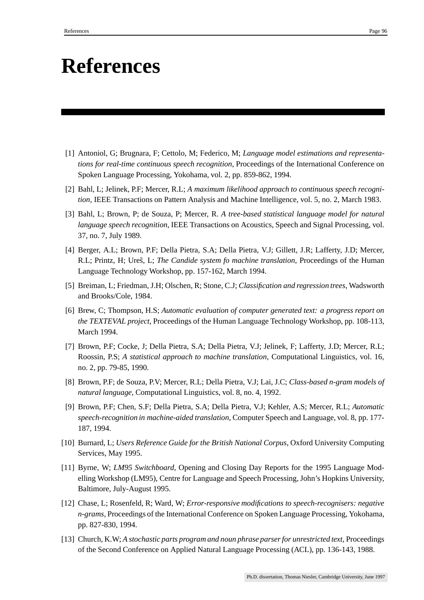## **References**

- [1] Antoniol, G; Brugnara, F; Cettolo, M; Federico, M; *Language model estimations and representations for real-time continuous speech recognition*, Proceedings of the International Conference on Spoken Language Processing, Yokohama, vol. 2, pp. 859-862, 1994.
- [2] Bahl, L; Jelinek, P.F; Mercer, R.L; *A maximum likelihood approach to continuous speech recognition*, IEEE Transactions on Pattern Analysis and Machine Intelligence, vol. 5, no. 2, March 1983.
- [3] Bahl, L; Brown, P; de Souza, P; Mercer, R. *A tree-based statistical language model for natural language speech recognition*, IEEE Transactions on Acoustics, Speech and Signal Processing, vol. 37, no. 7, July 1989.
- [4] Berger, A.L; Brown, P.F; Della Pietra, S.A; Della Pietra, V.J; Gillett, J.R; Lafferty, J.D; Mercer, R.L; Printz, H; Ures, L; *The Candide system fo machine translation*, Proceedings of the Human Language Technology Workshop, pp. 157-162, March 1994.
- [5] Breiman, L; Friedman, J.H; Olschen, R; Stone, C.J; *Classification and regression trees*, Wadsworth and Brooks/Cole, 1984.
- [6] Brew, C; Thompson, H.S; *Automatic evaluation of computer generated text: a progress report on the TEXTEVAL project*, Proceedings of the Human Language Technology Workshop, pp. 108-113, March 1994.
- [7] Brown, P.F; Cocke, J; Della Pietra, S.A; Della Pietra, V.J; Jelinek, F; Lafferty, J.D; Mercer, R.L; Roossin, P.S; *A statistical approach to machine translation*, Computational Linguistics, vol. 16, no. 2, pp. 79-85, 1990.
- [8] Brown, P.F; de Souza, P.V; Mercer, R.L; Della Pietra, V.J; Lai, J.C; *Class-based n-gram models of natural language*, Computational Linguistics, vol. 8, no. 4, 1992.
- [9] Brown, P.F; Chen, S.F; Della Pietra, S.A; Della Pietra, V.J; Kehler, A.S; Mercer, R.L; *Automatic speech-recognition in machine-aided translation*, Computer Speech and Language, vol. 8, pp. 177- 187, 1994.
- [10] Burnard, L; *Users Reference Guide for the British National Corpus*, Oxford University Computing Services, May 1995.
- [11] Byrne, W; *LM95 Switchboard*, Opening and Closing Day Reports for the 1995 Language Modelling Workshop (LM95), Centre for Language and Speech Processing, John's Hopkins University, Baltimore, July-August 1995.
- [12] Chase, L; Rosenfeld, R; Ward, W; *Error-responsive modifications to speech-recognisers: negative n-grams*, Proceedings of the International Conference on Spoken Language Processing, Yokohama, pp. 827-830, 1994.
- [13] Church, K.W; *A stochastic parts program and noun phrase parserfor unrestricted text*, Proceedings of the Second Conference on Applied Natural Language Processing (ACL), pp. 136-143, 1988.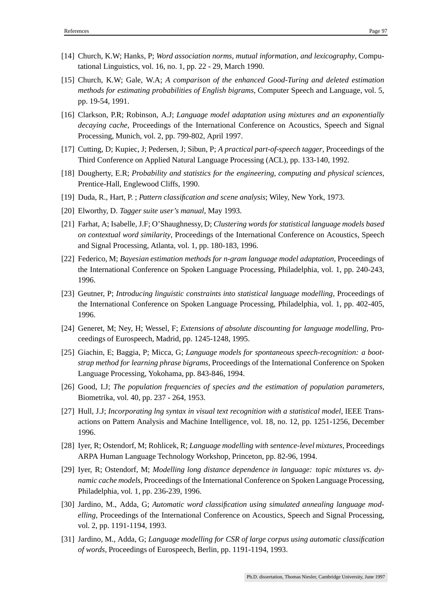- [14] Church, K.W; Hanks, P; *Word association norms, mutual information, and lexicography*, Computational Linguistics, vol. 16, no. 1, pp. 22 - 29, March 1990.
- [15] Church, K.W; Gale, W.A; *A comparison of the enhanced Good-Turing and deleted estimation methods for estimating probabilities of English bigrams*, Computer Speech and Language, vol. 5, pp. 19-54, 1991.
- [16] Clarkson, P.R; Robinson, A.J; *Language model adaptation using mixtures and an exponentially decaying cache*, Proceedings of the International Conference on Acoustics, Speech and Signal Processing, Munich, vol. 2, pp. 799-802, April 1997.
- [17] Cutting, D; Kupiec, J; Pedersen, J; Sibun, P; *A practical part-of-speech tagger*, Proceedings of the Third Conference on Applied Natural Language Processing (ACL), pp. 133-140, 1992.
- [18] Dougherty, E.R; *Probability and statistics for the engineering, computing and physical sciences*, Prentice-Hall, Englewood Cliffs, 1990.
- [19] Duda, R., Hart, P. ; *Pattern classification and scene analysis*; Wiley, New York, 1973.
- [20] Elworthy, D. *Tagger suite user's manual*, May 1993.
- [21] Farhat, A; Isabelle, J.F; O'Shaughnessy, D; *Clustering words for statistical language models based on contextual word similarity*, Proceedings of the International Conference on Acoustics, Speech and Signal Processing, Atlanta, vol. 1, pp. 180-183, 1996.
- [22] Federico, M; *Bayesian estimation methods for n-gram language model adaptation*, Proceedings of the International Conference on Spoken Language Processing, Philadelphia, vol. 1, pp. 240-243, 1996.
- [23] Geutner, P; *Introducing linguistic constraints into statistical language modelling*, Proceedings of the International Conference on Spoken Language Processing, Philadelphia, vol. 1, pp. 402-405, 1996.
- [24] Generet, M; Ney, H; Wessel, F; *Extensions of absolute discounting for language modelling*, Proceedings of Eurospeech, Madrid, pp. 1245-1248, 1995.
- [25] Giachin, E; Baggia, P; Micca, G; *Language models for spontaneous speech-recognition: a bootstrap method for learning phrase bigrams*, Proceedings of the International Conference on Spoken Language Processing, Yokohama, pp. 843-846, 1994.
- [26] Good, I.J; *The population frequencies of species and the estimation of population parameters*, Biometrika, vol. 40, pp. 237 - 264, 1953.
- [27] Hull, J.J; *Incorporating lng syntax in visual text recognition with a statistical model*, IEEE Transactions on Pattern Analysis and Machine Intelligence, vol. 18, no. 12, pp. 1251-1256, December 1996.
- [28] Iyer, R; Ostendorf, M; Rohlicek, R; *Language modelling with sentence-level mixtures*, Proceedings ARPA Human Language Technology Workshop, Princeton, pp. 82-96, 1994.
- [29] Iyer, R; Ostendorf, M; *Modelling long distance dependence in language: topic mixtures vs. dynamic cache models*, Proceedings of the International Conference on Spoken Language Processing, Philadelphia, vol. 1, pp. 236-239, 1996.
- [30] Jardino, M., Adda, G; *Automatic word classification using simulated annealing language modelling*, Proceedings of the International Conference on Acoustics, Speech and Signal Processing, vol. 2, pp. 1191-1194, 1993.
- [31] Jardino, M., Adda, G; *Language modelling for CSR of large corpus using automatic classification of words*, Proceedings of Eurospeech, Berlin, pp. 1191-1194, 1993.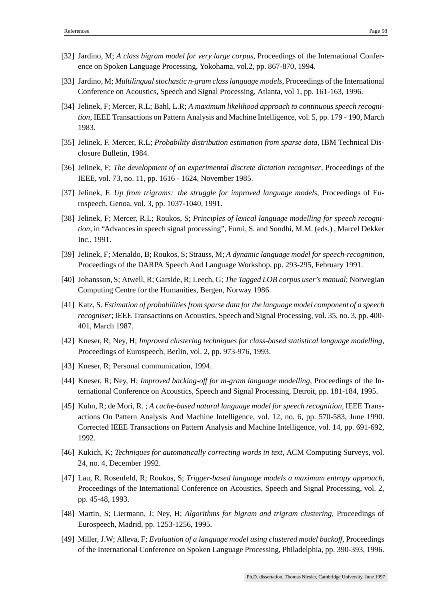- [32] Jardino, M; *A class bigram model for very large corpus*, Proceedings of the International Conference on Spoken Language Processing, Yokohama, vol.2, pp. 867-870, 1994.
- [33] Jardino, M; *Multilingual stochastic n-gram classlanguage models*, Proceedings of the International Conference on Acoustics, Speech and Signal Processing, Atlanta, vol 1, pp. 161-163, 1996.
- [34] Jelinek, F; Mercer, R.L; Bahl, L.R; *A maximum likelihood approach to continuous speech recognition*, IEEE Transactions on Pattern Analysis and Machine Intelligence, vol. 5, pp. 179 - 190, March 1983.
- [35] Jelinek, F. Mercer, R.L; *Probability distribution estimation from sparse data*, IBM Technical Disclosure Bulletin, 1984.
- [36] Jelinek, F; *The development of an experimental discrete dictation recogniser*, Proceedings of the IEEE, vol. 73, no. 11, pp. 1616 - 1624, November 1985.
- [37] Jelinek, F. *Up from trigrams: the struggle for improved language models*, Proceedings of Eurospeech, Genoa, vol. 3, pp. 1037-1040, 1991.
- [38] Jelinek, F; Mercer, R.L; Roukos, S; *Principles of lexical language modelling for speech recogni*tion, in "Advances in speech signal processing", Furui, S. and Sondhi, M.M. (eds.), Marcel Dekker Inc., 1991.
- [39] Jelinek, F; Merialdo, B; Roukos, S; Strauss, M; *A dynamic language model for speech-recognition*, Proceedings of the DARPA Speech And Language Workshop, pp. 293-295, February 1991.
- [40] Johansson, S; Atwell, R; Garside, R; Leech, G; *The Tagged LOB corpus user's manual*; Norwegian Computing Centre for the Humanities, Bergen, Norway 1986.
- [41] Katz, S. *Estimation of probabilitiesfrom sparse data for the language model component of a speech recogniser*; IEEE Transactions on Acoustics, Speech and Signal Processing, vol. 35, no. 3, pp. 400- 401, March 1987.
- [42] Kneser, R; Ney, H; *Improved clustering techniques for class-based statistical language modelling*, Proceedings of Eurospeech, Berlin, vol. 2, pp. 973-976, 1993.
- [43] Kneser, R; Personal communication, 1994.
- [44] Kneser, R; Ney, H; *Improved backing-off for m-gram language modelling*, Proceedings of the International Conference on Acoustics, Speech and Signal Processing, Detroit, pp. 181-184, 1995.
- [45] Kuhn, R; de Mori, R. ; *A cache-based natural language model for speech recognition*, IEEE Transactions On Pattern Analysis And Machine Intelligence, vol. 12, no. 6, pp. 570-583, June 1990. Corrected IEEE Transactions on Pattern Analysis and Machine Intelligence, vol. 14, pp. 691-692, 1992.
- [46] Kukich, K; *Techniques for automatically correcting words in text*, ACM Computing Surveys, vol. 24, no. 4, December 1992.
- [47] Lau, R. Rosenfeld, R; Roukos, S; *Trigger-based language models a maximum entropy approach*, Proceedings of the International Conference on Acoustics, Speech and Signal Processing, vol. 2, pp. 45-48, 1993.
- [48] Martin, S; Liermann, J; Ney, H; *Algorithms for bigram and trigram clustering*, Proceedings of Eurospeech, Madrid, pp. 1253-1256, 1995.
- [49] Miller, J.W; Alleva, F; *Evaluation of a language model using clustered model backoff*, Proceedings of the International Conference on Spoken Language Processing, Philadelphia, pp. 390-393, 1996.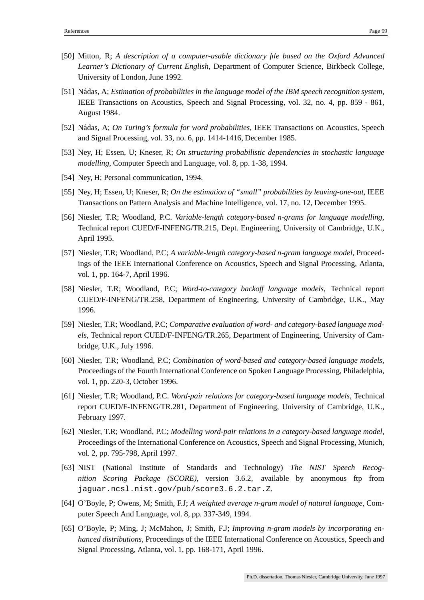- [50] Mitton, R; *A description of a computer-usable dictionary file based on the Oxford Advanced Learner's Dictionary of Current English*, Department of Computer Science, Birkbeck College, University of London, June 1992.
- [51] Nadas, ´ A; *Estimation of probabilities in the language model of the IBM speech recognition system*, IEEE Transactions on Acoustics, Speech and Signal Processing, vol. 32, no. 4, pp. 859 - 861, August 1984.
- [52] Nádas, A; *On Turing's formula for word probabilities*, IEEE Transactions on Acoustics, Speech and Signal Processing, vol. 33, no. 6, pp. 1414-1416, December 1985.
- [53] Ney, H; Essen, U; Kneser, R; *On structuring probabilistic dependencies in stochastic language modelling*, Computer Speech and Language, vol. 8, pp. 1-38, 1994.
- [54] Ney, H; Personal communication, 1994.
- [55] Ney, H; Essen, U; Kneser, R; *On the estimation of "small" probabilities by leaving-one-out*, IEEE Transactions on Pattern Analysis and Machine Intelligence, vol. 17, no. 12, December 1995.
- [56] Niesler, T.R; Woodland, P.C. *Variable-length category-based n-grams for language modelling*, Technical report CUED/F-INFENG/TR.215, Dept. Engineering, University of Cambridge, U.K., April 1995.
- [57] Niesler, T.R; Woodland, P.C; *A variable-length category-based n-gram language model*, Proceedings of the IEEE International Conference on Acoustics, Speech and Signal Processing, Atlanta, vol. 1, pp. 164-7, April 1996.
- [58] Niesler, T.R; Woodland, P.C; *Word-to-category backoff language models*, Technical report CUED/F-INFENG/TR.258, Department of Engineering, University of Cambridge, U.K., May 1996.
- [59] Niesler, T.R; Woodland, P.C; *Comparative evaluation of word- and category-based language models*, Technical report CUED/F-INFENG/TR.265, Department of Engineering, University of Cambridge, U.K., July 1996.
- [60] Niesler, T.R; Woodland, P.C; *Combination of word-based and category-based language models*, Proceedings of the Fourth International Conference on Spoken Language Processing, Philadelphia, vol. 1, pp. 220-3, October 1996.
- [61] Niesler, T.R; Woodland, P.C. *Word-pair relations for category-based language models*, Technical report CUED/F-INFENG/TR.281, Department of Engineering, University of Cambridge, U.K., February 1997.
- [62] Niesler, T.R; Woodland, P.C; *Modelling word-pair relations in a category-based language model*, Proceedings of the International Conference on Acoustics, Speech and Signal Processing, Munich, vol. 2, pp. 795-798, April 1997.
- [63] NIST (National Institute of Standards and Technology) *The NIST Speech Recognition Scoring Package (SCORE)*, version 3.6.2, available by anonymous ftp from jaguar.ncsl.nist.gov/pub/score3.6.2.tar.Z.
- [64] O'Boyle, P; Owens, M; Smith, F.J; *A weighted average n-gram model of natural language*, Computer Speech And Language, vol. 8, pp. 337-349, 1994.
- [65] O'Boyle, P; Ming, J; McMahon, J; Smith, F.J; *Improving n-gram models by incorporating enhanced distributions*, Proceedings of the IEEE International Conference on Acoustics, Speech and Signal Processing, Atlanta, vol. 1, pp. 168-171, April 1996.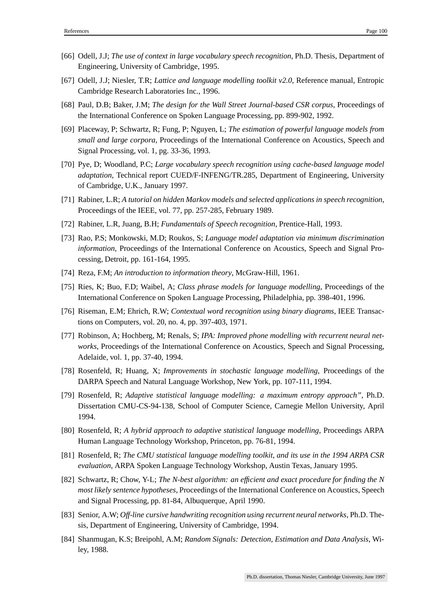- [66] Odell, J.J; *The use of context in large vocabulary speech recognition*, Ph.D. Thesis, Department of Engineering, University of Cambridge, 1995.
- [67] Odell, J.J; Niesler, T.R; *Lattice and language modelling toolkit v2.0*, Reference manual, Entropic Cambridge Research Laboratories Inc., 1996.
- [68] Paul, D.B; Baker, J.M; *The design for the Wall Street Journal-based CSR corpus*, Proceedings of the International Conference on Spoken Language Processing, pp. 899-902, 1992.
- [69] Placeway, P; Schwartz, R; Fung, P; Nguyen, L; *The estimation of powerful language models from small and large corpora*, Proceedings of the International Conference on Acoustics, Speech and Signal Processing, vol. 1, pg. 33-36, 1993.
- [70] Pye, D; Woodland, P.C; *Large vocabulary speech recognition using cache-based language model adaptation*, Technical report CUED/F-INFENG/TR.285, Department of Engineering, University of Cambridge, U.K., January 1997.
- [71] Rabiner, L.R; *A tutorial on hidden Markov models and selected applications in speech recognition*, Proceedings of the IEEE, vol. 77, pp. 257-285, February 1989.
- [72] Rabiner, L.R, Juang, B.H; *Fundamentals of Speech recognition*, Prentice-Hall, 1993.
- [73] Rao, P.S; Monkowski, M.D; Roukos, S; *Language model adaptation via minimum discrimination information*, Proceedings of the International Conference on Acoustics, Speech and Signal Processing, Detroit, pp. 161-164, 1995.
- [74] Reza, F.M; *An introduction to information theory*, McGraw-Hill, 1961.
- [75] Ries, K; Buo, F.D; Waibel, A; *Class phrase models for language modelling*, Proceedings of the International Conference on Spoken Language Processing, Philadelphia, pp. 398-401, 1996.
- [76] Riseman, E.M; Ehrich, R.W; *Contextual word recognition using binary diagrams*, IEEE Transactions on Computers, vol. 20, no. 4, pp. 397-403, 1971.
- [77] Robinson, A; Hochberg, M; Renals, S; *IPA: Improved phone modelling with recurrent neural networks*, Proceedings of the International Conference on Acoustics, Speech and Signal Processing, Adelaide, vol. 1, pp. 37-40, 1994.
- [78] Rosenfeld, R; Huang, X; *Improvements in stochastic language modelling*, Proceedings of the DARPA Speech and Natural Language Workshop, New York, pp. 107-111, 1994.
- [79] Rosenfeld, R; *Adaptive statistical language modelling: a maximum entropy approach"*, Ph.D. Dissertation CMU-CS-94-138, School of Computer Science, Carnegie Mellon University, April 1994.
- [80] Rosenfeld, R; *A hybrid approach to adaptive statistical language modelling*, Proceedings ARPA Human Language Technology Workshop, Princeton, pp. 76-81, 1994.
- [81] Rosenfeld, R; *The CMU statistical language modelling toolkit, and its use in the 1994 ARPA CSR evaluation*, ARPA Spoken Language Technology Workshop, Austin Texas, January 1995.
- [82] Schwartz, R; Chow, Y-L; *The N-best algorithm: an efficient and exact procedure for finding the N most likely sentence hypotheses*, Proceedings of the International Conference on Acoustics, Speech and Signal Processing, pp. 81-84, Albuquerque, April 1990.
- [83] Senior, A.W; *Off-line cursive handwriting recognition using recurrent neural networks*, Ph.D. Thesis, Department of Engineering, University of Cambridge, 1994.
- [84] Shanmugan, K.S; Breipohl, A.M; *Random Signals: Detection, Estimation and Data Analysis*, Wiley, 1988.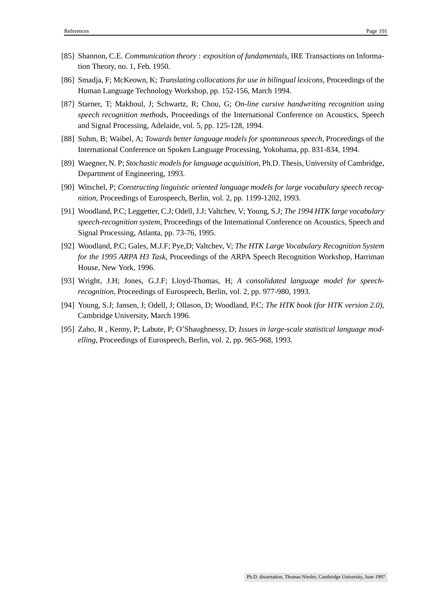- [85] Shannon, C.E. *Communication theory : exposition of fundamentals*, IRE Transactions on Information Theory, no. 1, Feb. 1950.
- [86] Smadja, F; McKeown, K; *Translating collocations for use in bilingual lexicons*, Proceedings of the Human Language Technology Workshop, pp. 152-156, March 1994.
- [87] Starner, T; Makhoul, J; Schwartz, R; Chou, G; *On-line cursive handwriting recognition using speech recognition methods*, Proceedings of the International Conference on Acoustics, Speech and Signal Processing, Adelaide, vol. 5, pp. 125-128, 1994.
- [88] Suhm, B; Waibel, A; *Towards better language models for spontaneous speech*, Proceedings of the International Conference on Spoken Language Processing, Yokohama, pp. 831-834, 1994.
- [89] Waegner, N. P; *Stochastic modelsfor language acquisition*, Ph.D. Thesis, University of Cambridge, Department of Engineering, 1993.
- [90] Witschel, P; *Constructing linguistic oriented language models for large vocabulary speech recognition*, Proceedings of Eurospeech, Berlin, vol. 2, pp. 1199-1202, 1993.
- [91] Woodland, P.C; Leggetter, C.J; Odell, J.J; Valtchev, V; Young, S.J; *The 1994 HTK large vocabulary speech-recognition system*, Proceedings of the International Conference on Acoustics, Speech and Signal Processing, Atlanta, pp. 73-76, 1995.
- [92] Woodland, P.C; Gales, M.J.F; Pye,D; Valtchev, V; *The HTK Large Vocabulary Recognition System for the 1995 ARPA H3 Task*, Proceedings of the ARPA Speech Recognition Workshop, Harriman House, New York, 1996.
- [93] Wright, J.H; Jones, G.J.F; Lloyd-Thomas, H; *A consolidated language model for speechrecognition*, Proceedings of Eurospeech, Berlin, vol. 2, pp. 977-980, 1993.
- [94] Young, S.J; Jansen, J; Odell, J; Ollason, D; Woodland, P.C; *The HTK book (for HTK version 2.0)*, Cambridge University, March 1996.
- [95] Zaho, R , Kenny, P; Labute, P; O'Shaughnessy, D; *Issues in large-scale statistical language modelling*, Proceedings of Eurospeech, Berlin, vol. 2, pp. 965-968, 1993.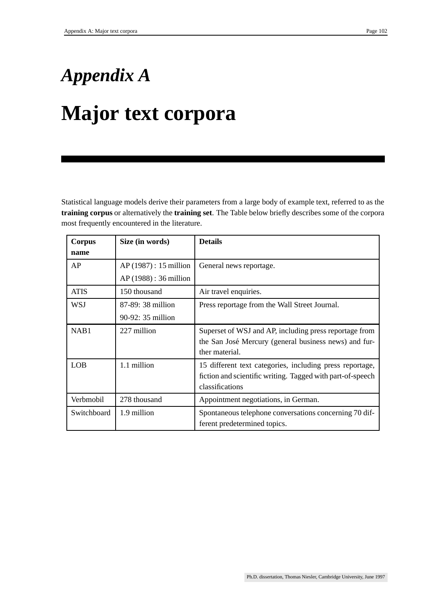# *Appendix A* **Major text corpora**

Statistical language models derive their parameters from a large body of example text, referred to as the **training corpus** or alternatively the **training set**. The Table below briefly describes some of the corpora most frequently encountered in the literature.

| Corpus      | Size (in words)        | <b>Details</b>                                             |  |
|-------------|------------------------|------------------------------------------------------------|--|
| name        |                        |                                                            |  |
| AP          | $AP(1987): 15$ million | General news reportage.                                    |  |
|             | $AP(1988): 36$ million |                                                            |  |
| <b>ATIS</b> | 150 thousand           | Air travel enquiries.                                      |  |
| <b>WSJ</b>  | 87-89: 38 million      | Press reportage from the Wall Street Journal.              |  |
|             | $90-92: 35$ million    |                                                            |  |
| NAB1        | 227 million            | Superset of WSJ and AP, including press reportage from     |  |
|             |                        | the San José Mercury (general business news) and fur-      |  |
|             |                        | ther material.                                             |  |
| <b>LOB</b>  | 1.1 million            | 15 different text categories, including press reportage,   |  |
|             |                        | fiction and scientific writing. Tagged with part-of-speech |  |
|             |                        | classifications                                            |  |
| Verbmobil   | 278 thousand           | Appointment negotiations, in German.                       |  |
| Switchboard | 1.9 million            | Spontaneous telephone conversations concerning 70 dif-     |  |
|             |                        | ferent predetermined topics.                               |  |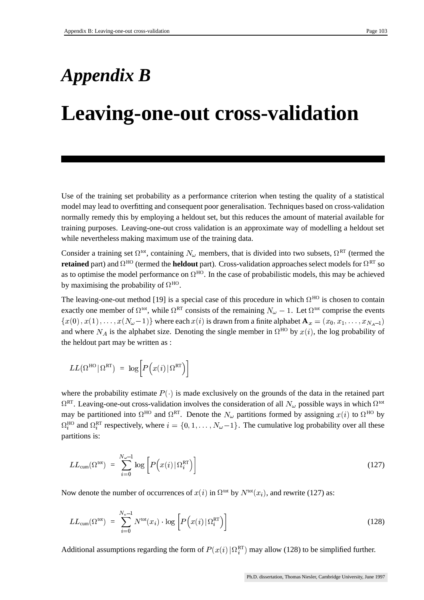## *Appendix B*

## **Leaving-one-out cross-validation**

Use of the training set probability as a performance criterion when testing the quality of a statistical model may lead to overfitting and consequent poor generalisation. Techniques based on cross-validation normally remedy this by employing a heldout set, but this reduces the amount of material available for training purposes. Leaving-one-out cross validation is an approximate way of modelling a heldout set while nevertheless making maximum use of the training data.

Consider a training set  $\Omega^{tot}$ , containing  $N_\omega$  members, that is divided into two subsets,  $\Omega^{RT}$  (termed the **retained** part) and  $\Omega^{\text{HO}}$  (termed the **heldout** part). Cross-validation approaches select models for  $\Omega^{\text{RT}}$  so as to optimise the model performance on  $\Omega^{HO}$ . In the case of probabilistic models, this may be achieved by maximising the probability of  $\Omega^{HO}$ .

The leaving-one-out method [19] is a special case of this procedure in which  $\Omega^{HO}$  is chosen to contain exactly one member of  $\Omega^{tot}$ , while  $\Omega^{RT}$  consists of the remaining  $N_\omega - 1$ . Let  $\Omega^{tot}$  comprise the events  $\{x(0), x(1), \ldots, x(N_{\omega}-1)\}\$  where each  $x(i)$  is drawn from a finite alphabet  $\mathbf{A}_x = (x_0, x_1, \ldots, x_{N_A-1})$  $\{x(0), x(1), \ldots, x(N_{\omega}-1)\}\$  where each  $x(i)$  is drawn from a finite alphabet  $\mathbf{A}_x = (x_0, x_1, \ldots, x_{N_A-1})\$  and where  $N_A$  is the alphabet size. Denoting the single member in  $\Omega^{HO}$  by  $x(i)$ , the log probability of the heldout part may be written as :

$$
LL\big(\Omega^{\textrm{HO}}\,\vert\,\Omega^{\textrm{RT}}\big)~=~\log\Big[P\Big(x(i)\,\vert\,\Omega^{\textrm{RT}}\Big)\Big]
$$

where the probability estimate  $P(\cdot)$  is made exclusively on the grounds of the data in the retained part  $\Omega^{\rm RT}$ . Leaving-one-out cross-validation involves the consideration of all  $N_\omega$  possible ways in which  $\Omega^{\rm tot}$ may be partitioned into  $\Omega^{HO}$  and  $\Omega^{RT}$ . Denote the  $N_{\omega}$  partitions formed by assigning  $x(i)$  to  $\Omega^{HO}$  by  $\Omega_i^{\text{HO}}$  and  $\Omega_i^{\text{RT}}$  respectively, where  $i = \{0, 1, \dots, N_{\omega}-1\}$ . The cumulative log probability over all these partitions is:

$$
LL_{\text{cum}}(\Omega^{\text{tot}}) = \sum_{i=0}^{N_{\omega}-1} \log \left[ P\left(x(i) \, \vert \, \Omega_i^{\text{RT}}\right) \right] \tag{127}
$$

Now denote the number of occurrences of  $x(i)$  in  $\Omega^{tot}$  by  $N^{tot}(x_i)$ , and rewrite (127) as:

$$
LL_{\text{cum}}(\Omega^{\text{tot}}) = \sum_{i=0}^{N_{v}-1} N^{\text{tot}}(x_i) \cdot \log \left[ P(x(i) | \Omega_i^{\text{RT}}) \right]
$$
(128)

Additional assumptions regarding the form of  $P(x(i) | \Omega_i^{RT})$  may allow (128) to be simplified further.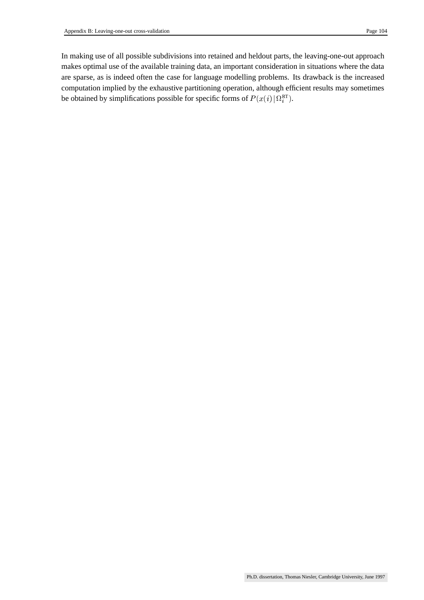In making use of all possible subdivisions into retained and heldout parts, the leaving-one-out approach makes optimal use of the available training data, an important consideration in situations where the data are sparse, as is indeed often the case for language modelling problems. Its drawback is the increased computation implied by the exhaustive partitioning operation, although efficient results may sometimes be obtained by simplifications possible for specific forms of  $P(x(i) | \Omega_i^{\text{RT}})$ .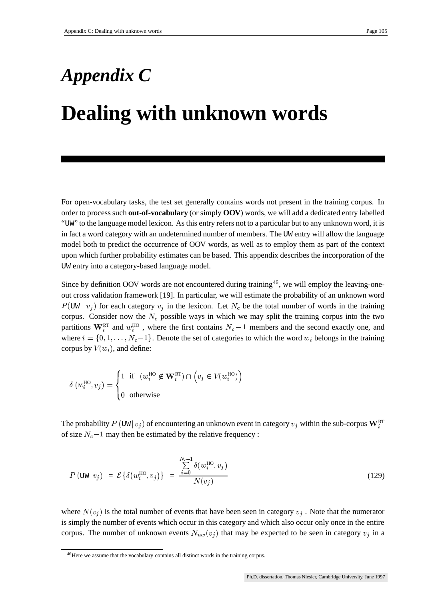# *Appendix C* **Dealing with unknown words**

For open-vocabulary tasks, the test set generally contains words not present in the training corpus. In order to process such **out-of-vocabulary** (or simply **OOV**) words, we will add a dedicated entry labelled "UW" to the language model lexicon. As this entry refers not to a particular but to any unknown word, it is in fact a word category with an undetermined number of members. The UW entry will allow the language model both to predict the occurrence of OOV words, as well as to employ them as part of the context upon which further probability estimates can be based. This appendix describes the incorporation of the UW entry into a category-based language model.

Since by definition OOV words are not encountered during training<sup>46</sup>, we will employ the leaving-oneout cross validation framework [19]. In particular, we will estimate the probability of an unknown word  $P(\text{UW} \mid v_i)$  for each category  $v_j$  in the lexicon. Let  $N_c$  be the total number of words in the training corpus. Consider now the  $N_c$  possible ways in which we may split the training corpus into the two partitions  $\mathbf{W}_i^{\text{RT}}$  and  $w_i^{\text{HO}}$ , where the first contains  $N_c-1$  members and the second exactly one, and where  $i = \{0, 1, \ldots, N_c-1\}$ . Denote the set of categories to which the word  $w_i$  belongs in the training corpus by  $V(w_i)$ , and define:

$$
\delta\left(w_i^{\text{HO}}, v_j\right) = \begin{cases} 1 & \text{if } \left(w_i^{\text{HO}} \notin \mathbf{W}_i^{\text{RT}}\right) \cap \left(v_j \in V(w_i^{\text{HO}})\right) \\ 0 & \text{otherwise} \end{cases}
$$

The probability  $P(\text{UW} | v_i)$  of encountering an unknown event in category  $v_i$  within the sub-corpus  $\mathbf{W}_i^{\text{RT}}$ of size  $N_c - 1$  may then be estimated by the relative frequency :

$$
P(\text{UW} | v_j) = \mathcal{E}\{\delta(w_i^{\text{HO}}, v_j)\} = \frac{\sum\limits_{i=0}^{N_c-1} \delta(w_i^{\text{HO}}, v_j)}{N(v_j)}
$$
(129)

where  $N(v_i)$  is the total number of events that have been seen in category  $v_i$ . Note that the numerator is simply the number of events which occur in this category and which also occur only once in the entire corpus. The number of unknown events  $N_{uw}(v_j)$  that may be expected to be seen in category  $v_j$  in a

<sup>46</sup>Here we assume that the vocabulary contains all distinct words in the training corpus.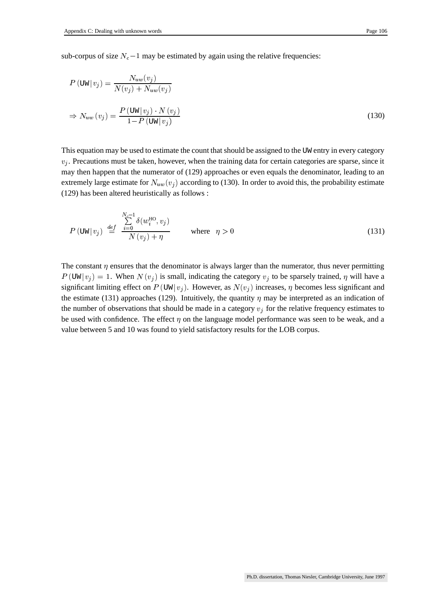sub-corpus of size  $N_c - 1$  may be estimated by again using the relative frequencies:

$$
P(\text{UW} | v_j) = \frac{N_{uw}(v_j)}{N(v_j) + N_{uw}(v_j)}
$$
  
\n
$$
\Rightarrow N_{uw}(v_j) = \frac{P(\text{UW} | v_j) \cdot N(v_j)}{1 - P(\text{UW} | v_j)}
$$
\n(130)

This equation may be used to estimate the count that should be assigned to the UW entry in every category  $v_i$ . Precautions must be taken, however, when the training data for certain categories are sparse, since it may then happen that the numerator of (129) approaches or even equals the denominator, leading to an extremely large estimate for  $N_{uw}(v_i)$  according to (130). In order to avoid this, the probability estimate (129) has been altered heuristically as follows :

$$
P(\text{UW}|\,v_j) \stackrel{def}{=} \frac{\sum_{i=0}^{N_c-1} \delta(w_i^{\text{HO}}, v_j)}{N(v_j) + \eta} \quad \text{where} \quad \eta > 0 \tag{131}
$$

The constant  $\eta$  ensures that the denominator is always larger than the numerator, thus never permitting  $P(\text{UW} | v_i) = 1$ . When  $N(v_i)$  is small, indicating the category  $v_i$  to be sparsely trained,  $\eta$  will have a significant limiting effect on  $P(\text{UW} | v_i)$ . However, as  $N(v_i)$  increases,  $\eta$  becomes less significant and the estimate (131) approaches (129). Intuitively, the quantity  $\eta$  may be interpreted as an indication of the number of observations that should be made in a category  $v_j$  for the relative frequency estimates to be used with confidence. The effect  $\eta$  on the language model performance was seen to be weak, and a value between 5 and 10 was found to yield satisfactory results for the LOB corpus.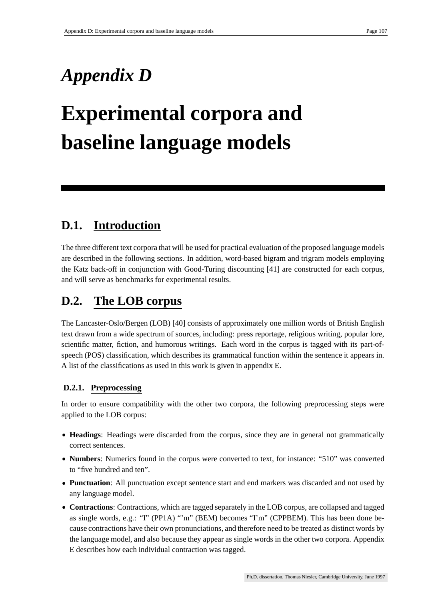## *Appendix D*

## **Experimental corpora and baseline language models**

## **D.1. Introduction**

The three different text corpora that will be used for practical evaluation of the proposed language models are described in the following sections. In addition, word-based bigram and trigram models employing the Katz back-off in conjunction with Good-Turing discounting [41] are constructed for each corpus, and will serve as benchmarks for experimental results.

## **D.2. The LOB corpus**

The Lancaster-Oslo/Bergen (LOB) [40] consists of approximately one million words of British English text drawn from a wide spectrum of sources, including: press reportage, religious writing, popular lore, scientific matter, fiction, and humorous writings. Each word in the corpus is tagged with its part-ofspeech (POS) classification, which describes its grammatical function within the sentence it appears in. A list of the classifications as used in this work is given in appendix E.

#### **D.2.1. Preprocessing**

In order to ensure compatibility with the other two corpora, the following preprocessing steps were applied to the LOB corpus:

- **Headings**: Headings were discarded from the corpus, since they are in general not grammatically correct sentences.
- **Numbers**: Numerics found in the corpus were converted to text, for instance: "510" was converted to "five hundred and ten".
- **Punctuation**: All punctuation except sentence start and end markers was discarded and not used by any language model.
- **Contractions**: Contractions, which are tagged separately in the LOB corpus, are collapsed and tagged as single words, e.g.: "I" (PP1A) "'m" (BEM) becomes "I'm" (CPPBEM). This has been done because contractions have their own pronunciations, and therefore need to be treated as distinct words by the language model, and also because they appear as single words in the other two corpora. Appendix E describes how each individual contraction was tagged.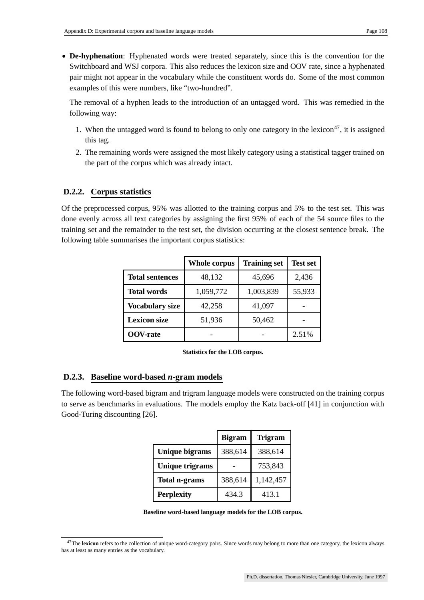**De-hyphenation**: Hyphenated words were treated separately, since this is the convention for the Switchboard and WSJ corpora. This also reduces the lexicon size and OOV rate, since a hyphenated pair might not appear in the vocabulary while the constituent words do. Some of the most common examples of this were numbers, like "two-hundred".

The removal of a hyphen leads to the introduction of an untagged word. This was remedied in the following way:

- 1. When the untagged word is found to belong to only one category in the lexicon<sup>47</sup>, it is assigned this tag.
- 2. The remaining words were assigned the most likely category using a statistical tagger trained on the part of the corpus which was already intact.

#### **D.2.2. Corpus statistics**

Of the preprocessed corpus, 95% was allotted to the training corpus and 5% to the test set. This was done evenly across all text categories by assigning the first 95% of each of the 54 source files to the training set and the remainder to the test set, the division occurring at the closest sentence break. The following table summarises the important corpus statistics:

|                        | <b>Whole corpus</b> | <b>Training set</b> | <b>Test set</b> |
|------------------------|---------------------|---------------------|-----------------|
| <b>Total sentences</b> | 48,132              | 45,696              | 2,436           |
| <b>Total words</b>     | 1,059,772           | 1,003,839           | 55,933          |
| <b>Vocabulary size</b> | 42,258              | 41,097              |                 |
| <b>Lexicon size</b>    | 51,936              | 50,462              |                 |
| <b>OOV-rate</b>        |                     |                     | 2.51%           |

**Statistics for the LOB corpus.**

#### **D.2.3. Baseline word-based** *n***-gram models**

The following word-based bigram and trigram language models were constructed on the training corpus to serve as benchmarks in evaluations. The models employ the Katz back-off [41] in conjunction with Good-Turing discounting [26].

|                        | <b>Bigram</b> | <b>Trigram</b> |
|------------------------|---------------|----------------|
| <b>Unique bigrams</b>  | 388,614       | 388,614        |
| <b>Unique trigrams</b> |               | 753,843        |
| <b>Total n-grams</b>   | 388,614       | 1,142,457      |
| <b>Perplexity</b>      | 434.3         | 413.1          |

|  |  | Baseline word-based language models for the LOB corpus. |
|--|--|---------------------------------------------------------|
|--|--|---------------------------------------------------------|

<sup>47</sup>The **lexicon** refers to the collection of unique word-category pairs. Since words may belong to more than one category, the lexicon always has at least as many entries as the vocabulary.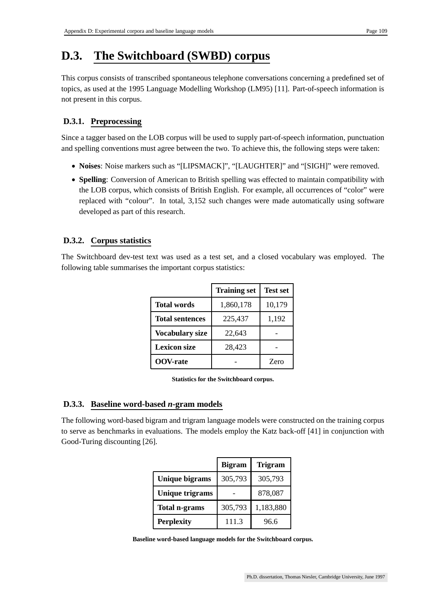### **D.3. The Switchboard (SWBD) corpus**

This corpus consists of transcribed spontaneous telephone conversations concerning a predefined set of topics, as used at the 1995 Language Modelling Workshop (LM95) [11]. Part-of-speech information is not present in this corpus.

#### **D.3.1. Preprocessing**

Since a tagger based on the LOB corpus will be used to supply part-of-speech information, punctuation and spelling conventions must agree between the two. To achieve this, the following steps were taken:

- **Noises**: Noise markers such as "[LIPSMACK]", "[LAUGHTER]" and "[SIGH]" were removed.
- **Spelling**: Conversion of American to British spelling was effected to maintain compatibility with the LOB corpus, which consists of British English. For example, all occurrences of "color" were replaced with "colour". In total, 3,152 such changes were made automatically using software developed as part of this research.

#### **D.3.2. Corpus statistics**

The Switchboard dev-test text was used as a test set, and a closed vocabulary was employed. The following table summarises the important corpus statistics:

|                        | <b>Training set</b> | <b>Test set</b> |
|------------------------|---------------------|-----------------|
| <b>Total words</b>     | 1,860,178           | 10,179          |
| <b>Total sentences</b> | 225,437             | 1,192           |
| <b>Vocabulary size</b> | 22,643              |                 |
| <b>Lexicon size</b>    | 28,423              |                 |
| <b>OOV-rate</b>        |                     | Zero            |

**Statistics for the Switchboard corpus.**

#### **D.3.3. Baseline word-based** *n***-gram models**

The following word-based bigram and trigram language models were constructed on the training corpus to serve as benchmarks in evaluations. The models employ the Katz back-off [41] in conjunction with Good-Turing discounting [26].

|                        | <b>Bigram</b> | <b>Trigram</b> |
|------------------------|---------------|----------------|
| <b>Unique bigrams</b>  | 305,793       | 305,793        |
| <b>Unique trigrams</b> |               | 878,087        |
| <b>Total n-grams</b>   | 305,793       | 1,183,880      |
| <b>Perplexity</b>      | 111.3         | 96 6           |

**Baseline word-based language models for the Switchboard corpus.**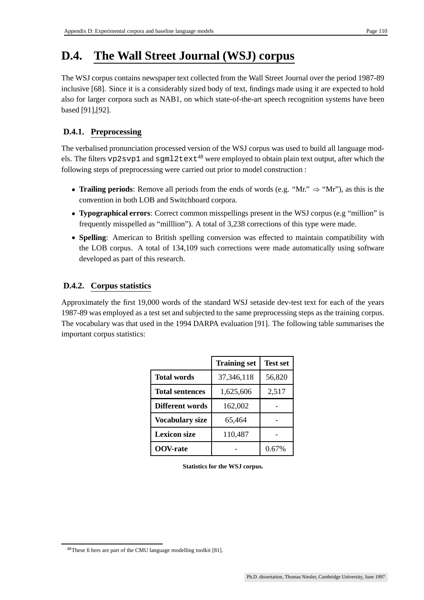### **D.4. The Wall Street Journal (WSJ) corpus**

The WSJ corpus contains newspaper text collected from the Wall Street Journal over the period 1987-89 inclusive [68]. Since it is a considerably sized body of text, findings made using it are expected to hold also for larger corpora such as NAB1, on which state-of-the-art speech recognition systems have been based [91],[92].

#### **D.4.1. Preprocessing**

The verbalised pronunciation processed version of the WSJ corpus was used to build all language models. The filters vp2svp1 and sgml2text<sup>48</sup> were employed to obtain plain text output, after which the following steps of preprocessing were carried out prior to model construction :

- **Trailing periods**: Remove all periods from the ends of words (e.g. "Mr."  $\Rightarrow$  "Mr"), as this is the convention in both LOB and Switchboard corpora.
- **Typographical errors**: Correct common misspellings present in the WSJ corpus (e.g "million" is frequently misspelled as "milllion"). A total of 3,238 corrections of this type were made.
- **Spelling**: American to British spelling conversion was effected to maintain compatibility with the LOB corpus. A total of 134,109 such corrections were made automatically using software developed as part of this research.

#### **D.4.2. Corpus statistics**

Approximately the first 19,000 words of the standard WSJ setaside dev-test text for each of the years 1987-89 was employed as a test set and subjected to the same preprocessing steps as the training corpus. The vocabulary was that used in the 1994 DARPA evaluation [91]. The following table summarises the important corpus statistics:

|                        | <b>Training set</b> | <b>Test set</b> |
|------------------------|---------------------|-----------------|
| <b>Total words</b>     | 37, 346, 118        | 56,820          |
| <b>Total sentences</b> | 1,625,606           | 2,517           |
| Different words        | 162,002             |                 |
| <b>Vocabulary size</b> | 65,464              |                 |
| <b>Lexicon size</b>    | 110,487             |                 |
| <b>OOV-rate</b>        |                     | 0.67%           |

**Statistics for the WSJ corpus.**

<sup>48</sup>These filters are part of the CMU language modelling toolkit [81].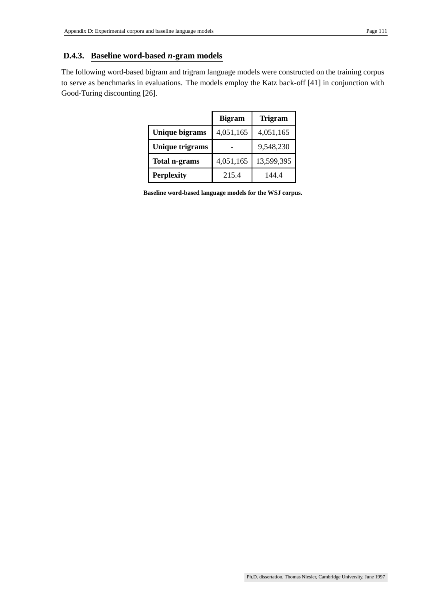#### **D.4.3. Baseline word-based** *n***-gram models**

The following word-based bigram and trigram language models were constructed on the training corpus to serve as benchmarks in evaluations. The models employ the Katz back-off [41] in conjunction with Good-Turing discounting [26].

|                        | <b>Bigram</b> | <b>Trigram</b> |
|------------------------|---------------|----------------|
| <b>Unique bigrams</b>  | 4,051,165     | 4,051,165      |
| <b>Unique trigrams</b> |               | 9,548,230      |
| <b>Total n-grams</b>   | 4,051,165     | 13,599,395     |
| <b>Perplexity</b>      | 215.4         | 144.4          |

**Baseline word-based language models for the WSJ corpus.**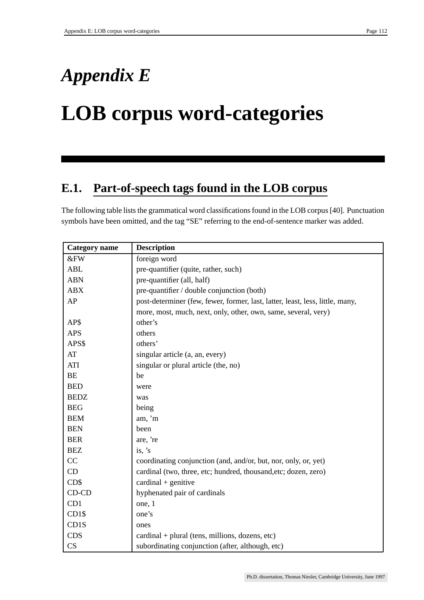## *Appendix E*

## **LOB corpus word-categories**

### **E.1. Part-of-speech tags found in the LOB corpus**

The following table lists the grammatical word classifications found in the LOB corpus [40]. Punctuation symbols have been omitted, and the tag "SE" referring to the end-of-sentence marker was added.

| <b>Category</b> name | <b>Description</b>                                                            |
|----------------------|-------------------------------------------------------------------------------|
| &FW                  | foreign word                                                                  |
| <b>ABL</b>           | pre-quantifier (quite, rather, such)                                          |
| <b>ABN</b>           | pre-quantifier (all, half)                                                    |
| <b>ABX</b>           | pre-quantifier / double conjunction (both)                                    |
| AP                   | post-determiner (few, fewer, former, last, latter, least, less, little, many, |
|                      | more, most, much, next, only, other, own, same, several, very)                |
| AP\$                 | other's                                                                       |
| <b>APS</b>           | others                                                                        |
| APS\$                | others'                                                                       |
| AT                   | singular article (a, an, every)                                               |
| ATI                  | singular or plural article (the, no)                                          |
| BE                   | be                                                                            |
| <b>BED</b>           | were                                                                          |
| <b>BEDZ</b>          | was                                                                           |
| <b>BEG</b>           | being                                                                         |
| <b>BEM</b>           | am, 'm                                                                        |
| <b>BEN</b>           | been                                                                          |
| <b>BER</b>           | are, 're                                                                      |
| <b>BEZ</b>           | is, $'s$                                                                      |
| CC                   | coordinating conjunction (and, and/or, but, nor, only, or, yet)               |
| CD                   | cardinal (two, three, etc; hundred, thousand, etc; dozen, zero)               |
| CD\$                 | $cardinal + genitive$                                                         |
| CD-CD                | hyphenated pair of cardinals                                                  |
| CD1                  | one, 1                                                                        |
| CD1\$                | one's                                                                         |
| CD1S                 | ones                                                                          |
| <b>CDS</b>           | $cardinal + plural$ (tens, millions, dozens, etc)                             |
| CS                   | subordinating conjunction (after, although, etc)                              |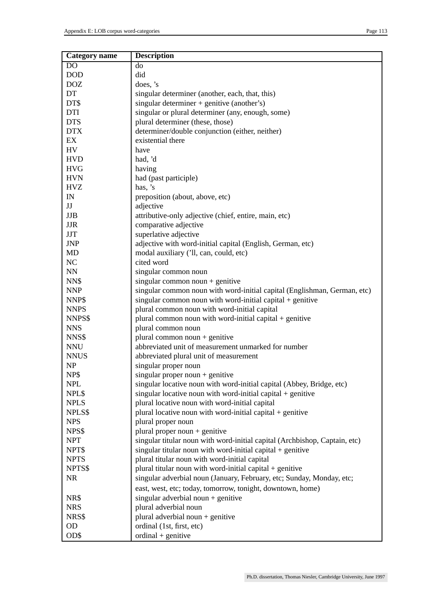| <b>Category</b> name | <b>Description</b>                                                         |
|----------------------|----------------------------------------------------------------------------|
| D <sub>O</sub>       | do                                                                         |
| <b>DOD</b>           | did                                                                        |
| <b>DOZ</b>           | does, 's                                                                   |
| DT                   | singular determiner (another, each, that, this)                            |
| DT\$                 | singular determiner + genitive (another's)                                 |
| DTI                  | singular or plural determiner (any, enough, some)                          |
| <b>DTS</b>           | plural determiner (these, those)                                           |
| <b>DTX</b>           | determiner/double conjunction (either, neither)                            |
| EX                   | existential there                                                          |
| <b>HV</b>            | have                                                                       |
| <b>HVD</b>           | had, 'd                                                                    |
| <b>HVG</b>           | having                                                                     |
| <b>HVN</b>           | had (past participle)                                                      |
| <b>HVZ</b>           | has, 's                                                                    |
| IN                   | preposition (about, above, etc)                                            |
| JJ                   | adjective                                                                  |
| JJB                  | attributive-only adjective (chief, entire, main, etc)                      |
| <b>JJR</b>           | comparative adjective                                                      |
| <b>JJT</b>           | superlative adjective                                                      |
| <b>JNP</b>           | adjective with word-initial capital (English, German, etc)                 |
| <b>MD</b>            | modal auxiliary ('ll, can, could, etc)                                     |
| NC                   | cited word                                                                 |
| NN                   | singular common noun                                                       |
| NN\$                 | singular common noun + genitive                                            |
| <b>NNP</b>           | singular common noun with word-initial capital (Englishman, German, etc)   |
| NNP\$                | singular common noun with word-initial capital $+$ genitive                |
| <b>NNPS</b>          | plural common noun with word-initial capital                               |
| NNPS\$               | plural common noun with word-initial capital + genitive                    |
| <b>NNS</b>           | plural common noun                                                         |
| NNS\$                | plural common noun $+$ genitive                                            |
| <b>NNU</b>           | abbreviated unit of measurement unmarked for number                        |
| <b>NNUS</b>          | abbreviated plural unit of measurement                                     |
| <b>NP</b>            | singular proper noun                                                       |
| NP\$                 | singular proper noun $+$ genitive                                          |
| <b>NPL</b>           | singular locative noun with word-initial capital (Abbey, Bridge, etc)      |
| NPL\$                | singular locative noun with word-initial capital $+$ genitive              |
| <b>NPLS</b>          | plural locative noun with word-initial capital                             |
| NPLS\$               | plural locative noun with word-initial capital $+$ genitive                |
| <b>NPS</b>           | plural proper noun                                                         |
| NPS\$                | plural proper noun $+$ genitive                                            |
| <b>NPT</b>           | singular titular noun with word-initial capital (Archbishop, Captain, etc) |
| NPT\$                | singular titular noun with word-initial capital $+$ genitive               |
| <b>NPTS</b>          | plural titular noun with word-initial capital                              |
| NPTS\$               | plural titular noun with word-initial capital $+$ genitive                 |
| <b>NR</b>            | singular adverbial noun (January, February, etc; Sunday, Monday, etc;      |
|                      | east, west, etc; today, tomorrow, tonight, downtown, home)                 |
| NR\$                 | singular adverbial noun $+$ genitive                                       |
| <b>NRS</b>           | plural adverbial noun                                                      |
| NRS\$                | plural adverbial noun + genitive                                           |
| <b>OD</b>            | ordinal (1st, first, etc)                                                  |
| OD\$                 | $\text{ ordinal} + \text{genitive}$                                        |
|                      |                                                                            |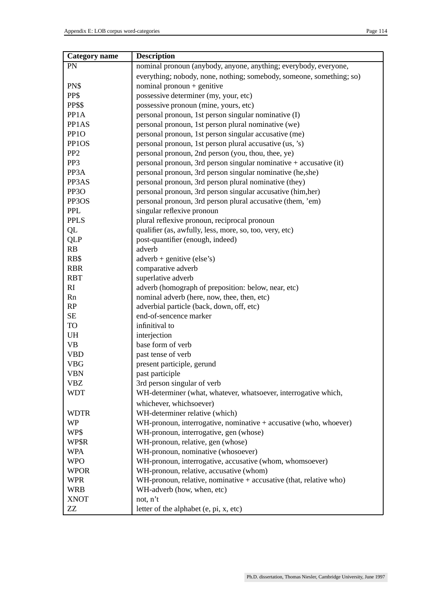| <b>Category</b> name | <b>Description</b>                                                   |
|----------------------|----------------------------------------------------------------------|
| <b>PN</b>            | nominal pronoun (anybody, anyone, anything; everybody, everyone,     |
|                      | everything; nobody, none, nothing; somebody, someone, something; so) |
| PN\$                 | nominal pronoun $+$ genitive                                         |
| PP\$                 | possessive determiner (my, your, etc)                                |
| PP\$\$               | possessive pronoun (mine, yours, etc)                                |
| PP1A                 | personal pronoun, 1st person singular nominative (I)                 |
| PP1AS                | personal pronoun, 1st person plural nominative (we)                  |
| PP <sub>10</sub>     | personal pronoun, 1st person singular accusative (me)                |
| PP1OS                | personal pronoun, 1st person plural accusative (us, 's)              |
| PP <sub>2</sub>      | personal pronoun, 2nd person (you, thou, thee, ye)                   |
| PP3                  | personal pronoun, 3rd person singular nominative + accusative (it)   |
| PP3A                 | personal pronoun, 3rd person singular nominative (he,she)            |
| PP3AS                | personal pronoun, 3rd person plural nominative (they)                |
| PP <sub>3</sub> O    | personal pronoun, 3rd person singular accusative (him, her)          |
| PP3OS                | personal pronoun, 3rd person plural accusative (them, 'em)           |
| <b>PPL</b>           | singular reflexive pronoun                                           |
| <b>PPLS</b>          | plural reflexive pronoun, reciprocal pronoun                         |
| QL                   | qualifier (as, awfully, less, more, so, too, very, etc)              |
| <b>QLP</b>           | post-quantifier (enough, indeed)                                     |
| RB                   | adverb                                                               |
| RB\$                 | $adverb + genitive (else's)$                                         |
| <b>RBR</b>           | comparative adverb                                                   |
| <b>RBT</b>           | superlative adverb                                                   |
| RI                   | adverb (homograph of preposition: below, near, etc)                  |
| Rn                   | nominal adverb (here, now, thee, then, etc)                          |
| RP                   | adverbial particle (back, down, off, etc)                            |
| <b>SE</b>            | end-of-sencence marker                                               |
| <b>TO</b>            | infinitival to                                                       |
| UH                   | interjection                                                         |
| <b>VB</b>            | base form of verb                                                    |
| <b>VBD</b>           | past tense of verb                                                   |
| <b>VBG</b>           | present participle, gerund                                           |
| VBN                  | past participle                                                      |
| <b>VBZ</b>           | 3rd person singular of verb                                          |
| <b>WDT</b>           | WH-determiner (what, whatever, whatsoever, interrogative which,      |
|                      | whichever, whichsoever)                                              |
| <b>WDTR</b>          | WH-determiner relative (which)                                       |
| <b>WP</b>            | WH-pronoun, interrogative, nominative + accusative (who, whoever)    |
| WP\$                 | WH-pronoun, interrogative, gen (whose)                               |
| WP\$R                | WH-pronoun, relative, gen (whose)                                    |
| <b>WPA</b>           | WH-pronoun, nominative (whosoever)                                   |
| <b>WPO</b>           | WH-pronoun, interrogative, accusative (whom, whomsoever)             |
| <b>WPOR</b>          | WH-pronoun, relative, accusative (whom)                              |
| <b>WPR</b>           | WH-pronoun, relative, nominative $+$ accusative (that, relative who) |
| <b>WRB</b>           | WH-adverb (how, when, etc)                                           |
| <b>XNOT</b>          | not, n't                                                             |
| ZZ                   | letter of the alphabet (e, pi, x, etc)                               |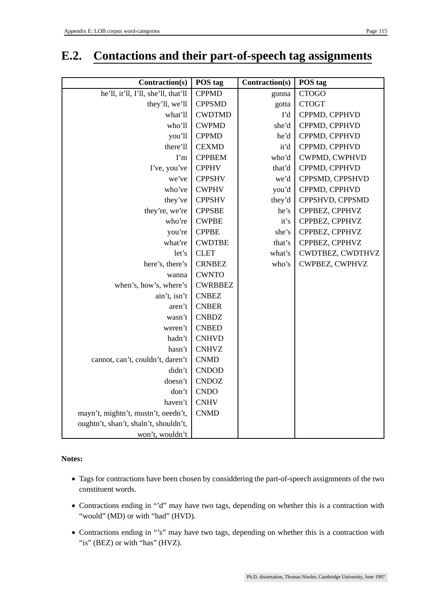### **E.2. Contactions and their part-of-speech tag assignments**

| Contraction(s)                        | POS tag        | Contraction(s) | POS tag          |
|---------------------------------------|----------------|----------------|------------------|
| he'll, it'll, I'll, she'll, that'll   | <b>CPPMD</b>   | gonna          | <b>CTOGO</b>     |
| they'll, we'll                        | <b>CPPSMD</b>  | gotta          | <b>CTOGT</b>     |
| what'll                               | <b>CWDTMD</b>  | I'd            | CPPMD, CPPHVD    |
| who'll                                | <b>CWPMD</b>   | she'd          | CPPMD, CPPHVD    |
| you'll                                | <b>CPPMD</b>   | he'd           | CPPMD, CPPHVD    |
| there'll                              | <b>CEXMD</b>   | it'd           | CPPMD, CPPHVD    |
| $\Gamma$ m                            | <b>CPPBEM</b>  | who'd          | CWPMD, CWPHVD    |
| I've, you've                          | <b>CPPHV</b>   | that'd         | CPPMD, CPPHVD    |
| we've                                 | <b>CPPSHV</b>  | we'd           | CPPSMD, CPPSHVD  |
| who've                                | <b>CWPHV</b>   | you'd          | CPPMD, CPPHVD    |
| they've                               | <b>CPPSHV</b>  | they'd         | CPPSHVD, CPPSMD  |
| they're, we're                        | <b>CPPSBE</b>  | he's           | CPPBEZ, CPPHVZ   |
| who're                                | <b>CWPBE</b>   | it's           | CPPBEZ, CPPHVZ   |
| you're                                | <b>CPPBE</b>   | she's          | CPPBEZ, CPPHVZ   |
| what're                               | <b>CWDTBE</b>  | that's         | CPPBEZ, CPPHVZ   |
| let's                                 | <b>CLET</b>    | what's         | CWDTBEZ, CWDTHVZ |
| here's, there's                       | <b>CRNBEZ</b>  | who's          | CWPBEZ, CWPHVZ   |
| wanna                                 | <b>CWNTO</b>   |                |                  |
| when's, how's, where's                | <b>CWRBBEZ</b> |                |                  |
| ain't, isn't                          | <b>CNBEZ</b>   |                |                  |
| aren't                                | <b>CNBER</b>   |                |                  |
| wasn't                                | <b>CNBDZ</b>   |                |                  |
| weren't                               | <b>CNBED</b>   |                |                  |
| hadn't                                | <b>CNHVD</b>   |                |                  |
| hasn't                                | <b>CNHVZ</b>   |                |                  |
| cannot, can't, couldn't, daren't      | <b>CNMD</b>    |                |                  |
| didn't                                | <b>CNDOD</b>   |                |                  |
| doesn't                               | <b>CNDOZ</b>   |                |                  |
| don't                                 | <b>CNDO</b>    |                |                  |
| haven't                               | <b>CNHV</b>    |                |                  |
| mayn't, mightn't, mustn't, needn't,   | <b>CNMD</b>    |                |                  |
| oughtn't, shan't, shaln't, shouldn't, |                |                |                  |
| won't, wouldn't                       |                |                |                  |

**Notes:**

- Tags for contractions have been chosen by considdering the part-of-speech assignments of the two constituent words.
- Contractions ending in "'d" may have two tags, depending on whether this is a contraction with "would" (MD) or with "had" (HVD).
- Contractions ending in "'s" may have two tags, depending on whether this is a contraction with "is" (BEZ) or with "has" (HVZ).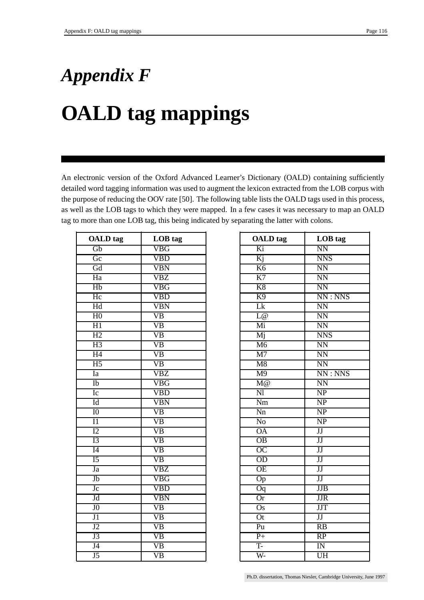# *Appendix F* **OALD tag mappings**

An electronic version of the Oxford Advanced Learner's Dictionary (OALD) containing sufficiently detailed word tagging information was used to augment the lexicon extracted from the LOB corpus with the purpose of reducing the OOV rate [50]. The following table lists the OALD tags used in this process, as well as the LOB tags to which they were mapped. In a few cases it was necessary to map an OALD tag to more than one LOB tag, this being indicated by separating the latter with colons.

| <b>OALD</b> tag        | LOB tag                 | <b>OALD</b> tag         | LOB tag                |
|------------------------|-------------------------|-------------------------|------------------------|
| $\overline{Gb}$        | <b>VBG</b>              | Ki                      | $\overline{\text{NN}}$ |
| $\overline{\text{Gc}}$ | <b>VBD</b>              | $\overline{Kj}$         | <b>NNS</b>             |
| Gd                     | <b>VBN</b>              | K <sub>6</sub>          | <b>NN</b>              |
| Ha                     | VBZ                     | K7                      | <b>NN</b>              |
| Hb                     | <b>VBG</b>              | K8                      | $\overline{\text{NN}}$ |
| Hc                     | <b>VBD</b>              | K <sub>9</sub>          | NN:NNS                 |
| Hd                     | <b>VBN</b>              | Lk                      | <b>NN</b>              |
| H <sub>0</sub>         | $\overline{VB}$         | L@                      | <b>NN</b>              |
| H1                     | VB                      | Mi                      | <b>NN</b>              |
| H2                     | $\overline{VB}$         | Mj                      | <b>NNS</b>             |
| H3                     | $\overline{VB}$         | M6                      | <b>NN</b>              |
| H4                     | $\overline{VB}$         | $\overline{M7}$         | <b>NN</b>              |
| H <sub>5</sub>         | $\overline{VB}$         | $\overline{\text{M8}}$  | NN                     |
| Ia                     | VBZ                     | M <sub>9</sub>          | NN:NNS                 |
| Ib                     | VBG                     | M@                      | <b>NN</b>              |
| $I_{\mathcal{C}}$      | <b>VBD</b>              | $\overline{\mathrm{N}}$ | NP                     |
| Id                     | <b>VBN</b>              | Nm                      | $\overline{\text{NP}}$ |
| 10                     | VB                      | Nn                      | NP                     |
| $\overline{11}$        | $\overline{VB}$         | N <sub>o</sub>          | NP                     |
| $\overline{12}$        | VB                      | <b>OA</b>               | $\overline{\text{JJ}}$ |
| I3                     | $\overline{VB}$         | $\overline{OB}$         | $\overline{\text{JJ}}$ |
| I4                     | $\overline{VB}$         | OC                      | JJ                     |
| $\overline{15}$        | $\overline{VB}$         | OD                      | $\overline{JJ}$        |
| Ja                     | VBZ                     | $\overline{OE}$         | $\overline{\text{JJ}}$ |
| Jb                     | VBG                     | Op                      | $\overline{JJ}$        |
| Jc                     | <b>VBD</b>              | $\overline{Oq}$         | JJB                    |
| Jd                     | $\overline{\text{VBN}}$ | $\overline{Or}$         | <b>JJR</b>             |
| $\overline{J}0$        | $\overline{VB}$         | $\overline{Os}$         | <b>JJT</b>             |
| $\overline{J1}$        | $\overline{\text{VB}}$  | $\overline{Ot}$         | $\overline{\text{JJ}}$ |
| J2                     | $\overline{VB}$         | Pu                      | RB                     |
| J3                     | VB                      | $P+$                    | RP                     |
| J <sub>4</sub>         | $\overline{VB}$         | T-                      | $\overline{\text{IN}}$ |
| J5                     | $\overline{VB}$         | W-                      | UH                     |

| <b>OALD</b> tag          | LOB tag                  |
|--------------------------|--------------------------|
| Ki                       | $\overline{\text{NN}}$   |
| Kj                       | <b>NNS</b>               |
| K6                       | $\overline{\text{NN}}$   |
| K7                       | $\overline{\text{NN}}$   |
| K8                       | <b>NN</b>                |
| K <sub>9</sub>           | NN:NNS                   |
| Lk                       | $\overline{\text{NN}}$   |
| L@                       | N <sub>N</sub>           |
| Mi                       | $\overline{\text{NN}}$   |
| Mj                       | <b>NNS</b>               |
| M6                       | $\overline{\text{NN}}$   |
| $\overline{M7}$          | $\overline{\text{NN}}$   |
| $\overline{\text{M8}}$   | <b>NN</b>                |
| M <sub>9</sub>           | NN:NNS                   |
| M@                       | $\overline{\text{NN}}$   |
| $\overline{\text{NI}}$   | $\overline{\text{NP}}$   |
| $\overline{\mathrm{Nm}}$ | $\overline{\text{NP}}$   |
| $\overline{Nn}$          | $\overline{\text{NP}}$   |
| No                       | $\overline{\text{NP}}$   |
| <b>OA</b>                | $\overline{\text{JJ}}$   |
| $\overline{OB}$          | $\overline{\text{JJ}}$   |
| $\overline{OC}$          | $\overline{\mathrm{JJ}}$ |
| $\overline{OD}$          | JJ                       |
| <b>OE</b>                | JJ                       |
| $\overline{Op}$          | $\overline{\text{JJ}}$   |
| $\overline{O}q$          | JJB                      |
| $\overline{0r}$          | <b>JJR</b>               |
| $\overline{Os}$          | <b>JJT</b>               |
| $\overline{Ot}$          | $\overline{\text{JJ}}$   |
| Pu                       | $\overline{RB}$          |
| $\overline{P+}$          | $\overline{RP}$          |
| T-                       | IN                       |
| W-                       | $\overline{\text{UH}}$   |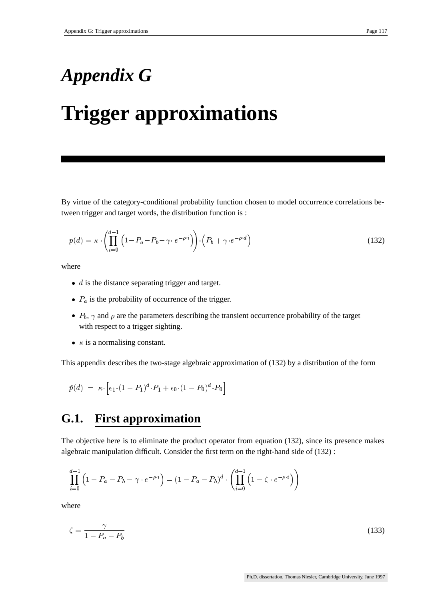## *Appendix G*

## **Trigger approximations**

By virtue of the category-conditional probability function chosen to model occurrence correlations between trigger and target words, the distribution function is :

$$
p(d) = \kappa \cdot \left(\prod_{i=0}^{d-1} \left(1 - P_a - P_b - \gamma \cdot e^{-\rho \cdot i}\right)\right) \cdot \left(P_b + \gamma \cdot e^{-\rho \cdot d}\right) \tag{132}
$$

where

- $\bullet$  d is the distance separating trigger and target.
- $\bullet$   $P_a$  is the probability of occurrence of the trigger.
- $P_b$ ,  $\gamma$  and  $\rho$  are the parameters describing the transient occurrence probability of the target with respect to a trigger sighting.
- $\kappa$  is a normalising constant.

This appendix describes the two-stage algebraic approximation of (132) by a distribution of the form

$$
\hat{p}(d) = \kappa \cdot \left[ \epsilon_1 \cdot (1 - P_1)^d \cdot P_1 + \epsilon_0 \cdot (1 - P_0)^d \cdot P_0 \right]
$$

### **G.1. First approximation**

The objective here is to eliminate the product operator from equation (132), since its presence makes algebraic manipulation difficult. Consider the first term on the right-hand side of (132) :

$$
\prod_{i=0}^{d-1} \left(1 - P_a - P_b - \gamma \cdot e^{-\rho \cdot i}\right) = \left(1 - P_a - P_b\right)^d \cdot \left(\prod_{i=0}^{d-1} \left(1 - \zeta \cdot e^{-\rho \cdot i}\right)\right)
$$

where

$$
\zeta = \frac{\gamma}{1 - P_a - P_b} \tag{133}
$$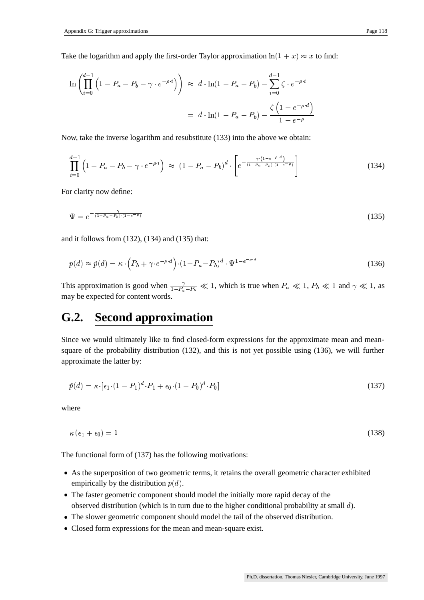Take the logarithm and apply the first-order Taylor approximation  $\ln(1+x) \approx x$  to find:

$$
\ln \left( \prod_{i=0}^{d-1} \left( 1 - P_a - P_b - \gamma \cdot e^{-\rho \cdot i} \right) \right) \approx d \cdot \ln(1 - P_a - P_b) - \sum_{i=0}^{d-1} \zeta \cdot e^{-\rho \cdot i}
$$

$$
= d \cdot \ln(1 - P_a - P_b) - \frac{\zeta \left( 1 - e^{-\rho \cdot d} \right)}{1 - e^{-\rho}}
$$

Now, take the inverse logarithm and resubstitute (133) into the above we obtain:

$$
\prod_{i=0}^{d-1} \left( 1 - P_a - P_b - \gamma \cdot e^{-\rho \cdot i} \right) \approx \left( 1 - P_a - P_b \right)^d \cdot \left[ e^{-\frac{\gamma \cdot (1 - e^{-\rho \cdot d})}{(1 - P_a - P_b) \cdot (1 - e^{-\rho})}} \right]
$$
\n(134)

For clarity now define:

$$
\Psi = e^{-\frac{\gamma}{(1 - P_a - P_b) \cdot (1 - e^{-\rho})}} \tag{135}
$$

and it follows from (132), (134) and (135) that:

$$
p(d) \approx \tilde{p}(d) = \kappa \cdot \left( P_b + \gamma \cdot e^{-\rho \cdot d} \right) \cdot \left( 1 - P_a - P_b \right)^d \cdot \Psi^{1 - e^{-\rho \cdot d}} \tag{136}
$$

This approximation is good when  $\frac{\gamma}{1-P_a-P_b} \ll 1$ , v may be expected for content words. . . . .  $\frac{1}{-P_b} \ll 1$ , which is true when  $P_a \ll 1$ ,  $P_b \ll 1$  and  $\gamma \ll 1$ , as may be expected for content words.

### **G.2. Second approximation**

Since we would ultimately like to find closed-form expressions for the approximate mean and meansquare of the probability distribution (132), and this is not yet possible using (136), we will further approximate the latter by:

$$
\hat{p}(d) = \kappa \cdot [\epsilon_1 \cdot (1 - P_1)^d \cdot P_1 + \epsilon_0 \cdot (1 - P_0)^d \cdot P_0]
$$
\n(137)

where

$$
\kappa\left(\epsilon_{1}+\epsilon_{0}\right)=1\tag{138}
$$

The functional form of (137) has the following motivations:

- As the superposition of two geometric terms, it retains the overall geometric character exhibited empirically by the distribution  $p(d)$ .
- The faster geometric component should model the initially more rapid decay of the observed distribution (which is in turn due to the higher conditional probability at small  $d$ ).
- The slower geometric component should model the tail of the observed distribution.
- Closed form expressions for the mean and mean-square exist.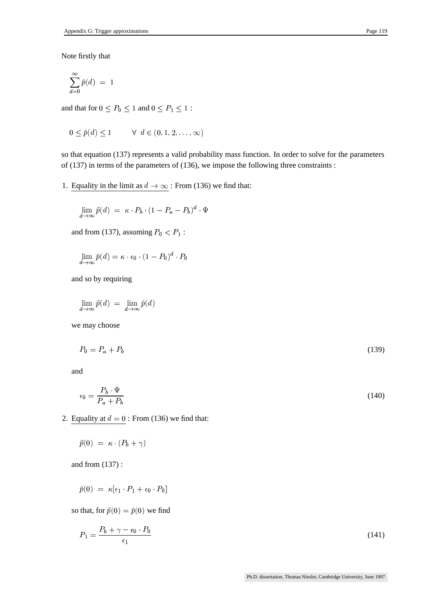Note firstly that

$$
\sum_{d=0}^{\infty} \hat{p}(d) \; = \; 1
$$

and that for  $0 \le P_0 \le 1$  and 0  $\leq 1$  and  $0 \leq P_1 \leq 1$  :  $\blacksquare$ 

$$
0 \le \hat{p}(d) \le 1 \qquad \forall \ d \in (0, 1, 2, \dots, \infty)
$$

so that equation (137) represents a valid probability mass function. In order to solve for the parameters of (137) in terms of the parameters of (136), we impose the following three constraints :

1. Equality in the limit as  $d \to \infty$ : From (136) we find that:

$$
\lim_{d \to \infty} \tilde{p}(d) = \kappa \cdot P_b \cdot (1 - P_a - P_b)^d \cdot \Psi
$$

and from (137), assuming  $P_0 < P_1$ :

$$
\lim_{d\to\infty} \hat{p}(d) = \kappa \cdot \epsilon_0 \cdot (1-P_0)^d \cdot P_0
$$

and so by requiring

$$
\lim_{d \to \infty} \tilde{p}(d) = \lim_{d \to \infty} \hat{p}(d)
$$

we may choose

$$
P_0 = P_a + P_b \tag{139}
$$

and

$$
\epsilon_0 = \frac{P_b \cdot \Psi}{P_a + P_b} \tag{140}
$$

2. Equality at  $d = 0$ : From (136) we find that:

$$
\tilde{p}(0) = \kappa \cdot (P_b + \gamma)
$$

and from (137) :

$$
\hat{p}(0) = \kappa[\epsilon_1 \cdot P_1 + \epsilon_0 \cdot P_0]
$$

so that, for  $\tilde{p}(0) = \hat{p}(0)$  we find

$$
P_1 = \frac{P_b + \gamma - \epsilon_0 \cdot P_0}{\epsilon_1} \tag{141}
$$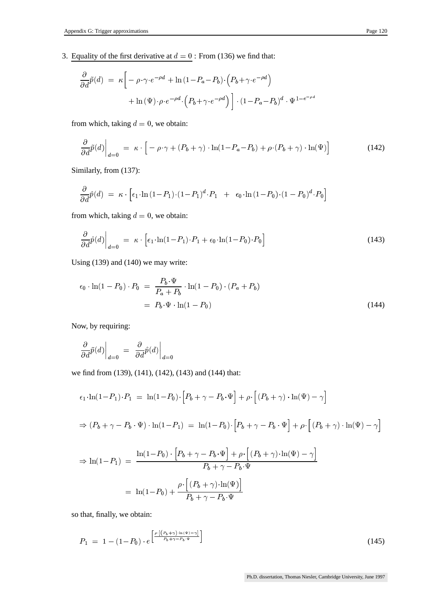3. Equality of the first derivative at  $d = 0$ : From (136) we find that:

$$
\frac{\partial}{\partial d}\tilde{p}(d) = \kappa \left[ -\rho \cdot \gamma \cdot e^{-\rho d} + \ln(1 - P_a - P_b) \cdot (P_b + \gamma \cdot e^{-\rho d}) + \ln(\Psi) \cdot \rho \cdot e^{-\rho d} \cdot (P_b + \gamma \cdot e^{-\rho d}) \right] \cdot (1 - P_a - P_b)^d \cdot \Psi^{1 - e^{-\rho d}}
$$

from which, taking  $d = 0$ , we obtain:

$$
\frac{\partial}{\partial d}\tilde{p}(d)\Big|_{d=0} = \kappa \cdot \left[ -\rho \cdot \gamma + (P_b + \gamma) \cdot \ln(1 - P_a - P_b) + \rho \cdot (P_b + \gamma) \cdot \ln(\Psi) \right]
$$
(142)

Similarly, from (137):

$$
\frac{\partial}{\partial d}\hat{p}(d) = \kappa \cdot \left[ \epsilon_1 \cdot \ln(1 - P_1) \cdot (1 - P_1)^d \cdot P_1 + \epsilon_0 \cdot \ln(1 - P_0) \cdot (1 - P_0)^d \cdot P_0 \right]
$$

from which, taking  $d = 0$ , we obtain:

$$
\left. \frac{\partial}{\partial d} \hat{p}(d) \right|_{d=0} = \kappa \cdot \left[ \epsilon_1 \cdot \ln(1 - P_1) \cdot P_1 + \epsilon_0 \cdot \ln(1 - P_0) \cdot P_0 \right] \tag{143}
$$

Using (139) and (140) we may write:

$$
\epsilon_0 \cdot \ln(1 - P_0) \cdot P_0 = \frac{P_b \cdot \Psi}{P_a + P_b} \cdot \ln(1 - P_0) \cdot (P_a + P_b)
$$

$$
= P_b \cdot \Psi \cdot \ln(1 - P_0)
$$
(144)

Now, by requiring:

$$
\left.\frac{\partial}{\partial d}\tilde{p}(d)\right|_{d=0} = \left.\frac{\partial}{\partial d}\hat{p}(d)\right|_{d=0}
$$

we find from (139), (141), (142), (143) and (144) that:

$$
\epsilon_1 \cdot \ln(1 - P_1) \cdot P_1 = \ln(1 - P_0) \cdot \left[ P_b + \gamma - P_b \cdot \Psi \right] + \rho \cdot \left[ (P_b + \gamma) \cdot \ln(\Psi) - \gamma \right]
$$
  
\n
$$
\Rightarrow (P_b + \gamma - P_b \cdot \Psi) \cdot \ln(1 - P_1) = \ln(1 - P_0) \cdot \left[ P_b + \gamma - P_b \cdot \Psi \right] + \rho \cdot \left[ (P_b + \gamma) \cdot \ln(\Psi) - \gamma \right]
$$
  
\n
$$
\Rightarrow \ln(1 - P_1) = \frac{\ln(1 - P_0) \cdot \left[ P_b + \gamma - P_b \cdot \Psi \right] + \rho \cdot \left[ (P_b + \gamma) \cdot \ln(\Psi) - \gamma \right]}{P_b + \gamma - P_b \cdot \Psi}
$$
  
\n
$$
= \ln(1 - P_0) + \frac{\rho \cdot \left[ (P_b + \gamma) \cdot \ln(\Psi) \right]}{P_b + \gamma - P_b \cdot \Psi}
$$

so that, finally, we obtain:

$$
P_1 = 1 - (1 - P_0) \cdot e^{\left[\frac{\rho \cdot [(P_b + \gamma) \cdot \ln(\Psi) - \gamma]}{P_b + \gamma - P_b \cdot \Psi}\right]}
$$
\n(145)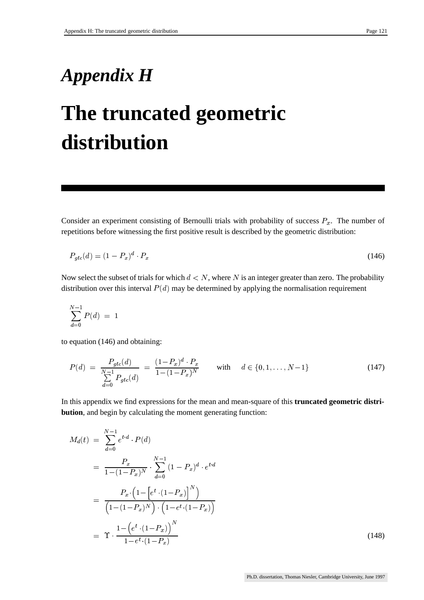## *Appendix H*

## **The truncated geometric distribution**

Consider an experiment consisting of Bernoulli trials with probability of success  $P_x$ . The number of repetitions before witnessing the first positive result is described by the geometric distribution:

$$
P_{gtc}(d) = (1 - P_x)^d \cdot P_x \tag{146}
$$

Now select the subset of trials for which  $d < N$ , where N is an integer greater than zero. The probability distribution over this interval  $P(d)$  may be determined by applying the normalisation requirement

$$
\sum_{d=0}^{N-1} P(d) \; = \; 1
$$

to equation (146) and obtaining:

$$
P(d) = \frac{P_{gtc}(d)}{\sum_{d=0}^{N-1} P_{gtc}(d)} = \frac{(1 - P_x)^d \cdot P_x}{1 - (1 - P_x)^N} \quad \text{with} \quad d \in \{0, 1, \dots, N-1\}
$$
 (147)

In this appendix we find expressions for the mean and mean-square of this **truncated geometric distribution**, and begin by calculating the moment generating function:

$$
M_d(t) = \sum_{d=0}^{N-1} e^{t \cdot d} \cdot P(d)
$$
  
= 
$$
\frac{P_x}{1 - (1 - P_x)^N} \cdot \sum_{d=0}^{N-1} (1 - P_x)^d \cdot e^{t \cdot d}
$$
  
= 
$$
\frac{P_x \cdot (1 - [e^t \cdot (1 - P_x)]^N)}{(1 - (1 - P_x)^N) \cdot (1 - e^t \cdot (1 - P_x))}
$$
  
= 
$$
\Upsilon \cdot \frac{1 - (e^t \cdot (1 - P_x))^N}{1 - e^t \cdot (1 - P_x)}
$$
(148)